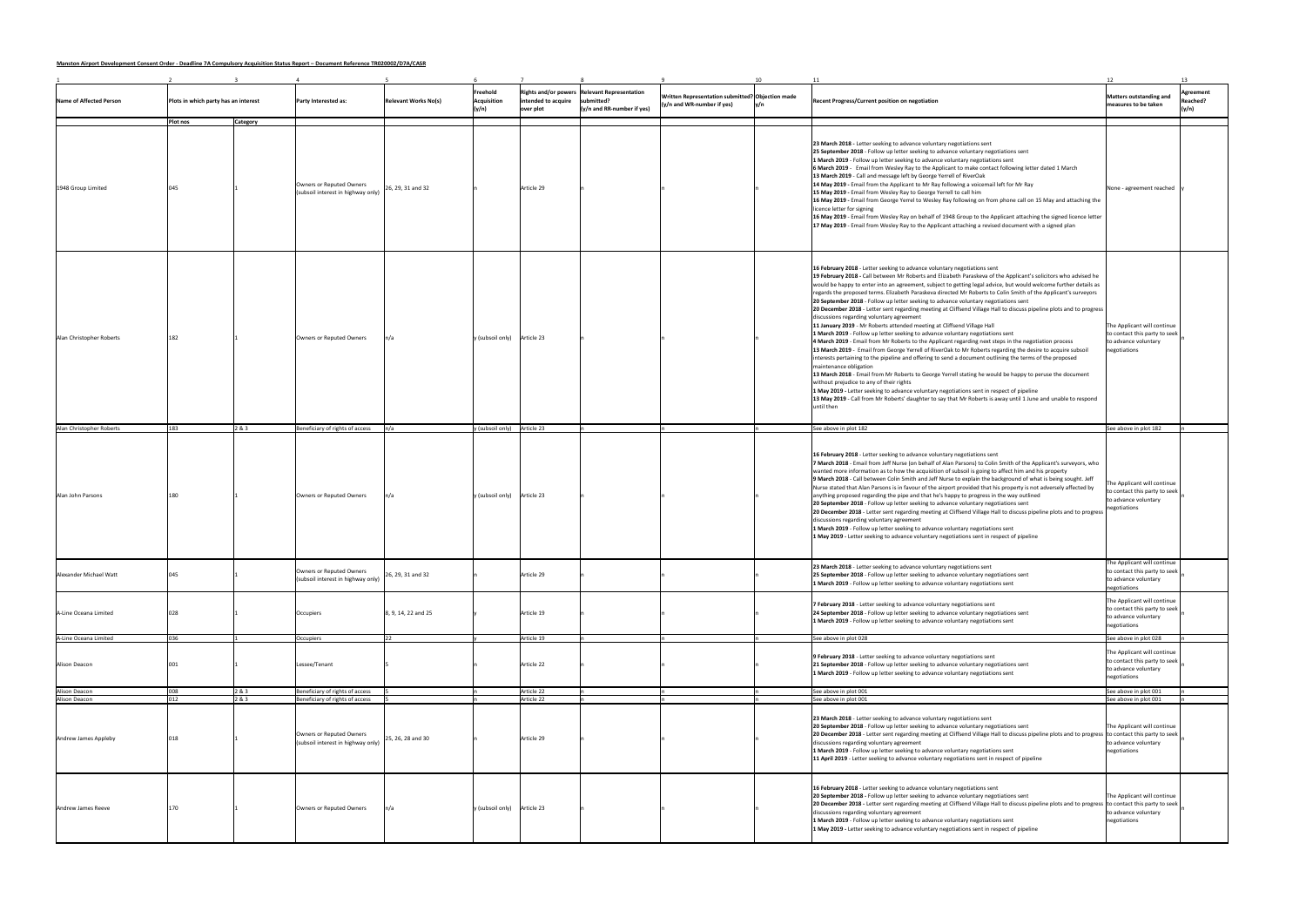**Manston Airport Development Consent Order - Deadline 7A Compulsory Acquisition Status Report – Document Reference TR020002/D7A/CASR**

|                          |                                      |                 |                                                                |                             |                                  |                                  |                                                                                                   |                                                                                  |                                                                                                                                                                                                                                                                                                                                                                                                                                                                                                                                                                                                                                                                                                                                                                                                                                                                                                                                                                                                                                                                                                                                                                                                                                                                                                                                                                                                                                                                                                                                                                                                                | 12                                                                                                   | 13                                    |
|--------------------------|--------------------------------------|-----------------|----------------------------------------------------------------|-----------------------------|----------------------------------|----------------------------------|---------------------------------------------------------------------------------------------------|----------------------------------------------------------------------------------|----------------------------------------------------------------------------------------------------------------------------------------------------------------------------------------------------------------------------------------------------------------------------------------------------------------------------------------------------------------------------------------------------------------------------------------------------------------------------------------------------------------------------------------------------------------------------------------------------------------------------------------------------------------------------------------------------------------------------------------------------------------------------------------------------------------------------------------------------------------------------------------------------------------------------------------------------------------------------------------------------------------------------------------------------------------------------------------------------------------------------------------------------------------------------------------------------------------------------------------------------------------------------------------------------------------------------------------------------------------------------------------------------------------------------------------------------------------------------------------------------------------------------------------------------------------------------------------------------------------|------------------------------------------------------------------------------------------------------|---------------------------------------|
| Name of Affected Person  | Plots in which party has an interest |                 | <b>Party Interested as:</b>                                    | <b>Relevant Works No(s)</b> | Freehold<br>Acquisition<br>(y/n) | intended to acquire<br>over plot | <b>Rights and/or powers Relevant Representation</b><br>submitted?<br>$(y/n$ and RR-number if yes) | Written Representation submitted? Objection made<br>$(y/n$ and WR-number if yes) | <b>Recent Progress/Current position on negotiation</b>                                                                                                                                                                                                                                                                                                                                                                                                                                                                                                                                                                                                                                                                                                                                                                                                                                                                                                                                                                                                                                                                                                                                                                                                                                                                                                                                                                                                                                                                                                                                                         | Matters outstanding and<br>measures to be taken                                                      | Agreement<br><b>Reached?</b><br>(y/n) |
|                          | Plot nos                             | <b>Category</b> |                                                                |                             |                                  |                                  |                                                                                                   |                                                                                  |                                                                                                                                                                                                                                                                                                                                                                                                                                                                                                                                                                                                                                                                                                                                                                                                                                                                                                                                                                                                                                                                                                                                                                                                                                                                                                                                                                                                                                                                                                                                                                                                                |                                                                                                      |                                       |
| 1948 Group Limited       |                                      |                 | Owners or Reputed Owners<br>(subsoil interest in highway only) | 26, 29, 31 and 32           |                                  | Article 29                       |                                                                                                   |                                                                                  | 23 March 2018 - Letter seeking to advance voluntary negotiations sent<br>25 September 2018 - Follow up letter seeking to advance voluntary negotiations sent<br>1 March 2019 - Follow up letter seeking to advance voluntary negotiations sent<br>6 March 2019 - Email from Wesley Ray to the Applicant to make contact following letter dated 1 March<br>13 March 2019 - Call and message left by George Yerrell of RiverOak<br>14 May 2019 - Email from the Applicant to Mr Ray following a voicemail left for Mr Ray<br>15 May 2019 - Email from Wesley Ray to George Yerrell to call him<br>16 May 2019 - Email from George Yerrel to Wesley Ray following on from phone call on 15 May and attaching the<br>licence letter for signing<br>16 May 2019 - Email from Wesley Ray on behalf of 1948 Group to the Applicant attaching the signed licence letter<br>17 May 2019 - Email from Wesley Ray to the Applicant attaching a revised document with a signed plan                                                                                                                                                                                                                                                                                                                                                                                                                                                                                                                                                                                                                                        | None - agreement reached                                                                             |                                       |
| Alan Christopher Roberts | 182                                  |                 | Owners or Reputed Owners                                       |                             | $y$ (subsoil only) Article 23    |                                  |                                                                                                   |                                                                                  | 16 February 2018 - Letter seeking to advance voluntary negotiations sent<br>19 February 2018 - Call between Mr Roberts and Elizabeth Paraskeva of the Applicant's solicitors who advised he<br>would be happy to enter into an agreement, subject to getting legal advice, but would welcome further details as<br>regards the proposed terms. Elizabeth Paraskeva directed Mr Roberts to Colin Smith of the Applicant's surveyors<br>20 September 2018 - Follow up letter seeking to advance voluntary negotiations sent<br>20 December 2018 - Letter sent regarding meeting at Cliffsend Village Hall to discuss pipeline plots and to progress<br>discussions regarding voluntary agreement<br>11 January 2019 - Mr Roberts attended meeting at Cliffsend Village Hall<br>1 March 2019 - Follow up letter seeking to advance voluntary negotiations sent<br>4 March 2019 - Email from Mr Roberts to the Applicant regarding next steps in the negotiation process<br>13 March 2019 - Email from George Yerrell of RiverOak to Mr Roberts regarding the desire to acquire subsoil<br>interests pertaining to the pipeline and offering to send a document outlining the terms of the proposed<br>maintenance obligation<br>13 March 2018 - Email from Mr Roberts to George Yerrell stating he would be happy to peruse the document<br>without prejudice to any of their rights<br>1 May 2019 - Letter seeking to advance voluntary negotiations sent in respect of pipeline<br>13 May 2019 - Call from Mr Roberts' daughter to say that Mr Roberts is away until 1 June and unable to respond<br>until then | The Applicant will continue<br>to contact this party to seek<br>to advance voluntary<br>negotiations |                                       |
| Alan Christopher Roberts | 183                                  | 2 & 3           | Beneficiary of rights of access                                |                             | y (subsoil only) Article 23      |                                  |                                                                                                   |                                                                                  | See above in plot 182                                                                                                                                                                                                                                                                                                                                                                                                                                                                                                                                                                                                                                                                                                                                                                                                                                                                                                                                                                                                                                                                                                                                                                                                                                                                                                                                                                                                                                                                                                                                                                                          | See above in plot 182                                                                                |                                       |
| Alan John Parsons        |                                      |                 | Owners or Reputed Owners                                       |                             | y (subsoil only)                 | Article 23                       |                                                                                                   |                                                                                  | 16 February 2018 - Letter seeking to advance voluntary negotiations sent<br>7 March 2018 - Email from Jeff Nurse (on behalf of Alan Parsons) to Colin Smith of the Applicant's surveyors, who<br>wanted more information as to how the acquisition of subsoil is going to affect him and his property<br>9 March 2018 - Call between Colin Smith and Jeff Nurse to explain the background of what is being sought. Jeff<br>Nurse stated that Alan Parsons is in favour of the airport provided that his property is not adversely affected by<br>anything proposed regarding the pipe and that he's happy to progress in the way outlined<br>20 September 2018 - Follow up letter seeking to advance voluntary negotiations sent<br>20 December 2018 - Letter sent regarding meeting at Cliffsend Village Hall to discuss pipeline plots and to progress<br>discussions regarding voluntary agreement<br>1 March 2019 - Follow up letter seeking to advance voluntary negotiations sent<br>1 May 2019 - Letter seeking to advance voluntary negotiations sent in respect of pipeline                                                                                                                                                                                                                                                                                                                                                                                                                                                                                                                           | The Applicant will continue<br>to contact this party to seek<br>to advance voluntary<br>negotiations |                                       |
| Alexander Michael Watt   |                                      |                 | Owners or Reputed Owners<br>(subsoil interest in highway only) | 26, 29, 31 and 32           |                                  | Article 29                       |                                                                                                   |                                                                                  | 23 March 2018 - Letter seeking to advance voluntary negotiations sent<br>25 September 2018 - Follow up letter seeking to advance voluntary negotiations sent<br>1 March 2019 - Follow up letter seeking to advance voluntary negotiations sent                                                                                                                                                                                                                                                                                                                                                                                                                                                                                                                                                                                                                                                                                                                                                                                                                                                                                                                                                                                                                                                                                                                                                                                                                                                                                                                                                                 | The Applicant will continue<br>to contact this party to seek<br>to advance voluntary<br>negotiations |                                       |
| A-Line Oceana Limited    |                                      |                 | Occupiers                                                      | 8, 9, 14, 22 and 25         |                                  | Article 19                       |                                                                                                   |                                                                                  | 7 February 2018 - Letter seeking to advance voluntary negotiations sent<br>24 September 2018 - Follow up letter seeking to advance voluntary negotiations sent<br>1 March 2019 - Follow up letter seeking to advance voluntary negotiations sent                                                                                                                                                                                                                                                                                                                                                                                                                                                                                                                                                                                                                                                                                                                                                                                                                                                                                                                                                                                                                                                                                                                                                                                                                                                                                                                                                               | The Applicant will continue<br>to contact this party to seek<br>to advance voluntary<br>negotiations |                                       |
| A-Line Oceana Limited    |                                      |                 | Occupiers                                                      |                             |                                  | Article 19                       |                                                                                                   |                                                                                  | See above in plot 028                                                                                                                                                                                                                                                                                                                                                                                                                                                                                                                                                                                                                                                                                                                                                                                                                                                                                                                                                                                                                                                                                                                                                                                                                                                                                                                                                                                                                                                                                                                                                                                          | See above in plot 028                                                                                |                                       |
| Alison Deacon            |                                      |                 | Lessee/Tenant                                                  |                             |                                  | Article 22                       |                                                                                                   |                                                                                  | 9 February 2018 - Letter seeking to advance voluntary negotiations sent<br>21 September 2018 - Follow up letter seeking to advance voluntary negotiations sent<br>1 March 2019 - Follow up letter seeking to advance voluntary negotiations sent                                                                                                                                                                                                                                                                                                                                                                                                                                                                                                                                                                                                                                                                                                                                                                                                                                                                                                                                                                                                                                                                                                                                                                                                                                                                                                                                                               | The Applicant will continue<br>to contact this party to seek<br>to advance voluntary<br>negotiations |                                       |
| Alison Deacon            |                                      | 283             | Beneficiary of rights of access                                |                             |                                  | Article 22                       |                                                                                                   |                                                                                  | See above in plot 001                                                                                                                                                                                                                                                                                                                                                                                                                                                                                                                                                                                                                                                                                                                                                                                                                                                                                                                                                                                                                                                                                                                                                                                                                                                                                                                                                                                                                                                                                                                                                                                          | See above in plot 001                                                                                |                                       |
| Alison Deacon            |                                      | 2&3             | Beneficiary of rights of access                                |                             |                                  | Article 22                       |                                                                                                   |                                                                                  | See above in plot 001                                                                                                                                                                                                                                                                                                                                                                                                                                                                                                                                                                                                                                                                                                                                                                                                                                                                                                                                                                                                                                                                                                                                                                                                                                                                                                                                                                                                                                                                                                                                                                                          | See above in plot 001                                                                                |                                       |
| Andrew James Appleby     |                                      |                 | Owners or Reputed Owners<br>(subsoil interest in highway only) | 25, 26, 28 and 30           |                                  | Article 29                       |                                                                                                   |                                                                                  | 23 March 2018 - Letter seeking to advance voluntary negotiations sent<br>20 September 2018 - Follow up letter seeking to advance voluntary negotiations sent<br>20 December 2018 - Letter sent regarding meeting at Cliffsend Village Hall to discuss pipeline plots and to progress to contact this party to seek<br>discussions regarding voluntary agreement<br>1 March 2019 - Follow up letter seeking to advance voluntary negotiations sent<br>11 April 2019 - Letter seeking to advance voluntary negotiations sent in respect of pipeline                                                                                                                                                                                                                                                                                                                                                                                                                                                                                                                                                                                                                                                                                                                                                                                                                                                                                                                                                                                                                                                              | The Applicant will continue<br>to advance voluntary<br>negotiations                                  |                                       |
| Andrew James Reeve       |                                      |                 | Owners or Reputed Owners                                       |                             | y (subsoil only)                 | Article 23                       |                                                                                                   |                                                                                  | 16 February 2018 - Letter seeking to advance voluntary negotiations sent<br>20 September 2018 - Follow up letter seeking to advance voluntary negotiations sent<br>20 December 2018 - Letter sent regarding meeting at Cliffsend Village Hall to discuss pipeline plots and to progress to contact this party to seek<br>discussions regarding voluntary agreement<br>1 March 2019 - Follow up letter seeking to advance voluntary negotiations sent<br>1 May 2019 - Letter seeking to advance voluntary negotiations sent in respect of pipeline                                                                                                                                                                                                                                                                                                                                                                                                                                                                                                                                                                                                                                                                                                                                                                                                                                                                                                                                                                                                                                                              | The Applicant will continue<br>to advance voluntary<br>negotiations                                  |                                       |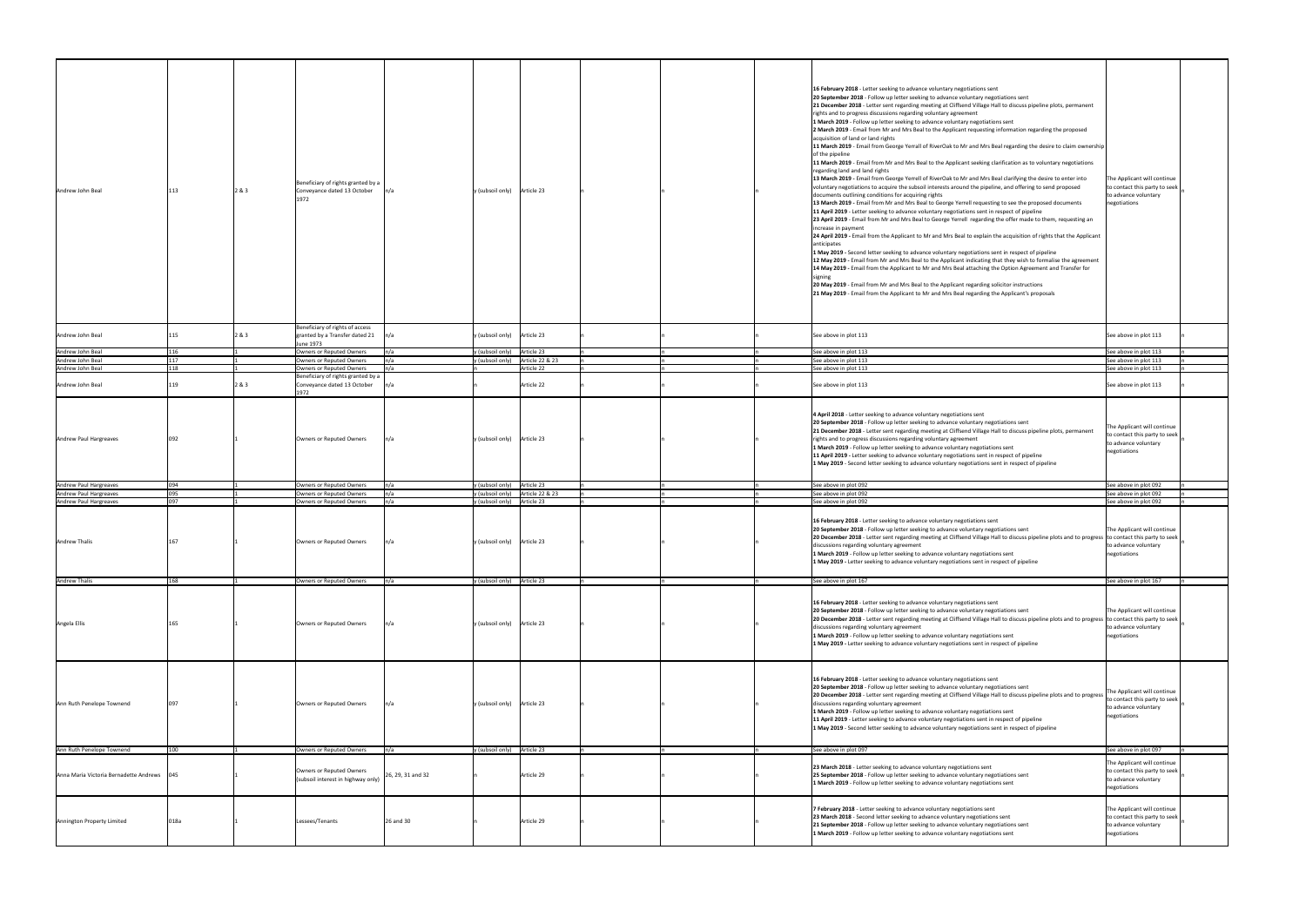| Andrew John Beal                       |      | 2&3 | Beneficiary of rights granted by a<br>Conveyance dated 13 October<br>1972      |                   | $y$ (subsoil only) Article 23 |                 |  | 16 February 2018 - Letter seeking to advance voluntary negotiations sent<br>20 September 2018 - Follow up letter seeking to advance voluntary negotiations sent<br>21 December 2018 - Letter sent regarding meeting at Cliffsend Village Hall to discuss pipeline plots, permanent<br>rights and to progress discussions regarding voluntary agreement<br>1 March 2019 - Follow up letter seeking to advance voluntary negotiations sent<br>2 March 2019 - Email from Mr and Mrs Beal to the Applicant requesting information regarding the proposed<br>acquisition of land or land rights<br>11 March 2019 - Email from George Yerrall of RiverOak to Mr and Mrs Beal regarding the desire to claim ownership<br>of the pipeline<br>11 March 2019 - Email from Mr and Mrs Beal to the Applicant seeking clarification as to voluntary negotiations<br>regarding land and land rights<br>13 March 2019 - Email from George Yerrell of RiverOak to Mr and Mrs Beal clarifying the desire to enter into<br>voluntary negotiations to acquire the subsoil interests around the pipeline, and offering to send proposed<br>documents outlining conditions for acquiring rights<br>13 March 2019 - Email from Mr and Mrs Beal to George Yerrell requesting to see the proposed documents<br>11 April 2019 - Letter seeking to advance voluntary negotiations sent in respect of pipeline<br>23 April 2019 - Email from Mr and Mrs Beal to George Yerrell regarding the offer made to them, requesting an<br>increase in payment<br>24 April 2019 - Email from the Applicant to Mr and Mrs Beal to explain the acquisition of rights that the Applicant<br>anticipates<br>1 May 2019 - Second letter seeking to advance voluntary negotiations sent in respect of pipeline<br>12 May 2019 - Email from Mr and Mrs Beal to the Applicant indicating that they wish to formalise the agreement<br>14 May 2019 - Email from the Applicant to Mr and Mrs Beal attaching the Option Agreement and Transfer for<br>20 May 2019 - Email from Mr and Mrs Beal to the Applicant regarding solicitor instructions<br>21 May 2019 - Email from the Applicant to Mr and Mrs Beal regarding the Applicant's proposals | The Applicant will continue<br>to contact this party to seek<br>to advance voluntary<br>negotiations |
|----------------------------------------|------|-----|--------------------------------------------------------------------------------|-------------------|-------------------------------|-----------------|--|----------------------------------------------------------------------------------------------------------------------------------------------------------------------------------------------------------------------------------------------------------------------------------------------------------------------------------------------------------------------------------------------------------------------------------------------------------------------------------------------------------------------------------------------------------------------------------------------------------------------------------------------------------------------------------------------------------------------------------------------------------------------------------------------------------------------------------------------------------------------------------------------------------------------------------------------------------------------------------------------------------------------------------------------------------------------------------------------------------------------------------------------------------------------------------------------------------------------------------------------------------------------------------------------------------------------------------------------------------------------------------------------------------------------------------------------------------------------------------------------------------------------------------------------------------------------------------------------------------------------------------------------------------------------------------------------------------------------------------------------------------------------------------------------------------------------------------------------------------------------------------------------------------------------------------------------------------------------------------------------------------------------------------------------------------------------------------------------------------------------------------------------------------------------------------------------------|------------------------------------------------------------------------------------------------------|
|                                        |      |     |                                                                                |                   |                               |                 |  |                                                                                                                                                                                                                                                                                                                                                                                                                                                                                                                                                                                                                                                                                                                                                                                                                                                                                                                                                                                                                                                                                                                                                                                                                                                                                                                                                                                                                                                                                                                                                                                                                                                                                                                                                                                                                                                                                                                                                                                                                                                                                                                                                                                                    |                                                                                                      |
| Andrew John Beal                       |      | 2&3 | Beneficiary of rights of access<br>granted by a Transfer dated 21<br>June 1973 |                   | y (subsoil only) Article 23   |                 |  | See above in plot 113                                                                                                                                                                                                                                                                                                                                                                                                                                                                                                                                                                                                                                                                                                                                                                                                                                                                                                                                                                                                                                                                                                                                                                                                                                                                                                                                                                                                                                                                                                                                                                                                                                                                                                                                                                                                                                                                                                                                                                                                                                                                                                                                                                              | See above in plot 113                                                                                |
| Andrew John Beal                       |      |     | Owners or Reputed Owners                                                       | n/a               | y (subsoil only) Article 23   |                 |  | See above in plot 113                                                                                                                                                                                                                                                                                                                                                                                                                                                                                                                                                                                                                                                                                                                                                                                                                                                                                                                                                                                                                                                                                                                                                                                                                                                                                                                                                                                                                                                                                                                                                                                                                                                                                                                                                                                                                                                                                                                                                                                                                                                                                                                                                                              | See above in plot 113                                                                                |
| Andrew John Beal                       |      |     | Owners or Reputed Owners                                                       |                   | y (subsoil only)              | Article 22 & 23 |  | See above in plot 113                                                                                                                                                                                                                                                                                                                                                                                                                                                                                                                                                                                                                                                                                                                                                                                                                                                                                                                                                                                                                                                                                                                                                                                                                                                                                                                                                                                                                                                                                                                                                                                                                                                                                                                                                                                                                                                                                                                                                                                                                                                                                                                                                                              | See above in plot 113                                                                                |
| Andrew John Beal                       |      |     | Owners or Reputed Owners                                                       |                   |                               | Article 22      |  | See above in plot 113                                                                                                                                                                                                                                                                                                                                                                                                                                                                                                                                                                                                                                                                                                                                                                                                                                                                                                                                                                                                                                                                                                                                                                                                                                                                                                                                                                                                                                                                                                                                                                                                                                                                                                                                                                                                                                                                                                                                                                                                                                                                                                                                                                              | See above in plot 113                                                                                |
| Andrew John Beal                       |      | 2&3 | Beneficiary of rights granted by a<br>Conveyance dated 13 October<br>1972      |                   |                               | Article 22      |  | See above in plot 113                                                                                                                                                                                                                                                                                                                                                                                                                                                                                                                                                                                                                                                                                                                                                                                                                                                                                                                                                                                                                                                                                                                                                                                                                                                                                                                                                                                                                                                                                                                                                                                                                                                                                                                                                                                                                                                                                                                                                                                                                                                                                                                                                                              | See above in plot 113                                                                                |
| Andrew Paul Hargreaves                 |      |     | Owners or Reputed Owners                                                       |                   | $y$ (subsoil only) Article 23 |                 |  | 4 April 2018 - Letter seeking to advance voluntary negotiations sent<br>20 September 2018 - Follow up letter seeking to advance voluntary negotiations sent<br>21 December 2018 - Letter sent regarding meeting at Cliffsend Village Hall to discuss pipeline plots, permanent<br>rights and to progress discussions regarding voluntary agreement<br>1 March 2019 - Follow up letter seeking to advance voluntary negotiations sent<br>11 April 2019 - Letter seeking to advance voluntary negotiations sent in respect of pipeline<br>1 May 2019 - Second letter seeking to advance voluntary negotiations sent in respect of pipeline                                                                                                                                                                                                                                                                                                                                                                                                                                                                                                                                                                                                                                                                                                                                                                                                                                                                                                                                                                                                                                                                                                                                                                                                                                                                                                                                                                                                                                                                                                                                                           | The Applicant will continue<br>to contact this party to seek<br>to advance voluntary<br>negotiations |
| Andrew Paul Hargreaves                 |      |     | Owners or Reputed Owners                                                       |                   | y (subsoil only)              | Article 23      |  | See above in plot 092                                                                                                                                                                                                                                                                                                                                                                                                                                                                                                                                                                                                                                                                                                                                                                                                                                                                                                                                                                                                                                                                                                                                                                                                                                                                                                                                                                                                                                                                                                                                                                                                                                                                                                                                                                                                                                                                                                                                                                                                                                                                                                                                                                              | See above in plot 092                                                                                |
| Andrew Paul Hargreaves                 | 095  |     | Owners or Reputed Owners                                                       |                   | y (subsoil only)              | Article 22 & 23 |  | See above in plot 092                                                                                                                                                                                                                                                                                                                                                                                                                                                                                                                                                                                                                                                                                                                                                                                                                                                                                                                                                                                                                                                                                                                                                                                                                                                                                                                                                                                                                                                                                                                                                                                                                                                                                                                                                                                                                                                                                                                                                                                                                                                                                                                                                                              | See above in plot 092                                                                                |
| Andrew Paul Hargreaves                 | na7  |     | Owners or Reputed Owners                                                       |                   | y (subsoil only)              | Article 23      |  | See above in plot 092                                                                                                                                                                                                                                                                                                                                                                                                                                                                                                                                                                                                                                                                                                                                                                                                                                                                                                                                                                                                                                                                                                                                                                                                                                                                                                                                                                                                                                                                                                                                                                                                                                                                                                                                                                                                                                                                                                                                                                                                                                                                                                                                                                              | See above in plot 092                                                                                |
| <b>Andrew Thalis</b>                   |      |     | Owners or Reputed Owners                                                       | n/a               | $y$ (subsoil only) Article 23 |                 |  | 16 February 2018 - Letter seeking to advance voluntary negotiations sent<br>20 September 2018 - Follow up letter seeking to advance voluntary negotiations sent<br>20 December 2018 - Letter sent regarding meeting at Cliffsend Village Hall to discuss pipeline plots and to progress to contact this party to seek<br>discussions regarding voluntary agreement<br>1 March 2019 - Follow up letter seeking to advance voluntary negotiations sent<br>1 May 2019 - Letter seeking to advance voluntary negotiations sent in respect of pipeline                                                                                                                                                                                                                                                                                                                                                                                                                                                                                                                                                                                                                                                                                                                                                                                                                                                                                                                                                                                                                                                                                                                                                                                                                                                                                                                                                                                                                                                                                                                                                                                                                                                  | The Applicant will continue<br>to advance voluntary<br>negotiations                                  |
| <b>Andrew Thalis</b>                   |      |     | Owners or Reputed Owners                                                       |                   | y (subsoil only) Article 23   |                 |  | See above in plot 167                                                                                                                                                                                                                                                                                                                                                                                                                                                                                                                                                                                                                                                                                                                                                                                                                                                                                                                                                                                                                                                                                                                                                                                                                                                                                                                                                                                                                                                                                                                                                                                                                                                                                                                                                                                                                                                                                                                                                                                                                                                                                                                                                                              | See above in plot 167                                                                                |
| Angela Ellis                           |      |     | Owners or Reputed Owners                                                       |                   | y (subsoil only) Article 23   |                 |  | 16 February 2018 - Letter seeking to advance voluntary negotiations sent<br>20 September 2018 - Follow up letter seeking to advance voluntary negotiations sent<br>20 December 2018 - Letter sent regarding meeting at Cliffsend Village Hall to discuss pipeline plots and to progress to contact this party to seek<br>discussions regarding voluntary agreement<br>1 March 2019 - Follow up letter seeking to advance voluntary negotiations sent<br>1 May 2019 - Letter seeking to advance voluntary negotiations sent in respect of pipeline                                                                                                                                                                                                                                                                                                                                                                                                                                                                                                                                                                                                                                                                                                                                                                                                                                                                                                                                                                                                                                                                                                                                                                                                                                                                                                                                                                                                                                                                                                                                                                                                                                                  | The Applicant will continue<br>to advance voluntary<br>negotiations                                  |
| Ann Ruth Penelope Townend              | 097  |     | Owners or Reputed Owners                                                       |                   | y (subsoil only) Article 23   |                 |  | 16 February 2018 - Letter seeking to advance voluntary negotiations sent<br>20 September 2018 - Follow up letter seeking to advance voluntary negotiations sent<br>20 December 2018 - Letter sent regarding meeting at Cliffsend Village Hall to discuss pipeline plots and to progress<br>discussions regarding voluntary agreement<br>1 March 2019 - Follow up letter seeking to advance voluntary negotiations sent<br>11 April 2019 - Letter seeking to advance voluntary negotiations sent in respect of pipeline<br>1 May 2019 - Second letter seeking to advance voluntary negotiations sent in respect of pipeline                                                                                                                                                                                                                                                                                                                                                                                                                                                                                                                                                                                                                                                                                                                                                                                                                                                                                                                                                                                                                                                                                                                                                                                                                                                                                                                                                                                                                                                                                                                                                                         | The Applicant will continue<br>to contact this party to seek<br>to advance voluntary<br>negotiations |
| Ann Ruth Penelope Townend              | 100  |     | Owners or Reputed Owners                                                       |                   | y (subsoil only) Article 23   |                 |  | See above in plot 097                                                                                                                                                                                                                                                                                                                                                                                                                                                                                                                                                                                                                                                                                                                                                                                                                                                                                                                                                                                                                                                                                                                                                                                                                                                                                                                                                                                                                                                                                                                                                                                                                                                                                                                                                                                                                                                                                                                                                                                                                                                                                                                                                                              | See above in plot 097                                                                                |
| Anna Maria Victoria Bernadette Andrews | 1045 |     | Owners or Reputed Owners<br>(subsoil interest in highway only)                 | 26, 29, 31 and 32 |                               | Article 29      |  | 23 March 2018 - Letter seeking to advance voluntary negotiations sent<br>25 September 2018 - Follow up letter seeking to advance voluntary negotiations sent<br>1 March 2019 - Follow up letter seeking to advance voluntary negotiations sent                                                                                                                                                                                                                                                                                                                                                                                                                                                                                                                                                                                                                                                                                                                                                                                                                                                                                                                                                                                                                                                                                                                                                                                                                                                                                                                                                                                                                                                                                                                                                                                                                                                                                                                                                                                                                                                                                                                                                     | The Applicant will continue<br>to contact this party to seek<br>to advance voluntary<br>negotiations |
| Annington Property Limited             | 018a |     | Lessees/Tenants                                                                | 26 and 30         |                               | Article 29      |  | 7 February 2018 - Letter seeking to advance voluntary negotiations sent<br>23 March 2018 - Second letter seeking to advance voluntary negotiations sent<br>21 September 2018 - Follow up letter seeking to advance voluntary negotiations sent<br>1 March 2019 - Follow up letter seeking to advance voluntary negotiations sent                                                                                                                                                                                                                                                                                                                                                                                                                                                                                                                                                                                                                                                                                                                                                                                                                                                                                                                                                                                                                                                                                                                                                                                                                                                                                                                                                                                                                                                                                                                                                                                                                                                                                                                                                                                                                                                                   | The Applicant will continue<br>to contact this party to seek<br>to advance voluntary<br>negotiations |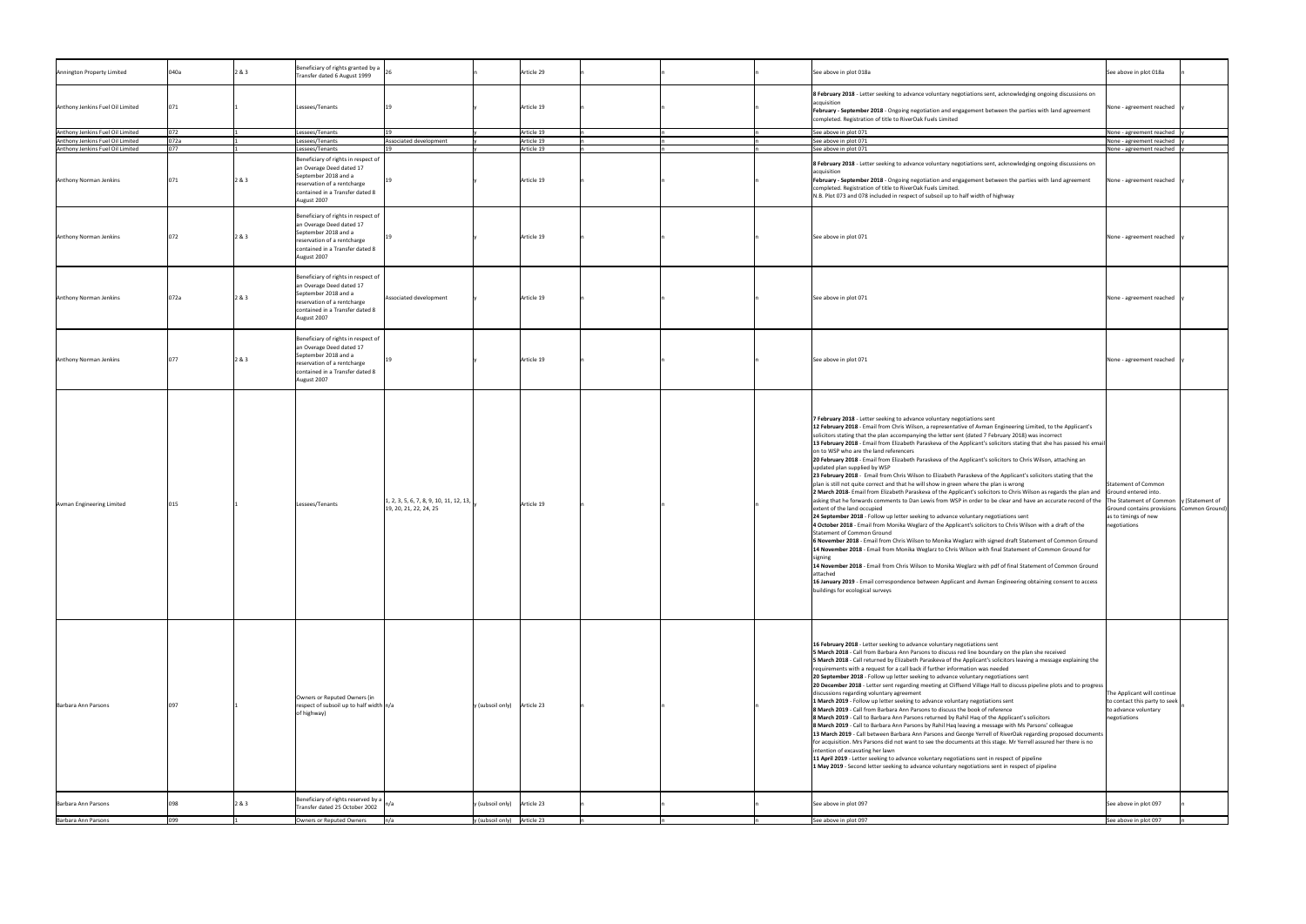| Annington Property Limited       | 040a | 283   | Beneficiary of rights granted by a<br>Transfer dated 6 August 1999                                                                                                       |                                                                                   | Article 29                    |  |  | See above in plot 018a                                                                                                                                                                                                                                                                                                                                                                                                                                                                                                                                                                                                                                                                                                                                                                                                                                                                                                                                                                                                                                                                                                                                                                                                                                                                                                                                                                                                                                                                                                                                                                                                                                                                                                                                                                                                                                                                                                    | See above in plot 018a                                                                                   |  |
|----------------------------------|------|-------|--------------------------------------------------------------------------------------------------------------------------------------------------------------------------|-----------------------------------------------------------------------------------|-------------------------------|--|--|---------------------------------------------------------------------------------------------------------------------------------------------------------------------------------------------------------------------------------------------------------------------------------------------------------------------------------------------------------------------------------------------------------------------------------------------------------------------------------------------------------------------------------------------------------------------------------------------------------------------------------------------------------------------------------------------------------------------------------------------------------------------------------------------------------------------------------------------------------------------------------------------------------------------------------------------------------------------------------------------------------------------------------------------------------------------------------------------------------------------------------------------------------------------------------------------------------------------------------------------------------------------------------------------------------------------------------------------------------------------------------------------------------------------------------------------------------------------------------------------------------------------------------------------------------------------------------------------------------------------------------------------------------------------------------------------------------------------------------------------------------------------------------------------------------------------------------------------------------------------------------------------------------------------------|----------------------------------------------------------------------------------------------------------|--|
| Anthony Jenkins Fuel Oil Limited |      |       | Lessees/Tenants                                                                                                                                                          |                                                                                   | Article 19                    |  |  | 8 February 2018 - Letter seeking to advance voluntary negotiations sent, acknowledging ongoing discussions on<br>acquisitior<br>February - September 2018 - Ongoing negotiation and engagement between the parties with land agreement<br>completed. Registration of title to RiverOak Fuels Limited                                                                                                                                                                                                                                                                                                                                                                                                                                                                                                                                                                                                                                                                                                                                                                                                                                                                                                                                                                                                                                                                                                                                                                                                                                                                                                                                                                                                                                                                                                                                                                                                                      | None - agreement reached                                                                                 |  |
| Anthony Jenkins Fuel Oil Limited | 072  |       | Lessees/Tenants                                                                                                                                                          |                                                                                   | Article 19                    |  |  | See above in plot 071                                                                                                                                                                                                                                                                                                                                                                                                                                                                                                                                                                                                                                                                                                                                                                                                                                                                                                                                                                                                                                                                                                                                                                                                                                                                                                                                                                                                                                                                                                                                                                                                                                                                                                                                                                                                                                                                                                     | None - agreement reached                                                                                 |  |
| Anthony Jenkins Fuel Oil Limited | 072a |       | essees/Tenants                                                                                                                                                           | Associated development                                                            | Article 19                    |  |  | See above in plot 071                                                                                                                                                                                                                                                                                                                                                                                                                                                                                                                                                                                                                                                                                                                                                                                                                                                                                                                                                                                                                                                                                                                                                                                                                                                                                                                                                                                                                                                                                                                                                                                                                                                                                                                                                                                                                                                                                                     | None - agreement reached                                                                                 |  |
| Anthony Jenkins Fuel Oil Limited | በ77  |       | essees/Tenants                                                                                                                                                           |                                                                                   | Article 19                    |  |  |                                                                                                                                                                                                                                                                                                                                                                                                                                                                                                                                                                                                                                                                                                                                                                                                                                                                                                                                                                                                                                                                                                                                                                                                                                                                                                                                                                                                                                                                                                                                                                                                                                                                                                                                                                                                                                                                                                                           |                                                                                                          |  |
| <b>Anthony Norman Jenkins</b>    |      | 2&3   | Beneficiary of rights in respect of<br>an Overage Deed dated 17<br>September 2018 and a<br>reservation of a rentcharge<br>contained in a Transfer dated 8<br>August 2007 |                                                                                   | Article 19                    |  |  | See above in plot 071<br>8 February 2018 - Letter seeking to advance voluntary negotiations sent, acknowledging ongoing discussions on<br>acquisition<br>February - September 2018 - Ongoing negotiation and engagement between the parties with land agreement<br>completed. Registration of title to RiverOak Fuels Limited.<br>N.B. Plot 073 and 078 included in respect of subsoil up to half width of highway                                                                                                                                                                                                                                                                                                                                                                                                                                                                                                                                                                                                                                                                                                                                                                                                                                                                                                                                                                                                                                                                                                                                                                                                                                                                                                                                                                                                                                                                                                        | None - agreement reached<br>None - agreement reached                                                     |  |
| Anthony Norman Jenkins           |      | 2 & 3 | Beneficiary of rights in respect of<br>an Overage Deed dated 17<br>September 2018 and a<br>reservation of a rentcharge<br>contained in a Transfer dated 8<br>August 2007 |                                                                                   | Article 19                    |  |  | See above in plot 071                                                                                                                                                                                                                                                                                                                                                                                                                                                                                                                                                                                                                                                                                                                                                                                                                                                                                                                                                                                                                                                                                                                                                                                                                                                                                                                                                                                                                                                                                                                                                                                                                                                                                                                                                                                                                                                                                                     | None - agreement reached                                                                                 |  |
| <b>Anthony Norman Jenkins</b>    | 072a | 2 & 3 | Beneficiary of rights in respect of<br>an Overage Deed dated 17<br>September 2018 and a<br>reservation of a rentcharge<br>contained in a Transfer dated 8<br>August 2007 | Associated development                                                            | Article 19                    |  |  | See above in plot 071                                                                                                                                                                                                                                                                                                                                                                                                                                                                                                                                                                                                                                                                                                                                                                                                                                                                                                                                                                                                                                                                                                                                                                                                                                                                                                                                                                                                                                                                                                                                                                                                                                                                                                                                                                                                                                                                                                     | None - agreement reached                                                                                 |  |
| <b>Anthony Norman Jenkins</b>    |      | 2 & 3 | Beneficiary of rights in respect of<br>an Overage Deed dated 17<br>September 2018 and a<br>reservation of a rentcharge<br>contained in a Transfer dated 8<br>August 2007 |                                                                                   | Article 19                    |  |  | See above in plot 071                                                                                                                                                                                                                                                                                                                                                                                                                                                                                                                                                                                                                                                                                                                                                                                                                                                                                                                                                                                                                                                                                                                                                                                                                                                                                                                                                                                                                                                                                                                                                                                                                                                                                                                                                                                                                                                                                                     | None - agreement reached                                                                                 |  |
| Avman Engineering Limited        |      |       | Lessees/Tenants                                                                                                                                                          | $\left[1, 2, 3, 5, 6, 7, 8, 9, 10, 11, 12, 13, \right]$<br>19, 20, 21, 22, 24, 25 | Article 19                    |  |  | 7 February 2018 - Letter seeking to advance voluntary negotiations sent<br>12 February 2018 - Email from Chris Wilson, a representative of Avman Engineering Limited, to the Applicant's<br>solicitors stating that the plan accompanying the letter sent (dated 7 February 2018) was incorrect<br>[13 February 2018 - Email from Elizabeth Paraskeva of the Applicant's solicitors stating that she has passed his email<br>on to WSP who are the land referencers<br>20 February 2018 - Email from Elizabeth Paraskeva of the Applicant's solicitors to Chris Wilson, attaching an<br>updated plan supplied by WSP<br>23 February 2018 - Email from Chris Wilson to Elizabeth Paraskeva of the Applicant's solicitors stating that the<br>plan is still not quite correct and that he will show in green where the plan is wrong<br>2 March 2018- Email from Elizabeth Paraskeva of the Applicant's solicitors to Chris Wilson as regards the plan and Ground entered into.<br>asking that he forwards comments to Dan Lewis from WSP in order to be clear and have an accurate record of the The Statement of Common  y (Statement of<br>extent of the land occupied<br>24 September 2018 - Follow up letter seeking to advance voluntary negotiations sent<br>4 October 2018 - Email from Monika Weglarz of the Applicant's solicitors to Chris Wilson with a draft of the<br>Statement of Common Ground<br>6 November 2018 - Email from Chris Wilson to Monika Weglarz with signed draft Statement of Common Ground<br>14 November 2018 - Email from Monika Weglarz to Chris Wilson with final Statement of Common Ground for<br>signing<br>14 November 2018 - Email from Chris Wilson to Monika Weglarz with pdf of final Statement of Common Ground<br>lattached<br>16 January 2019 - Email correspondence between Applicant and Avman Engineering obtaining consent to access<br>buildings for ecological surveys | Statement of Common<br>Ground contains provisions Common Ground)<br>as to timings of new<br>negotiations |  |
| Barbara Ann Parsons              |      |       | Owners or Reputed Owners (in<br>respect of subsoil up to half width $n/a$<br>of highway)                                                                                 |                                                                                   | $y$ (subsoil only) Article 23 |  |  | 16 February 2018 - Letter seeking to advance voluntary negotiations sent<br>5 March 2018 - Call from Barbara Ann Parsons to discuss red line boundary on the plan she received<br>5 March 2018 - Call returned by Elizabeth Paraskeva of the Applicant's solicitors leaving a message explaining the<br>requirements with a request for a call back if further information was needed<br>20 September 2018 - Follow up letter seeking to advance voluntary negotiations sent<br>20 December 2018 - Letter sent regarding meeting at Cliffsend Village Hall to discuss pipeline plots and to progress<br>discussions regarding voluntary agreement<br>1 March 2019 - Follow up letter seeking to advance voluntary negotiations sent<br>8 March 2019 - Call from Barbara Ann Parsons to discuss the book of reference<br>8 March 2019 - Call to Barbara Ann Parsons returned by Rahil Haq of the Applicant's solicitors<br>8 March 2019 - Call to Barbara Ann Parsons by Rahil Haq leaving a message with Ms Parsons' colleague<br>13 March 2019 - Call between Barbara Ann Parsons and George Yerrell of RiverOak regarding proposed documents<br>for acquisition. Mrs Parsons did not want to see the documents at this stage. Mr Yerrell assured her there is no<br>intention of excavating her lawn<br>11 April 2019 - Letter seeking to advance voluntary negotiations sent in respect of pipeline<br>1 May 2019 - Second letter seeking to advance voluntary negotiations sent in respect of pipeline                                                                                                                                                                                                                                                                                                                                                                                                                | The Applicant will continue<br>to contact this party to seek<br>to advance voluntary<br>negotiations     |  |
|                                  |      |       | Beneficiary of rights reserved by a $\int$                                                                                                                               |                                                                                   |                               |  |  |                                                                                                                                                                                                                                                                                                                                                                                                                                                                                                                                                                                                                                                                                                                                                                                                                                                                                                                                                                                                                                                                                                                                                                                                                                                                                                                                                                                                                                                                                                                                                                                                                                                                                                                                                                                                                                                                                                                           |                                                                                                          |  |
| Barbara Ann Parsons              |      | 2&3   | Transfer dated 25 October 2002                                                                                                                                           |                                                                                   | $y$ (subsoil only) Article 23 |  |  | See above in plot 097                                                                                                                                                                                                                                                                                                                                                                                                                                                                                                                                                                                                                                                                                                                                                                                                                                                                                                                                                                                                                                                                                                                                                                                                                                                                                                                                                                                                                                                                                                                                                                                                                                                                                                                                                                                                                                                                                                     | See above in plot 097                                                                                    |  |
| Barbara Ann Parsons              | 099  |       | Owners or Reputed Owners                                                                                                                                                 | n/a                                                                               | y (subsoil only) Article 23   |  |  | See above in plot 097                                                                                                                                                                                                                                                                                                                                                                                                                                                                                                                                                                                                                                                                                                                                                                                                                                                                                                                                                                                                                                                                                                                                                                                                                                                                                                                                                                                                                                                                                                                                                                                                                                                                                                                                                                                                                                                                                                     | See above in plot 097                                                                                    |  |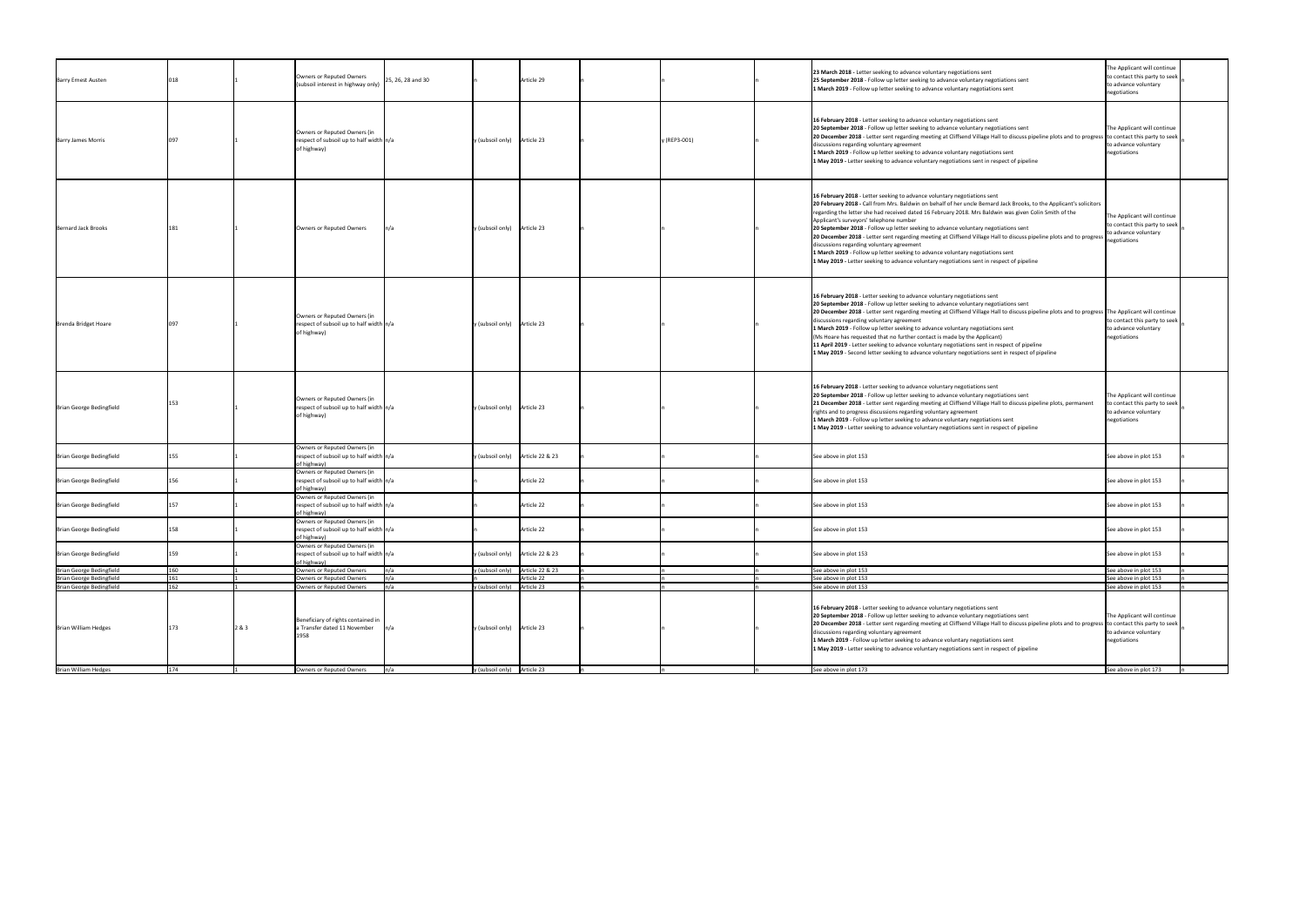| <b>Barry Ernest Austen</b>                                                                               | 018 |       | Owners or Reputed Owners<br>25, 26, 28 and 30<br>(subsoil interest in highway only)     | Article 29                                |              | 23 March 2018 - Letter seeking to advance voluntary negotiations sent<br>25 September 2018 - Follow up letter seeking to advance voluntary negotiations sent<br>1 March 2019 - Follow up letter seeking to advance voluntary negotiations sent                                                                                                                                                                                                                                                                                                                                                                                                                                                                                                                                                  | The Applicant will continue<br>to contact this party to seek  <br>to advance voluntary<br>negotiations |
|----------------------------------------------------------------------------------------------------------|-----|-------|-----------------------------------------------------------------------------------------|-------------------------------------------|--------------|-------------------------------------------------------------------------------------------------------------------------------------------------------------------------------------------------------------------------------------------------------------------------------------------------------------------------------------------------------------------------------------------------------------------------------------------------------------------------------------------------------------------------------------------------------------------------------------------------------------------------------------------------------------------------------------------------------------------------------------------------------------------------------------------------|--------------------------------------------------------------------------------------------------------|
| <b>Barry James Morris</b>                                                                                | 097 |       | Owners or Reputed Owners (in<br>respect of subsoil up to half width n/a<br>of highway)  | (subsoil only) Article 23                 | y (REP3-001) | 16 February 2018 - Letter seeking to advance voluntary negotiations sent<br>20 September 2018 - Follow up letter seeking to advance voluntary negotiations sent<br>20 December 2018 - Letter sent regarding meeting at Cliffsend Village Hall to discuss pipeline plots and to progress to contact this party to seek<br>discussions regarding voluntary agreement<br>1 March 2019 - Follow up letter seeking to advance voluntary negotiations sent<br>1 May 2019 - Letter seeking to advance voluntary negotiations sent in respect of pipeline                                                                                                                                                                                                                                               | The Applicant will continue<br>to advance voluntary<br>negotiations                                    |
| Bernard Jack Brooks                                                                                      |     |       | Owners or Reputed Owners                                                                | (subsoil only) $\int$ Article 23          |              | 16 February 2018 - Letter seeking to advance voluntary negotiations sent<br>20 February 2018 - Call from Mrs. Baldwin on behalf of her uncle Bernard Jack Brooks, to the Applicant's solicitors<br>regarding the letter she had received dated 16 February 2018. Mrs Baldwin was given Colin Smith of the<br>Applicant's surveyors' telephone number<br>20 September 2018 - Follow up letter seeking to advance voluntary negotiations sent<br>20 December 2018 - Letter sent regarding meeting at Cliffsend Village Hall to discuss pipeline plots and to progress<br>discussions regarding voluntary agreement<br>1 March 2019 - Follow up letter seeking to advance voluntary negotiations sent<br>1 May 2019 - Letter seeking to advance voluntary negotiations sent in respect of pipeline | The Applicant will continue<br>to contact this party to seek  <br>to advance voluntary<br>negotiations |
| Brenda Bridget Hoare                                                                                     | 097 |       | Owners or Reputed Owners (in<br>respect of subsoil up to half width n/a<br>of highway)  | (subsoil only) Article 23                 |              | 16 February 2018 - Letter seeking to advance voluntary negotiations sent<br>20 September 2018 - Follow up letter seeking to advance voluntary negotiations sent<br>20 December 2018 - Letter sent regarding meeting at Cliffsend Village Hall to discuss pipeline plots and to progress The Applicant will continue<br>discussions regarding voluntary agreement<br>1 March 2019 - Follow up letter seeking to advance voluntary negotiations sent<br>(Ms Hoare has requested that no further contact is made by the Applicant)<br>11 April 2019 - Letter seeking to advance voluntary negotiations sent in respect of pipeline<br>1 May 2019 - Second letter seeking to advance voluntary negotiations sent in respect of pipeline                                                             | to contact this party to seek<br>to advance voluntary<br>negotiations                                  |
| Brian George Bedingfield                                                                                 | 153 |       | Owners or Reputed Owners (in<br>respect of subsoil up to half width n/a<br>of highway)  | (subsoil only) $\int$ Article 23          |              | 16 February 2018 - Letter seeking to advance voluntary negotiations sent<br>20 September 2018 - Follow up letter seeking to advance voluntary negotiations sent<br>21 December 2018 - Letter sent regarding meeting at Cliffsend Village Hall to discuss pipeline plots, permanent<br>rights and to progress discussions regarding voluntary agreement<br>1 March 2019 - Follow up letter seeking to advance voluntary negotiations sent<br>1 May 2019 - Letter seeking to advance voluntary negotiations sent in respect of pipeline                                                                                                                                                                                                                                                           | The Applicant will continue<br>o contact this party to seek<br>to advance voluntary<br>negotiations    |
| Brian George Bedingfield                                                                                 | 155 |       | Owners or Reputed Owners (in<br>respect of subsoil up to half width  n/a<br>of highway) | (subsoil only) $\int$ Article 22 & 23     |              | See above in plot 153                                                                                                                                                                                                                                                                                                                                                                                                                                                                                                                                                                                                                                                                                                                                                                           | See above in plot 153                                                                                  |
| Brian George Bedingfield                                                                                 | 156 |       | Owners or Reputed Owners (in<br>respect of subsoil up to half width n/a<br>of highway)  | Article 22                                |              | See above in plot 153                                                                                                                                                                                                                                                                                                                                                                                                                                                                                                                                                                                                                                                                                                                                                                           | See above in plot 153                                                                                  |
| Brian George Bedingfield                                                                                 | 157 |       | Owners or Reputed Owners (in<br>respect of subsoil up to half width n/a<br>of highway)  | Article 22                                |              | See above in plot 153                                                                                                                                                                                                                                                                                                                                                                                                                                                                                                                                                                                                                                                                                                                                                                           | See above in plot 153                                                                                  |
| Brian George Bedingfield                                                                                 | 158 |       | Owners or Reputed Owners (in<br>respect of subsoil up to half width n/a<br>of highway)  | Article 22                                |              | See above in plot 153                                                                                                                                                                                                                                                                                                                                                                                                                                                                                                                                                                                                                                                                                                                                                                           | See above in plot 153                                                                                  |
| Brian George Bedingfield                                                                                 | 159 |       | Owners or Reputed Owners (in<br>respect of subsoil up to half width n/a<br>of highway)  | y (subsoil only) $\left $ Article 22 & 23 |              | See above in plot 153                                                                                                                                                                                                                                                                                                                                                                                                                                                                                                                                                                                                                                                                                                                                                                           | See above in plot 153                                                                                  |
|                                                                                                          | 160 |       | Owners or Reputed Owners                                                                | (subsoil only) Article 22 & 23            |              | See above in plot 153                                                                                                                                                                                                                                                                                                                                                                                                                                                                                                                                                                                                                                                                                                                                                                           | See above in plot 153                                                                                  |
|                                                                                                          |     |       | <b>Owners or Reputed Owners</b>                                                         | Article 22                                |              | See above in plot 153                                                                                                                                                                                                                                                                                                                                                                                                                                                                                                                                                                                                                                                                                                                                                                           | See above in plot 153                                                                                  |
|                                                                                                          | 161 |       | <b>Owners or Reputed Owners</b>                                                         | (subsoil only) $\int$ Article 23          |              | See above in plot 153                                                                                                                                                                                                                                                                                                                                                                                                                                                                                                                                                                                                                                                                                                                                                                           | See above in plot 153                                                                                  |
|                                                                                                          | 162 |       |                                                                                         |                                           |              |                                                                                                                                                                                                                                                                                                                                                                                                                                                                                                                                                                                                                                                                                                                                                                                                 |                                                                                                        |
| Brian George Bedingfield<br>Brian George Bedingfield<br>Brian George Bedingfield<br>Brian William Hedges | 173 | 2 & 3 | Beneficiary of rights contained in<br>a Transfer dated 11 November<br>L958              | (subsoil only) Article 23                 |              | 16 February 2018 - Letter seeking to advance voluntary negotiations sent<br>20 September 2018 - Follow up letter seeking to advance voluntary negotiations sent<br>20 December 2018 - Letter sent regarding meeting at Cliffsend Village Hall to discuss pipeline plots and to progress<br>discussions regarding voluntary agreement<br>1 March 2019 - Follow up letter seeking to advance voluntary negotiations sent<br>1 May 2019 - Letter seeking to advance voluntary negotiations sent in respect of pipeline                                                                                                                                                                                                                                                                             | The Applicant will continue<br>to contact this party to seek<br>to advance voluntary<br>negotiations   |
| <b>Brian William Hedges</b>                                                                              | 174 |       | Owners or Reputed Owners                                                                | y (subsoil only) Article 23               |              | See above in plot 173                                                                                                                                                                                                                                                                                                                                                                                                                                                                                                                                                                                                                                                                                                                                                                           | See above in plot 173                                                                                  |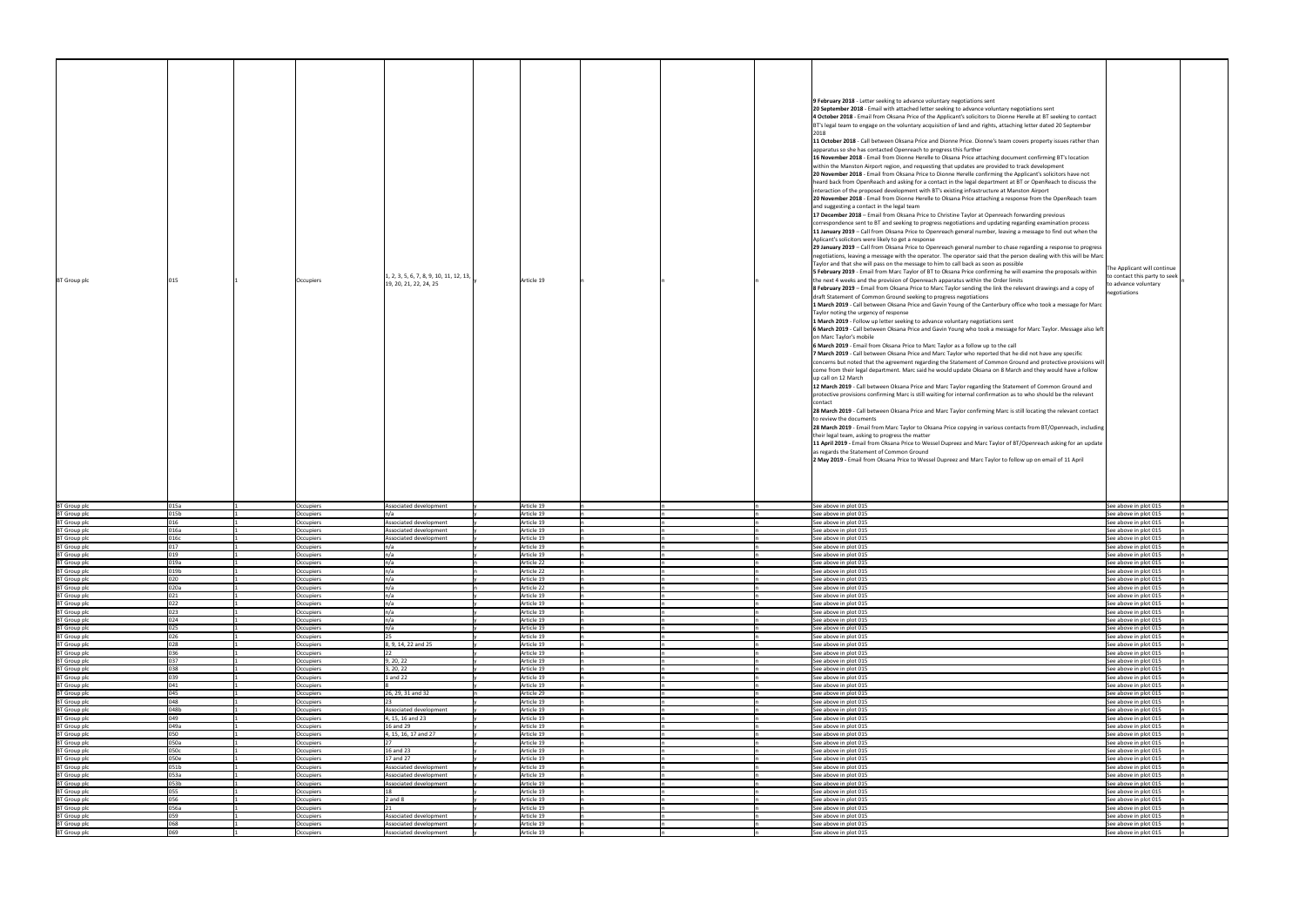|            |  | 9 February 2018 - Letter seeking to advance voluntary negotiations sent                                             |                               |  |
|------------|--|---------------------------------------------------------------------------------------------------------------------|-------------------------------|--|
|            |  | 20 September 2018 - Email with attached letter seeking to advance voluntary negotiations sent                       |                               |  |
|            |  | 4 October 2018 - Email from Oksana Price of the Applicant's solicitors to Dionne Herelle at BT seeking to contact   |                               |  |
|            |  | BT's legal team to engage on the voluntary acquisition of land and rights, attaching letter dated 20 September      |                               |  |
|            |  |                                                                                                                     |                               |  |
|            |  | 2018                                                                                                                |                               |  |
|            |  | 11 October 2018 - Call between Oksana Price and Dionne Price. Dionne's team covers property issues rather than      |                               |  |
|            |  | apparatus so she has contacted Openreach to progress this further                                                   |                               |  |
|            |  | 16 November 2018 - Email from Dionne Herelle to Oksana Price attaching document confirming BT's location            |                               |  |
|            |  | within the Manston Airport region, and requesting that updates are provided to track development                    |                               |  |
|            |  | 20 November 2018 - Email from Oksana Price to Dionne Herelle confirming the Applicant's solicitors have not         |                               |  |
|            |  |                                                                                                                     |                               |  |
|            |  | heard back from OpenReach and asking for a contact in the legal department at BT or OpenReach to discuss the        |                               |  |
|            |  | interaction of the proposed development with BT's existing infrastructure at Manston Airport                        |                               |  |
|            |  | 20 November 2018 - Email from Dionne Herelle to Oksana Price attaching a response from the OpenReach team           |                               |  |
|            |  | and suggesting a contact in the legal team                                                                          |                               |  |
|            |  | 17 December 2018 - Email from Oksana Price to Christine Taylor at Openreach forwarding previous                     |                               |  |
|            |  |                                                                                                                     |                               |  |
|            |  | correspondence sent to BT and seeking to progress negotiations and updating regarding examination process           |                               |  |
|            |  | 11 January 2019 – Call from Oksana Price to Openreach general number, leaving a message to find out when the        |                               |  |
|            |  | Aplicant's solicitors were likely to get a response                                                                 |                               |  |
|            |  | 29 January 2019 – Call from Oksana Price to Openreach general number to chase regarding a response to progress      |                               |  |
|            |  | negotiations, leaving a message with the operator. The operator said that the person dealing with this will be Marc |                               |  |
|            |  | Taylor and that she will pass on the message to him to call back as soon as possible                                |                               |  |
|            |  |                                                                                                                     | The Applicant will continue   |  |
|            |  | 5 February 2019 - Email from Marc Taylor of BT to Oksana Price confirming he will examine the proposals within      | to contact this party to seek |  |
| Article 19 |  | the next 4 weeks and the provision of Openreach apparatus within the Order limits                                   | to advance voluntary          |  |
|            |  | 8 February 2019 - Email from Oksana Price to Marc Taylor sending the link the relevant drawings and a copy of       |                               |  |
|            |  | draft Statement of Common Ground seeking to progress negotiations                                                   | negotiations                  |  |
|            |  | 1 March 2019 - Call between Oksana Price and Gavin Young of the Canterbury office who took a message for Marc       |                               |  |
|            |  |                                                                                                                     |                               |  |
|            |  | Taylor noting the urgency of response                                                                               |                               |  |
|            |  | 1 March 2019 - Follow up letter seeking to advance voluntary negotiations sent                                      |                               |  |
|            |  | 6 March 2019 - Call between Oksana Price and Gavin Young who took a message for Marc Taylor. Message also left      |                               |  |
|            |  | on Marc Taylor's mobile                                                                                             |                               |  |
|            |  | 6 March 2019 - Email from Oksana Price to Marc Taylor as a follow up to the call                                    |                               |  |
|            |  | 7 March 2019 - Call between Oksana Price and Marc Taylor who reported that he did not have any specific             |                               |  |
|            |  |                                                                                                                     |                               |  |
|            |  | concerns but noted that the agreement regarding the Statement of Common Ground and protective provisions will       |                               |  |
|            |  | come from their legal department. Marc said he would update Oksana on 8 March and they would have a follow          |                               |  |
|            |  | up call on 12 March                                                                                                 |                               |  |
|            |  | 12 March 2019 - Call between Oksana Price and Marc Taylor regarding the Statement of Common Ground and              |                               |  |
|            |  | protective provisions confirming Marc is still waiting for internal confirmation as to who should be the relevant   |                               |  |
|            |  | contact                                                                                                             |                               |  |
|            |  |                                                                                                                     |                               |  |
|            |  | 28 March 2019 - Call between Oksana Price and Marc Taylor confirming Marc is still locating the relevant contact    |                               |  |
|            |  | to review the documents                                                                                             |                               |  |
|            |  | 28 March 2019 - Email from Marc Taylor to Oksana Price copying in various contacts from BT/Openreach, including     |                               |  |
|            |  | their legal team, asking to progress the matter                                                                     |                               |  |
|            |  | 11 April 2019 - Email from Oksana Price to Wessel Dupreez and Marc Taylor of BT/Openreach asking for an update      |                               |  |
|            |  |                                                                                                                     |                               |  |
|            |  | as regards the Statement of Common Ground                                                                           |                               |  |
|            |  | 2 May 2019 - Email from Oksana Price to Wessel Dupreez and Marc Taylor to follow up on email of 11 April            |                               |  |
|            |  |                                                                                                                     |                               |  |
|            |  |                                                                                                                     |                               |  |
|            |  |                                                                                                                     |                               |  |
|            |  |                                                                                                                     |                               |  |
|            |  |                                                                                                                     |                               |  |
| Article 19 |  | See above in plot 015                                                                                               | See above in plot 015         |  |
|            |  |                                                                                                                     |                               |  |
| Article 19 |  | See above in plot 015                                                                                               | See above in plot 015         |  |
| Article 19 |  | See above in plot 015                                                                                               | See above in plot 015         |  |
| Article 19 |  | See above in plot 015                                                                                               | See above in plot 015         |  |
| Article 19 |  | See above in plot 015                                                                                               | See above in plot 015         |  |
| Article 19 |  | See above in plot 015                                                                                               | See above in plot 015         |  |
|            |  |                                                                                                                     |                               |  |
| Article 19 |  | See above in plot 015                                                                                               | See above in plot 015         |  |
| Article 22 |  | See above in plot 015                                                                                               | See above in plot 015         |  |
| Article 22 |  | See above in plot 015                                                                                               | See above in plot 015         |  |
| Article 19 |  | See above in plot 015                                                                                               | See above in plot 015         |  |
| Article 22 |  | See above in plot 015                                                                                               | See above in plot 015         |  |
| Article 19 |  | See above in plot 015                                                                                               |                               |  |
|            |  |                                                                                                                     |                               |  |
| Article 19 |  |                                                                                                                     | See above in plot 015         |  |
|            |  | See above in plot 015                                                                                               | See above in plot 015         |  |
| Article 19 |  | See above in plot 015                                                                                               | See above in plot 015         |  |
| Article 19 |  | See above in plot 015                                                                                               | See above in plot 015         |  |
| Article 19 |  | See above in plot 015                                                                                               | See above in plot 015         |  |
|            |  |                                                                                                                     |                               |  |
| Article 19 |  | See above in plot 015                                                                                               | See above in plot 015         |  |
| Article 19 |  | See above in plot 015                                                                                               | See above in plot 015         |  |
| Article 19 |  | See above in plot 015                                                                                               | See above in plot 015         |  |
| Article 19 |  | See above in plot 015                                                                                               | See above in plot 015         |  |
| Article 19 |  | See above in plot 015                                                                                               | See above in plot 015         |  |
| Article 19 |  | See above in plot 015                                                                                               | See above in plot 015         |  |
|            |  |                                                                                                                     |                               |  |
| Article 19 |  | See above in plot 015                                                                                               | See above in plot 015         |  |
| Article 29 |  | See above in plot 015                                                                                               | See above in plot 015         |  |
| Article 19 |  | See above in plot 015                                                                                               | See above in plot 015         |  |
| Article 19 |  | See above in plot 015                                                                                               | See above in plot 015         |  |
| Article 19 |  | See above in plot 015                                                                                               | See above in plot 015         |  |
|            |  |                                                                                                                     |                               |  |
| Article 19 |  | See above in plot 015                                                                                               | See above in plot 015         |  |
| Article 19 |  | See above in plot 015                                                                                               | See above in plot 015         |  |
| Article 19 |  | See above in plot 015                                                                                               | See above in plot 015         |  |
| Article 19 |  | See above in plot 015                                                                                               | See above in plot 015         |  |
| Article 19 |  | See above in plot 015                                                                                               | See above in plot 015         |  |
| Article 19 |  | See above in plot 015                                                                                               | See above in plot 015         |  |
|            |  |                                                                                                                     |                               |  |
| Article 19 |  | See above in plot 015                                                                                               | See above in plot 015         |  |
| Article 19 |  | See above in plot 015                                                                                               | See above in plot 015         |  |
| Article 19 |  | See above in plot 015                                                                                               | See above in plot 015         |  |
| Article 19 |  | See above in plot 015                                                                                               | See above in plot 015         |  |
| Article 19 |  | See above in plot 015                                                                                               | See above in plot 015         |  |
| Article 19 |  | See above in plot 015                                                                                               | See above in plot 015         |  |
| Article 19 |  | See above in plot 015                                                                                               | See above in plot 015         |  |
| Article 19 |  | See above in plot 015                                                                                               | See above in plot 015         |  |

| <b>BT</b> Group plc                                                                      | 015        |                             | Occupiers              | 1, 2, 3, 5, 6, 7, 8, 9, 10, 11, 12, 13,          |               |
|------------------------------------------------------------------------------------------|------------|-----------------------------|------------------------|--------------------------------------------------|---------------|
|                                                                                          |            |                             |                        | 19, 20, 21, 22, 24, 25                           |               |
|                                                                                          |            |                             |                        |                                                  |               |
|                                                                                          |            |                             |                        |                                                  |               |
|                                                                                          |            |                             |                        |                                                  |               |
|                                                                                          |            |                             |                        |                                                  |               |
|                                                                                          |            |                             |                        |                                                  |               |
|                                                                                          |            |                             |                        |                                                  |               |
|                                                                                          |            |                             |                        |                                                  |               |
|                                                                                          |            |                             |                        |                                                  |               |
|                                                                                          |            |                             |                        |                                                  |               |
|                                                                                          |            |                             |                        |                                                  |               |
|                                                                                          |            |                             |                        |                                                  |               |
|                                                                                          |            |                             |                        |                                                  |               |
|                                                                                          |            |                             |                        |                                                  |               |
|                                                                                          |            |                             |                        |                                                  |               |
|                                                                                          |            |                             |                        |                                                  |               |
|                                                                                          |            |                             |                        |                                                  |               |
|                                                                                          |            |                             |                        |                                                  |               |
|                                                                                          |            |                             |                        |                                                  |               |
|                                                                                          |            |                             |                        |                                                  |               |
|                                                                                          |            |                             |                        |                                                  |               |
|                                                                                          |            |                             |                        |                                                  |               |
|                                                                                          |            |                             |                        |                                                  |               |
|                                                                                          |            |                             |                        |                                                  |               |
|                                                                                          |            |                             |                        |                                                  |               |
|                                                                                          |            |                             |                        |                                                  |               |
|                                                                                          |            |                             |                        |                                                  |               |
|                                                                                          |            |                             |                        |                                                  |               |
|                                                                                          |            |                             |                        |                                                  |               |
|                                                                                          |            |                             |                        |                                                  |               |
|                                                                                          |            |                             |                        |                                                  |               |
|                                                                                          |            |                             |                        |                                                  |               |
| <b>BT Group plc</b>                                                                      | 015a       | 1                           |                        | Associated development                           |               |
|                                                                                          |            |                             | Occupiers              |                                                  | V             |
| <b>BT Group plc</b>                                                                      | 015b       | 1                           | Occupiers              | n/a                                              | $\mathsf{v}$  |
| <b>BT Group plc</b>                                                                      | 016        | 1                           | Occupiers              | Associated development                           | y             |
| <b>BT Group plc</b>                                                                      | 016a       | 1                           | Occupiers              | Associated development                           | v             |
| <b>BT Group plc</b>                                                                      | 016c       | 1                           | Occupiers              | Associated development                           | V             |
|                                                                                          | 017        | 1                           |                        |                                                  |               |
| <b>BT Group plc</b>                                                                      |            |                             | Occupiers              | n/a                                              | у             |
| <b>BT</b> Group plc                                                                      | 019        | $\mathbf{1}$                | Occupiers              | n/a                                              | V             |
| <b>BT Group plc</b>                                                                      | 019a       | 1                           | Occupiers              | n/a                                              | n             |
| <b>BT Group plc</b>                                                                      | 019b       | 1                           | Occupiers              | n/a                                              | n             |
| <b>BT Group plc</b>                                                                      | 020        | $\mathbf{1}$                | Occupiers              | n/a                                              | ٧             |
| <b>BT Group plc</b>                                                                      | 020a       | $\mathbf{1}$                | Occupiers              | n/a                                              | n             |
|                                                                                          |            |                             |                        |                                                  |               |
| <b>BT Group plc</b>                                                                      | 021        | 1                           | Occupiers              | n/a                                              |               |
| <b>BT Group plc</b>                                                                      | 022        | 1                           | Occupiers              | n/a                                              |               |
| <b>BT Group plc</b>                                                                      | 023        | 1                           | Occupiers              | n/a                                              |               |
| <b>BT Group plc</b>                                                                      | 024        | 1                           |                        | n/a                                              |               |
| <b>BT Group plc</b>                                                                      |            |                             | Occupiers              |                                                  |               |
|                                                                                          |            | $\mathbf{1}$                |                        |                                                  |               |
|                                                                                          | 025        | 1                           | Occupiers              | n/a                                              |               |
| <b>BT Group plc</b>                                                                      | 026        |                             | Occupiers              | 25                                               |               |
| <b>BT Group plc</b>                                                                      | 028        | 1                           | Occupiers              | 8, 9, 14, 22 and 25                              |               |
| <b>BT Group plc</b>                                                                      | 036        | $\mathbf{1}$                | Occupiers              | 22                                               |               |
| <b>BT Group plc</b>                                                                      | 037        | $\mathbf 1$                 | Occupiers              | 9, 20, 22                                        |               |
|                                                                                          |            |                             |                        |                                                  |               |
| <b>BT Group plc</b>                                                                      | 038        |                             | Occupiers              | 3, 20, 22                                        |               |
| <b>BT Group plc</b>                                                                      | 039        |                             | Occupiers              | 1 and 22                                         |               |
| <b>BT Group plc</b>                                                                      | 041        | $\mathbf 1$                 | Occupiers              | $8\phantom{.}$                                   | <b>v</b>      |
| <b>BT Group plc</b>                                                                      | 045        | $\mathbf{1}$                | Occupiers              | 26, 29, 31 and 32                                | n             |
| <b>BT Group plc</b>                                                                      | 048        | 1                           | Occupiers              | 23                                               | v             |
| <b>BT Group plc</b>                                                                      | 048b       | 1                           | Occupiers              | Associated development                           |               |
|                                                                                          |            | 1                           |                        |                                                  |               |
| <b>BT Group plc</b>                                                                      | 049        |                             | Occupiers              | 4, 15, 16 and 23                                 |               |
| <b>BT Group plc</b>                                                                      | 049a       | 1                           | <b>Occupiers</b>       | 16 and 29                                        |               |
| <b>BT Group plc</b>                                                                      | 050        | 1                           | Occupiers              | 4, 15, 16, 17 and 27                             |               |
| <b>BT Group plc</b>                                                                      | 050a       | $\mathbf 1$                 | Occupiers              | 27                                               |               |
| <b>BT Group plc</b>                                                                      | 050c       | 1                           | Occupiers              | 16 and 23                                        |               |
|                                                                                          |            | 1                           |                        | 17 and 27                                        | v             |
| BT Group plc                                                                             | 050e       |                             | Occupiers              |                                                  |               |
| <b>BT Group plc</b>                                                                      | 051b       | 1                           | Occupiers              | Associated development                           |               |
|                                                                                          | 053a       | $\mathbf{1}$                | Occupiers              | Associated development                           |               |
| <b>BT Group plc</b><br><b>BT</b> Group plc                                               | 053b       | $\mathbf{1}$                | Occupiers              | Associated development                           |               |
|                                                                                          | 055        | 1                           | <b>Occupiers</b>       | 18                                               |               |
| <b>BT Group plc</b>                                                                      | 056        | $\mathbf{1}$                |                        | $2$ and $8$                                      | V             |
| <b>BT Group plc</b>                                                                      |            |                             | Occupiers              |                                                  | $\mathbf{v}$  |
|                                                                                          | 056a       |                             | Occupiers              | 21                                               | $\mathbf{v}$  |
|                                                                                          | 059        | $\mathbf{1}$                | Occupiers              | Associated development                           | <b>y</b>      |
| <b>BT Group plc</b><br><b>BT Group plc</b><br><b>BT Group plc</b><br><b>BT Group plc</b> | 068<br>069 | $\mathbf{1}$<br>$\mathbf 1$ | Occupiers<br>Occupiers | Associated development<br>Associated development | y<br><b>V</b> |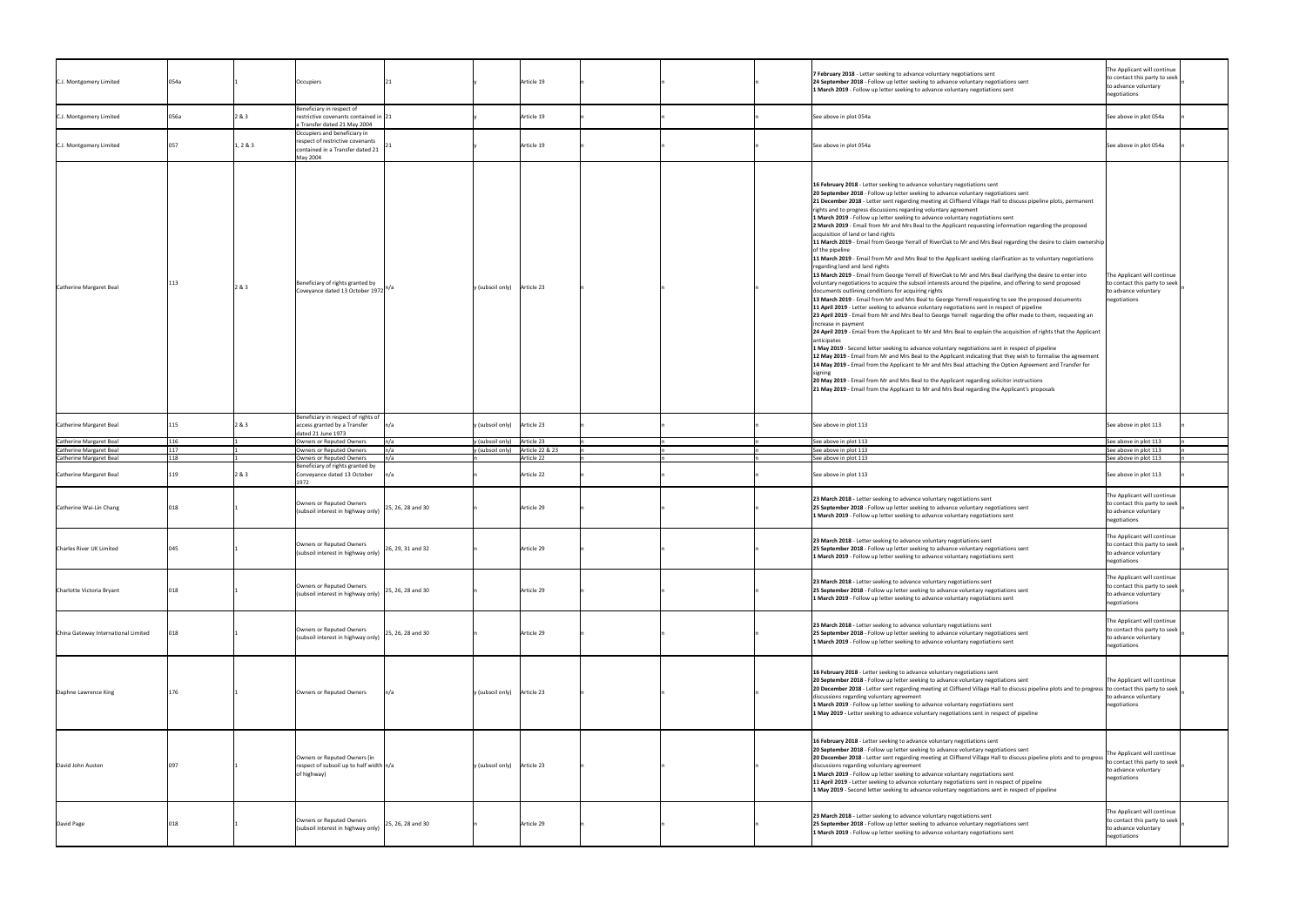| C.J. Montgomery Limited                                                       | 054a |          | Occupiers                                                                                                        |                   |                                                                        | Article 19 |  | 7 February 2018 - Letter seeking to advance voluntary negotiations sent<br>24 September 2018 - Follow up letter seeking to advance voluntary negotiations sent<br>1 March 2019 - Follow up letter seeking to advance voluntary negotiations sent                                                                                                                                                                                                                                                                                                                                                                                                                                                                                                                                                                                                                                                                                                                                                                                                                                                                                                                                                                                                                                                                                                                                                                                                                                                                                                                                                                                                                                                                                                                                                                                                                                                                                                                                                                                                                                                                                                                                                              | The Applicant will continue<br>to contact this party to seek<br>to advance voluntary<br>negotiations |
|-------------------------------------------------------------------------------|------|----------|------------------------------------------------------------------------------------------------------------------|-------------------|------------------------------------------------------------------------|------------|--|---------------------------------------------------------------------------------------------------------------------------------------------------------------------------------------------------------------------------------------------------------------------------------------------------------------------------------------------------------------------------------------------------------------------------------------------------------------------------------------------------------------------------------------------------------------------------------------------------------------------------------------------------------------------------------------------------------------------------------------------------------------------------------------------------------------------------------------------------------------------------------------------------------------------------------------------------------------------------------------------------------------------------------------------------------------------------------------------------------------------------------------------------------------------------------------------------------------------------------------------------------------------------------------------------------------------------------------------------------------------------------------------------------------------------------------------------------------------------------------------------------------------------------------------------------------------------------------------------------------------------------------------------------------------------------------------------------------------------------------------------------------------------------------------------------------------------------------------------------------------------------------------------------------------------------------------------------------------------------------------------------------------------------------------------------------------------------------------------------------------------------------------------------------------------------------------------------------|------------------------------------------------------------------------------------------------------|
| C.J. Montgomery Limited                                                       | 056a | 2&3      | Beneficiary in respect of<br>restrictive covenants contained in 21<br>a Transfer dated 21 May 2004               |                   |                                                                        | Article 19 |  | See above in plot 054a                                                                                                                                                                                                                                                                                                                                                                                                                                                                                                                                                                                                                                                                                                                                                                                                                                                                                                                                                                                                                                                                                                                                                                                                                                                                                                                                                                                                                                                                                                                                                                                                                                                                                                                                                                                                                                                                                                                                                                                                                                                                                                                                                                                        | See above in plot 054a                                                                               |
| C.J. Montgomery Limited                                                       |      | 1, 2 & 3 | Occupiers and beneficiary in<br>respect of restrictive covenants<br>contained in a Transfer dated 21<br>May 2004 |                   |                                                                        | Article 19 |  | See above in plot 054a                                                                                                                                                                                                                                                                                                                                                                                                                                                                                                                                                                                                                                                                                                                                                                                                                                                                                                                                                                                                                                                                                                                                                                                                                                                                                                                                                                                                                                                                                                                                                                                                                                                                                                                                                                                                                                                                                                                                                                                                                                                                                                                                                                                        | See above in plot 054a                                                                               |
| Catherine Margaret Beal                                                       |      | 2 & 3    | Beneficiary of rights granted by<br>Coveyance dated 13 October 1972 <sup>n/a</sup>                               |                   | y (subsoil only) Article 23                                            |            |  | 16 February 2018 - Letter seeking to advance voluntary negotiations sent<br>20 September 2018 - Follow up letter seeking to advance voluntary negotiations sent<br>21 December 2018 - Letter sent regarding meeting at Cliffsend Village Hall to discuss pipeline plots, permanent<br>rights and to progress discussions regarding voluntary agreement<br>1 March 2019 - Follow up letter seeking to advance voluntary negotiations sent<br>2 March 2019 - Email from Mr and Mrs Beal to the Applicant requesting information regarding the proposed<br>acquisition of land or land rights<br>11 March 2019 - Email from George Yerrall of RiverOak to Mr and Mrs Beal regarding the desire to claim ownership<br>of the pipeline<br>11 March 2019 - Email from Mr and Mrs Beal to the Applicant seeking clarification as to voluntary negotiations<br>regarding land and land rights<br>13 March 2019 - Email from George Yerrell of RiverOak to Mr and Mrs Beal clarifying the desire to enter into<br>voluntary negotiations to acquire the subsoil interests around the pipeline, and offering to send proposed<br>documents outlining conditions for acquiring rights<br>13 March 2019 - Email from Mr and Mrs Beal to George Yerrell requesting to see the proposed documents<br>11 April 2019 - Letter seeking to advance voluntary negotiations sent in respect of pipeline<br>23 April 2019 - Email from Mr and Mrs Beal to George Yerrell regarding the offer made to them, requesting an<br>increase in payment<br>24 April 2019 - Email from the Applicant to Mr and Mrs Beal to explain the acquisition of rights that the Applicant<br>anticipates<br>1 May 2019 - Second letter seeking to advance voluntary negotiations sent in respect of pipeline<br>12 May 2019 - Email from Mr and Mrs Beal to the Applicant indicating that they wish to formalise the agreement<br>14 May 2019 - Email from the Applicant to Mr and Mrs Beal attaching the Option Agreement and Transfer for<br>sıgnıng<br>20 May 2019 - Email from Mr and Mrs Beal to the Applicant regarding solicitor instructions<br>21 May 2019 - Email from the Applicant to Mr and Mrs Beal regarding the Applicant's proposals | The Applicant will continue<br>to contact this party to seek<br>to advance voluntary<br>negotiations |
| Catherine Margaret Beal                                                       |      | 2&3      | Beneficiary in respect of rights of<br>access granted by a Transfer<br>dated 21 June 1973                        |                   | y (subsoil only) Article 23                                            |            |  | See above in plot 113                                                                                                                                                                                                                                                                                                                                                                                                                                                                                                                                                                                                                                                                                                                                                                                                                                                                                                                                                                                                                                                                                                                                                                                                                                                                                                                                                                                                                                                                                                                                                                                                                                                                                                                                                                                                                                                                                                                                                                                                                                                                                                                                                                                         | See above in plot 113                                                                                |
| Catherine Margaret Beal<br>Catherine Margaret Beal<br>Catherine Margaret Beal | 118  |          | Owners or Reputed Owners<br>Owners or Reputed Owners<br>Owners or Reputed Owners                                 | n/a               | y (subsoil only) Article 23<br>y (subsoil only) $\int$ Article 22 & 23 | Article 22 |  | See above in plot 113<br>See above in plot 113<br>See above in plot 113                                                                                                                                                                                                                                                                                                                                                                                                                                                                                                                                                                                                                                                                                                                                                                                                                                                                                                                                                                                                                                                                                                                                                                                                                                                                                                                                                                                                                                                                                                                                                                                                                                                                                                                                                                                                                                                                                                                                                                                                                                                                                                                                       | See above in plot 113<br>See above in plot 113<br>See above in plot 113                              |
| Catherine Margaret Beal                                                       |      | 2&3      | Beneficiary of rights granted by<br>Conveyance dated 13 October                                                  |                   |                                                                        | Article 22 |  | See above in plot 113                                                                                                                                                                                                                                                                                                                                                                                                                                                                                                                                                                                                                                                                                                                                                                                                                                                                                                                                                                                                                                                                                                                                                                                                                                                                                                                                                                                                                                                                                                                                                                                                                                                                                                                                                                                                                                                                                                                                                                                                                                                                                                                                                                                         | See above in plot 113                                                                                |
| Catherine Wai-Lin Chang                                                       |      |          | Owners or Reputed Owners<br>(subsoil interest in highway only)                                                   | 25, 26, 28 and 30 |                                                                        | Article 29 |  | 23 March 2018 - Letter seeking to advance voluntary negotiations sent<br>25 September 2018 - Follow up letter seeking to advance voluntary negotiations sent<br>1 March 2019 - Follow up letter seeking to advance voluntary negotiations sent                                                                                                                                                                                                                                                                                                                                                                                                                                                                                                                                                                                                                                                                                                                                                                                                                                                                                                                                                                                                                                                                                                                                                                                                                                                                                                                                                                                                                                                                                                                                                                                                                                                                                                                                                                                                                                                                                                                                                                | The Applicant will continue<br>to contact this party to seek<br>to advance voluntary<br>negotiations |
| Charles River UK Limited                                                      |      |          | Owners or Reputed Owners<br>(subsoil interest in highway only)                                                   | 26, 29, 31 and 32 |                                                                        | Article 29 |  | 23 March 2018 - Letter seeking to advance voluntary negotiations sent<br>25 September 2018 - Follow up letter seeking to advance voluntary negotiations sent<br>1 March 2019 - Follow up letter seeking to advance voluntary negotiations sent                                                                                                                                                                                                                                                                                                                                                                                                                                                                                                                                                                                                                                                                                                                                                                                                                                                                                                                                                                                                                                                                                                                                                                                                                                                                                                                                                                                                                                                                                                                                                                                                                                                                                                                                                                                                                                                                                                                                                                | The Applicant will continue<br>to contact this party to seek<br>to advance voluntary<br>negotiations |
| Charlotte Victoria Bryant                                                     |      |          | Owners or Reputed Owners<br>(subsoil interest in highway only)                                                   | 25, 26, 28 and 30 |                                                                        | Article 29 |  | 23 March 2018 - Letter seeking to advance voluntary negotiations sent<br>25 September 2018 - Follow up letter seeking to advance voluntary negotiations sent<br>1 March 2019 - Follow up letter seeking to advance voluntary negotiations sent                                                                                                                                                                                                                                                                                                                                                                                                                                                                                                                                                                                                                                                                                                                                                                                                                                                                                                                                                                                                                                                                                                                                                                                                                                                                                                                                                                                                                                                                                                                                                                                                                                                                                                                                                                                                                                                                                                                                                                | The Applicant will continue<br>to contact this party to seek<br>to advance voluntary<br>negotiations |
| China Gateway International Limited                                           |      |          | Owners or Reputed Owners<br>(subsoil interest in highway only)                                                   | 25, 26, 28 and 30 |                                                                        | Article 29 |  | 23 March 2018 - Letter seeking to advance voluntary negotiations sent<br>25 September 2018 - Follow up letter seeking to advance voluntary negotiations sent<br>1 March 2019 - Follow up letter seeking to advance voluntary negotiations sent                                                                                                                                                                                                                                                                                                                                                                                                                                                                                                                                                                                                                                                                                                                                                                                                                                                                                                                                                                                                                                                                                                                                                                                                                                                                                                                                                                                                                                                                                                                                                                                                                                                                                                                                                                                                                                                                                                                                                                | The Applicant will continue<br>to contact this party to seek<br>to advance voluntary<br>negotiations |
| Daphne Lawrence King                                                          |      |          | Owners or Reputed Owners                                                                                         |                   | $y$ (subsoil only) Article 23                                          |            |  | 16 February 2018 - Letter seeking to advance voluntary negotiations sent<br>20 September 2018 - Follow up letter seeking to advance voluntary negotiations sent<br>20 December 2018 - Letter sent regarding meeting at Cliffsend Village Hall to discuss pipeline plots and to progress to contact this party to seek<br>discussions regarding voluntary agreement<br>1 March 2019 - Follow up letter seeking to advance voluntary negotiations sent<br>1 May 2019 - Letter seeking to advance voluntary negotiations sent in respect of pipeline                                                                                                                                                                                                                                                                                                                                                                                                                                                                                                                                                                                                                                                                                                                                                                                                                                                                                                                                                                                                                                                                                                                                                                                                                                                                                                                                                                                                                                                                                                                                                                                                                                                             | The Applicant will continue<br>to advance voluntary<br>negotiations                                  |
| David John Austen                                                             |      |          | Owners or Reputed Owners (in<br>respect of subsoil up to half width $n/a$<br>of highway)                         |                   | y (subsoil only) Article 23                                            |            |  | 16 February 2018 - Letter seeking to advance voluntary negotiations sent<br>20 September 2018 - Follow up letter seeking to advance voluntary negotiations sent<br>20 December 2018 - Letter sent regarding meeting at Cliffsend Village Hall to discuss pipeline plots and to progress<br>discussions regarding voluntary agreement<br>1 March 2019 - Follow up letter seeking to advance voluntary negotiations sent<br>11 April 2019 - Letter seeking to advance voluntary negotiations sent in respect of pipeline<br>1 May 2019 - Second letter seeking to advance voluntary negotiations sent in respect of pipeline                                                                                                                                                                                                                                                                                                                                                                                                                                                                                                                                                                                                                                                                                                                                                                                                                                                                                                                                                                                                                                                                                                                                                                                                                                                                                                                                                                                                                                                                                                                                                                                    | The Applicant will continue<br>to contact this party to seek<br>to advance voluntary<br>negotiations |
| David Page                                                                    |      |          | Owners or Reputed Owners<br>(subsoil interest in highway only)                                                   | 25, 26, 28 and 30 |                                                                        | Article 29 |  | 23 March 2018 - Letter seeking to advance voluntary negotiations sent<br>25 September 2018 - Follow up letter seeking to advance voluntary negotiations sent<br>1 March 2019 - Follow up letter seeking to advance voluntary negotiations sent                                                                                                                                                                                                                                                                                                                                                                                                                                                                                                                                                                                                                                                                                                                                                                                                                                                                                                                                                                                                                                                                                                                                                                                                                                                                                                                                                                                                                                                                                                                                                                                                                                                                                                                                                                                                                                                                                                                                                                | The Applicant will continue<br>to contact this party to seek<br>to advance voluntary<br>negotiations |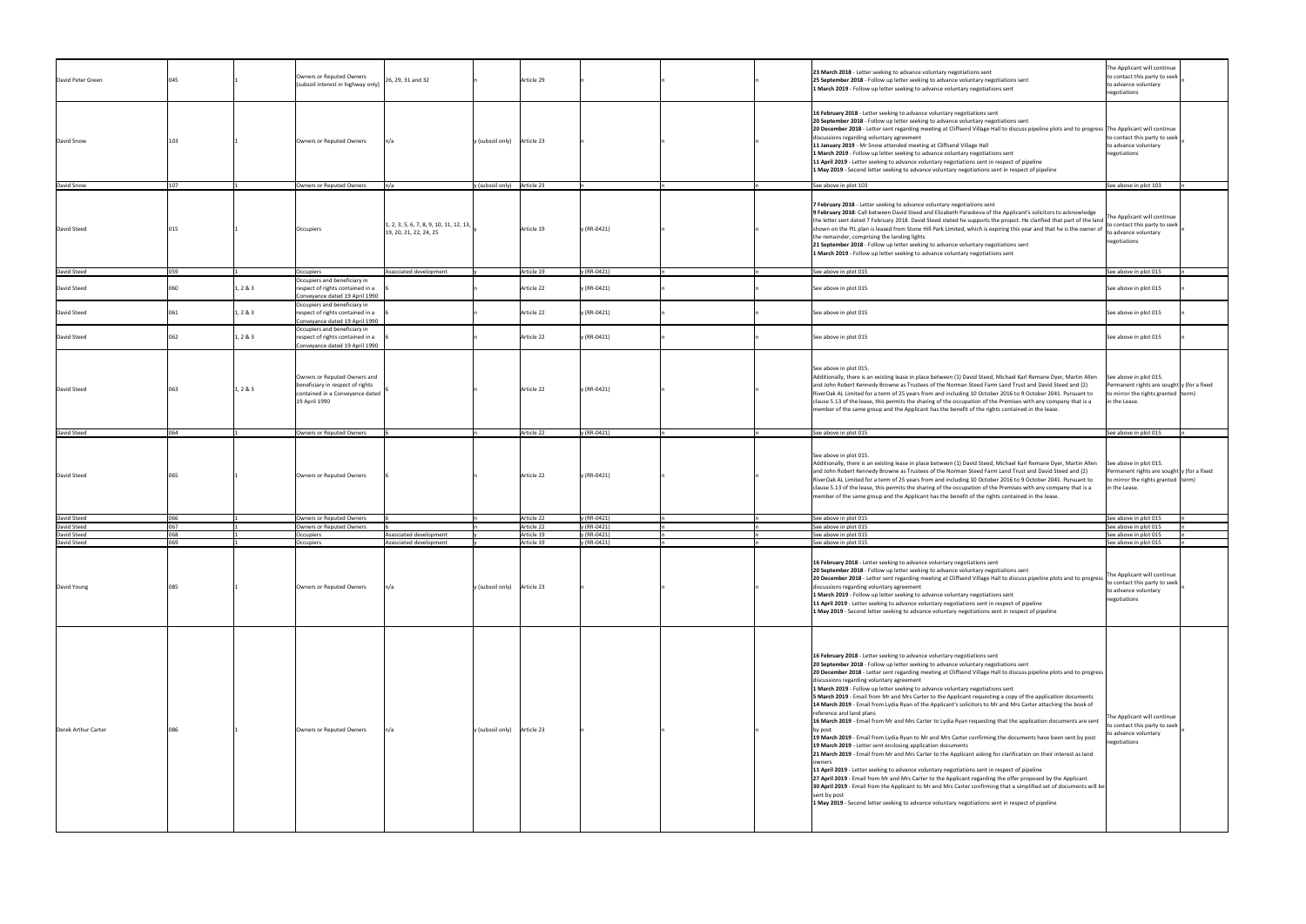| David Peter Green   |       |          | Owners or Reputed Owners<br>(subsoil interest in highway only)                                                       | 26, 29, 31 and 32                                                               |                             | Article 29 |             | 23 March 2018 - Letter seeking to advance voluntary negotiations sent<br>25 September 2018 - Follow up letter seeking to advance voluntary negotiations sent<br>1 March 2019 - Follow up letter seeking to advance voluntary negotiations sent                                                                                                                                                                                                                                                                                                                                                                                                                                                                                                                                                                                                                                                                                                                                                                                                                                                                                                                                                                                                                                                                                                                                                                                                                                                                                                                                        | The Applicant will continue<br>to contact this party to seek<br>to advance voluntary<br>negotiations                                   |
|---------------------|-------|----------|----------------------------------------------------------------------------------------------------------------------|---------------------------------------------------------------------------------|-----------------------------|------------|-------------|---------------------------------------------------------------------------------------------------------------------------------------------------------------------------------------------------------------------------------------------------------------------------------------------------------------------------------------------------------------------------------------------------------------------------------------------------------------------------------------------------------------------------------------------------------------------------------------------------------------------------------------------------------------------------------------------------------------------------------------------------------------------------------------------------------------------------------------------------------------------------------------------------------------------------------------------------------------------------------------------------------------------------------------------------------------------------------------------------------------------------------------------------------------------------------------------------------------------------------------------------------------------------------------------------------------------------------------------------------------------------------------------------------------------------------------------------------------------------------------------------------------------------------------------------------------------------------------|----------------------------------------------------------------------------------------------------------------------------------------|
| David Snow          |       |          | Owners or Reputed Owners                                                                                             |                                                                                 | y (subsoil only) Article 23 |            |             | 16 February 2018 - Letter seeking to advance voluntary negotiations sent<br>20 September 2018 - Follow up letter seeking to advance voluntary negotiations sent<br>20 December 2018 - Letter sent regarding meeting at Cliffsend Village Hall to discuss pipeline plots and to progress The Applicant will continue<br>discussions regarding voluntary agreement<br>11 January 2019 - Mr Snow attended meeting at Cliffsend Village Hall<br>1 March 2019 - Follow up letter seeking to advance voluntary negotiations sent<br>11 April 2019 - Letter seeking to advance voluntary negotiations sent in respect of pipeline<br>1 May 2019 - Second letter seeking to advance voluntary negotiations sent in respect of pipeline                                                                                                                                                                                                                                                                                                                                                                                                                                                                                                                                                                                                                                                                                                                                                                                                                                                        | to contact this party to seek<br>to advance voluntary<br>negotiations                                                                  |
| David Snow          | 1 N 7 |          | Owners or Reputed Owners                                                                                             |                                                                                 | y (subsoil only)            | Article 23 |             | See above in plot 103                                                                                                                                                                                                                                                                                                                                                                                                                                                                                                                                                                                                                                                                                                                                                                                                                                                                                                                                                                                                                                                                                                                                                                                                                                                                                                                                                                                                                                                                                                                                                                 | See above in plot 103                                                                                                                  |
| David Steed         |       |          | Occupiers                                                                                                            | $\vert 1, 2, 3, 5, 6, 7, 8, 9, 10, 11, 12, 13, \vert$<br>19, 20, 21, 22, 24, 25 |                             | Article 19 | y (RR-0421) | 7 February 2018 - Letter seeking to advance voluntary negotiations sent<br>9 February 2018: Call between David Steed and Elizabeth Paraskeva of the Applicant's solicitors to acknowledge<br>the letter sent dated 7 February 2018. David Steed stated he supports the project. He clarified that part of the land  <br>shown on the PIL plan is leased from Stone Hill Park Limited, which is expiring this year and that he is the owner of<br>the remainder, comprising the landing lights<br>21 September 2018 - Follow up letter seeking to advance voluntary negotiations sent<br>1 March 2019 - Follow up letter seeking to advance voluntary negotiations sent                                                                                                                                                                                                                                                                                                                                                                                                                                                                                                                                                                                                                                                                                                                                                                                                                                                                                                                | The Applicant will continue<br>to contact this party to seek<br>to advance voluntary<br>negotiations                                   |
| David Steed         | 059   |          | Occupiers                                                                                                            | Associated development                                                          |                             | Article 19 | y (RR-0421) | See above in plot 015                                                                                                                                                                                                                                                                                                                                                                                                                                                                                                                                                                                                                                                                                                                                                                                                                                                                                                                                                                                                                                                                                                                                                                                                                                                                                                                                                                                                                                                                                                                                                                 | See above in plot 015                                                                                                                  |
| David Steed         |       | 1, 2 & 3 | Occupiers and beneficiary in<br>respect of rights contained in a                                                     |                                                                                 |                             | Article 22 | y (RR-0421) | See above in plot 015                                                                                                                                                                                                                                                                                                                                                                                                                                                                                                                                                                                                                                                                                                                                                                                                                                                                                                                                                                                                                                                                                                                                                                                                                                                                                                                                                                                                                                                                                                                                                                 | See above in plot 015                                                                                                                  |
| David Steed         |       |          | Conveyance dated 19 April 1990<br>Occupiers and beneficiary in                                                       |                                                                                 |                             | Article 22 |             |                                                                                                                                                                                                                                                                                                                                                                                                                                                                                                                                                                                                                                                                                                                                                                                                                                                                                                                                                                                                                                                                                                                                                                                                                                                                                                                                                                                                                                                                                                                                                                                       |                                                                                                                                        |
|                     |       | 1, 2 & 3 | respect of rights contained in a<br>Conveyance dated 19 April 1990<br>Occupiers and beneficiary in                   |                                                                                 |                             |            | y (RR-0421) | See above in plot 015                                                                                                                                                                                                                                                                                                                                                                                                                                                                                                                                                                                                                                                                                                                                                                                                                                                                                                                                                                                                                                                                                                                                                                                                                                                                                                                                                                                                                                                                                                                                                                 | See above in plot 015                                                                                                                  |
| David Steed         |       | 1, 2 & 3 | respect of rights contained in a<br>Conveyance dated 19 April 1990                                                   |                                                                                 |                             | Article 22 | y (RR-0421) | See above in plot 015                                                                                                                                                                                                                                                                                                                                                                                                                                                                                                                                                                                                                                                                                                                                                                                                                                                                                                                                                                                                                                                                                                                                                                                                                                                                                                                                                                                                                                                                                                                                                                 | See above in plot 015                                                                                                                  |
| David Steed         |       | 1, 2 & 3 | Owners or Reputed Owners and<br>beneficiary in respect of rights<br>contained in a Conveyance dated<br>19 April 1990 |                                                                                 |                             | Article 22 | y (RR-0421) | See above in plot 015.<br>Additionally, there is an existing lease in place between (1) David Steed, Michael Karl Remane Dyer, Martin Allen<br>and John Robert Kennedy Browne as Trustees of the Norman Steed Farm Land Trust and David Steed and (2)<br>RiverOak AL Limited for a term of 25 years from and including 10 October 2016 to 9 October 2041. Pursuant to<br>clause 5.13 of the lease, this permits the sharing of the occupation of the Premises with any company that is a<br>member of the same group and the Applicant has the benefit of the rights contained in the lease.                                                                                                                                                                                                                                                                                                                                                                                                                                                                                                                                                                                                                                                                                                                                                                                                                                                                                                                                                                                          | See above in plot 015.<br>Permanent rights are sought $y$ (for a fixed<br>to mirror the rights granted term)<br>in the Lease.          |
| David Steed         | 064   |          | Owners or Reputed Owners                                                                                             |                                                                                 |                             | Article 22 | y (RR-0421) | See above in plot 015                                                                                                                                                                                                                                                                                                                                                                                                                                                                                                                                                                                                                                                                                                                                                                                                                                                                                                                                                                                                                                                                                                                                                                                                                                                                                                                                                                                                                                                                                                                                                                 | See above in plot 015                                                                                                                  |
| David Steed         |       |          | Owners or Reputed Owners                                                                                             |                                                                                 |                             | Article 22 | y (RR-0421) | See above in plot 015.<br>Additionally, there is an existing lease in place between (1) David Steed, Michael Karl Remane Dyer, Martin Allen<br>and John Robert Kennedy Browne as Trustees of the Norman Steed Farm Land Trust and David Steed and (2)<br>RiverOak AL Limited for a term of 25 years from and including 10 October 2016 to 9 October 2041. Pursuant to<br>clause 5.13 of the lease, this permits the sharing of the occupation of the Premises with any company that is a<br>member of the same group and the Applicant has the benefit of the rights contained in the lease.                                                                                                                                                                                                                                                                                                                                                                                                                                                                                                                                                                                                                                                                                                                                                                                                                                                                                                                                                                                          | See above in plot 015.<br>Permanent rights are sought $y$ (for a fixed<br>to mirror the rights granted $ term\rangle$<br>in the Lease. |
| David Steed         |       |          | Owners or Reputed Owners                                                                                             |                                                                                 |                             | Article 22 | y (RR-0421) | See above in plot 015                                                                                                                                                                                                                                                                                                                                                                                                                                                                                                                                                                                                                                                                                                                                                                                                                                                                                                                                                                                                                                                                                                                                                                                                                                                                                                                                                                                                                                                                                                                                                                 | See above in plot 015                                                                                                                  |
| David Steed         |       |          | Owners or Reputed Owners                                                                                             |                                                                                 |                             | Article 22 | $(RR-0421)$ | See above in plot 015                                                                                                                                                                                                                                                                                                                                                                                                                                                                                                                                                                                                                                                                                                                                                                                                                                                                                                                                                                                                                                                                                                                                                                                                                                                                                                                                                                                                                                                                                                                                                                 | See above in plot 015                                                                                                                  |
| David Steed         |       |          | Occupiers                                                                                                            | Associated development                                                          |                             | Article 19 | y (RR-0421) | See above in plot 015                                                                                                                                                                                                                                                                                                                                                                                                                                                                                                                                                                                                                                                                                                                                                                                                                                                                                                                                                                                                                                                                                                                                                                                                                                                                                                                                                                                                                                                                                                                                                                 | See above in plot 015                                                                                                                  |
| David Steed         | ∩≤∆   |          | Occupiers                                                                                                            | Associated development                                                          |                             | Article 19 | y (RR-0421) | See above in plot 015                                                                                                                                                                                                                                                                                                                                                                                                                                                                                                                                                                                                                                                                                                                                                                                                                                                                                                                                                                                                                                                                                                                                                                                                                                                                                                                                                                                                                                                                                                                                                                 | See above in plot 015                                                                                                                  |
| David Young         |       |          | Owners or Reputed Owners                                                                                             |                                                                                 | y (subsoil only) Article 23 |            |             | 16 February 2018 - Letter seeking to advance voluntary negotiations sent<br>20 September 2018 - Follow up letter seeking to advance voluntary negotiations sent<br>20 December 2018 - Letter sent regarding meeting at Cliffsend Village Hall to discuss pipeline plots and to progress<br>discussions regarding voluntary agreement<br>1 March 2019 - Follow up letter seeking to advance voluntary negotiations sent<br>11 April 2019 - Letter seeking to advance voluntary negotiations sent in respect of pipeline<br>1 May 2019 - Second letter seeking to advance voluntary negotiations sent in respect of pipeline                                                                                                                                                                                                                                                                                                                                                                                                                                                                                                                                                                                                                                                                                                                                                                                                                                                                                                                                                            | The Applicant will continue<br>to contact this party to seek<br>to advance voluntary<br>negotiations                                   |
| Derek Arthur Carter |       |          | Owners or Reputed Owners                                                                                             |                                                                                 | y (subsoil only) Article 23 |            |             | 16 February 2018 - Letter seeking to advance voluntary negotiations sent<br>20 September 2018 - Follow up letter seeking to advance voluntary negotiations sent<br>20 December 2018 - Letter sent regarding meeting at Cliffsend Village Hall to discuss pipeline plots and to progress<br>discussions regarding voluntary agreement<br>1 March 2019 - Follow up letter seeking to advance voluntary negotiations sent<br>5 March 2019 - Email from Mr and Mrs Carter to the Applicant requesting a copy of the application documents<br>14 March 2019 - Email from Lydia Ryan of the Applicant's solicitors to Mr and Mrs Carter attaching the book of<br>reference and land plans<br>16 March 2019 - Email from Mr and Mrs Carter to Lydia Ryan requesting that the application documents are sent<br>by post<br>19 March 2019 - Email from Lydia Ryan to Mr and Mrs Carter confirming the documents have been sent by post<br>19 March 2019 - Letter sent enclosing application documents<br>21 March 2019 - Email from Mr and Mrs Carter to the Applicant asking for clarification on their interest as land<br>owners<br>11 April 2019 - Letter seeking to advance voluntary negotiations sent in respect of pipeline<br>27 April 2019 - Email from Mr and Mrs Carter to the Applicant regarding the offer proposed by the Applicant<br>[30 April 2019 - Email from the Applicant to Mr and Mrs Carter confirming that a simplified set of documents will be<br>sent by post<br>1 May 2019 - Second letter seeking to advance voluntary negotiations sent in respect of pipeline | The Applicant will continue<br>to contact this party to seek<br>to advance voluntary<br>negotiations                                   |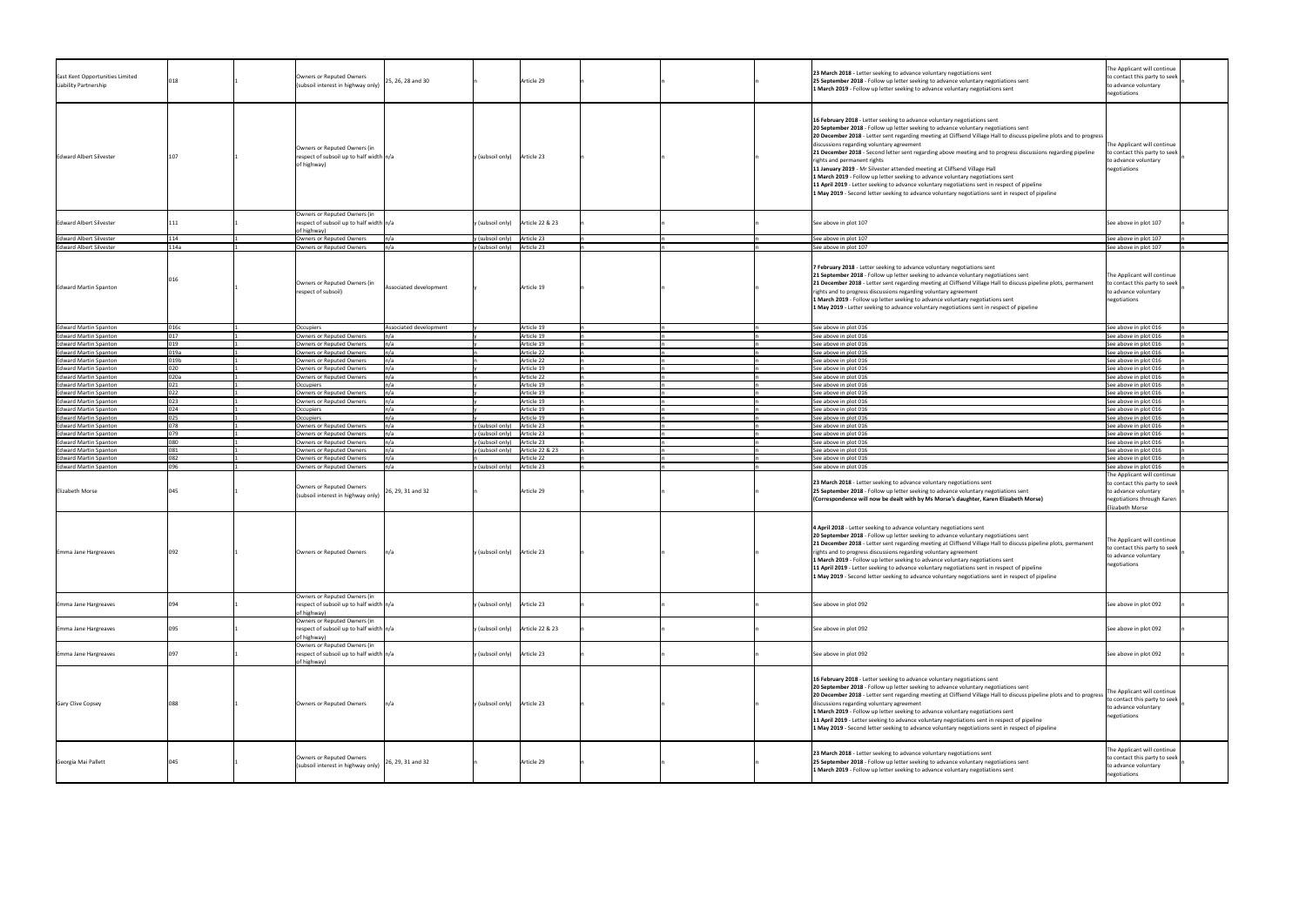| East Kent Opportunities Limited<br>Liability Partnership     |            | Owners or Reputed Owners<br>(subsoil interest in highway only)                           | 25, 26, 28 and 30      | Article 29                                 | 23 March 2018 - Letter seeking to advance voluntary negotiations sent<br>25 September 2018 - Follow up letter seeking to advance voluntary negotiations sent<br>1 March 2019 - Follow up letter seeking to advance voluntary negotiations sent                                                                                                                                                                                                                                                                                                                                                                                                                                                                                                                                                                                                         | The Applicant will continue<br>to contact this party to seek<br>to advance voluntary<br>negotiations                                  |
|--------------------------------------------------------------|------------|------------------------------------------------------------------------------------------|------------------------|--------------------------------------------|--------------------------------------------------------------------------------------------------------------------------------------------------------------------------------------------------------------------------------------------------------------------------------------------------------------------------------------------------------------------------------------------------------------------------------------------------------------------------------------------------------------------------------------------------------------------------------------------------------------------------------------------------------------------------------------------------------------------------------------------------------------------------------------------------------------------------------------------------------|---------------------------------------------------------------------------------------------------------------------------------------|
| <b>Edward Albert Silvester</b>                               | 107        | Owners or Reputed Owners (in<br>respect of subsoil up to half width $n/a$<br>of highway) |                        | Article 23<br>y (subsoil only)             | 16 February 2018 - Letter seeking to advance voluntary negotiations sent<br>20 September 2018 - Follow up letter seeking to advance voluntary negotiations sent<br>20 December 2018 - Letter sent regarding meeting at Cliffsend Village Hall to discuss pipeline plots and to progress<br>discussions regarding voluntary agreement<br>21 December 2018 - Second letter sent regarding above meeting and to progress discussions regarding pipeline<br>rights and permanent rights<br>11 January 2019 - Mr Silvester attended meeting at Cliffsend Village Hall<br>1 March 2019 - Follow up letter seeking to advance voluntary negotiations sent<br>11 April 2019 - Letter seeking to advance voluntary negotiations sent in respect of pipeline<br>1 May 2019 - Second letter seeking to advance voluntary negotiations sent in respect of pipeline | The Applicant will continue<br>to contact this party to seek<br>to advance voluntary<br>negotiations                                  |
| <b>Edward Albert Silvester</b>                               |            | Owners or Reputed Owners (in<br>respect of subsoil up to half width $n/a$<br>of highway) |                        | $y$ (subsoil only)<br>Article 22 & 23      | See above in plot 107                                                                                                                                                                                                                                                                                                                                                                                                                                                                                                                                                                                                                                                                                                                                                                                                                                  | See above in plot 107                                                                                                                 |
| <b>Edward Albert Silvester</b>                               |            | Owners or Reputed Owners                                                                 |                        | y (subsoil only)<br>Article 23             | See above in plot 107                                                                                                                                                                                                                                                                                                                                                                                                                                                                                                                                                                                                                                                                                                                                                                                                                                  | See above in plot 107                                                                                                                 |
| <b>Edward Albert Silvester</b>                               | 114a       | Owners or Reputed Owners                                                                 | n/a                    | $y$ (subsoil only) Article 23              | See above in plot 107                                                                                                                                                                                                                                                                                                                                                                                                                                                                                                                                                                                                                                                                                                                                                                                                                                  | See above in plot 107                                                                                                                 |
| <b>Edward Martin Spanton</b>                                 |            | Owners or Reputed Owners (in<br>respect of subsoil)                                      | Associated development | Article 19                                 | 7 February 2018 - Letter seeking to advance voluntary negotiations sent<br>21 September 2018 - Follow up letter seeking to advance voluntary negotiations sent<br>21 December 2018 - Letter sent regarding meeting at Cliffsend Village Hall to discuss pipeline plots, permanent<br>rights and to progress discussions regarding voluntary agreement<br>1 March 2019 - Follow up letter seeking to advance voluntary negotiations sent<br>1 May 2019 - Letter seeking to advance voluntary negotiations sent in respect of pipeline                                                                                                                                                                                                                                                                                                                   | The Applicant will continue<br>to contact this party to seek<br>to advance voluntary<br>negotiations                                  |
| <b>Edward Martin Spanton</b>                                 | 016c       | Occupiers                                                                                | Associated development | Article 19                                 | See above in plot 016                                                                                                                                                                                                                                                                                                                                                                                                                                                                                                                                                                                                                                                                                                                                                                                                                                  | See above in plot 016                                                                                                                 |
| <b>Edward Martin Spanton</b>                                 |            | Owners or Reputed Owners                                                                 |                        | Article 19                                 | See above in plot 016                                                                                                                                                                                                                                                                                                                                                                                                                                                                                                                                                                                                                                                                                                                                                                                                                                  | See above in plot 016                                                                                                                 |
| <b>Edward Martin Spanton</b>                                 | በ19        | Owners or Reputed Owners                                                                 | n/a                    | Article 19                                 | See above in plot 016                                                                                                                                                                                                                                                                                                                                                                                                                                                                                                                                                                                                                                                                                                                                                                                                                                  | See above in plot 016                                                                                                                 |
| <b>Edward Martin Spanton</b>                                 | )19a       | Owners or Reputed Owners                                                                 | n/a                    | Article 22                                 | See above in plot 016                                                                                                                                                                                                                                                                                                                                                                                                                                                                                                                                                                                                                                                                                                                                                                                                                                  | See above in plot 016                                                                                                                 |
| <b>Edward Martin Spanton</b>                                 | 019b       | Owners or Reputed Owners                                                                 | n/a                    | Article 22                                 | See above in plot 016                                                                                                                                                                                                                                                                                                                                                                                                                                                                                                                                                                                                                                                                                                                                                                                                                                  | See above in plot 016                                                                                                                 |
| <b>Edward Martin Spanton</b>                                 | ገንበ        | Owners or Reputed Owners                                                                 | n/a                    | Article 19                                 | See above in plot 016                                                                                                                                                                                                                                                                                                                                                                                                                                                                                                                                                                                                                                                                                                                                                                                                                                  | See above in plot 016                                                                                                                 |
| <b>Edward Martin Spanton</b>                                 | 020a       | Owners or Reputed Owners                                                                 |                        | Article 22                                 | See above in plot 016                                                                                                                                                                                                                                                                                                                                                                                                                                                                                                                                                                                                                                                                                                                                                                                                                                  | See above in plot 016                                                                                                                 |
| <b>Edward Martin Spanton</b>                                 |            | Occupiers                                                                                |                        | Article 19                                 | See above in plot 016                                                                                                                                                                                                                                                                                                                                                                                                                                                                                                                                                                                                                                                                                                                                                                                                                                  | See above in plot 016                                                                                                                 |
| <b>Edward Martin Spanton</b>                                 | 022        | Owners or Reputed Owners                                                                 | n/a                    | Article 19                                 | See above in plot 016                                                                                                                                                                                                                                                                                                                                                                                                                                                                                                                                                                                                                                                                                                                                                                                                                                  | See above in plot 016                                                                                                                 |
| <b>Edward Martin Spanton</b>                                 | በጋ3<br>ሰንለ | Owners or Reputed Owners                                                                 | ln/a                   | Article 19                                 | See above in plot 016                                                                                                                                                                                                                                                                                                                                                                                                                                                                                                                                                                                                                                                                                                                                                                                                                                  | See above in plot 016                                                                                                                 |
| Edward Martin Spanton                                        |            | Occupiers                                                                                | n/a                    | Article 19                                 | See above in plot 016                                                                                                                                                                                                                                                                                                                                                                                                                                                                                                                                                                                                                                                                                                                                                                                                                                  | See above in plot 016                                                                                                                 |
| <b>Edward Martin Spanton</b><br><b>Edward Martin Spanton</b> |            | Occupiers<br>Owners or Reputed Owners                                                    | n/a                    | Article 19<br>(subsoil only)<br>Article 23 | See above in plot 016<br>See above in plot 016                                                                                                                                                                                                                                                                                                                                                                                                                                                                                                                                                                                                                                                                                                                                                                                                         | See above in plot 016<br>See above in plot 016                                                                                        |
| <b>Edward Martin Spanton</b>                                 |            | Owners or Reputed Owners                                                                 |                        | (subsoil only)<br>Article 23               | See above in plot 016                                                                                                                                                                                                                                                                                                                                                                                                                                                                                                                                                                                                                                                                                                                                                                                                                                  | See above in plot 016                                                                                                                 |
| Edward Martin Spanton                                        | ገହበ        | Owners or Reputed Owners                                                                 | n/a                    | Article 23<br>y (subsoil only)             | See above in plot 016                                                                                                                                                                                                                                                                                                                                                                                                                                                                                                                                                                                                                                                                                                                                                                                                                                  | See above in plot 016                                                                                                                 |
| <b>Edward Martin Spanton</b>                                 |            | Owners or Reputed Owners                                                                 |                        | Article 22 & 23<br>y (subsoil only)        | See above in plot 016                                                                                                                                                                                                                                                                                                                                                                                                                                                                                                                                                                                                                                                                                                                                                                                                                                  | See above in plot 016                                                                                                                 |
| Edward Martin Spanton                                        | በՋን        | Owners or Reputed Owners                                                                 | n/a                    | Article 22                                 | See above in plot 016                                                                                                                                                                                                                                                                                                                                                                                                                                                                                                                                                                                                                                                                                                                                                                                                                                  | See above in plot 016                                                                                                                 |
| <b>Edward Martin Spanton</b>                                 | 096        | Owners or Reputed Owners                                                                 | n/a                    | y (subsoil only)<br>Article 23             | See above in plot 016                                                                                                                                                                                                                                                                                                                                                                                                                                                                                                                                                                                                                                                                                                                                                                                                                                  | See above in plot 016                                                                                                                 |
| <b>Elizabeth Morse</b>                                       |            | Owners or Reputed Owners<br>(subsoil interest in highway only)                           | 26, 29, 31 and 32      | Article 29                                 | 23 March 2018 - Letter seeking to advance voluntary negotiations sent<br>25 September 2018 - Follow up letter seeking to advance voluntary negotiations sent<br>(Correspondence will now be dealt with by Ms Morse's daughter, Karen Elizabeth Morse)                                                                                                                                                                                                                                                                                                                                                                                                                                                                                                                                                                                                  | The Applicant will continue<br>to contact this party to seek<br>to advance voluntary<br>negotiations through Karen<br>Elizabeth Morse |
| Emma Jane Hargreaves                                         |            | Owners or Reputed Owners                                                                 | n/a                    | y (subsoil only)   Article 23              | 4 April 2018 - Letter seeking to advance voluntary negotiations sent<br>20 September 2018 - Follow up letter seeking to advance voluntary negotiations sent<br>21 December 2018 - Letter sent regarding meeting at Cliffsend Village Hall to discuss pipeline plots, permanent<br>rights and to progress discussions regarding voluntary agreement<br>1 March 2019 - Follow up letter seeking to advance voluntary negotiations sent<br>11 April 2019 - Letter seeking to advance voluntary negotiations sent in respect of pipeline<br>1 May 2019 - Second letter seeking to advance voluntary negotiations sent in respect of pipeline                                                                                                                                                                                                               | The Applicant will continue<br>to contact this party to seek<br>to advance voluntary<br>negotiations                                  |
| Emma Jane Hargreaves                                         |            | Owners or Reputed Owners (in<br>respect of subsoil up to half width $n/a$<br>of highway) |                        | y (subsoil only) Article 23                | See above in plot 092                                                                                                                                                                                                                                                                                                                                                                                                                                                                                                                                                                                                                                                                                                                                                                                                                                  | See above in plot 092                                                                                                                 |
| Emma Jane Hargreaves                                         |            | Owners or Reputed Owners (in<br>respect of subsoil up to half width $n/a$<br>of highway) |                        | y (subsoil only) Article 22 & 23           | See above in plot 092                                                                                                                                                                                                                                                                                                                                                                                                                                                                                                                                                                                                                                                                                                                                                                                                                                  | See above in plot 092                                                                                                                 |
| Emma Jane Hargreaves                                         |            | Owners or Reputed Owners (in<br>respect of subsoil up to half width $n/a$<br>of highway) |                        | Article 23<br>y (subsoil only)             | See above in plot 092                                                                                                                                                                                                                                                                                                                                                                                                                                                                                                                                                                                                                                                                                                                                                                                                                                  | See above in plot 092                                                                                                                 |
| <b>Gary Clive Copsey</b>                                     |            | Owners or Reputed Owners                                                                 |                        | y (subsoil only) Article 23                | 16 February 2018 - Letter seeking to advance voluntary negotiations sent<br>20 September 2018 - Follow up letter seeking to advance voluntary negotiations sent<br>20 December 2018 - Letter sent regarding meeting at Cliffsend Village Hall to discuss pipeline plots and to progress<br>discussions regarding voluntary agreement<br>1 March 2019 - Follow up letter seeking to advance voluntary negotiations sent<br>11 April 2019 - Letter seeking to advance voluntary negotiations sent in respect of pipeline<br>1 May 2019 - Second letter seeking to advance voluntary negotiations sent in respect of pipeline                                                                                                                                                                                                                             | The Applicant will continue<br>to contact this party to seek<br>to advance voluntary<br>negotiations                                  |
| Georgia Mai Pallett                                          |            | Owners or Reputed Owners<br>(subsoil interest in highway only)                           | 26, 29, 31 and 32      | Article 29                                 | 23 March 2018 - Letter seeking to advance voluntary negotiations sent<br>25 September 2018 - Follow up letter seeking to advance voluntary negotiations sent<br>1 March 2019 - Follow up letter seeking to advance voluntary negotiations sent                                                                                                                                                                                                                                                                                                                                                                                                                                                                                                                                                                                                         | The Applicant will continue<br>to contact this party to seek<br>to advance voluntary<br>negotiations                                  |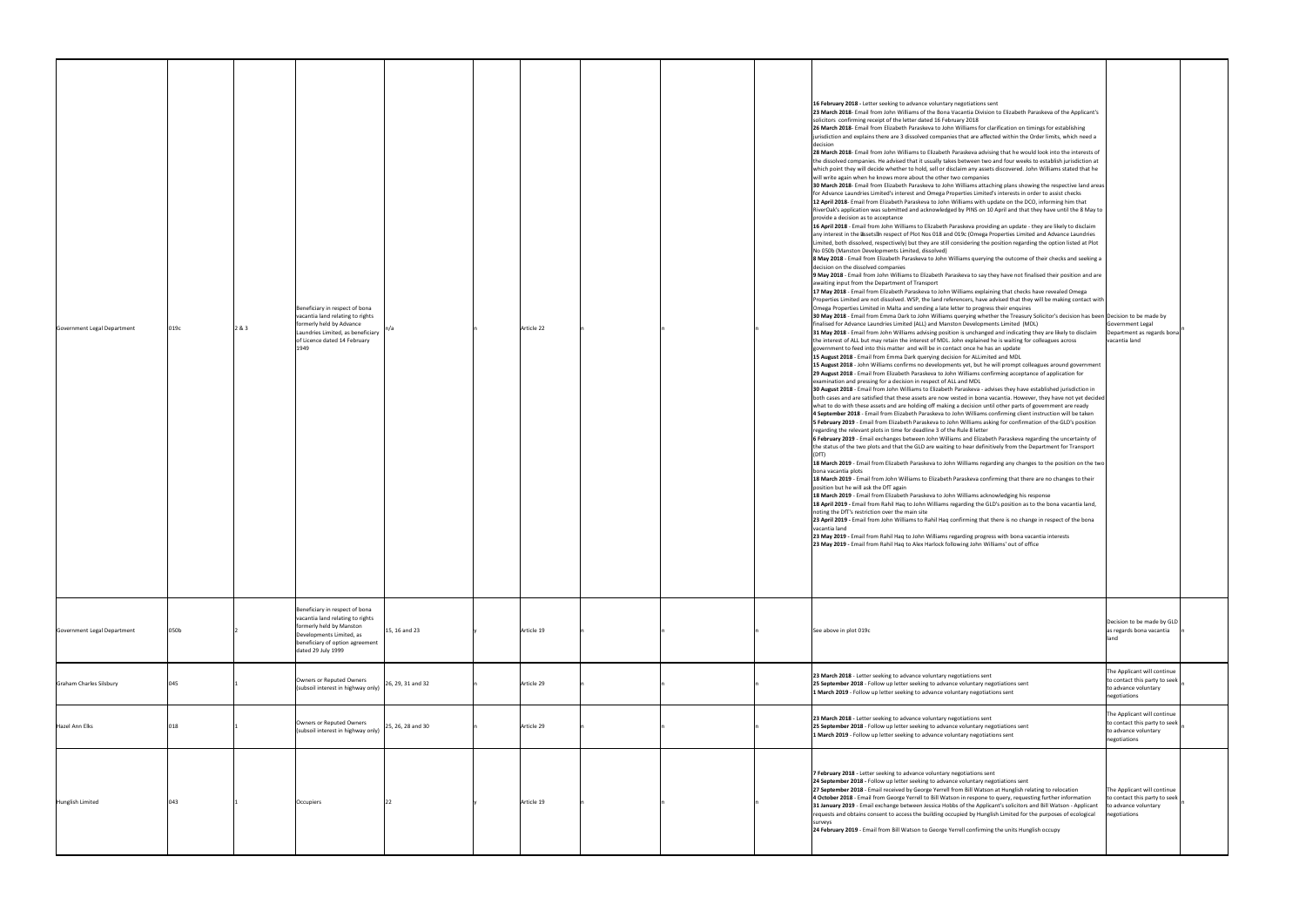| Government Legal Department    | 019c | Beneficiary in respect of bona<br>vacantia land relating to rights<br>formerly held by Advance<br>2 & 3<br>Laundries Limited, as beneficiary<br>of Licence dated 14 February<br>1949                 | Article 22 |  | 16 February 2018 - Letter seeking to advance voluntary negotiations sent<br>23 March 2018- Email from John Williams of the Bona Vacantia Division to Elizabeth Paraskeva of the Applicant's<br>solicitors confirming receipt of the letter dated 16 February 2018<br>26 March 2018- Email from Elizabeth Paraskeva to John Williams for clarification on timings for establishing<br>jurisdiction and explains there are 3 dissolved companies that are affected within the Order limits, which need a<br>28 March 2018- Email from John Williams to Elizabeth Paraskeva advising that he would look into the interests of<br>the dissolved companies. He advised that it usually takes between two and four weeks to establish jurisdiction at<br>which point they will decide whether to hold, sell or disclaim any assets discovered. John Williams stated that he<br>will write again when he knows more about the other two companies<br>30 March 2018- Email from Elizabeth Paraskeva to John Williams attaching plans showing the respective land areas<br>for Advance Laundries Limited's interest and Omega Properties Limited's interests in order to assist checks<br>12 April 2018- Email from Elizabeth Paraskeva to John Williams with update on the DCO, informing him that<br>RiverOak's application was submitted and acknowledged by PINS on 10 April and that they have until the 8 May to<br>provide a decision as to acceptance<br>16 April 2018 - Email from John Williams to Elizabeth Paraskeva providing an update - they are likely to disclaim<br>any interest in the assets an respect of Plot Nos 018 and 019c (Omega Properties Limited and Advance Laundries<br>Limited, both dissolved, respectively) but they are still considering the position regarding the option listed at Plot<br>No 050b (Manston Developments Limited, dissolved)<br>8 May 2018 - Email from Elizabeth Paraskeva to John Williams querying the outcome of their checks and seeking a<br>decision on the dissolved companies<br>9 May 2018 - Email from John Williams to Elizabeth Paraskeva to say they have not finalised their position and are<br>awaiting input from the Department of Transport<br>17 May 2018 - Email from Elizabeth Paraskeva to John Williams explaining that checks have revealed Omega<br>Properties Limited are not dissolved. WSP, the land referencers, have advised that they will be making contact with<br>Omega Properties Limited in Malta and sending a late letter to progress their enquires<br>30 May 2018 - Email from Emma Dark to John Williams querying whether the Treasury Solicitor's decision has been Decision to be made by<br>finalised for Advance Laundries Limited (ALL) and Manston Developments Limited (MDL)<br>31 May 2018 - Email from John Williams advising position is unchanged and indicating they are likely to disclaim<br>the interest of ALL but may retain the interest of MDL. John explained he is waiting for colleagues across<br>government to feed into this matter and will be in contact once he has an update<br>15 August 2018 - Email from Emma Dark querying decision for ALLimited and MDL<br>15 August 2018 - John Williams confirms no developments yet, but he will prompt colleagues around government<br>29 August 2018 - Email from Elizabeth Paraskeva to John Williams confirming acceptance of application for<br>examination and pressing for a decision in respect of ALL and MDL<br>30 August 2018 - Email from John Williams to Elizabeth Paraskeva - advises they have established jurisdiction in<br>  both cases and are satisfied that these assets are now vested in bona vacantia. However, they have not yet decided<br>what to do with these assets and are holding off making a decision until other parts of government are ready<br>4 September 2018 - Email from Elizabeth Paraskeva to John Williams confirming client instruction will be taken<br>5 February 2019 - Email from Elizabeth Paraskeva to John Williams asking for confirmation of the GLD's position<br>regarding the relevant plots in time for deadline 3 of the Rule 8 letter<br>6 February 2019 - Email exchanges between John Williams and Elizabeth Paraskeva regarding the uncertainty of<br>the status of the two plots and that the GLD are waiting to hear definitively from the Department for Transport<br>18 March 2019 - Email from Elizabeth Paraskeva to John Williams regarding any changes to the position on the two<br>bona vacantia plots<br>18 March 2019 - Email from John Williams to Elizabeth Paraskeva confirming that there are no changes to their<br>position but he will ask the DfT again<br>18 March 2019 - Email from Elizabeth Paraskeva to John Williams acknowledging his response<br>18 April 2019 - Email from Rahil Haq to John Williams regarding the GLD's position as to the bona vacantia land,<br>noting the DfT's restriction over the main site<br>23 April 2019 - Email from John Williams to Rahil Haq confirming that there is no change in respect of the bona<br>vacantia land<br>23 May 2019 - Email from Rahil Haq to John Williams regarding progress with bona vacantia interests<br>23 May 2019 - Email from Rahil Haq to Alex Harlock following John Williams' out of office | Government Legal<br>Department as regards bona<br>vacantia land                                      |
|--------------------------------|------|------------------------------------------------------------------------------------------------------------------------------------------------------------------------------------------------------|------------|--|--------------------------------------------------------------------------------------------------------------------------------------------------------------------------------------------------------------------------------------------------------------------------------------------------------------------------------------------------------------------------------------------------------------------------------------------------------------------------------------------------------------------------------------------------------------------------------------------------------------------------------------------------------------------------------------------------------------------------------------------------------------------------------------------------------------------------------------------------------------------------------------------------------------------------------------------------------------------------------------------------------------------------------------------------------------------------------------------------------------------------------------------------------------------------------------------------------------------------------------------------------------------------------------------------------------------------------------------------------------------------------------------------------------------------------------------------------------------------------------------------------------------------------------------------------------------------------------------------------------------------------------------------------------------------------------------------------------------------------------------------------------------------------------------------------------------------------------------------------------------------------------------------------------------------------------------------------------------------------------------------------------------------------------------------------------------------------------------------------------------------------------------------------------------------------------------------------------------------------------------------------------------------------------------------------------------------------------------------------------------------------------------------------------------------------------------------------------------------------------------------------------------------------------------------------------------------------------------------------------------------------------------------------------------------------------------------------------------------------------------------------------------------------------------------------------------------------------------------------------------------------------------------------------------------------------------------------------------------------------------------------------------------------------------------------------------------------------------------------------------------------------------------------------------------------------------------------------------------------------------------------------------------------------------------------------------------------------------------------------------------------------------------------------------------------------------------------------------------------------------------------------------------------------------------------------------------------------------------------------------------------------------------------------------------------------------------------------------------------------------------------------------------------------------------------------------------------------------------------------------------------------------------------------------------------------------------------------------------------------------------------------------------------------------------------------------------------------------------------------------------------------------------------------------------------------------------------------------------------------------------------------------------------------------------------------------------------------------------------------------------------------------------------------------------------------------------------------------------------------------------------------------------------------------------------------------------------------------------------------------------------------------------------------------------------------------------------------------------------------------------------------------------------------------------------------------------------------------------------------------------------------------------------------------------------------------------------------------------------------------------------------------------------------------------------------------------------------------------------------------------------------------------------------------------------------------------------------------------------------------------------------------------------------------------------------------------|------------------------------------------------------------------------------------------------------|
| Government Legal Department    | 050b | Beneficiary in respect of bona<br>vacantia land relating to rights<br>formerly held by Manston<br>15, 16 and 23<br>Developments Limited, as<br>beneficiary of option agreement<br>dated 29 July 1999 | Article 19 |  | See above in plot 019c                                                                                                                                                                                                                                                                                                                                                                                                                                                                                                                                                                                                                                                                                                                                                                                                                                                                                                                                                                                                                                                                                                                                                                                                                                                                                                                                                                                                                                                                                                                                                                                                                                                                                                                                                                                                                                                                                                                                                                                                                                                                                                                                                                                                                                                                                                                                                                                                                                                                                                                                                                                                                                                                                                                                                                                                                                                                                                                                                                                                                                                                                                                                                                                                                                                                                                                                                                                                                                                                                                                                                                                                                                                                                                                                                                                                                                                                                                                                                                                                                                                                                                                                                                                                                                                                                                                                                                                                                                                                                                                                                                                                                                                                                                                                                                                                                                                                                                                                                                                                                                                                                                                                                                                                                                                                                                   | Decision to be made by GLD<br>as regards bona vacantia                                               |
| <b>Graham Charles Silsbury</b> |      | Owners or Reputed Owners<br>26, 29, 31 and 32<br>(subsoil interest in highway only)                                                                                                                  | Article 29 |  | 23 March 2018 - Letter seeking to advance voluntary negotiations sent<br>25 September 2018 - Follow up letter seeking to advance voluntary negotiations sent<br>1 March 2019 - Follow up letter seeking to advance voluntary negotiations sent                                                                                                                                                                                                                                                                                                                                                                                                                                                                                                                                                                                                                                                                                                                                                                                                                                                                                                                                                                                                                                                                                                                                                                                                                                                                                                                                                                                                                                                                                                                                                                                                                                                                                                                                                                                                                                                                                                                                                                                                                                                                                                                                                                                                                                                                                                                                                                                                                                                                                                                                                                                                                                                                                                                                                                                                                                                                                                                                                                                                                                                                                                                                                                                                                                                                                                                                                                                                                                                                                                                                                                                                                                                                                                                                                                                                                                                                                                                                                                                                                                                                                                                                                                                                                                                                                                                                                                                                                                                                                                                                                                                                                                                                                                                                                                                                                                                                                                                                                                                                                                                                           | The Applicant will continue<br>to contact this party to seek<br>to advance voluntary<br>negotiations |
| Hazel Ann Elks                 |      | Owners or Reputed Owners<br>25, 26, 28 and 30<br>(subsoil interest in highway only)                                                                                                                  | Article 29 |  | 23 March 2018 - Letter seeking to advance voluntary negotiations sent<br>25 September 2018 - Follow up letter seeking to advance voluntary negotiations sent<br>1 March 2019 - Follow up letter seeking to advance voluntary negotiations sent                                                                                                                                                                                                                                                                                                                                                                                                                                                                                                                                                                                                                                                                                                                                                                                                                                                                                                                                                                                                                                                                                                                                                                                                                                                                                                                                                                                                                                                                                                                                                                                                                                                                                                                                                                                                                                                                                                                                                                                                                                                                                                                                                                                                                                                                                                                                                                                                                                                                                                                                                                                                                                                                                                                                                                                                                                                                                                                                                                                                                                                                                                                                                                                                                                                                                                                                                                                                                                                                                                                                                                                                                                                                                                                                                                                                                                                                                                                                                                                                                                                                                                                                                                                                                                                                                                                                                                                                                                                                                                                                                                                                                                                                                                                                                                                                                                                                                                                                                                                                                                                                           | The Applicant will continue<br>to contact this party to seek<br>to advance voluntary<br>negotiations |
| Hunglish Limited               | 043  | Occupiers                                                                                                                                                                                            | Article 19 |  | 7 February 2018 - Letter seeking to advance voluntary negotiations sent<br>24 September 2018 - Follow up letter seeking to advance voluntary negotiations sent<br>27 September 2018 - Email received by George Yerrell from Bill Watson at Hunglish relating to relocation<br>4 October 2018 - Email from George Yerrell to Bill Watson in respone to query, requesting further information<br>31 January 2019 - Email exchange between Jessica Hobbs of the Applicant's solicitors and Bill Watson - Applicant<br>requests and obtains consent to access the building occupied by Hunglish Limited for the purposes of ecological<br>24 February 2019 - Email from Bill Watson to George Yerrell confirming the units Hunglish occupy                                                                                                                                                                                                                                                                                                                                                                                                                                                                                                                                                                                                                                                                                                                                                                                                                                                                                                                                                                                                                                                                                                                                                                                                                                                                                                                                                                                                                                                                                                                                                                                                                                                                                                                                                                                                                                                                                                                                                                                                                                                                                                                                                                                                                                                                                                                                                                                                                                                                                                                                                                                                                                                                                                                                                                                                                                                                                                                                                                                                                                                                                                                                                                                                                                                                                                                                                                                                                                                                                                                                                                                                                                                                                                                                                                                                                                                                                                                                                                                                                                                                                                                                                                                                                                                                                                                                                                                                                                                                                                                                                                                   | The Applicant will continue<br>to contact this party to seek<br>to advance voluntary<br>negotiations |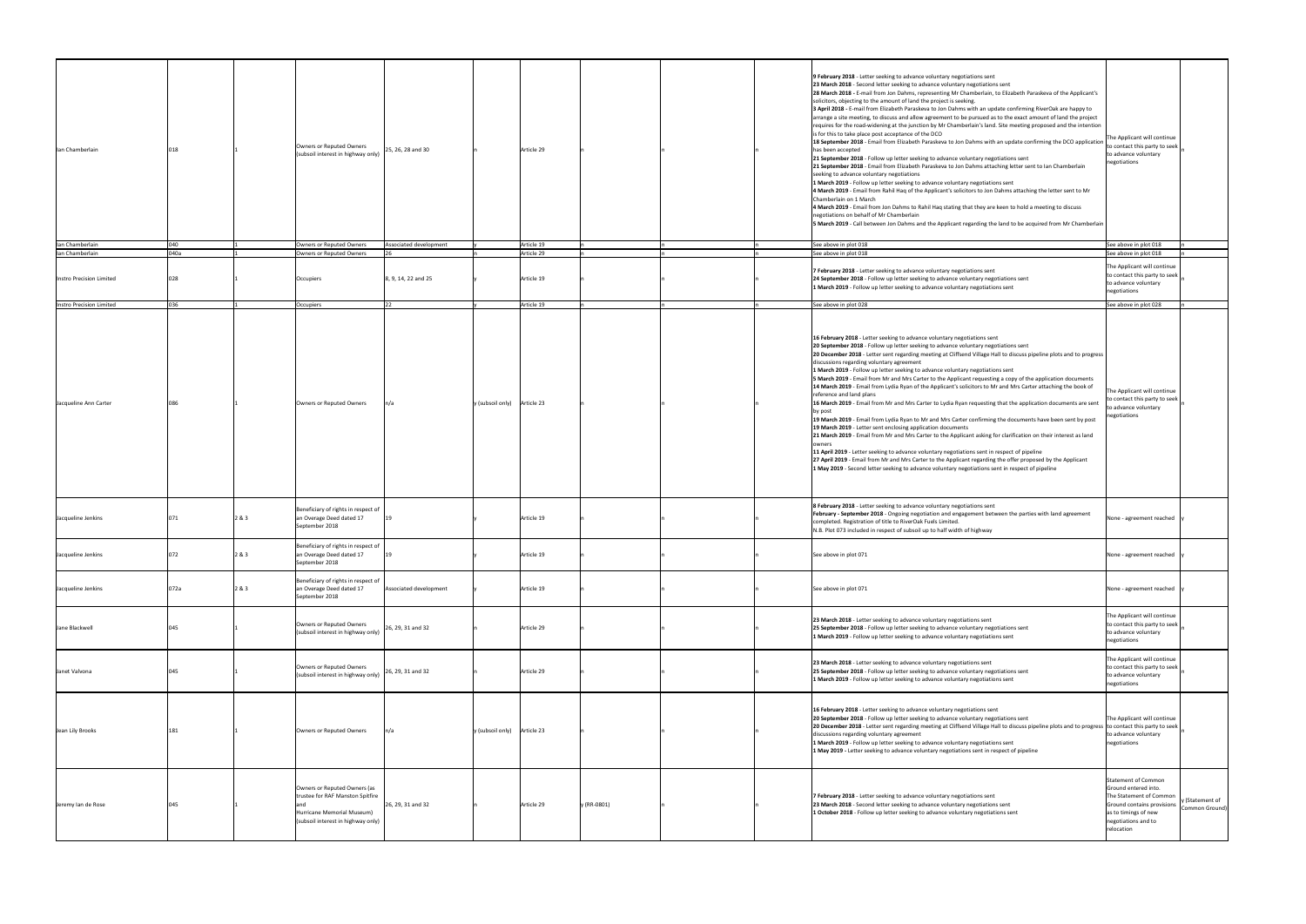| lan Chamberlain          |      |       | Owners or Reputed Owners<br>(subsoil interest in highway only)                                                                       | 25, 26, 28 and 30        |                             | Article 29 |             | 9 February 2018 - Letter seeking to advance voluntary negotiations sent<br>23 March 2018 - Second letter seeking to advance voluntary negotiations sent<br>28 March 2018 - E-mail from Jon Dahms, representing Mr Chamberlain, to Elizabeth Paraskeva of the Applicant's<br>solicitors, objecting to the amount of land the project is seeking.<br>3 April 2018 - E-mail from Elizabeth Paraskeva to Jon Dahms with an update confirming RiverOak are happy to<br>arrange a site meeting, to discuss and allow agreement to be pursued as to the exact amount of land the project<br>requires for the road-widening at the junction by Mr Chamberlain's land. Site meeting proposed and the intention<br>is for this to take place post acceptance of the DCO<br>18 September 2018 - Email from Elizabeth Paraskeva to Jon Dahms with an update confirming the DCO application<br>has been accepted<br>21 September 2018 - Follow up letter seeking to advance voluntary negotiations sent<br>21 September 2018 - Email from Elizabeth Paraskeva to Jon Dahms attaching letter sent to Ian Chamberlain<br>seeking to advance voluntary negotiations<br>1 March 2019 - Follow up letter seeking to advance voluntary negotiations sent<br>4 March 2019 - Email from Rahil Haq of the Applicant's solicitors to Jon Dahms attaching the letter sent to Mr<br>Chamberlain on 1 March<br>4 March 2019 - Email from Jon Dahms to Rahil Haq stating that they are keen to hold a meeting to discuss<br>negotiations on behalf of Mr Chamberlain<br>5 March 2019 - Call between Jon Dahms and the Applicant regarding the land to be acquired from Mr Chamberlain | The Applicant will continue<br>to contact this party to seek<br>to advance voluntary<br>negotiations                                                                                                   |
|--------------------------|------|-------|--------------------------------------------------------------------------------------------------------------------------------------|--------------------------|-----------------------------|------------|-------------|------------------------------------------------------------------------------------------------------------------------------------------------------------------------------------------------------------------------------------------------------------------------------------------------------------------------------------------------------------------------------------------------------------------------------------------------------------------------------------------------------------------------------------------------------------------------------------------------------------------------------------------------------------------------------------------------------------------------------------------------------------------------------------------------------------------------------------------------------------------------------------------------------------------------------------------------------------------------------------------------------------------------------------------------------------------------------------------------------------------------------------------------------------------------------------------------------------------------------------------------------------------------------------------------------------------------------------------------------------------------------------------------------------------------------------------------------------------------------------------------------------------------------------------------------------------------------------------------------------------------------------------------------------|--------------------------------------------------------------------------------------------------------------------------------------------------------------------------------------------------------|
| Ian Chamberlain          | በ4በ  |       | Owners or Reputed Owners                                                                                                             | Associated development   |                             | Article 19 |             | See above in plot 018                                                                                                                                                                                                                                                                                                                                                                                                                                                                                                                                                                                                                                                                                                                                                                                                                                                                                                                                                                                                                                                                                                                                                                                                                                                                                                                                                                                                                                                                                                                                                                                                                                      | See above in plot 018                                                                                                                                                                                  |
| Ian Chamberlain          | 040a |       | Owners or Reputed Owners                                                                                                             |                          |                             | Article 29 |             | See above in plot 018                                                                                                                                                                                                                                                                                                                                                                                                                                                                                                                                                                                                                                                                                                                                                                                                                                                                                                                                                                                                                                                                                                                                                                                                                                                                                                                                                                                                                                                                                                                                                                                                                                      | See above in plot 018                                                                                                                                                                                  |
| Instro Precision Limited |      |       | Occupiers                                                                                                                            | 8, 9, 14, 22 and 25      |                             | Article 19 |             | 7 February 2018 - Letter seeking to advance voluntary negotiations sent<br>24 September 2018 - Follow up letter seeking to advance voluntary negotiations sent<br>1 March 2019 - Follow up letter seeking to advance voluntary negotiations sent                                                                                                                                                                                                                                                                                                                                                                                                                                                                                                                                                                                                                                                                                                                                                                                                                                                                                                                                                                                                                                                                                                                                                                                                                                                                                                                                                                                                           | The Applicant will continue<br>to contact this party to seek<br>to advance voluntary<br>negotiations                                                                                                   |
| Instro Precision Limited |      |       | Occupiers                                                                                                                            |                          |                             | Article 19 |             | See above in plot 028                                                                                                                                                                                                                                                                                                                                                                                                                                                                                                                                                                                                                                                                                                                                                                                                                                                                                                                                                                                                                                                                                                                                                                                                                                                                                                                                                                                                                                                                                                                                                                                                                                      | See above in plot 028                                                                                                                                                                                  |
| Jacqueline Ann Carter    |      |       | Owners or Reputed Owners                                                                                                             | $\mathsf{In}/\mathsf{a}$ | y (subsoil only) Article 23 |            |             | 16 February 2018 - Letter seeking to advance voluntary negotiations sent<br>20 September 2018 - Follow up letter seeking to advance voluntary negotiations sent<br>20 December 2018 - Letter sent regarding meeting at Cliffsend Village Hall to discuss pipeline plots and to progress<br>discussions regarding voluntary agreement<br>1 March 2019 - Follow up letter seeking to advance voluntary negotiations sent<br>5 March 2019 - Email from Mr and Mrs Carter to the Applicant requesting a copy of the application documents<br>14 March 2019 - Email from Lydia Ryan of the Applicant's solicitors to Mr and Mrs Carter attaching the book of<br>reference and land plans<br>16 March 2019 - Email from Mr and Mrs Carter to Lydia Ryan requesting that the application documents are sent<br>by post<br>19 March 2019 - Email from Lydia Ryan to Mr and Mrs Carter confirming the documents have been sent by post<br>19 March 2019 - Letter sent enclosing application documents<br>21 March 2019 - Email from Mr and Mrs Carter to the Applicant asking for clarification on their interest as land<br><b>Lowners</b><br>11 April 2019 - Letter seeking to advance voluntary negotiations sent in respect of pipeline<br>27 April 2019 - Email from Mr and Mrs Carter to the Applicant regarding the offer proposed by the Applicant<br>1 May 2019 - Second letter seeking to advance voluntary negotiations sent in respect of pipeline                                                                                                                                                                                                      | The Applicant will continue<br>to contact this party to seek<br>to advance voluntary<br>negotiations                                                                                                   |
| Jacqueline Jenkins       |      | 2&3   | Beneficiary of rights in respect of<br>an Overage Deed dated 17<br>September 2018                                                    |                          |                             | Article 19 |             | <b>8 February 2018</b> - Letter seeking to advance voluntary negotiations sent<br><b>February - September 2018</b> - Ongoing negotiation and engagement between the parties with land agreement<br>completed. Registration of title to RiverOak Fuels Limited.<br>N.B. Plot 073 included in respect of subsoil up to half width of highway                                                                                                                                                                                                                                                                                                                                                                                                                                                                                                                                                                                                                                                                                                                                                                                                                                                                                                                                                                                                                                                                                                                                                                                                                                                                                                                 | None - agreement reached                                                                                                                                                                               |
| Jacqueline Jenkins       |      | 2 & 3 | Beneficiary of rights in respect of<br>an Overage Deed dated 17<br>September 2018                                                    |                          |                             | Article 19 |             | See above in plot 071                                                                                                                                                                                                                                                                                                                                                                                                                                                                                                                                                                                                                                                                                                                                                                                                                                                                                                                                                                                                                                                                                                                                                                                                                                                                                                                                                                                                                                                                                                                                                                                                                                      | None - agreement reached                                                                                                                                                                               |
| Jacqueline Jenkins       | 072a | 2 & 3 | Beneficiary of rights in respect of<br>an Overage Deed dated 17<br>September 2018                                                    | Associated development   |                             | Article 19 |             | See above in plot 071                                                                                                                                                                                                                                                                                                                                                                                                                                                                                                                                                                                                                                                                                                                                                                                                                                                                                                                                                                                                                                                                                                                                                                                                                                                                                                                                                                                                                                                                                                                                                                                                                                      | None - agreement reached                                                                                                                                                                               |
| Jane Blackwell           |      |       | Owners or Reputed Owners<br>(subsoil interest in highway only)                                                                       | 26, 29, 31 and 32        |                             | Article 29 |             | 23 March 2018 - Letter seeking to advance voluntary negotiations sent<br>25 September 2018 - Follow up letter seeking to advance voluntary negotiations sent<br>1 March 2019 - Follow up letter seeking to advance voluntary negotiations sent                                                                                                                                                                                                                                                                                                                                                                                                                                                                                                                                                                                                                                                                                                                                                                                                                                                                                                                                                                                                                                                                                                                                                                                                                                                                                                                                                                                                             | The Applicant will continue<br>to contact this party to seek<br>to advance voluntary<br>negotiations                                                                                                   |
| Janet Valvona            |      |       | Owners or Reputed Owners<br>(subsoil interest in highway only)                                                                       | 26, 29, 31 and 32        |                             | Article 29 |             | 23 March 2018 - Letter seeking to advance voluntary negotiations sent<br>25 September 2018 - Follow up letter seeking to advance voluntary negotiations sent<br>1 March 2019 - Follow up letter seeking to advance voluntary negotiations sent                                                                                                                                                                                                                                                                                                                                                                                                                                                                                                                                                                                                                                                                                                                                                                                                                                                                                                                                                                                                                                                                                                                                                                                                                                                                                                                                                                                                             | The Applicant will continue<br>to contact this party to seek<br>to advance voluntary<br>negotiations                                                                                                   |
| Jean Lily Brooks         |      |       | Owners or Reputed Owners                                                                                                             | ln/a                     | y (subsoil only) Article 23 |            |             | 16 February 2018 - Letter seeking to advance voluntary negotiations sent<br>20 September 2018 - Follow up letter seeking to advance voluntary negotiations sent<br>20 December 2018 - Letter sent regarding meeting at Cliffsend Village Hall to discuss pipeline plots and to progress to contact this party to seek<br>discussions regarding voluntary agreement<br>1 March 2019 - Follow up letter seeking to advance voluntary negotiations sent<br>1 May 2019 - Letter seeking to advance voluntary negotiations sent in respect of pipeline                                                                                                                                                                                                                                                                                                                                                                                                                                                                                                                                                                                                                                                                                                                                                                                                                                                                                                                                                                                                                                                                                                          | The Applicant will continue<br>to advance voluntary<br>negotiations                                                                                                                                    |
| Jeremy lan de Rose       | 045  |       | Owners or Reputed Owners (as<br>trustee for RAF Manston Spitfire<br>Hurricane Memorial Museum)<br>(subsoil interest in highway only) | 26, 29, 31 and 32        |                             | Article 29 | y (RR-0801) | 7 February 2018 - Letter seeking to advance voluntary negotiations sent<br>23 March 2018 - Second letter seeking to advance voluntary negotiations sent<br>1 October 2018 - Follow up letter seeking to advance voluntary negotiations sent                                                                                                                                                                                                                                                                                                                                                                                                                                                                                                                                                                                                                                                                                                                                                                                                                                                                                                                                                                                                                                                                                                                                                                                                                                                                                                                                                                                                                | Statement of Common<br>Ground entered into.<br>The Statement of Common<br>y (Statement of<br>Ground contains provisions<br>Common Ground)<br>as to timings of new<br>negotiations and to<br>relocation |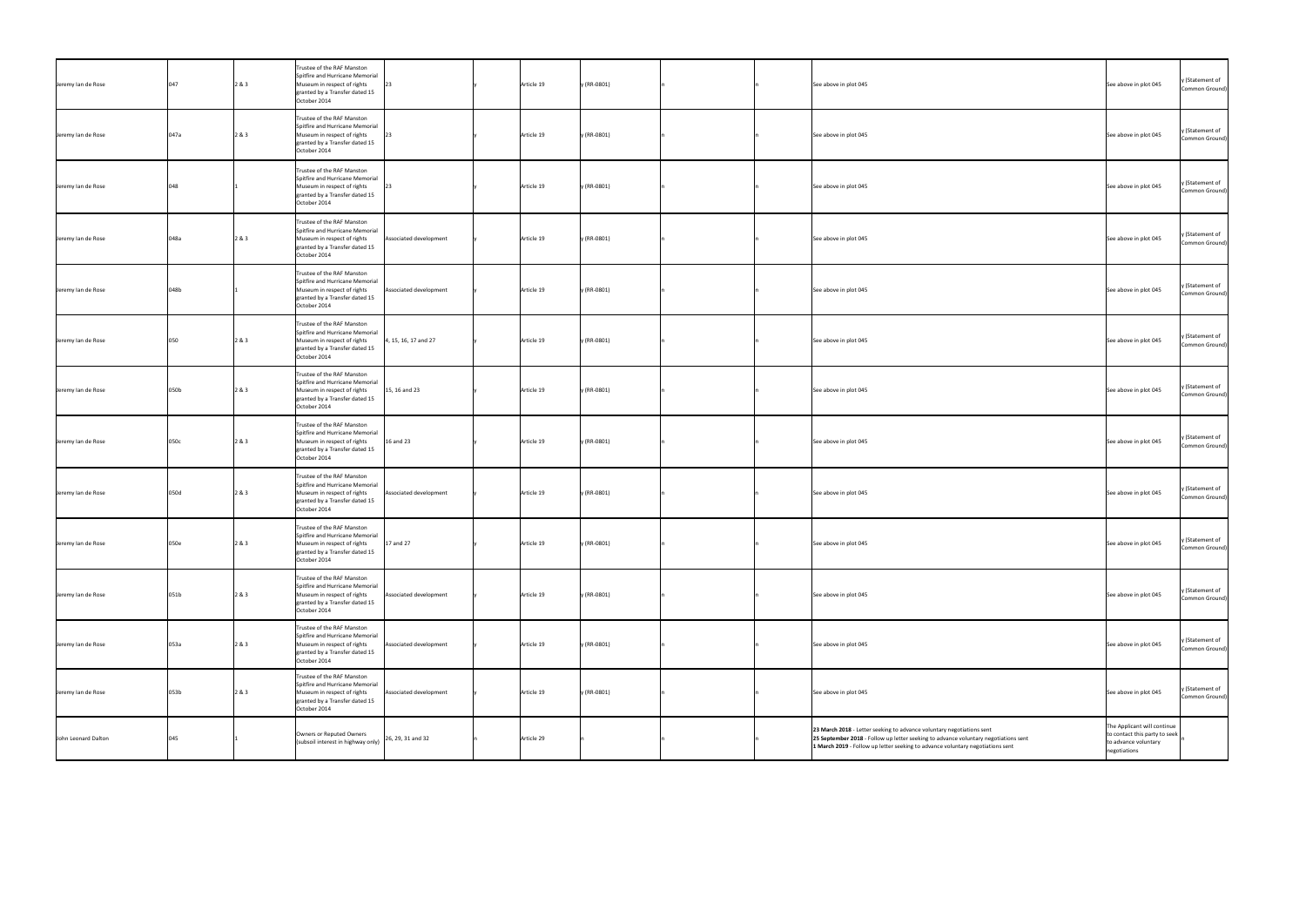| Jeremy Ian de Rose  | 047  | 2 & 3 | Trustee of the RAF Manston<br>Spitfire and Hurricane Memorial<br>Museum in respect of rights<br>granted by a Transfer dated 15<br>October 2014                           | Article 19 | y (RR-0801) |  | See above in plot 045                                                                                                                                                                                                                          | See above in plot 045                                                                                | y (Statement of<br>Common Ground) |
|---------------------|------|-------|--------------------------------------------------------------------------------------------------------------------------------------------------------------------------|------------|-------------|--|------------------------------------------------------------------------------------------------------------------------------------------------------------------------------------------------------------------------------------------------|------------------------------------------------------------------------------------------------------|-----------------------------------|
| Jeremy Ian de Rose  | 047a | 2 & 3 | Trustee of the RAF Manston<br>Spitfire and Hurricane Memorial<br>Museum in respect of rights<br>granted by a Transfer dated 15<br>October 2014                           | Article 19 | y (RR-0801) |  | See above in plot 045                                                                                                                                                                                                                          | See above in plot 045                                                                                | y (Statement of<br>Common Ground) |
| Jeremy lan de Rose  | 048  |       | Trustee of the RAF Manston<br>Spitfire and Hurricane Memorial<br>Museum in respect of rights<br>granted by a Transfer dated 15<br>October 2014                           | Article 19 | y (RR-0801) |  | See above in plot 045                                                                                                                                                                                                                          | See above in plot 045                                                                                | y (Statement of<br>Common Ground) |
| Jeremy lan de Rose  | 048a | 2 & 3 | Trustee of the RAF Manston<br>Spitfire and Hurricane Memorial<br>Museum in respect of rights<br>Associated development<br>granted by a Transfer dated 15<br>October 2014 | Article 19 | y (RR-0801) |  | See above in plot 045                                                                                                                                                                                                                          | See above in plot 045                                                                                | y (Statement of<br>Common Ground) |
| Jeremy Ian de Rose  | 048b |       | Trustee of the RAF Manston<br>Spitfire and Hurricane Memorial<br>Museum in respect of rights<br>Associated development<br>granted by a Transfer dated 15<br>October 2014 | Article 19 | y (RR-0801) |  | See above in plot 045                                                                                                                                                                                                                          | y (Statement of<br>See above in plot 045                                                             | Common Ground)                    |
| Jeremy lan de Rose  | 050  | 2 & 3 | Trustee of the RAF Manston<br>Spitfire and Hurricane Memorial<br>4, 15, 16, 17 and 27<br>Museum in respect of rights<br>granted by a Transfer dated 15<br>October 2014   | Article 19 | y (RR-0801) |  | See above in plot 045                                                                                                                                                                                                                          | y (Statement of<br>See above in plot 045                                                             | Common Ground)                    |
| Jeremy lan de Rose  | 050b | 2 & 3 | Trustee of the RAF Manston<br>Spitfire and Hurricane Memorial<br>15, 16 and 23<br>Museum in respect of rights<br>granted by a Transfer dated 15<br>October 2014          | Article 19 | y (RR-0801) |  | See above in plot 045                                                                                                                                                                                                                          | See above in plot 045                                                                                | y (Statement of<br>Common Ground) |
| Jeremy lan de Rose  | 050c | 2 & 3 | Trustee of the RAF Manston<br>Spitfire and Hurricane Memorial<br>16 and 23<br>Museum in respect of rights<br>granted by a Transfer dated 15<br>October 2014              | Article 19 | y (RR-0801) |  | See above in plot 045                                                                                                                                                                                                                          | y (Statement of<br>See above in plot 045                                                             | Common Ground)                    |
| Jeremy lan de Rose  | 050d | 2 & 3 | Trustee of the RAF Manston<br>Spitfire and Hurricane Memorial<br>Museum in respect of rights<br>Associated development<br>granted by a Transfer dated 15<br>October 2014 | Article 19 | y (RR-0801) |  | See above in plot 045                                                                                                                                                                                                                          | y (Statement of<br>See above in plot 045                                                             | Common Ground)                    |
| Jeremy lan de Rose  | 050e | 2 & 3 | Trustee of the RAF Manston<br>Spitfire and Hurricane Memorial<br>17 and 27<br>Museum in respect of rights<br>granted by a Transfer dated 15<br>October 2014              | Article 19 | y (RR-0801) |  | See above in plot 045                                                                                                                                                                                                                          | y (Statement of<br>See above in plot 045                                                             | Common Ground)                    |
| Jeremy lan de Rose  | 051b | 2 & 3 | Trustee of the RAF Manston<br>Spitfire and Hurricane Memorial<br>Museum in respect of rights<br>Associated development<br>granted by a Transfer dated 15<br>October 2014 | Article 19 | y (RR-0801) |  | See above in plot 045                                                                                                                                                                                                                          | See above in plot 045                                                                                | y (Statement of<br>Common Ground) |
| Jeremy lan de Rose  | 053a | 2 & 3 | Trustee of the RAF Manston<br>Spitfire and Hurricane Memorial<br>Museum in respect of rights<br>Associated development<br>granted by a Transfer dated 15<br>October 2014 | Article 19 | y (RR-0801) |  | See above in plot 045                                                                                                                                                                                                                          | See above in plot 045                                                                                | y (Statement of<br>Common Ground) |
| Jeremy lan de Rose  | 053b | 2 & 3 | Trustee of the RAF Manston<br>Spitfire and Hurricane Memorial<br>Museum in respect of rights<br>Associated development<br>granted by a Transfer dated 15<br>October 2014 | Article 19 | y (RR-0801) |  | See above in plot 045                                                                                                                                                                                                                          | See above in plot 045                                                                                | y (Statement of<br>Common Ground) |
| John Leonard Dalton | 045  |       | Owners or Reputed Owners<br>26, 29, 31 and 32<br>(subsoil interest in highway only)                                                                                      | Article 29 |             |  | 23 March 2018 - Letter seeking to advance voluntary negotiations sent<br>25 September 2018 - Follow up letter seeking to advance voluntary negotiations sent<br>1 March 2019 - Follow up letter seeking to advance voluntary negotiations sent | The Applicant will continue<br>to contact this party to seek<br>to advance voluntary<br>negotiations |                                   |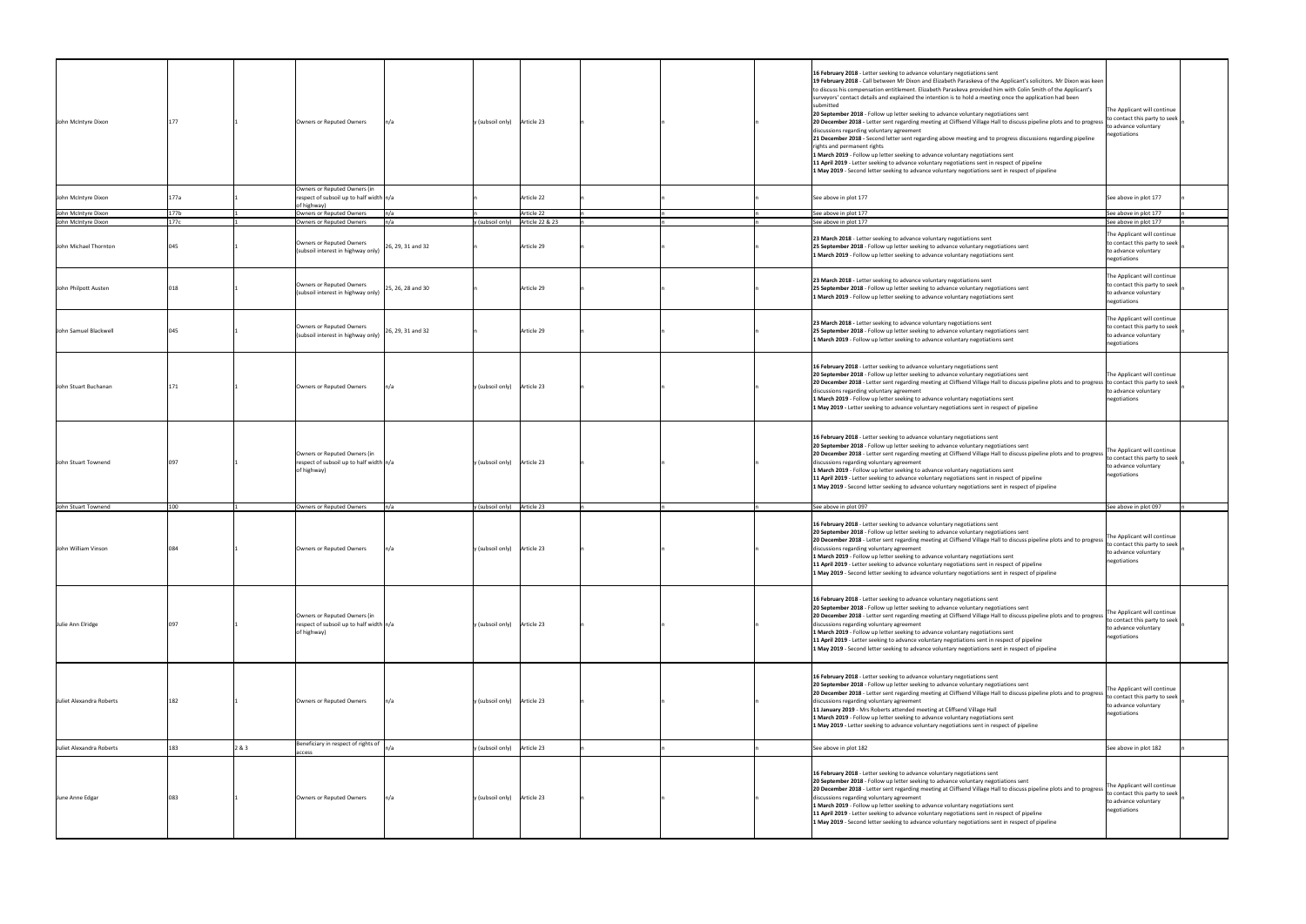| John McIntyre Dixon      |      |     | Owners or Reputed Owners                                                                 |                   | $y$ (subsoil only) Article 23 |                 |  | 16 February 2018 - Letter seeking to advance voluntary negotiations sent<br>19 February 2018 - Call between Mr Dixon and Elizabeth Paraskeva of the Applicant's solicitors. Mr Dixon was keen<br>to discuss his compensation entitlement. Elizabeth Paraskeva provided him with Colin Smith of the Applicant's<br>surveyors' contact details and explained the intention is to hold a meeting once the application had been<br>submitted<br>20 September 2018 - Follow up letter seeking to advance voluntary negotiations sent<br>20 December 2018 - Letter sent regarding meeting at Cliffsend Village Hall to discuss pipeline plots and to progress<br>discussions regarding voluntary agreement<br>21 December 2018 - Second letter sent regarding above meeting and to progress discussions regarding pipeline<br>rights and permanent rights<br>1 March 2019 - Follow up letter seeking to advance voluntary negotiations sent<br>11 April 2019 - Letter seeking to advance voluntary negotiations sent in respect of pipeline<br>1 May 2019 - Second letter seeking to advance voluntary negotiations sent in respect of pipeline | The Applicant will continue<br>to contact this party to seek<br>to advance voluntary<br>negotiations |
|--------------------------|------|-----|------------------------------------------------------------------------------------------|-------------------|-------------------------------|-----------------|--|-------------------------------------------------------------------------------------------------------------------------------------------------------------------------------------------------------------------------------------------------------------------------------------------------------------------------------------------------------------------------------------------------------------------------------------------------------------------------------------------------------------------------------------------------------------------------------------------------------------------------------------------------------------------------------------------------------------------------------------------------------------------------------------------------------------------------------------------------------------------------------------------------------------------------------------------------------------------------------------------------------------------------------------------------------------------------------------------------------------------------------------------|------------------------------------------------------------------------------------------------------|
| John McIntyre Dixon      | 77a  |     | Owners or Reputed Owners (in<br>respect of subsoil up to half width $n/a$<br>of highway) |                   |                               | Article 22      |  | See above in plot 177                                                                                                                                                                                                                                                                                                                                                                                                                                                                                                                                                                                                                                                                                                                                                                                                                                                                                                                                                                                                                                                                                                                     | See above in plot 177                                                                                |
| John McIntyre Dixon      | 177b |     | Owners or Reputed Owners                                                                 |                   |                               | Article 22      |  | See above in plot 177                                                                                                                                                                                                                                                                                                                                                                                                                                                                                                                                                                                                                                                                                                                                                                                                                                                                                                                                                                                                                                                                                                                     | See above in plot 177                                                                                |
| John McIntyre Dixon      | 177c |     | Owners or Reputed Owners                                                                 | n/a               | y (subsoil only)              | Article 22 & 23 |  | See above in plot 177                                                                                                                                                                                                                                                                                                                                                                                                                                                                                                                                                                                                                                                                                                                                                                                                                                                                                                                                                                                                                                                                                                                     | See above in plot 177                                                                                |
| John Michael Thornton    |      |     | Owners or Reputed Owners<br>(subsoil interest in highway only)                           | 26, 29, 31 and 32 |                               | Article 29      |  | 23 March 2018 - Letter seeking to advance voluntary negotiations sent<br>25 September 2018 - Follow up letter seeking to advance voluntary negotiations sent<br>1 March 2019 - Follow up letter seeking to advance voluntary negotiations sent                                                                                                                                                                                                                                                                                                                                                                                                                                                                                                                                                                                                                                                                                                                                                                                                                                                                                            | The Applicant will continue<br>to contact this party to seek<br>to advance voluntary<br>negotiations |
| John Philpott Austen     |      |     | Owners or Reputed Owners<br>(subsoil interest in highway only)                           | 25, 26, 28 and 30 |                               | Article 29      |  | 23 March 2018 - Letter seeking to advance voluntary negotiations sent<br>25 September 2018 - Follow up letter seeking to advance voluntary negotiations sent<br>1 March 2019 - Follow up letter seeking to advance voluntary negotiations sent                                                                                                                                                                                                                                                                                                                                                                                                                                                                                                                                                                                                                                                                                                                                                                                                                                                                                            | The Applicant will continue<br>to contact this party to seek<br>to advance voluntary<br>negotiations |
| John Samuel Blackwell    |      |     | Owners or Reputed Owners<br>(subsoil interest in highway only)                           | 26, 29, 31 and 32 |                               | Article 29      |  | 23 March 2018 - Letter seeking to advance voluntary negotiations sent<br>25 September 2018 - Follow up letter seeking to advance voluntary negotiations sent<br>1 March 2019 - Follow up letter seeking to advance voluntary negotiations sent                                                                                                                                                                                                                                                                                                                                                                                                                                                                                                                                                                                                                                                                                                                                                                                                                                                                                            | The Applicant will continue<br>to contact this party to seek<br>to advance voluntary<br>negotiations |
| John Stuart Buchanan     |      |     | Owners or Reputed Owners                                                                 |                   | $y$ (subsoil only) Article 23 |                 |  | 16 February 2018 - Letter seeking to advance voluntary negotiations sent<br>20 September 2018 - Follow up letter seeking to advance voluntary negotiations sent<br>20 December 2018 - Letter sent regarding meeting at Cliffsend Village Hall to discuss pipeline plots and to progress to contact this party to seek<br>discussions regarding voluntary agreement<br>1 March 2019 - Follow up letter seeking to advance voluntary negotiations sent<br>1 May 2019 - Letter seeking to advance voluntary negotiations sent in respect of pipeline                                                                                                                                                                                                                                                                                                                                                                                                                                                                                                                                                                                         | The Applicant will continue<br>to advance voluntary<br>negotiations                                  |
| John Stuart Townend      | በዓ7  |     | Owners or Reputed Owners (in<br>respect of subsoil up to half width $n/a$<br>of highway) |                   | y (subsoil only)              | Article 23      |  | 16 February 2018 - Letter seeking to advance voluntary negotiations sent<br>20 September 2018 - Follow up letter seeking to advance voluntary negotiations sent<br>20 December 2018 - Letter sent regarding meeting at Cliffsend Village Hall to discuss pipeline plots and to progress<br>discussions regarding voluntary agreement<br>1 March 2019 - Follow up letter seeking to advance voluntary negotiations sent<br>11 April 2019 - Letter seeking to advance voluntary negotiations sent in respect of pipeline<br>1 May 2019 - Second letter seeking to advance voluntary negotiations sent in respect of pipeline                                                                                                                                                                                                                                                                                                                                                                                                                                                                                                                | The Applicant will continue<br>to contact this party to seek<br>to advance voluntary<br>negotiations |
| John Stuart Townend      | 100  |     | Owners or Reputed Owners                                                                 |                   | y (subsoil only)              | Article 23      |  | See above in plot 097                                                                                                                                                                                                                                                                                                                                                                                                                                                                                                                                                                                                                                                                                                                                                                                                                                                                                                                                                                                                                                                                                                                     | See above in plot 097                                                                                |
| John William Vinson      |      |     | Owners or Reputed Owners                                                                 |                   | y (subsoil only)              | Article 23      |  | 16 February 2018 - Letter seeking to advance voluntary negotiations sent<br>20 September 2018 - Follow up letter seeking to advance voluntary negotiations sent<br>20 December 2018 - Letter sent regarding meeting at Cliffsend Village Hall to discuss pipeline plots and to progress<br>discussions regarding voluntary agreement<br>1 March 2019 - Follow up letter seeking to advance voluntary negotiations sent<br>11 April 2019 - Letter seeking to advance voluntary negotiations sent in respect of pipeline<br>1 May 2019 - Second letter seeking to advance voluntary negotiations sent in respect of pipeline                                                                                                                                                                                                                                                                                                                                                                                                                                                                                                                | The Applicant will continue<br>to contact this party to seek<br>to advance voluntary<br>negotiations |
| Julie Ann Elridge        |      |     | Owners or Reputed Owners (in<br>respect of subsoil up to half width $n/a$<br>of highway) |                   | y (subsoil only) Article 23   |                 |  | 16 February 2018 - Letter seeking to advance voluntary negotiations sent<br>20 September 2018 - Follow up letter seeking to advance voluntary negotiations sent<br>20 December 2018 - Letter sent regarding meeting at Cliffsend Village Hall to discuss pipeline plots and to progress<br>discussions regarding voluntary agreement<br>1 March 2019 - Follow up letter seeking to advance voluntary negotiations sent<br>11 April 2019 - Letter seeking to advance voluntary negotiations sent in respect of pipeline<br>1 May 2019 - Second letter seeking to advance voluntary negotiations sent in respect of pipeline                                                                                                                                                                                                                                                                                                                                                                                                                                                                                                                | The Applicant will continue<br>to contact this party to seek<br>to advance voluntary<br>negotiations |
| Juliet Alexandra Roberts |      |     | Owners or Reputed Owners                                                                 |                   | $y$ (subsoil only) Article 23 |                 |  | 16 February 2018 - Letter seeking to advance voluntary negotiations sent<br>20 September 2018 - Follow up letter seeking to advance voluntary negotiations sent<br>20 December 2018 - Letter sent regarding meeting at Cliffsend Village Hall to discuss pipeline plots and to progress<br>discussions regarding voluntary agreement<br>11 January 2019 - Mrs Roberts attended meeting at Cliffsend Village Hall<br>1 March 2019 - Follow up letter seeking to advance voluntary negotiations sent<br>1 May 2019 - Letter seeking to advance voluntary negotiations sent in respect of pipeline                                                                                                                                                                                                                                                                                                                                                                                                                                                                                                                                           | The Applicant will continue<br>to contact this party to seek<br>to advance voluntary<br>negotiations |
| Juliet Alexandra Roberts |      | 2&3 | Beneficiary in respect of rights of                                                      |                   | y (subsoil only)              | Article 23      |  | See above in plot 182                                                                                                                                                                                                                                                                                                                                                                                                                                                                                                                                                                                                                                                                                                                                                                                                                                                                                                                                                                                                                                                                                                                     | See above in plot 182                                                                                |
| June Anne Edgar          |      |     | access<br>Owners or Reputed Owners                                                       |                   | y (subsoil only)              | Article 23      |  | 16 February 2018 - Letter seeking to advance voluntary negotiations sent<br>20 September 2018 - Follow up letter seeking to advance voluntary negotiations sent<br>20 December 2018 - Letter sent regarding meeting at Cliffsend Village Hall to discuss pipeline plots and to progress<br>discussions regarding voluntary agreement<br>1 March 2019 - Follow up letter seeking to advance voluntary negotiations sent<br>11 April 2019 - Letter seeking to advance voluntary negotiations sent in respect of pipeline<br>1 May 2019 - Second letter seeking to advance voluntary negotiations sent in respect of pipeline                                                                                                                                                                                                                                                                                                                                                                                                                                                                                                                | The Applicant will continue<br>to contact this party to seek<br>to advance voluntary<br>negotiations |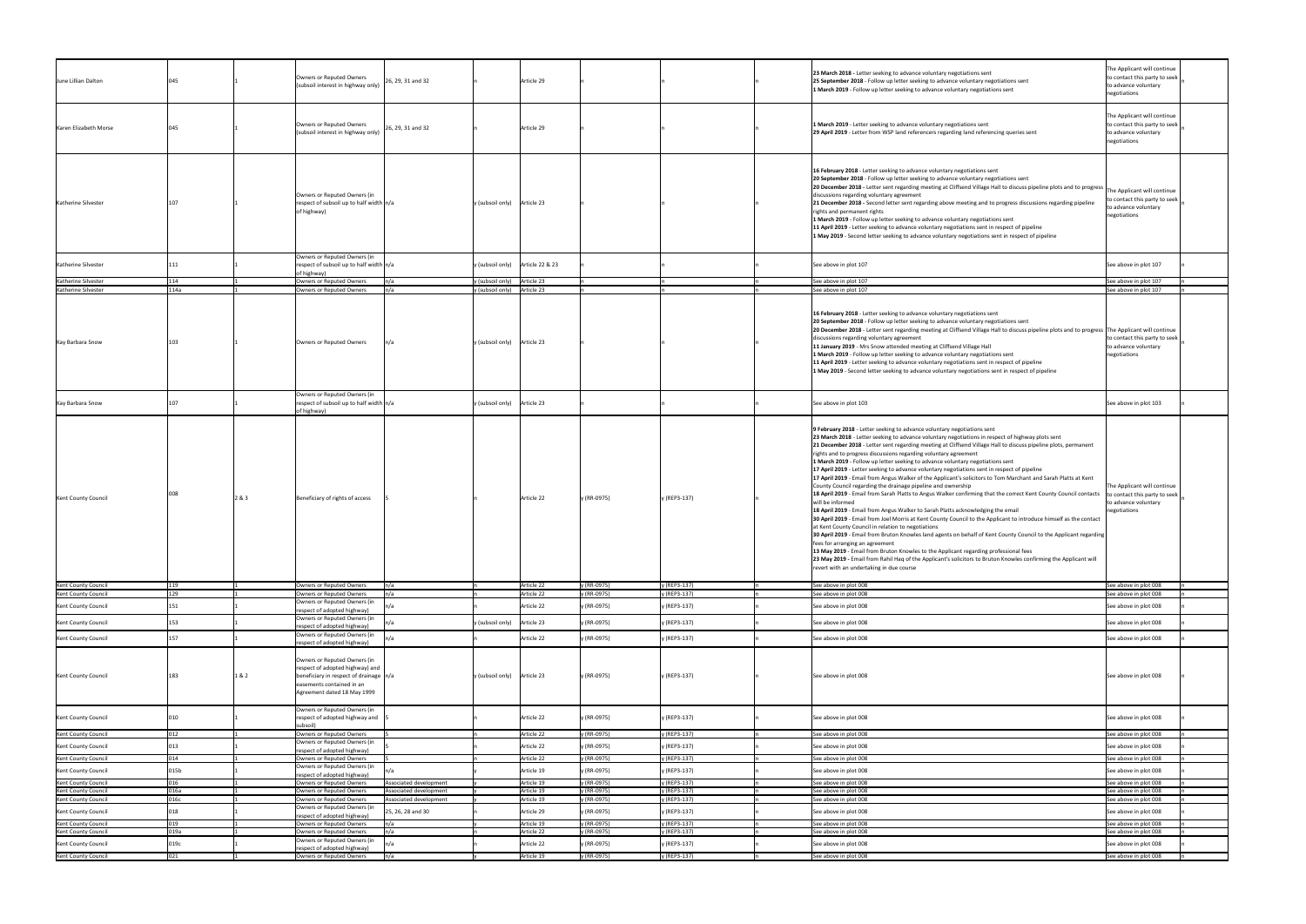| June Lillian Dalton                               |      |       | Owners or Reputed Owners<br>(subsoil interest in highway only)                                                                                                                         | 26, 29, 31 and 32                                | Article 29                         |                            |                              | 23 March 2018 - Letter seeking to advance voluntary negotiations sent<br>25 September 2018 - Follow up letter seeking to advance voluntary negotiations sent<br>1 March 2019 - Follow up letter seeking to advance voluntary negotiations sent                                                                                                                                                                                                                                                                                                                                                                                                                                                                                                                                                                                                                                                                                                                                                                                                                                                                                                                                                                                                                                                                                                                                                                                                                                                                                                                 | The Applicant will continue<br>to contact this party to seek<br>to advance voluntary<br>negotiations |
|---------------------------------------------------|------|-------|----------------------------------------------------------------------------------------------------------------------------------------------------------------------------------------|--------------------------------------------------|------------------------------------|----------------------------|------------------------------|----------------------------------------------------------------------------------------------------------------------------------------------------------------------------------------------------------------------------------------------------------------------------------------------------------------------------------------------------------------------------------------------------------------------------------------------------------------------------------------------------------------------------------------------------------------------------------------------------------------------------------------------------------------------------------------------------------------------------------------------------------------------------------------------------------------------------------------------------------------------------------------------------------------------------------------------------------------------------------------------------------------------------------------------------------------------------------------------------------------------------------------------------------------------------------------------------------------------------------------------------------------------------------------------------------------------------------------------------------------------------------------------------------------------------------------------------------------------------------------------------------------------------------------------------------------|------------------------------------------------------------------------------------------------------|
| Karen Elizabeth Morse                             |      |       | Owners or Reputed Owners<br>(subsoil interest in highway only)                                                                                                                         | 26, 29, 31 and 32                                | Article 29                         |                            |                              | 1 March 2019 - Letter seeking to advance voluntary negotiations sent<br>29 April 2019 - Letter from WSP land referencers regarding land referencing queries sent                                                                                                                                                                                                                                                                                                                                                                                                                                                                                                                                                                                                                                                                                                                                                                                                                                                                                                                                                                                                                                                                                                                                                                                                                                                                                                                                                                                               | The Applicant will continue<br>to contact this party to seek<br>to advance voluntary<br>negotiations |
| Katherine Silvester                               |      |       | Owners or Reputed Owners (in<br>respect of subsoil up to half width $n/a$<br>of highway)                                                                                               | y (subsoil only) Article 23                      |                                    |                            |                              | 16 February 2018 - Letter seeking to advance voluntary negotiations sent<br>20 September 2018 - Follow up letter seeking to advance voluntary negotiations sent<br>20 December 2018 - Letter sent regarding meeting at Cliffsend Village Hall to discuss pipeline plots and to progress<br>discussions regarding voluntary agreement<br>21 December 2018 - Second letter sent regarding above meeting and to progress discussions regarding pipeline<br>rights and permanent rights<br>1 March 2019 - Follow up letter seeking to advance voluntary negotiations sent<br>11 April 2019 - Letter seeking to advance voluntary negotiations sent in respect of pipeline<br>1 May 2019 - Second letter seeking to advance voluntary negotiations sent in respect of pipeline                                                                                                                                                                                                                                                                                                                                                                                                                                                                                                                                                                                                                                                                                                                                                                                      | The Applicant will continue<br>to contact this party to seek<br>to advance voluntary<br>negotiations |
| Katherine Silvester                               |      |       | Owners or Reputed Owners (in<br>respect of subsoil up to half width $n/a$                                                                                                              |                                                  | y (subsoil only)   Article 22 & 23 |                            |                              | See above in plot 107                                                                                                                                                                                                                                                                                                                                                                                                                                                                                                                                                                                                                                                                                                                                                                                                                                                                                                                                                                                                                                                                                                                                                                                                                                                                                                                                                                                                                                                                                                                                          | See above in plot 107                                                                                |
| Katherine Silvester                               | 114  |       | of highway)<br>Owners or Reputed Owners                                                                                                                                                | ln/a                                             | y (subsoil only) Article 23        |                            |                              | See above in plot 107                                                                                                                                                                                                                                                                                                                                                                                                                                                                                                                                                                                                                                                                                                                                                                                                                                                                                                                                                                                                                                                                                                                                                                                                                                                                                                                                                                                                                                                                                                                                          | See above in plot 107                                                                                |
| Katherine Silvester                               | 114a |       | Owners or Reputed Owners                                                                                                                                                               | n/a                                              | y (subsoil only) Article 23        |                            |                              | See above in plot 107                                                                                                                                                                                                                                                                                                                                                                                                                                                                                                                                                                                                                                                                                                                                                                                                                                                                                                                                                                                                                                                                                                                                                                                                                                                                                                                                                                                                                                                                                                                                          | See above in plot 107                                                                                |
| Kay Barbara Snow                                  |      |       | Owners or Reputed Owners                                                                                                                                                               | y (subsoil only) Article 23                      |                                    |                            |                              | 16 February 2018 - Letter seeking to advance voluntary negotiations sent<br>20 September 2018 - Follow up letter seeking to advance voluntary negotiations sent<br>20 December 2018 - Letter sent regarding meeting at Cliffsend Village Hall to discuss pipeline plots and to progress The Applicant will continue<br>discussions regarding voluntary agreement<br>11 January 2019 - Mrs Snow attended meeting at Cliffsend Village Hall<br>1 March 2019 - Follow up letter seeking to advance voluntary negotiations sent<br>11 April 2019 - Letter seeking to advance voluntary negotiations sent in respect of pipeline<br>1 May 2019 - Second letter seeking to advance voluntary negotiations sent in respect of pipeline                                                                                                                                                                                                                                                                                                                                                                                                                                                                                                                                                                                                                                                                                                                                                                                                                                | to contact this party to seek<br>to advance voluntary<br>negotiations                                |
| Kay Barbara Snow                                  |      |       | Owners or Reputed Owners (in<br>respect of subsoil up to half width $n/a$<br>of highway)                                                                                               | y (subsoil only) Article 23                      |                                    |                            |                              | See above in plot 103                                                                                                                                                                                                                                                                                                                                                                                                                                                                                                                                                                                                                                                                                                                                                                                                                                                                                                                                                                                                                                                                                                                                                                                                                                                                                                                                                                                                                                                                                                                                          | See above in plot 103                                                                                |
| Kent County Council                               |      | 2&3   | Beneficiary of rights of access                                                                                                                                                        |                                                  | Article 22                         | y (RR-0975)                | y (REP3-137)                 | 9 February 2018 - Letter seeking to advance voluntary negotiations sent<br>23 March 2018 - Letter seeking to advance voluntary negotiations in respect of highway plots sent<br>21 December 2018 - Letter sent regarding meeting at Cliffsend Village Hall to discuss pipeline plots, permanent<br>rights and to progress discussions regarding voluntary agreement<br>1 March 2019 - Follow up letter seeking to advance voluntary negotiations sent<br>17 April 2019 - Letter seeking to advance voluntary negotiations sent in respect of pipeline<br>17 April 2019 - Email from Angus Walker of the Applicant's solicitors to Tom Marchant and Sarah Platts at Kent<br>County Council regarding the drainage pipeline and ownership<br>18 April 2019 - Email from Sarah Platts to Angus Walker confirming that the correct Kent County Council contacts<br>will be informed<br>18 April 2019 - Email from Angus Walker to Sarah Platts acknowledging the email<br>30 April 2019 - Email from Joel Morris at Kent County Council to the Applicant to introduce himself as the contact<br>at Kent County Council in relation to negotiations<br>30 April 2019 - Email from Bruton Knowles land agents on behalf of Kent County Council to the Applicant regarding<br>fees for arranging an agreement<br>13 May 2019 - Email from Bruton Knowles to the Applicant regarding professional fees<br>23 May 2019 - Email from Rahil Haq of the Applicant's solicitors to Bruton Knowles confirming the Applicant will<br>revert with an undertaking in due course | The Applicant will continue<br>to contact this party to seek<br>to advance voluntary<br>negotiations |
| Kent County Council                               |      |       | Owners or Reputed Owners                                                                                                                                                               |                                                  | Article 22                         | y (RR-0975)                | (REP3-137)                   | See above in plot 008                                                                                                                                                                                                                                                                                                                                                                                                                                                                                                                                                                                                                                                                                                                                                                                                                                                                                                                                                                                                                                                                                                                                                                                                                                                                                                                                                                                                                                                                                                                                          | See above in plot 008                                                                                |
| Kent County Council                               | 179  |       | Owners or Reputed Owners<br>Owners or Reputed Owners (in                                                                                                                               | n/a                                              | Article 22                         | y (RR-0975)                | y (REP3-137)                 | See above in plot 008                                                                                                                                                                                                                                                                                                                                                                                                                                                                                                                                                                                                                                                                                                                                                                                                                                                                                                                                                                                                                                                                                                                                                                                                                                                                                                                                                                                                                                                                                                                                          | See above in plot 008                                                                                |
| <b>Kent County Council</b>                        |      |       | respect of adopted highway)                                                                                                                                                            |                                                  | Article 22                         | y (RR-0975)                | y (REP3-137)                 | See above in plot 008                                                                                                                                                                                                                                                                                                                                                                                                                                                                                                                                                                                                                                                                                                                                                                                                                                                                                                                                                                                                                                                                                                                                                                                                                                                                                                                                                                                                                                                                                                                                          | See above in plot 008                                                                                |
| Kent County Council                               |      |       | Owners or Reputed Owners (in<br>respect of adopted highway)                                                                                                                            | y (subsoil only)                                 | Article 23                         | y (RR-0975)                | y (REP3-137)                 | See above in plot 008                                                                                                                                                                                                                                                                                                                                                                                                                                                                                                                                                                                                                                                                                                                                                                                                                                                                                                                                                                                                                                                                                                                                                                                                                                                                                                                                                                                                                                                                                                                                          | See above in plot 008                                                                                |
| Kent County Council<br>Kent County Council        | 183  | l & 2 | Owners or Reputed Owners (in<br>respect of adopted highway)<br>Owners or Reputed Owners (in<br>respect of adopted highway) and<br>beneficiary in respect of drainage $\vert n/a \vert$ | y (subsoil only) Article 23                      | Article 22                         | y (RR-0975)<br>y (RR-0975) | y (REP3-137)<br>y (REP3-137) | See above in plot 008<br>See above in plot 008                                                                                                                                                                                                                                                                                                                                                                                                                                                                                                                                                                                                                                                                                                                                                                                                                                                                                                                                                                                                                                                                                                                                                                                                                                                                                                                                                                                                                                                                                                                 | See above in plot 008<br>See above in plot 008                                                       |
|                                                   |      |       | easements contained in an<br>Agreement dated 18 May 1999<br>Owners or Reputed Owners (in                                                                                               |                                                  |                                    |                            |                              |                                                                                                                                                                                                                                                                                                                                                                                                                                                                                                                                                                                                                                                                                                                                                                                                                                                                                                                                                                                                                                                                                                                                                                                                                                                                                                                                                                                                                                                                                                                                                                |                                                                                                      |
| Kent County Council                               |      |       | respect of adopted highway and<br>subsoil)                                                                                                                                             |                                                  | Article 22                         | y (RR-0975)                | y (REP3-137)                 | See above in plot 008                                                                                                                                                                                                                                                                                                                                                                                                                                                                                                                                                                                                                                                                                                                                                                                                                                                                                                                                                                                                                                                                                                                                                                                                                                                                                                                                                                                                                                                                                                                                          | See above in plot 008                                                                                |
| Kent County Council                               |      |       | Owners or Reputed Owners                                                                                                                                                               |                                                  | Article 22                         | y (RR-0975)                | y (REP3-137)                 | See above in plot 008                                                                                                                                                                                                                                                                                                                                                                                                                                                                                                                                                                                                                                                                                                                                                                                                                                                                                                                                                                                                                                                                                                                                                                                                                                                                                                                                                                                                                                                                                                                                          | See above in plot 008                                                                                |
| Kent County Council                               |      |       | Owners or Reputed Owners (in<br>respect of adopted highway)                                                                                                                            |                                                  | Article 22                         | y (RR-0975)                | y (REP3-137)                 | See above in plot 008                                                                                                                                                                                                                                                                                                                                                                                                                                                                                                                                                                                                                                                                                                                                                                                                                                                                                                                                                                                                                                                                                                                                                                                                                                                                                                                                                                                                                                                                                                                                          | See above in plot 008                                                                                |
| Kent County Council                               |      |       | Owners or Reputed Owners<br>Owners or Reputed Owners (in                                                                                                                               |                                                  | Article 22                         | y (RR-0975)                | y (REP3-137)                 | See above in plot 008                                                                                                                                                                                                                                                                                                                                                                                                                                                                                                                                                                                                                                                                                                                                                                                                                                                                                                                                                                                                                                                                                                                                                                                                                                                                                                                                                                                                                                                                                                                                          | See above in plot 008                                                                                |
| Kent County Council                               | 015b |       | respect of adopted highway)                                                                                                                                                            |                                                  | Article 19                         | y (RR-0975)                | y (REP3-137)                 | See above in plot 008                                                                                                                                                                                                                                                                                                                                                                                                                                                                                                                                                                                                                                                                                                                                                                                                                                                                                                                                                                                                                                                                                                                                                                                                                                                                                                                                                                                                                                                                                                                                          | See above in plot 008                                                                                |
| Kent County Council<br><b>Kent County Council</b> | 016a |       | Owners or Reputed Owners<br>Owners or Reputed Owners                                                                                                                                   | Associated development<br>Associated development | Article 19<br>Article 19           | y (RR-0975)<br>y (RR-0975) | y (REP3-137)<br>/ (REP3-137) | See above in plot 008<br>See above in plot 008                                                                                                                                                                                                                                                                                                                                                                                                                                                                                                                                                                                                                                                                                                                                                                                                                                                                                                                                                                                                                                                                                                                                                                                                                                                                                                                                                                                                                                                                                                                 | See above in plot 008<br>See above in plot 008                                                       |
| Kent County Council                               | 016c |       | Owners or Reputed Owners                                                                                                                                                               | Associated development                           | Article 19                         | y (RR-0975)                | / (REP3-137)                 | See above in plot 008                                                                                                                                                                                                                                                                                                                                                                                                                                                                                                                                                                                                                                                                                                                                                                                                                                                                                                                                                                                                                                                                                                                                                                                                                                                                                                                                                                                                                                                                                                                                          | See above in plot 008                                                                                |
| Kent County Council                               |      |       | Owners or Reputed Owners (in<br>respect of adopted highway)                                                                                                                            | 25, 26, 28 and 30                                | Article 29                         | y (RR-0975)                | y (REP3-137)                 | See above in plot 008                                                                                                                                                                                                                                                                                                                                                                                                                                                                                                                                                                                                                                                                                                                                                                                                                                                                                                                                                                                                                                                                                                                                                                                                                                                                                                                                                                                                                                                                                                                                          | See above in plot 008                                                                                |
| Kent County Council                               |      |       | Owners or Reputed Owners                                                                                                                                                               |                                                  | Article 19                         | y (RR-0975)                | / (REP3-137)                 | See above in plot 008                                                                                                                                                                                                                                                                                                                                                                                                                                                                                                                                                                                                                                                                                                                                                                                                                                                                                                                                                                                                                                                                                                                                                                                                                                                                                                                                                                                                                                                                                                                                          | See above in plot 008                                                                                |
| Kent County Council                               | 019a |       | Owners or Reputed Owners<br>Owners or Reputed Owners (in                                                                                                                               | n/a                                              | Article 22                         | y (RR-0975)                | y (REP3-137)                 | See above in plot 008                                                                                                                                                                                                                                                                                                                                                                                                                                                                                                                                                                                                                                                                                                                                                                                                                                                                                                                                                                                                                                                                                                                                                                                                                                                                                                                                                                                                                                                                                                                                          | See above in plot 008                                                                                |
| Kent County Council                               | )19c |       | respect of adopted highway)                                                                                                                                                            |                                                  | Article 22                         | y (RR-0975)                | y (REP3-137)                 | See above in plot 008                                                                                                                                                                                                                                                                                                                                                                                                                                                                                                                                                                                                                                                                                                                                                                                                                                                                                                                                                                                                                                                                                                                                                                                                                                                                                                                                                                                                                                                                                                                                          | See above in plot 008                                                                                |
| Kent County Council                               |      |       | Owners or Reputed Owners                                                                                                                                                               | n/a                                              | Article 19                         | y (RR-0975)                | y (REP3-137)                 | See above in plot 008                                                                                                                                                                                                                                                                                                                                                                                                                                                                                                                                                                                                                                                                                                                                                                                                                                                                                                                                                                                                                                                                                                                                                                                                                                                                                                                                                                                                                                                                                                                                          | See above in plot 008                                                                                |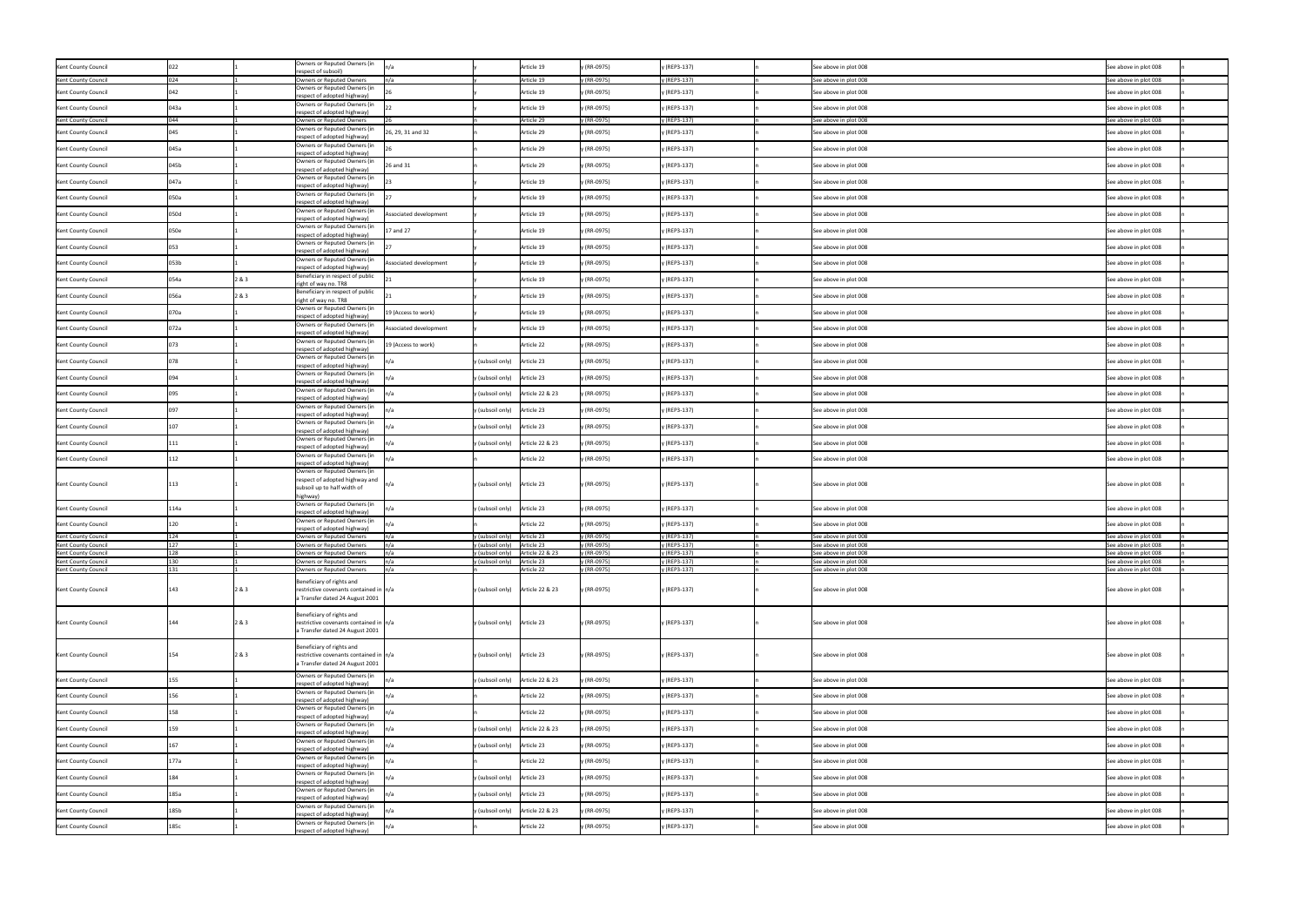| Kent County Council                        |            |       | Owners or Reputed Owners (in<br>respect of subsoil)                                                     | In/a                   |                                             | Article 19               | y (RR-0975)                | y (REP3-137)                 | See above in plot 008                          | See above in plot 008                          |
|--------------------------------------------|------------|-------|---------------------------------------------------------------------------------------------------------|------------------------|---------------------------------------------|--------------------------|----------------------------|------------------------------|------------------------------------------------|------------------------------------------------|
| Kent County Council                        | 024        |       | Owners or Reputed Owners                                                                                | n/a                    |                                             | Article 19               | y (RR-0975)                | y (REP3-137)                 | See above in plot 008                          | See above in plot 008                          |
| Kent County Council                        |            |       | Owners or Reputed Owners (in<br>respect of adopted highway)                                             |                        |                                             | Article 19               | y (RR-0975)                | y (REP3-137)                 | See above in plot 008                          | See above in plot 008                          |
| Kent County Council                        | 043а       |       | Owners or Reputed Owners (in<br>respect of adopted highway)                                             |                        |                                             | Article 19               | y (RR-0975)                | y (REP3-137)                 | See above in plot 008                          | See above in plot 008                          |
| Kent County Council                        | 044        |       | Owners or Reputed Owners                                                                                |                        |                                             | Article 29               | y (RR-0975)                | y (REP3-137)                 | See above in plot 008                          | See above in plot 008                          |
| Kent County Council                        |            |       | Owners or Reputed Owners (in<br>respect of adopted highway)                                             | 26, 29, 31 and 32      |                                             | Article 29               | y (RR-0975)                | y (REP3-137)                 | See above in plot 008                          | See above in plot 008                          |
| Kent County Council                        | 045a       |       | Owners or Reputed Owners (in<br>respect of adopted highway)                                             |                        |                                             | Article 29               | y (RR-0975)                | y (REP3-137)                 | See above in plot 008                          | See above in plot 008                          |
| Kent County Council                        | 045b       |       | Owners or Reputed Owners (in<br>respect of adopted highway)                                             | 26 and 31              |                                             | Article 29               | y (RR-0975)                | y (REP3-137)                 | See above in plot 008                          | See above in plot 008                          |
| Kent County Council                        | 047a       |       | Owners or Reputed Owners (in                                                                            |                        |                                             | Article 19               | y (RR-0975)                | y (REP3-137)                 | See above in plot 008                          | See above in plot 008                          |
| Kent County Council                        | 050a       |       | respect of adopted highway)<br>Owners or Reputed Owners (in                                             |                        |                                             | Article 19               | y (RR-0975)                | y (REP3-137)                 | See above in plot 008                          | See above in plot 008                          |
| Kent County Council                        | 050d       |       | respect of adopted highway)<br>Owners or Reputed Owners (in                                             | Associated development |                                             | Article 19               | y (RR-0975)                | y (REP3-137)                 | See above in plot 008                          | See above in plot 008                          |
| Kent County Council                        |            |       | respect of adopted highway)<br>Owners or Reputed Owners (in                                             | 17 and 27              |                                             | Article 19               | y (RR-0975)                | y (REP3-137)                 | See above in plot 008                          | See above in plot 008                          |
|                                            | 050e       |       | respect of adopted highway)<br>Owners or Reputed Owners (in                                             |                        |                                             |                          |                            |                              |                                                |                                                |
| Kent County Council                        |            |       | respect of adopted highway)<br>Owners or Reputed Owners (in                                             |                        |                                             | Article 19               | y (RR-0975)                | y (REP3-137)                 | See above in plot 008                          | See above in plot 008                          |
| Kent County Council                        | )53b       |       | respect of adopted highway)                                                                             | Associated development |                                             | Article 19               | y (RR-0975)                | y (REP3-137)                 | See above in plot 008                          | See above in plot 008                          |
| Kent County Council                        | 054a       | 2&3   | Beneficiary in respect of public<br>right of way no. TR8                                                |                        |                                             | Article 19               | y (RR-0975)                | y (REP3-137)                 | See above in plot 008                          | See above in plot 008                          |
| Kent County Council                        | 056a       | 2&3   | Beneficiary in respect of public<br>right of way no. TR8                                                |                        |                                             | Article 19               | y (RR-0975)                | y (REP3-137)                 | See above in plot 008                          | See above in plot 008                          |
| Kent County Council                        | 070a       |       | Owners or Reputed Owners (in<br>respect of adopted highway)                                             | 19 (Access to work)    |                                             | Article 19               | y (RR-0975)                | y (REP3-137)                 | See above in plot 008                          | See above in plot 008                          |
| Kent County Council                        | 072a       |       | Owners or Reputed Owners (in<br>respect of adopted highway)                                             | Associated development |                                             | Article 19               | y (RR-0975)                | y (REP3-137)                 | See above in plot 008                          | See above in plot 008                          |
| Kent County Council                        |            |       | Owners or Reputed Owners (in<br>respect of adopted highway)                                             | 19 (Access to work)    |                                             | Article 22               | y (RR-0975)                | y (REP3-137)                 | See above in plot 008                          | See above in plot 008                          |
| Kent County Council                        |            |       | Owners or Reputed Owners (in<br>respect of adopted highway)                                             |                        | y (subsoil only)                            | Article 23               | y (RR-0975)                | y (REP3-137)                 | See above in plot 008                          | See above in plot 008                          |
| Kent County Council                        |            |       | Owners or Reputed Owners (in<br>respect of adopted highway)                                             |                        | y (subsoil only)                            | Article 23               | y (RR-0975)                | y (REP3-137)                 | See above in plot 008                          | See above in plot 008                          |
| Kent County Council                        |            |       | Owners or Reputed Owners (in                                                                            |                        | y (subsoil only)                            | Article 22 & 23          | y (RR-0975)                | y (REP3-137)                 | See above in plot 008                          | See above in plot 008                          |
| Kent County Council                        |            |       | respect of adopted highway)<br>Owners or Reputed Owners (in                                             |                        | y (subsoil only)                            | Article 23               | y (RR-0975)                | y (REP3-137)                 | See above in plot 008                          | See above in plot 008                          |
| Kent County Council                        |            |       | respect of adopted highway)<br>Owners or Reputed Owners (in                                             |                        | y (subsoil only)                            | Article 23               | y (RR-0975)                | y (REP3-137)                 | See above in plot 008                          | See above in plot 008                          |
| Kent County Council                        |            |       | respect of adopted highway)<br>Owners or Reputed Owners (in                                             |                        | y (subsoil only)                            | Article 22 & 23          | y (RR-0975)                | y (REP3-137)                 | See above in plot 008                          | See above in plot 008                          |
| Kent County Council                        |            |       | respect of adopted highway)<br>Owners or Reputed Owners (in                                             |                        |                                             | Article 22               | y (RR-0975)                | y (REP3-137)                 | See above in plot 008                          | See above in plot 008                          |
|                                            |            |       | respect of adopted highway)<br>Owners or Reputed Owners (in                                             |                        |                                             |                          |                            |                              |                                                |                                                |
| Kent County Council                        | 113        |       | respect of adopted highway and<br>subsoil up to half width of                                           | n/a                    | y (subsoil only) Article 23                 |                          | y (RR-0975)                | y (REP3-137)                 | See above in plot 008                          | See above in plot 008                          |
|                                            |            |       | highway)<br>Owners or Reputed Owners (in                                                                |                        | y (subsoil only)                            | Article 23               |                            |                              |                                                |                                                |
| Kent County Council                        | 14a.       |       | respect of adopted highway)<br>Owners or Reputed Owners (in                                             |                        |                                             |                          | y (RR-0975)                | y (REP3-137)                 | See above in plot 008                          | See above in plot 008                          |
| Kent County Council                        |            |       | respect of adopted highway)                                                                             |                        |                                             | Article 22               | y (RR-0975)                | y (REP3-137)                 | See above in plot 008                          | See above in plot 008                          |
| Kent County Council<br>Kent County Council | 124<br>127 |       | Owners or Reputed Owners<br>Owners or Reputed Owners                                                    | n/a<br>n/a             | y (subsoil only)<br>y (subsoil only)        | Article 23<br>Article 23 | y (RR-0975)<br>y (RR-0975) | y (REP3-137)<br>y (REP3-137) | See above in plot 008<br>See above in plot 008 | See above in plot 008<br>See above in plot 008 |
| Kent County Council                        |            |       | Owners or Reputed Owners                                                                                | n/a                    | y (subsoil only)                            | Article 22 & 23          | y (RR-0975)                | y (REP3-137)                 | See above in plot 008                          | See above in plot 008                          |
| Kent County Council                        |            |       | <b>Owners or Reputed Owners</b>                                                                         | In/a                   |                                             |                          | y (RR-0975)                | ly (REP3-137)                | See above in plot 008                          | See above in plot 008                          |
| Kent County Council                        | 131        |       | Owners or Reputed Owners                                                                                | n/a                    |                                             | Article 22               | y (RR-0975)                | y (REP3-137)                 | See above in plot 008                          | See above in plot 008                          |
|                                            |            |       | Beneficiary of rights and                                                                               |                        |                                             |                          |                            |                              |                                                |                                                |
| Kent County Council                        | 143        | 2 & 3 | restrictive covenants contained in $\vert n/a \vert$<br>a Transfer dated 24 August 2001                 |                        | y (subsoil only) Article 22 & 23            |                          | y (RR-0975)                | y (REP3-137)                 | See above in plot 008                          | See above in plot 008                          |
|                                            |            |       | Beneficiary of rights and                                                                               |                        |                                             |                          |                            |                              |                                                |                                                |
| Kent County Council                        | 144        | 2 & 3 | restrictive covenants contained in $\vert n/a \vert$<br>a Transfer dated 24 August 2001                 |                        | $y$ (subsoil only) Article 23               |                          | y (RR-0975)                | y (REP3-137)                 | See above in plot 008                          | See above in plot 008                          |
|                                            |            |       |                                                                                                         |                        |                                             |                          |                            |                              |                                                |                                                |
| Kent County Council                        | 154        | 2 & 3 | Beneficiary of rights and<br>restrictive covenants contained in  n/a<br>a Transfer dated 24 August 2001 |                        | y (subsoil only) Article 23                 |                          | y (RR-0975)                | y (REP3-137)                 | See above in plot 008                          | See above in plot 008                          |
| Kent County Council                        |            |       | Owners or Reputed Owners (in                                                                            |                        | y (subsoil only)                            | Article 22 & 23          | y (RR-0975)                | y (REP3-137)                 | See above in plot 008                          | See above in plot 008                          |
|                                            |            |       | respect of adopted highway)<br>Owners or Reputed Owners (in                                             |                        |                                             |                          |                            |                              |                                                |                                                |
| Kent County Council                        |            |       | respect of adopted highway)<br>Owners or Reputed Owners (in                                             |                        |                                             | Article 22               | y (RR-0975)                | y (REP3-137)                 | See above in plot 008                          | See above in plot 008                          |
| Kent County Council                        |            |       | respect of adopted highway)<br>Owners or Reputed Owners (in                                             |                        |                                             | Article 22               | y (RR-0975)                | y (REP3-137)                 | See above in plot 008                          | See above in plot 008                          |
| Kent County Council                        |            |       | respect of adopted highway)                                                                             |                        | y (subsoil only)                            | Article 22 & 23          | y (RR-0975)                | y (REP3-137)                 | See above in plot 008                          | See above in plot 008                          |
| Kent County Council                        |            |       | Owners or Reputed Owners (in<br>respect of adopted highway)                                             |                        | y (subsoil only)                            | Article 23               | y (RR-0975)                | y (REP3-137)                 | See above in plot 008                          | See above in plot 008                          |
| Kent County Council                        | 177a       |       | Owners or Reputed Owners (in<br>respect of adopted highway)                                             |                        |                                             | Article 22               | y (RR-0975)                | y (REP3-137)                 | See above in plot 008                          | See above in plot 008                          |
| Kent County Council                        |            |       | Owners or Reputed Owners (in<br>respect of adopted highway)                                             |                        | y (subsoil only)                            | Article 23               | y (RR-0975)                | y (REP3-137)                 | See above in plot 008                          | See above in plot 008                          |
| Kent County Council                        | 185a       |       | Owners or Reputed Owners (in<br>respect of adopted highway)                                             |                        | y (subsoil only)                            | Article 23               | y (RR-0975)                | y (REP3-137)                 | See above in plot 008                          | See above in plot 008                          |
| Kent County Council                        | 185b       |       | Owners or Reputed Owners (in<br>respect of adopted highway)                                             |                        | $y$ (subsoil only) $\left $ Article 22 & 23 |                          | y (RR-0975)                | y (REP3-137)                 | See above in plot 008                          | See above in plot 008                          |
| Kent County Council                        | 185c       |       | Owners or Reputed Owners (in<br>respect of adopted highway)                                             | ln/a                   |                                             | Article 22               | y (RR-0975)                | y (REP3-137)                 | See above in plot 008                          | See above in plot 008                          |
|                                            |            |       |                                                                                                         |                        |                                             |                          |                            |                              |                                                |                                                |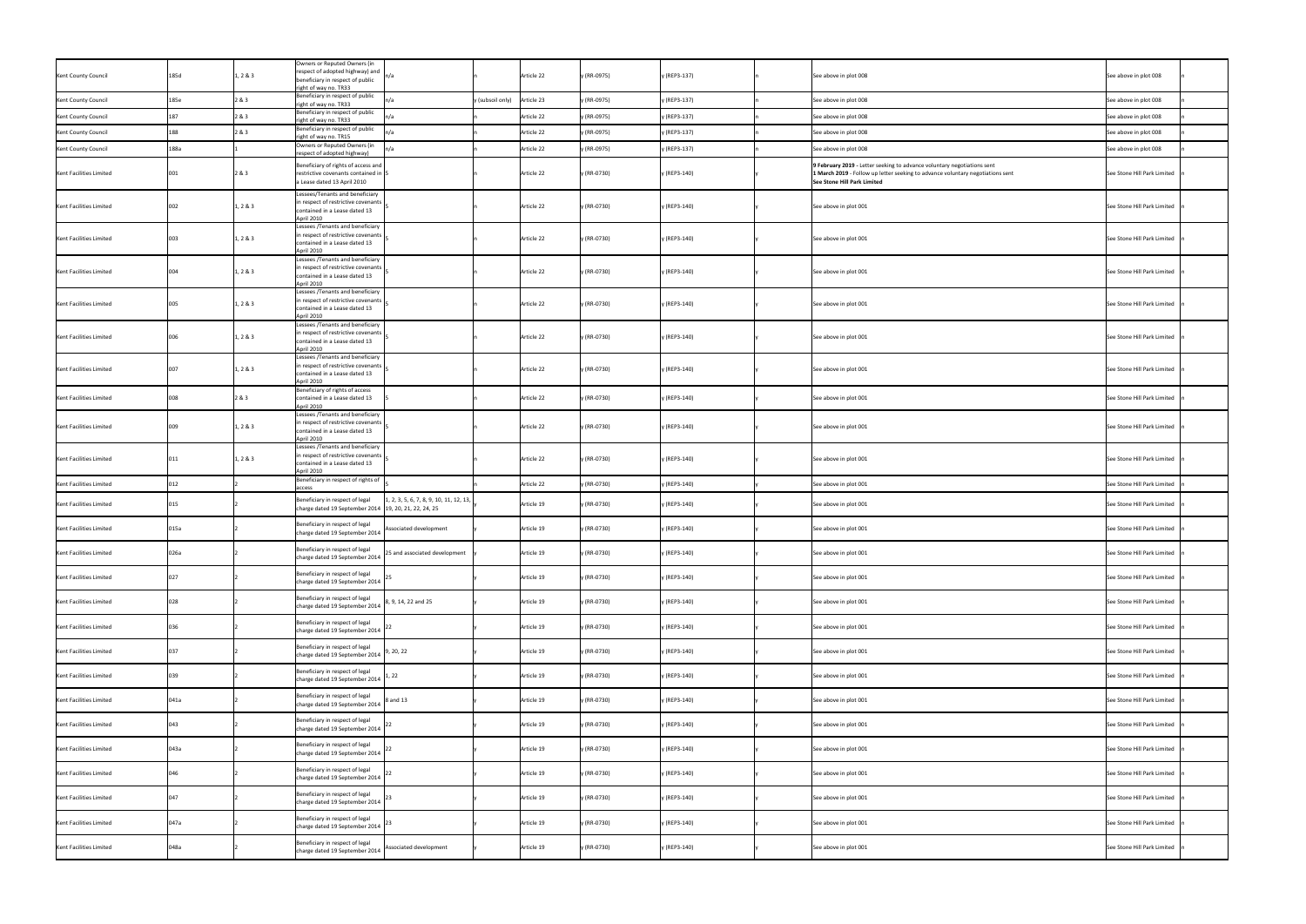| Kent County Council     | 185d | 1, 2 & 3 | Owners or Reputed Owners (in<br>respect of adopted highway) and<br>beneficiary in respect of public<br>right of way no. TR33 |                                                                      | Article 22                     | y (RR-0975) | y (REP3-137) | See above in plot 008                                                                                                                                                                    | See above in plot 008           |
|-------------------------|------|----------|------------------------------------------------------------------------------------------------------------------------------|----------------------------------------------------------------------|--------------------------------|-------------|--------------|------------------------------------------------------------------------------------------------------------------------------------------------------------------------------------------|---------------------------------|
| Kent County Council     | 185e | 2&3      | Beneficiary in respect of public<br>right of way no. TR33                                                                    |                                                                      | Article 23<br>y (subsoil only) | y (RR-0975) | y (REP3-137) | See above in plot 008                                                                                                                                                                    | See above in plot 008           |
| Kent County Council     |      | 2&3      | Beneficiary in respect of public<br>right of way no. TR33                                                                    |                                                                      | Article 22                     | y (RR-0975) | y (REP3-137) | See above in plot 008                                                                                                                                                                    | See above in plot 008           |
| Kent County Council     |      | 2 & 3    | Beneficiary in respect of public<br>right of way no. TR15                                                                    |                                                                      | Article 22                     | y (RR-0975) | y (REP3-137) | See above in plot 008                                                                                                                                                                    | See above in plot 008           |
| Kent County Council     | 188a |          | Owners or Reputed Owners (in<br>respect of adopted highway)                                                                  |                                                                      | Article 22                     | y (RR-0975) | y (REP3-137) | See above in plot 008                                                                                                                                                                    | See above in plot 008           |
| Kent Facilities Limited | 001  | 2 & 3    | Beneficiary of rights of access and<br>restrictive covenants contained in  5<br>a Lease dated 13 April 2010                  |                                                                      | Article 22                     | y (RR-0730) | y (REP3-140) | 9 February 2019 - Letter seeking to advance voluntary negotiations sent<br>1 March 2019 - Follow up letter seeking to advance voluntary negotiations sent<br>See Stone Hill Park Limited | See Stone Hill Park Limited     |
| Kent Facilities Limited | 002  | 1, 2 & 3 | Lessees/Tenants and beneficiary<br>in respect of restrictive covenants<br>contained in a Lease dated 13<br>April 2010        |                                                                      | Article 22                     | y (RR-0730) | y (REP3-140) | See above in plot 001                                                                                                                                                                    | See Stone Hill Park Limited     |
| Kent Facilities Limited | 003  | 1, 2 & 3 | Lessees /Tenants and beneficiary<br>in respect of restrictive covenants<br>contained in a Lease dated 13<br>April 2010       |                                                                      | Article 22                     | y (RR-0730) | y (REP3-140) | See above in plot 001                                                                                                                                                                    | See Stone Hill Park Limited     |
| Kent Facilities Limited | 004  | 1, 2 & 3 | Lessees /Tenants and beneficiary<br>in respect of restrictive covenants<br>contained in a Lease dated 13<br>April 2010       |                                                                      | Article 22                     | y (RR-0730) | y (REP3-140) | See above in plot 001                                                                                                                                                                    | See Stone Hill Park Limited     |
| Kent Facilities Limited | 005  | 1, 2 & 3 | Lessees /Tenants and beneficiary<br>in respect of restrictive covenants<br>contained in a Lease dated 13<br>April 2010       |                                                                      | Article 22                     | y (RR-0730) | y (REP3-140) | See above in plot 001                                                                                                                                                                    | See Stone Hill Park Limited   n |
| Kent Facilities Limited | 006  | 1, 2 & 3 | Lessees /Tenants and beneficiary<br>in respect of restrictive covenants<br>contained in a Lease dated 13<br>April 2010       |                                                                      | Article 22                     | y (RR-0730) | y (REP3-140) | See above in plot 001                                                                                                                                                                    | See Stone Hill Park Limited     |
| Kent Facilities Limited | 007  | 1, 2 & 3 | Lessees /Tenants and beneficiary<br>in respect of restrictive covenants<br>contained in a Lease dated 13<br>April 2010       |                                                                      | Article 22                     | y (RR-0730) | y (REP3-140) | See above in plot 001                                                                                                                                                                    | See Stone Hill Park Limited     |
| Kent Facilities Limited |      | 2 & 3    | Beneficiary of rights of access<br>contained in a Lease dated 13<br>April 2010<br>Lessees /Tenants and beneficiary           |                                                                      | Article 22                     | y (RR-0730) | y (REP3-140) | See above in plot 001                                                                                                                                                                    | See Stone Hill Park Limited     |
| Kent Facilities Limited | 009  | 1, 2 & 3 | in respect of restrictive covenants<br>contained in a Lease dated 13<br>April 2010<br>Lessees / Tenants and beneficiary      |                                                                      | Article 22                     | y (RR-0730) | y (REP3-140) | See above in plot 001                                                                                                                                                                    | See Stone Hill Park Limited     |
| Kent Facilities Limited |      | 1, 2 & 3 | in respect of restrictive covenants<br>contained in a Lease dated 13<br>April 2010<br>Beneficiary in respect of rights of    |                                                                      | Article 22                     | y (RR-0730) | y (REP3-140) | See above in plot 001                                                                                                                                                                    | See Stone Hill Park Limited     |
| Kent Facilities Limited |      |          | access                                                                                                                       |                                                                      | Article 22                     | y (RR-0730) | y (REP3-140) | See above in plot 001                                                                                                                                                                    | See Stone Hill Park Limited     |
| Kent Facilities Limited |      |          | Beneficiary in respect of legal<br>charge dated 19 September 2014 19, 20, 21, 22, 24, 25                                     | $\vert 1, 2, 3, 5, 6, 7, 8, 9, 10, 11, 12, 13, \vert$                | Article 19                     | y (RR-0730) | y (REP3-140) | See above in plot 001                                                                                                                                                                    | See Stone Hill Park Limited     |
| Kent Facilities Limited | 015a |          | Beneficiary in respect of legal<br>charge dated 19 September 2014                                                            | Associated development                                               | Article 19                     | y (RR-0730) | y (REP3-140) | See above in plot 001                                                                                                                                                                    | See Stone Hill Park Limited     |
| Kent Facilities Limited | 026a |          | Beneficiary in respect of legal                                                                                              | charge dated 19 September 2014 $\Big $ 25 and associated development | Article 19                     | y (RR-0730) | y (REP3-140) | See above in plot 001                                                                                                                                                                    | See Stone Hill Park Limited     |
| Kent Facilities Limited |      |          | Beneficiary in respect of legal<br>charge dated 19 September 2014                                                            |                                                                      | Article 19                     | y (RR-0730) | y (REP3-140) | See above in plot 001                                                                                                                                                                    | See Stone Hill Park Limited     |
| Kent Facilities Limited |      |          | Beneficiary in respect of legal<br>charge dated 19 September 2014                                                            | 8, 9, 14, 22 and 25                                                  | Article 19                     | y (RR-0730) | y (REP3-140) | See above in plot 001                                                                                                                                                                    | See Stone Hill Park Limited     |
| Kent Facilities Limited |      |          | Beneficiary in respect of legal<br>charge dated 19 September 2014 $ ^{22}$                                                   |                                                                      | Article 19                     | y (RR-0730) | y (REP3-140) | See above in plot 001                                                                                                                                                                    | See Stone Hill Park Limited     |
| Kent Facilities Limited |      |          | Beneficiary in respect of legal<br>charge dated 19 September 2014 $\Big 9, 20, 22\Big $                                      |                                                                      | Article 19                     | y (RR-0730) | y (REP3-140) | See above in plot 001                                                                                                                                                                    | See Stone Hill Park Limited     |
| Kent Facilities Limited |      |          | Beneficiary in respect of legal<br>charge dated 19 September 2014 $\Big $ 1, 22                                              |                                                                      | Article 19                     | y (RR-0730) | y (REP3-140) | See above in plot 001                                                                                                                                                                    | See Stone Hill Park Limited     |
| Kent Facilities Limited | 041a |          | Beneficiary in respect of legal<br>charge dated 19 September 2014 $\begin{vmatrix} 8 \text{ and } 13 \end{vmatrix}$          |                                                                      | Article 19                     | y (RR-0730) | y (REP3-140) | See above in plot 001                                                                                                                                                                    | See Stone Hill Park Limited     |
| Kent Facilities Limited | በ43  |          | Beneficiary in respect of legal<br>charge dated 19 September 2014 $ ^{22}$                                                   |                                                                      | Article 19                     | y (RR-0730) | y (REP3-140) | See above in plot 001                                                                                                                                                                    | See Stone Hill Park Limited     |
| Kent Facilities Limited | 043a |          | Beneficiary in respect of legal<br>charge dated 19 September 2014                                                            |                                                                      | Article 19                     | y (RR-0730) | y (REP3-140) | See above in plot 001                                                                                                                                                                    | See Stone Hill Park Limited     |
| Kent Facilities Limited |      |          | Beneficiary in respect of legal<br>charge dated 19 September 2014 $\Big ^{22}$                                               |                                                                      | Article 19                     | y (RR-0730) | y (REP3-140) | See above in plot 001                                                                                                                                                                    | See Stone Hill Park Limited     |
| Kent Facilities Limited |      |          | Beneficiary in respect of legal<br>charge dated 19 September 2014                                                            |                                                                      | Article 19                     | y (RR-0730) | y (REP3-140) | See above in plot 001                                                                                                                                                                    | See Stone Hill Park Limited     |
| Kent Facilities Limited | 047a |          | Beneficiary in respect of legal<br>charge dated 19 September 2014                                                            |                                                                      | Article 19                     | y (RR-0730) | y (REP3-140) | See above in plot 001                                                                                                                                                                    | See Stone Hill Park Limited     |
| Kent Facilities Limited | 048a |          | Beneficiary in respect of legal<br>charge dated 19 September 2014                                                            | Associated development                                               | Article 19                     | y (RR-0730) | y (REP3-140) | See above in plot 001                                                                                                                                                                    | See Stone Hill Park Limited     |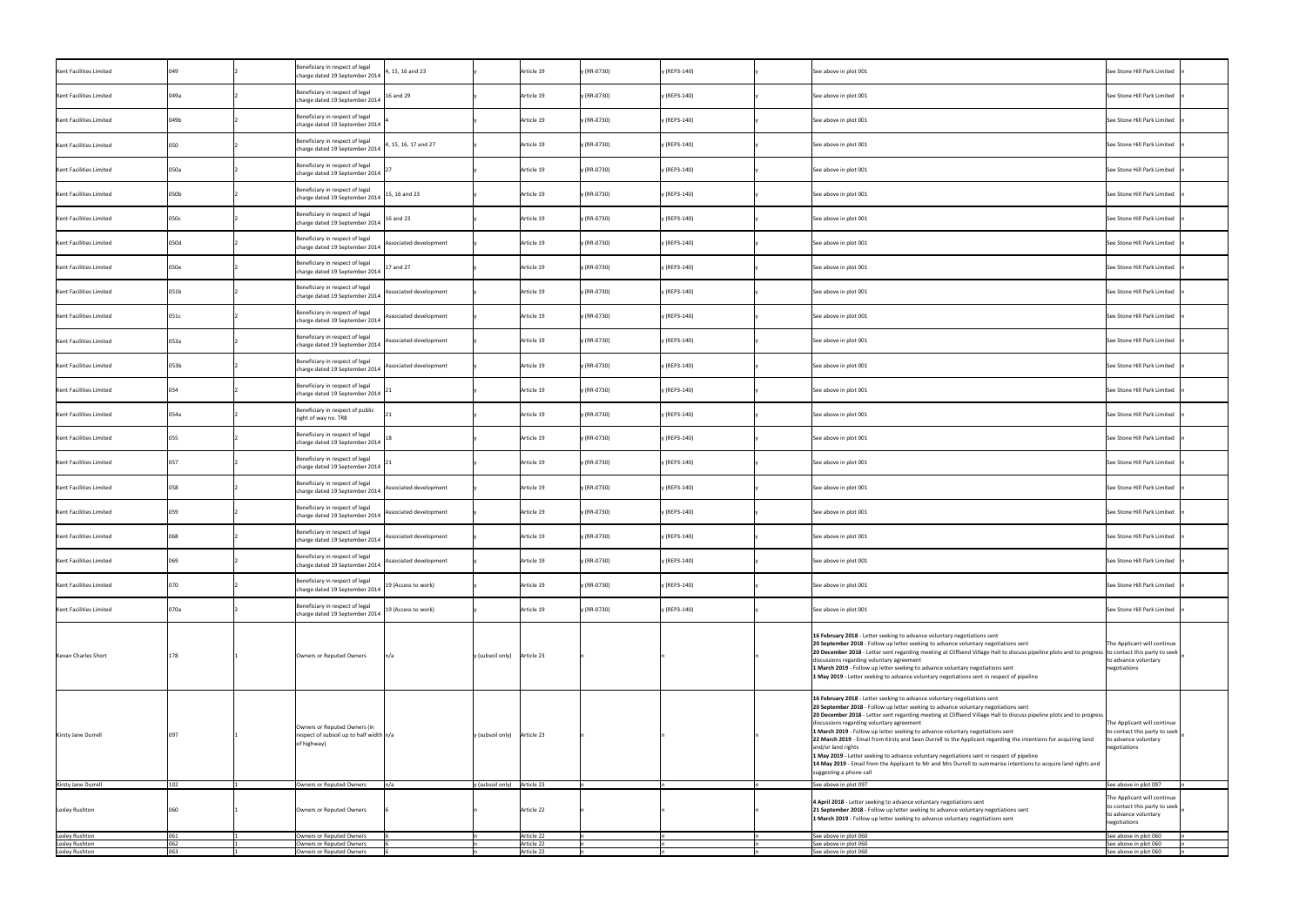| Kent Facilities Limited          |      | Beneficiary in respect of legal<br>charge dated 19 September 2014                        | , 15, 16 and 23        |                             | Article 19               | y (RR-0730) | y (REP3-140) | See above in plot 001                                                                                                                                                                                                                                                                                                                                                                                                                                                                                                                                                                                                                                                                                                                                                                                      | See Stone Hill Park Limited                                                                          |
|----------------------------------|------|------------------------------------------------------------------------------------------|------------------------|-----------------------------|--------------------------|-------------|--------------|------------------------------------------------------------------------------------------------------------------------------------------------------------------------------------------------------------------------------------------------------------------------------------------------------------------------------------------------------------------------------------------------------------------------------------------------------------------------------------------------------------------------------------------------------------------------------------------------------------------------------------------------------------------------------------------------------------------------------------------------------------------------------------------------------------|------------------------------------------------------------------------------------------------------|
| Kent Facilities Limited          | 049a | Beneficiary in respect of legal<br>charge dated 19 September 2014                        | 16 and 29              |                             | Article 19               | y (RR-0730) | y (REP3-140) | See above in plot 001                                                                                                                                                                                                                                                                                                                                                                                                                                                                                                                                                                                                                                                                                                                                                                                      | See Stone Hill Park Limited                                                                          |
| Kent Facilities Limited          | 049b | Beneficiary in respect of legal<br>charge dated 19 September 2014                        |                        |                             | Article 19               | y (RR-0730) | y (REP3-140) | See above in plot 001                                                                                                                                                                                                                                                                                                                                                                                                                                                                                                                                                                                                                                                                                                                                                                                      | See Stone Hill Park Limited                                                                          |
| Kent Facilities Limited          |      | Beneficiary in respect of legal<br>charge dated 19 September 2014                        | 1, 15, 16, 17 and 27   |                             | Article 19               | y (RR-0730) | y (REP3-140) | See above in plot 001                                                                                                                                                                                                                                                                                                                                                                                                                                                                                                                                                                                                                                                                                                                                                                                      | See Stone Hill Park Limited                                                                          |
| Kent Facilities Limited          | 050a | Beneficiary in respect of legal<br>charge dated 19 September 2014                        |                        |                             | Article 19               | y (RR-0730) | y (REP3-140) | See above in plot 001                                                                                                                                                                                                                                                                                                                                                                                                                                                                                                                                                                                                                                                                                                                                                                                      | See Stone Hill Park Limited                                                                          |
| Kent Facilities Limited          | 050b | Beneficiary in respect of legal<br>charge dated 19 September 2014                        | 15, 16 and 23          |                             | Article 19               | (RR-0730)   | y (REP3-140) | See above in plot 001                                                                                                                                                                                                                                                                                                                                                                                                                                                                                                                                                                                                                                                                                                                                                                                      | See Stone Hill Park Limited                                                                          |
| Kent Facilities Limited          | 050c | Beneficiary in respect of legal<br>charge dated 19 September 2014                        | 16 and 23              |                             | Article 19               | y (RR-0730) | y (REP3-140) | See above in plot 001                                                                                                                                                                                                                                                                                                                                                                                                                                                                                                                                                                                                                                                                                                                                                                                      | See Stone Hill Park Limited                                                                          |
| Kent Facilities Limited          | 050d | Beneficiary in respect of legal<br>charge dated 19 September 2014                        | Associated development |                             | Article 19               | y (RR-0730) | y (REP3-140) | See above in plot 001                                                                                                                                                                                                                                                                                                                                                                                                                                                                                                                                                                                                                                                                                                                                                                                      | See Stone Hill Park Limited                                                                          |
| Kent Facilities Limited          | 050e | Beneficiary in respect of legal<br>charge dated 19 September 2014                        | 17 and 27              |                             | Article 19               | y (RR-0730) | y (REP3-140) | See above in plot 001                                                                                                                                                                                                                                                                                                                                                                                                                                                                                                                                                                                                                                                                                                                                                                                      | See Stone Hill Park Limited                                                                          |
| Kent Facilities Limited          | 051b | Beneficiary in respect of legal<br>charge dated 19 September 2014                        | Associated development |                             | Article 19               | y (RR-0730) | y (REP3-140) | See above in plot 001                                                                                                                                                                                                                                                                                                                                                                                                                                                                                                                                                                                                                                                                                                                                                                                      | See Stone Hill Park Limited                                                                          |
| Kent Facilities Limited          | 051c | Beneficiary in respect of legal<br>charge dated 19 September 2014                        | Associated development |                             | Article 19               | y (RR-0730) | y (REP3-140) | See above in plot 001                                                                                                                                                                                                                                                                                                                                                                                                                                                                                                                                                                                                                                                                                                                                                                                      | See Stone Hill Park Limited                                                                          |
| Kent Facilities Limited          | 053a | Beneficiary in respect of legal<br>charge dated 19 September 2014                        | Associated development |                             | Article 19               | y (RR-0730) | y (REP3-140) | See above in plot 001                                                                                                                                                                                                                                                                                                                                                                                                                                                                                                                                                                                                                                                                                                                                                                                      | See Stone Hill Park Limited                                                                          |
| Kent Facilities Limited          | 053b | Beneficiary in respect of legal<br>charge dated 19 September 2014                        | Associated development |                             | Article 19               | y (RR-0730) | y (REP3-140) | See above in plot 001                                                                                                                                                                                                                                                                                                                                                                                                                                                                                                                                                                                                                                                                                                                                                                                      | See Stone Hill Park Limited                                                                          |
| Kent Facilities Limited          |      | Beneficiary in respect of legal<br>charge dated 19 September 2014                        |                        |                             | Article 19               | y (RR-0730) | y (REP3-140) | See above in plot 001                                                                                                                                                                                                                                                                                                                                                                                                                                                                                                                                                                                                                                                                                                                                                                                      | See Stone Hill Park Limited                                                                          |
| Kent Facilities Limited          | 054a | Beneficiary in respect of public<br>right of way no. TR8                                 |                        |                             | Article 19               | y (RR-0730) | y (REP3-140) | See above in plot 001                                                                                                                                                                                                                                                                                                                                                                                                                                                                                                                                                                                                                                                                                                                                                                                      | See Stone Hill Park Limited                                                                          |
| Kent Facilities Limited          |      | Beneficiary in respect of legal<br>charge dated 19 September 2014                        |                        |                             | Article 19               | y (RR-0730) | y (REP3-140) | See above in plot 001                                                                                                                                                                                                                                                                                                                                                                                                                                                                                                                                                                                                                                                                                                                                                                                      | See Stone Hill Park Limited                                                                          |
| Kent Facilities Limited          |      | Beneficiary in respect of legal<br>charge dated 19 September 2014                        |                        |                             | Article 19               | y (RR-0730) | y (REP3-140) | See above in plot 001                                                                                                                                                                                                                                                                                                                                                                                                                                                                                                                                                                                                                                                                                                                                                                                      | See Stone Hill Park Limited                                                                          |
| Kent Facilities Limited          |      | Beneficiary in respect of legal<br>charge dated 19 September 2014                        | Associated development |                             | Article 19               | y (RR-0730) | y (REP3-140) | See above in plot 001                                                                                                                                                                                                                                                                                                                                                                                                                                                                                                                                                                                                                                                                                                                                                                                      | See Stone Hill Park Limited                                                                          |
| Kent Facilities Limited          |      | Beneficiary in respect of legal<br>charge dated 19 September 2014                        | Associated development |                             | Article 19               | y (RR-0730) | y (REP3-140) | See above in plot 001                                                                                                                                                                                                                                                                                                                                                                                                                                                                                                                                                                                                                                                                                                                                                                                      | See Stone Hill Park Limited                                                                          |
| Kent Facilities Limited          | በ6ጸ  | Beneficiary in respect of legal<br>charge dated 19 September 2014                        | Associated development |                             | Article 19               | y (RR-0730) | y (REP3-140) | See above in plot 001                                                                                                                                                                                                                                                                                                                                                                                                                                                                                                                                                                                                                                                                                                                                                                                      | See Stone Hill Park Limited                                                                          |
| Kent Facilities Limited          |      | Beneficiary in respect of legal<br>charge dated 19 September 2014 Associated development |                        |                             | Article 19               | y (RR-0730) | y (REP3-140) | See above in plot 001                                                                                                                                                                                                                                                                                                                                                                                                                                                                                                                                                                                                                                                                                                                                                                                      | See Stone Hill Park Limited   n                                                                      |
| Kent Facilities Limited          |      | Beneficiary in respect of legal<br>charge dated 19 September 2014                        | 19 (Access to work)    |                             | Article 19               | y (RR-0730) | y (REP3-140) | See above in plot 001                                                                                                                                                                                                                                                                                                                                                                                                                                                                                                                                                                                                                                                                                                                                                                                      | See Stone Hill Park Limited                                                                          |
| Kent Facilities Limited          | )70a | Beneficiary in respect of legal<br>charge dated 19 September 2014                        | 19 (Access to work)    |                             | Article 19               | y (RR-0730) | y (REP3-140) | See above in plot 001                                                                                                                                                                                                                                                                                                                                                                                                                                                                                                                                                                                                                                                                                                                                                                                      | See Stone Hill Park Limited                                                                          |
| Kevan Charles Short              |      | Owners or Reputed Owners                                                                 |                        | y (subsoil only) Article 23 |                          |             |              | 16 February 2018 - Letter seeking to advance voluntary negotiations sent<br>20 September 2018 - Follow up letter seeking to advance voluntary negotiations sent<br>20 December 2018 - Letter sent regarding meeting at Cliffsend Village Hall to discuss pipeline plots and to progress to contact this party to seek<br>discussions regarding voluntary agreement<br>1 March 2019 - Follow up letter seeking to advance voluntary negotiations sent<br>1 May 2019 - Letter seeking to advance voluntary negotiations sent in respect of pipeline                                                                                                                                                                                                                                                          | The Applicant will continue<br>to advance voluntary<br>negotiations                                  |
| <b>Kirsty Jane Durrell</b>       |      | Owners or Reputed Owners (in<br>respect of subsoil up to half width $n/a$<br>of highway) |                        | y (subsoil only) Article 23 |                          |             |              | 16 February 2018 - Letter seeking to advance voluntary negotiations sent<br>20 September 2018 - Follow up letter seeking to advance voluntary negotiations sent<br>20 December 2018 - Letter sent regarding meeting at Cliffsend Village Hall to discuss pipeline plots and to progress<br>discussions regarding voluntary agreement<br>1 March 2019 - Follow up letter seeking to advance voluntary negotiations sent<br>22 March 2019 - Email from Kirsty and Sean Durrell to the Applicant regarding the intentions for acquiring land<br>and/or land rights<br>1 May 2019 - Letter seeking to advance voluntary negotiations sent in respect of pipeline<br>14 May 2019 - Email from the Applicant to Mr and Mrs Durrell to summarise intentions to acquire land rights and<br>suggesting a phone call | The Applicant will continue<br>to contact this party to seek<br>to advance voluntary<br>negotiations |
| <b>Kirsty Jane Durrell</b>       | 102  | Owners or Reputed Owners                                                                 |                        | y (subsoil only) Article 23 |                          |             |              | See above in plot 097                                                                                                                                                                                                                                                                                                                                                                                                                                                                                                                                                                                                                                                                                                                                                                                      | See above in plot 097                                                                                |
| Lesley Rushton                   | 061  | Owners or Reputed Owners<br>Owners or Reputed Owners                                     |                        |                             | Article 22<br>Article 22 |             |              | 4 April 2018 - Letter seeking to advance voluntary negotiations sent<br>21 September 2018 - Follow up letter seeking to advance voluntary negotiations sent<br>1 March 2019 - Follow up letter seeking to advance voluntary negotiations sent                                                                                                                                                                                                                                                                                                                                                                                                                                                                                                                                                              | The Applicant will continue<br>to contact this party to seek<br>to advance voluntary<br>negotiations |
| Lesley Rushton<br>Lesley Rushton | 062  | Owners or Reputed Owners                                                                 |                        |                             | Article 22               |             |              | See above in plot 060<br>See above in plot 060                                                                                                                                                                                                                                                                                                                                                                                                                                                                                                                                                                                                                                                                                                                                                             | See above in plot 060<br>See above in plot 060                                                       |
| Lesley Rushton                   | 063  | Owners or Reputed Owners                                                                 |                        |                             | Article 22               |             |              | See above in plot 060                                                                                                                                                                                                                                                                                                                                                                                                                                                                                                                                                                                                                                                                                                                                                                                      | See above in plot 060                                                                                |
|                                  |      |                                                                                          |                        |                             |                          |             |              |                                                                                                                                                                                                                                                                                                                                                                                                                                                                                                                                                                                                                                                                                                                                                                                                            |                                                                                                      |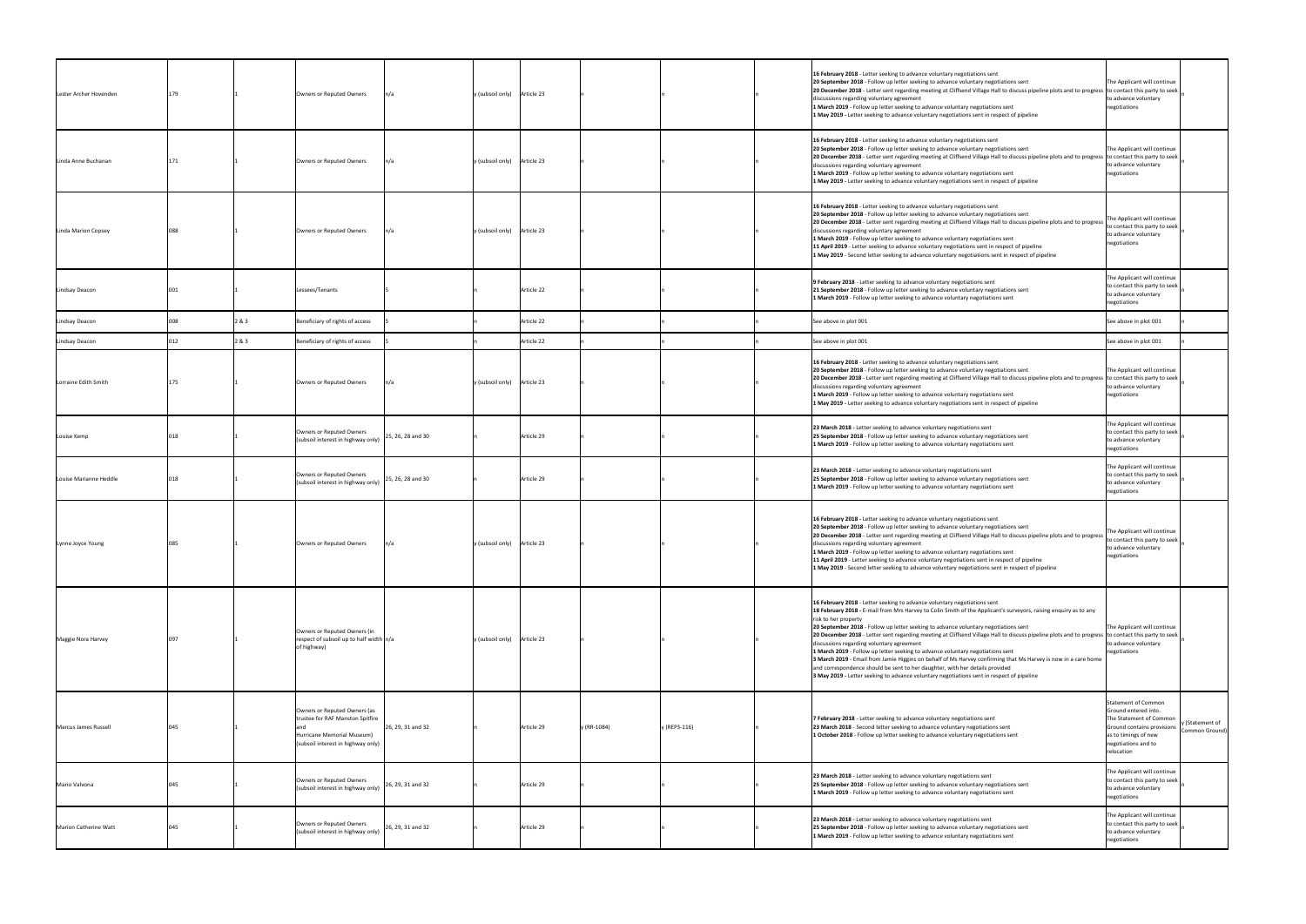| Lester Archer Hovenden |     |       | Owners or Reputed Owners                                                                                                             | $\ln/a$           | y (subsoil only) Article 23 |            |             |              | 16 February 2018 - Letter seeking to advance voluntary negotiations sent<br>20 September 2018 - Follow up letter seeking to advance voluntary negotiations sent<br>20 December 2018 - Letter sent regarding meeting at Cliffsend Village Hall to discuss pipeline plots and to progress to contact this party to seek<br>discussions regarding voluntary agreement<br>1 March 2019 - Follow up letter seeking to advance voluntary negotiations sent<br>1 May 2019 - Letter seeking to advance voluntary negotiations sent in respect of pipeline                                                                                                                                                                                                                                                                                                                                                | The Applicant will continue<br>to advance voluntary<br>negotiations                                                                                                      |                                   |
|------------------------|-----|-------|--------------------------------------------------------------------------------------------------------------------------------------|-------------------|-----------------------------|------------|-------------|--------------|--------------------------------------------------------------------------------------------------------------------------------------------------------------------------------------------------------------------------------------------------------------------------------------------------------------------------------------------------------------------------------------------------------------------------------------------------------------------------------------------------------------------------------------------------------------------------------------------------------------------------------------------------------------------------------------------------------------------------------------------------------------------------------------------------------------------------------------------------------------------------------------------------|--------------------------------------------------------------------------------------------------------------------------------------------------------------------------|-----------------------------------|
| Linda Anne Buchanan    |     |       | Owners or Reputed Owners                                                                                                             | ln/a              | y (subsoil only) Article 23 |            |             |              | 16 February 2018 - Letter seeking to advance voluntary negotiations sent<br>20 September 2018 - Follow up letter seeking to advance voluntary negotiations sent<br>[20 December 2018 - Letter sent regarding meeting at Cliffsend Village Hall to discuss pipeline plots and to progress to contact this party to seek<br>discussions regarding voluntary agreement<br>1 March 2019 - Follow up letter seeking to advance voluntary negotiations sent<br>1 May 2019 - Letter seeking to advance voluntary negotiations sent in respect of pipeline                                                                                                                                                                                                                                                                                                                                               | The Applicant will continue<br>to advance voluntary<br>negotiations                                                                                                      |                                   |
| Linda Marion Copsey    | 088 |       | Owners or Reputed Owners                                                                                                             | n/a               | y (subsoil only) Article 23 |            |             |              | 16 February 2018 - Letter seeking to advance voluntary negotiations sent<br>20 September 2018 - Follow up letter seeking to advance voluntary negotiations sent<br>20 December 2018 - Letter sent regarding meeting at Cliffsend Village Hall to discuss pipeline plots and to progress<br>discussions regarding voluntary agreement<br>1 March 2019 - Follow up letter seeking to advance voluntary negotiations sent<br>11 April 2019 - Letter seeking to advance voluntary negotiations sent in respect of pipeline<br>1 May 2019 - Second letter seeking to advance voluntary negotiations sent in respect of pipeline                                                                                                                                                                                                                                                                       | The Applicant will continue<br>to contact this party to seek<br>to advance voluntary<br>negotiations                                                                     |                                   |
| Lindsay Deacon         |     |       | Lessees/Tenants                                                                                                                      |                   |                             | Article 22 |             |              | 9 February 2018 - Letter seeking to advance voluntary negotiations sent<br>21 September 2018 - Follow up letter seeking to advance voluntary negotiations sent<br>1 March 2019 - Follow up letter seeking to advance voluntary negotiations sent                                                                                                                                                                                                                                                                                                                                                                                                                                                                                                                                                                                                                                                 | The Applicant will continue<br>to contact this party to seek<br>to advance voluntary<br>negotiations                                                                     |                                   |
| Lindsay Deacon         |     | 2&3   | Beneficiary of rights of access                                                                                                      |                   |                             | Article 22 |             |              | See above in plot 001                                                                                                                                                                                                                                                                                                                                                                                                                                                                                                                                                                                                                                                                                                                                                                                                                                                                            | See above in plot 001                                                                                                                                                    |                                   |
| Lindsay Deacon         |     | 2 & 3 | Beneficiary of rights of access                                                                                                      |                   |                             | Article 22 |             |              | See above in plot 001                                                                                                                                                                                                                                                                                                                                                                                                                                                                                                                                                                                                                                                                                                                                                                                                                                                                            | See above in plot 001                                                                                                                                                    |                                   |
| Lorraine Edith Smith   |     |       | Owners or Reputed Owners                                                                                                             | $\ln/a$           | y (subsoil only) Article 23 |            |             |              | 16 February 2018 - Letter seeking to advance voluntary negotiations sent<br>20 September 2018 - Follow up letter seeking to advance voluntary negotiations sent<br>[20 December 2018 - Letter sent regarding meeting at Cliffsend Village Hall to discuss pipeline plots and to progress to contact this party to seek<br>discussions regarding voluntary agreement<br>1 March 2019 - Follow up letter seeking to advance voluntary negotiations sent<br>1 May 2019 - Letter seeking to advance voluntary negotiations sent in respect of pipeline                                                                                                                                                                                                                                                                                                                                               | The Applicant will continue<br>to advance voluntary<br>negotiations                                                                                                      |                                   |
| Louise Kemp            |     |       | Owners or Reputed Owners<br>(subsoil interest in highway only)                                                                       | 25, 26, 28 and 30 |                             | Article 29 |             |              | 23 March 2018 - Letter seeking to advance voluntary negotiations sent<br>25 September 2018 - Follow up letter seeking to advance voluntary negotiations sent<br>1 March 2019 - Follow up letter seeking to advance voluntary negotiations sent                                                                                                                                                                                                                                                                                                                                                                                                                                                                                                                                                                                                                                                   | The Applicant will continue<br>to contact this party to seek<br>to advance voluntary<br>negotiations                                                                     |                                   |
| Louise Marianne Heddle |     |       | Owners or Reputed Owners<br>(subsoil interest in highway only)                                                                       | 25, 26, 28 and 30 |                             | Article 29 |             |              | 23 March 2018 - Letter seeking to advance voluntary negotiations sent<br>25 September 2018 - Follow up letter seeking to advance voluntary negotiations sent<br>1 March 2019 - Follow up letter seeking to advance voluntary negotiations sent                                                                                                                                                                                                                                                                                                                                                                                                                                                                                                                                                                                                                                                   | The Applicant will continue<br>to contact this party to seek<br>to advance voluntary<br>negotiations                                                                     |                                   |
| Lynne Joyce Young      | 085 |       | Owners or Reputed Owners                                                                                                             | n/a               | y (subsoil only) Article 23 |            |             |              | 16 February 2018 - Letter seeking to advance voluntary negotiations sent<br>20 September 2018 - Follow up letter seeking to advance voluntary negotiations sent<br>20 December 2018 - Letter sent regarding meeting at Cliffsend Village Hall to discuss pipeline plots and to progress<br>discussions regarding voluntary agreement<br>1 March 2019 - Follow up letter seeking to advance voluntary negotiations sent<br>11 April 2019 - Letter seeking to advance voluntary negotiations sent in respect of pipeline<br>1 May 2019 - Second letter seeking to advance voluntary negotiations sent in respect of pipeline                                                                                                                                                                                                                                                                       | The Applicant will continue<br>to contact this party to seek<br>to advance voluntary<br>negotiations                                                                     |                                   |
| Maggie Nora Harvey     |     |       | Owners or Reputed Owners (in<br>respect of subsoil up to half width $n/a$<br>of highway)                                             |                   | y (subsoil only) Article 23 |            |             |              | 16 February 2018 - Letter seeking to advance voluntary negotiations sent<br>18 February 2018 - E-mail from Mrs Harvey to Colin Smith of the Applicant's surveyors, raising enquiry as to any<br>risk to her property<br>20 September 2018 - Follow up letter seeking to advance voluntary negotiations sent<br>[20 December 2018 - Letter sent regarding meeting at Cliffsend Village Hall to discuss pipeline plots and to progress to contact this party to seek<br>discussions regarding voluntary agreement<br>1 March 2019 - Follow up letter seeking to advance voluntary negotiations sent<br>3 March 2019 - Email from Jamie Higgins on behalf of Ms Harvey confirming that Ms Harvey is now in a care home<br>and correspondence should be sent to her daughter, with her details provided<br>3 May 2019 - Letter seeking to advance voluntary negotiations sent in respect of pipeline | The Applicant will continue<br>to advance voluntary<br>negotiations                                                                                                      |                                   |
| Marcus James Russell   | 045 |       | Owners or Reputed Owners (as<br>trustee for RAF Manston Spitfire<br>Hurricane Memorial Museum)<br>(subsoil interest in highway only) | 26, 29, 31 and 32 |                             | Article 29 | y (RR-1084) | y (REP3-116) | 7 February 2018 - Letter seeking to advance voluntary negotiations sent<br>23 March 2018 - Second letter seeking to advance voluntary negotiations sent<br>1 October 2018 - Follow up letter seeking to advance voluntary negotiations sent                                                                                                                                                                                                                                                                                                                                                                                                                                                                                                                                                                                                                                                      | <b>Statement of Common</b><br>Ground entered into.<br>The Statement of Common<br>Ground contains provisions<br>as to timings of new<br>negotiations and to<br>relocation | y (Statement of<br>Common Ground) |
| Mario Valvona          |     |       | Owners or Reputed Owners<br>(subsoil interest in highway only)                                                                       | 26, 29, 31 and 32 |                             | Article 29 |             |              | 23 March 2018 - Letter seeking to advance voluntary negotiations sent<br>25 September 2018 - Follow up letter seeking to advance voluntary negotiations sent<br>1 March 2019 - Follow up letter seeking to advance voluntary negotiations sent                                                                                                                                                                                                                                                                                                                                                                                                                                                                                                                                                                                                                                                   | The Applicant will continue<br>to contact this party to seek<br>to advance voluntary<br>negotiations                                                                     |                                   |
| Marion Catherine Watt  | 045 |       | Owners or Reputed Owners<br>(subsoil interest in highway only)                                                                       | 26, 29, 31 and 32 |                             | Article 29 |             |              | 23 March 2018 - Letter seeking to advance voluntary negotiations sent<br>25 September 2018 - Follow up letter seeking to advance voluntary negotiations sent<br>1 March 2019 - Follow up letter seeking to advance voluntary negotiations sent                                                                                                                                                                                                                                                                                                                                                                                                                                                                                                                                                                                                                                                   | The Applicant will continue<br>to contact this party to seek<br>to advance voluntary<br>negotiations                                                                     |                                   |
|                        |     |       |                                                                                                                                      |                   |                             |            |             |              |                                                                                                                                                                                                                                                                                                                                                                                                                                                                                                                                                                                                                                                                                                                                                                                                                                                                                                  |                                                                                                                                                                          |                                   |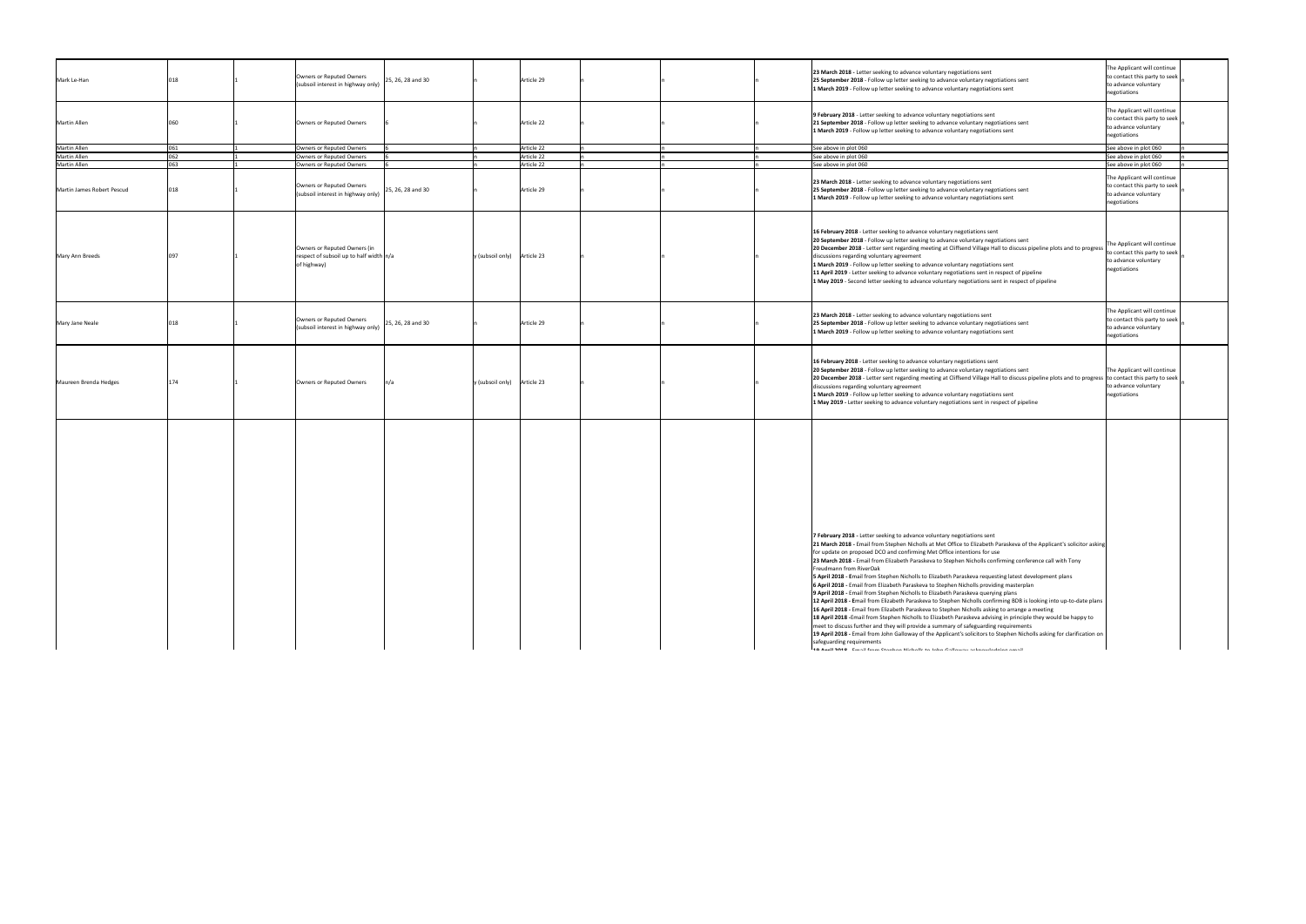| Mark Le-Han                |     | Owners or Reputed Owners<br>25, 26, 28 and 30<br>(subsoil interest in highway only)                                   | Article 29 |  | 23 March 2018 - Letter seeking to advance voluntary negotiations sent<br>25 September 2018 - Follow up letter seeking to advance voluntary negotiations sent<br>1 March 2019 - Follow up letter seeking to advance voluntary negotiations sent                                                                                                                                                                                                                                                                                                                                                                                                                                                                                                                                                                                                                                                                                                                                                                                                                                                                                                                                                                                                                                                                                                                                           | The Applicant will continue<br>to contact this party to seek<br>to advance voluntary<br>negotiations |
|----------------------------|-----|-----------------------------------------------------------------------------------------------------------------------|------------|--|------------------------------------------------------------------------------------------------------------------------------------------------------------------------------------------------------------------------------------------------------------------------------------------------------------------------------------------------------------------------------------------------------------------------------------------------------------------------------------------------------------------------------------------------------------------------------------------------------------------------------------------------------------------------------------------------------------------------------------------------------------------------------------------------------------------------------------------------------------------------------------------------------------------------------------------------------------------------------------------------------------------------------------------------------------------------------------------------------------------------------------------------------------------------------------------------------------------------------------------------------------------------------------------------------------------------------------------------------------------------------------------|------------------------------------------------------------------------------------------------------|
| <b>Martin Allen</b>        |     | Owners or Reputed Owners                                                                                              | Article 22 |  | 9 February 2018 - Letter seeking to advance voluntary negotiations sent<br>21 September 2018 - Follow up letter seeking to advance voluntary negotiations sent<br>1 March 2019 - Follow up letter seeking to advance voluntary negotiations sent                                                                                                                                                                                                                                                                                                                                                                                                                                                                                                                                                                                                                                                                                                                                                                                                                                                                                                                                                                                                                                                                                                                                         | The Applicant will continue<br>to contact this party to seek<br>to advance voluntary<br>negotiations |
| Martin Allen               | 061 | Owners or Reputed Owners                                                                                              | Article 22 |  | See above in plot 060                                                                                                                                                                                                                                                                                                                                                                                                                                                                                                                                                                                                                                                                                                                                                                                                                                                                                                                                                                                                                                                                                                                                                                                                                                                                                                                                                                    | See above in plot 060                                                                                |
| Martin Allen               | 062 | Owners or Reputed Owners                                                                                              | Article 22 |  | See above in plot 060                                                                                                                                                                                                                                                                                                                                                                                                                                                                                                                                                                                                                                                                                                                                                                                                                                                                                                                                                                                                                                                                                                                                                                                                                                                                                                                                                                    | See above in plot 060                                                                                |
| Martin Allen               | 660 | Owners or Reputed Owners                                                                                              | Article 22 |  | See above in plot 060                                                                                                                                                                                                                                                                                                                                                                                                                                                                                                                                                                                                                                                                                                                                                                                                                                                                                                                                                                                                                                                                                                                                                                                                                                                                                                                                                                    | See above in plot 060                                                                                |
| Martin James Robert Pescud | 018 | Owners or Reputed Owners<br>25, 26, 28 and 30<br>(subsoil interest in highway only)                                   | Article 29 |  | 23 March 2018 - Letter seeking to advance voluntary negotiations sent<br>25 September 2018 - Follow up letter seeking to advance voluntary negotiations sent<br>1 March 2019 - Follow up letter seeking to advance voluntary negotiations sent                                                                                                                                                                                                                                                                                                                                                                                                                                                                                                                                                                                                                                                                                                                                                                                                                                                                                                                                                                                                                                                                                                                                           | The Applicant will continue<br>to contact this party to seek<br>to advance voluntary<br>negotiations |
| Mary Ann Breeds            |     | Owners or Reputed Owners (in<br>respect of subsoil up to half width n/a<br>y (subsoil only) Article 23<br>of highway) |            |  | 16 February 2018 - Letter seeking to advance voluntary negotiations sent<br>20 September 2018 - Follow up letter seeking to advance voluntary negotiations sent<br> 20 December 2018 - Letter sent regarding meeting at Cliffsend Village Hall to discuss pipeline plots and to progress  <br>discussions regarding voluntary agreement<br>1 March 2019 - Follow up letter seeking to advance voluntary negotiations sent<br>11 April 2019 - Letter seeking to advance voluntary negotiations sent in respect of pipeline<br>1 May 2019 - Second letter seeking to advance voluntary negotiations sent in respect of pipeline                                                                                                                                                                                                                                                                                                                                                                                                                                                                                                                                                                                                                                                                                                                                                            | The Applicant will continue<br>to contact this party to seek<br>to advance voluntary<br>negotiations |
| Mary Jane Neale            | 018 | Owners or Reputed Owners<br>25, 26, 28 and 30<br>(subsoil interest in highway only)                                   | Article 29 |  | 23 March 2018 - Letter seeking to advance voluntary negotiations sent<br>25 September 2018 - Follow up letter seeking to advance voluntary negotiations sent<br>1 March 2019 - Follow up letter seeking to advance voluntary negotiations sent                                                                                                                                                                                                                                                                                                                                                                                                                                                                                                                                                                                                                                                                                                                                                                                                                                                                                                                                                                                                                                                                                                                                           | The Applicant will continue<br>to contact this party to seek<br>to advance voluntary<br>negotiations |
| Maureen Brenda Hedges      | 174 | $y$ (subsoil only) Article 23<br>Owners or Reputed Owners<br>$\ln/a$                                                  |            |  | 16 February 2018 - Letter seeking to advance voluntary negotiations sent<br>20 September 2018 - Follow up letter seeking to advance voluntary negotiations sent<br>[20 December 2018 - Letter sent regarding meeting at Cliffsend Village Hall to discuss pipeline plots and to progress [to contact this party to seek]<br>discussions regarding voluntary agreement<br>1 March 2019 - Follow up letter seeking to advance voluntary negotiations sent<br>1 May 2019 - Letter seeking to advance voluntary negotiations sent in respect of pipeline                                                                                                                                                                                                                                                                                                                                                                                                                                                                                                                                                                                                                                                                                                                                                                                                                                     | The Applicant will continue<br>to advance voluntary<br>negotiations                                  |
|                            |     |                                                                                                                       |            |  | 7 February 2018 - Letter seeking to advance voluntary negotiations sent<br>[21 March 2018 - Email from Stephen Nicholls at Met Office to Elizabeth Paraskeva of the Applicant's solicitor asking<br>for update on proposed DCO and confirming Met Office intentions for use<br>23 March 2018 - Email from Elizabeth Paraskeva to Stephen Nicholls confirming conference call with Tony<br>Freudmann from RiverOak<br>5 April 2018 - Email from Stephen Nicholls to Elizabeth Paraskeva requesting latest development plans<br>6 April 2018 - Email from Elizabeth Paraskeva to Stephen Nicholls providing masterplan<br>9 April 2018 - Email from Stephen Nicholls to Elizabeth Paraskeva querying plans<br>12 April 2018 - Email from Elizabeth Paraskeva to Stephen Nicholls confirming BDB is looking into up-to-date plans<br>16 April 2018 - Email from Elizabeth Paraskeva to Stephen Nicholls asking to arrange a meeting<br>18 April 2018 - Email from Stephen Nicholls to Elizabeth Paraskeva advising in principle they would be happy to<br>meet to discuss further and they will provide a summary of safeguarding requirements<br>[19 April 2018 - Email from John Galloway of the Applicant's solicitors to Stephen Nicholls asking for clarification on<br>safeguarding requirements<br>10 Anni 2010 - Email from Ctonhon Nicholle to John Calloumu aelinquiologine omail |                                                                                                      |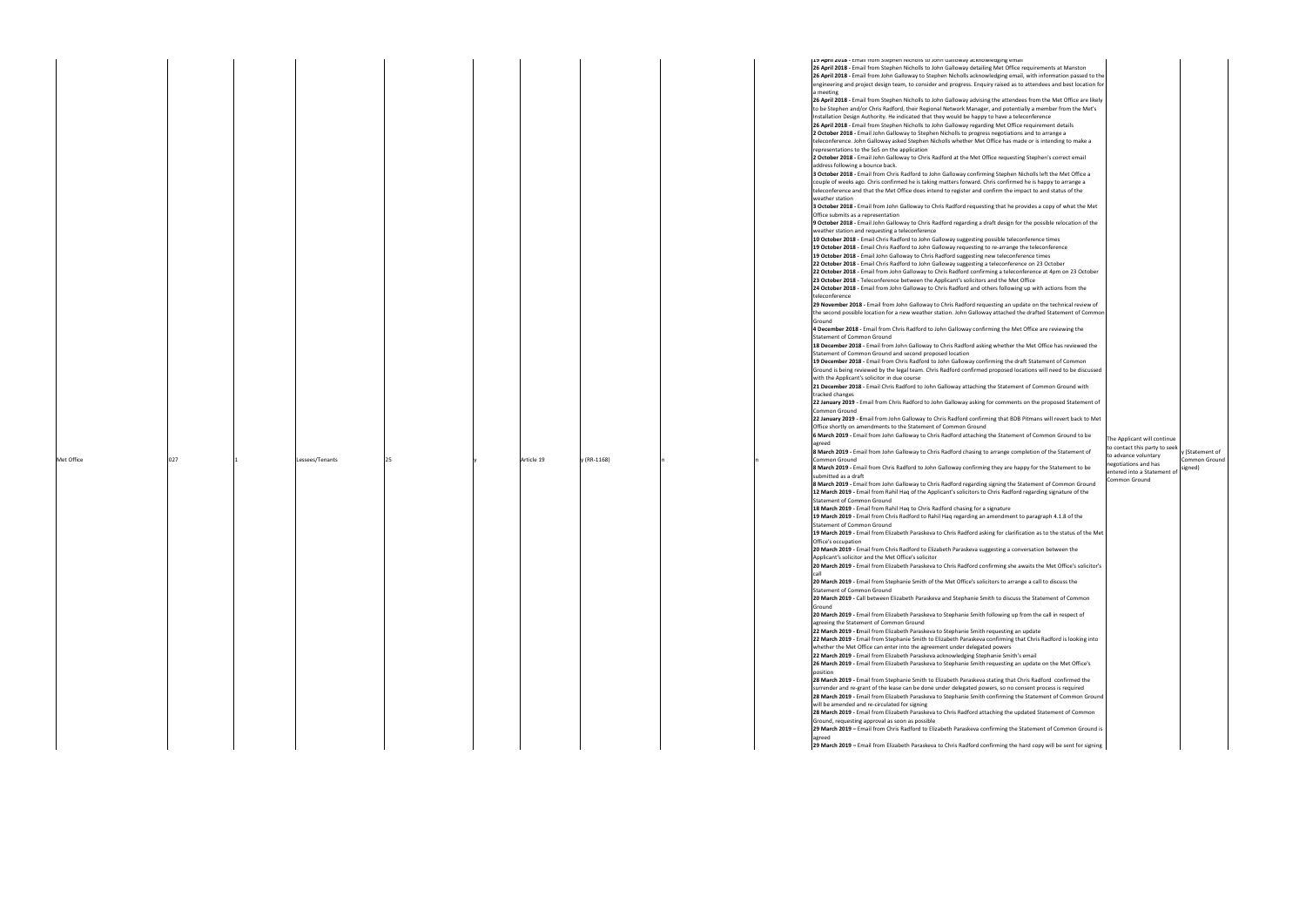|            |             | <b>ITA Whill COTO -</b> Ethali Itomi Digbilgh Micholis to John Galloway ackilowiedging Ginali                                                                                                                    |                               |                      |
|------------|-------------|------------------------------------------------------------------------------------------------------------------------------------------------------------------------------------------------------------------|-------------------------------|----------------------|
|            |             | 26 April 2018 - Email from Stephen Nicholls to John Galloway detailing Met Office requirements at Manston                                                                                                        |                               |                      |
|            |             | 26 April 2018 - Email from John Galloway to Stephen Nicholls acknowledging email, with information passed to the                                                                                                 |                               |                      |
|            |             | engineering and project design team, to consider and progress. Enquiry raised as to attendees and best location for                                                                                              |                               |                      |
|            |             | a meeting                                                                                                                                                                                                        |                               |                      |
|            |             | 26 April 2018 - Email from Stephen Nicholls to John Galloway advising the attendees from the Met Office are likely                                                                                               |                               |                      |
|            |             | to be Stephen and/or Chris Radford, their Regional Network Manager, and potentially a member from the Met's                                                                                                      |                               |                      |
|            |             | Installation Design Authority. He indicated that they would be happy to have a teleconference                                                                                                                    |                               |                      |
|            |             | 26 April 2018 - Email from Stephen Nicholls to John Galloway regarding Met Office requirement details                                                                                                            |                               |                      |
|            |             | 2 October 2018 - Email John Galloway to Stephen Nicholls to progress negotiations and to arrange a                                                                                                               |                               |                      |
|            |             | teleconference. John Galloway asked Stephen Nicholls whether Met Office has made or is intending to make a                                                                                                       |                               |                      |
|            |             | representations to the SoS on the application                                                                                                                                                                    |                               |                      |
|            |             | 2 October 2018 - Email John Galloway to Chris Radford at the Met Office requesting Stephen's correct email                                                                                                       |                               |                      |
|            |             | address following a bounce back.                                                                                                                                                                                 |                               |                      |
|            |             | 3 October 2018 - Email from Chris Radford to John Galloway confirming Stephen Nicholls left the Met Office a                                                                                                     |                               |                      |
|            |             | couple of weeks ago. Chris confirmed he is taking matters forward. Chris confirmed he is happy to arrange a                                                                                                      |                               |                      |
|            |             | teleconference and that the Met Office does intend to register and confirm the impact to and status of the                                                                                                       |                               |                      |
|            |             | weather station                                                                                                                                                                                                  |                               |                      |
|            |             | 3 October 2018 - Email from John Galloway to Chris Radford requesting that he provides a copy of what the Met                                                                                                    |                               |                      |
|            |             | Office submits as a representation                                                                                                                                                                               |                               |                      |
|            |             | 9 October 2018 - Email John Galloway to Chris Radford regarding a draft design for the possible relocation of the                                                                                                |                               |                      |
|            |             | weather station and requesting a teleconference                                                                                                                                                                  |                               |                      |
|            |             | 10 October 2018 - Email Chris Radford to John Galloway suggesting possible teleconference times                                                                                                                  |                               |                      |
|            |             | 19 October 2018 - Email Chris Radford to John Galloway requesting to re-arrange the teleconference                                                                                                               |                               |                      |
|            |             | 19 October 2018 - Email John Galloway to Chris Radford suggesting new teleconference times                                                                                                                       |                               |                      |
|            |             | 22 October 2018 - Email Chris Radford to John Galloway suggesting a teleconference on 23 October<br>22 October 2018 - Email from John Galloway to Chris Radford confirming a teleconference at 4pm on 23 October |                               |                      |
|            |             |                                                                                                                                                                                                                  |                               |                      |
|            |             | 23 October 2018 - Teleconference between the Applicant's solicitors and the Met Office<br>24 October 2018 - Email from John Galloway to Chris Radford and others following up with actions from the              |                               |                      |
|            |             | teleconference                                                                                                                                                                                                   |                               |                      |
|            |             | 29 November 2018 - Email from John Galloway to Chris Radford requesting an update on the technical review of                                                                                                     |                               |                      |
|            |             | the second possible location for a new weather station. John Galloway attached the drafted Statement of Common                                                                                                   |                               |                      |
|            |             | Ground                                                                                                                                                                                                           |                               |                      |
|            |             | 4 December 2018 - Email from Chris Radford to John Galloway confirming the Met Office are reviewing the                                                                                                          |                               |                      |
|            |             | Statement of Common Ground                                                                                                                                                                                       |                               |                      |
|            |             | 18 December 2018 - Email from John Galloway to Chris Radford asking whether the Met Office has reviewed the                                                                                                      |                               |                      |
|            |             | Statement of Common Ground and second proposed location                                                                                                                                                          |                               |                      |
|            |             | 19 December 2018 - Email from Chris Radford to John Galloway confirming the draft Statement of Common                                                                                                            |                               |                      |
|            |             | Ground is being reviewed by the legal team. Chris Radford confirmed proposed locations will need to be discussed                                                                                                 |                               |                      |
|            |             | with the Applicant's solicitor in due course                                                                                                                                                                     |                               |                      |
|            |             | 21 December 2018 - Email Chris Radford to John Galloway attaching the Statement of Common Ground with                                                                                                            |                               |                      |
|            |             | tracked changes                                                                                                                                                                                                  |                               |                      |
|            |             | 22 January 2019 - Email from Chris Radford to John Galloway asking for comments on the proposed Statement of                                                                                                     |                               |                      |
|            |             | Common Ground                                                                                                                                                                                                    |                               |                      |
|            |             | 22 January 2019 - Email from John Galloway to Chris Radford confirming that BDB Pitmans will revert back to Met                                                                                                  |                               |                      |
|            |             | Office shortly on amendments to the Statement of Common Ground                                                                                                                                                   |                               |                      |
|            |             | 6 March 2019 - Email from John Galloway to Chris Radford attaching the Statement of Common Ground to be                                                                                                          |                               |                      |
|            |             | agreed                                                                                                                                                                                                           | The Applicant will continue   |                      |
|            |             | 8 March 2019 - Email from John Galloway to Chris Radford chasing to arrange completion of the Statement of                                                                                                       | to contact this party to seek | y (Statement of      |
| Article 19 | y (RR-1168) | Common Ground                                                                                                                                                                                                    | to advance voluntary          | <b>Common Ground</b> |
|            |             | 8 March 2019 - Email from Chris Radford to John Galloway confirming they are happy for the Statement to be                                                                                                       | negotiations and has          | signed)              |
|            |             | submitted as a draft                                                                                                                                                                                             | entered into a Statement of   |                      |
|            |             | 8 March 2019 - Email from John Galloway to Chris Radford regarding signing the Statement of Common Ground                                                                                                        | <b>Common Ground</b>          |                      |
|            |             | 12 March 2019 - Email from Rahil Hag of the Applicant's solicitors to Chris Radford regarding signature of the                                                                                                   |                               |                      |
|            |             | Statement of Common Ground                                                                                                                                                                                       |                               |                      |
|            |             | 18 March 2019 - Email from Rahil Haq to Chris Radford chasing for a signature                                                                                                                                    |                               |                      |
|            |             | 19 March 2019 - Email from Chris Radford to Rahil Hag regarding an amendment to paragraph 4.1.8 of the                                                                                                           |                               |                      |
|            |             | Statement of Common Ground                                                                                                                                                                                       |                               |                      |
|            |             | 19 March 2019 - Email from Elizabeth Paraskeva to Chris Radford asking for clarification as to the status of the Met                                                                                             |                               |                      |
|            |             | Office's occupation                                                                                                                                                                                              |                               |                      |
|            |             | 20 March 2019 - Email from Chris Radford to Elizabeth Paraskeva suggesting a conversation between the                                                                                                            |                               |                      |
|            |             | Applicant's solicitor and the Met Office's solicitor                                                                                                                                                             |                               |                      |
|            |             | 20 March 2019 - Email from Elizabeth Paraskeva to Chris Radford confirming she awaits the Met Office's solicitor's                                                                                               |                               |                      |
|            |             |                                                                                                                                                                                                                  |                               |                      |
|            |             | 20 March 2019 - Email from Stephanie Smith of the Met Office's solicitors to arrange a call to discuss the                                                                                                       |                               |                      |
|            |             | Statement of Common Ground                                                                                                                                                                                       |                               |                      |
|            |             | 20 March 2019 - Call between Elizabeth Paraskeva and Stephanie Smith to discuss the Statement of Common                                                                                                          |                               |                      |
|            |             | Ground                                                                                                                                                                                                           |                               |                      |
|            |             |                                                                                                                                                                                                                  |                               |                      |
|            |             | 20 March 2019 - Email from Elizabeth Paraskeva to Stephanie Smith following up from the call in respect of                                                                                                       |                               |                      |
|            |             | agreeing the Statement of Common Ground                                                                                                                                                                          |                               |                      |
|            |             | 22 March 2019 - Email from Elizabeth Paraskeva to Stephanie Smith requesting an update                                                                                                                           |                               |                      |
|            |             | 22 March 2019 - Email from Stephanie Smith to Elizabeth Paraskeva confirming that Chris Radford is looking into                                                                                                  |                               |                      |
|            |             | whether the Met Office can enter into the agreement under delegated powers                                                                                                                                       |                               |                      |
|            |             | 22 March 2019 - Email from Elizabeth Paraskeva acknowledging Stephanie Smith's email                                                                                                                             |                               |                      |
|            |             | 26 March 2019 - Email from Elizabeth Paraskeva to Stephanie Smith requesting an update on the Met Office's                                                                                                       |                               |                      |
|            |             | position                                                                                                                                                                                                         |                               |                      |
|            |             | 28 March 2019 - Email from Stephanie Smith to Elizabeth Paraskeva stating that Chris Radford confirmed the                                                                                                       |                               |                      |
|            |             | surrender and re-grant of the lease can be done under delegated powers, so no consent process is required                                                                                                        |                               |                      |
|            |             | 28 March 2019 - Email from Elizabeth Paraskeva to Stephanie Smith confirming the Statement of Common Ground                                                                                                      |                               |                      |
|            |             | will be amended and re-circulated for signing                                                                                                                                                                    |                               |                      |
|            |             | 28 March 2019 - Email from Elizabeth Paraskeva to Chris Radford attaching the updated Statement of Common                                                                                                        |                               |                      |
|            |             | Ground, requesting approval as soon as possible                                                                                                                                                                  |                               |                      |
|            |             | 29 March 2019 - Email from Chris Radford to Elizabeth Paraskeva confirming the Statement of Common Ground is                                                                                                     |                               |                      |
|            |             | agreed<br>29 March 2019 – Email from Elizabeth Paraskeva to Chris Radford confirming the hard copy will be sent for signing                                                                                      |                               |                      |

| Met Office | 027 | 1 | Lessees/Tenants | 25 |
|------------|-----|---|-----------------|----|
|            |     |   |                 |    |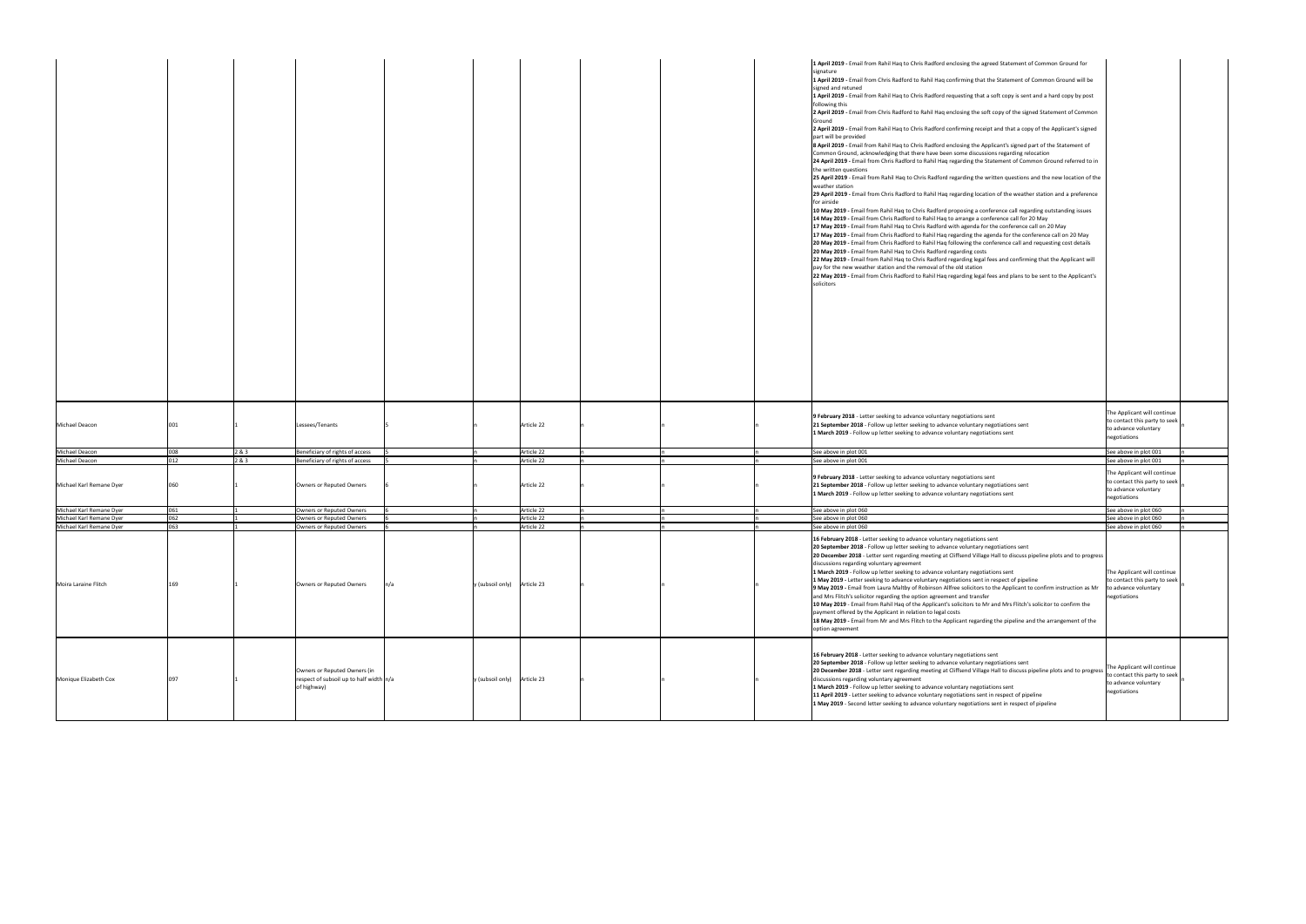|                                                      |            |       |                                                                                        |                             |                          |  | 1 April 2019 - Email from Rahil Haq to Chris Radford enclosing the agreed Statement of Common Ground for<br>signature<br>1 April 2019 - Email from Chris Radford to Rahil Haq confirming that the Statement of Common Ground will be<br>signed and retuned<br>1 April 2019 - Email from Rahil Haq to Chris Radford requesting that a soft copy is sent and a hard copy by post<br>following this<br>2 April 2019 - Email from Chris Radford to Rahil Haq enclosing the soft copy of the signed Statement of Common<br>Ground<br>2 April 2019 - Email from Rahil Haq to Chris Radford confirming receipt and that a copy of the Applicant's signed<br>part will be provided<br>8 April 2019 - Email from Rahil Haq to Chris Radford enclosing the Applicant's signed part of the Statement of<br>Common Ground, acknowledging that there have been some discussions regarding relocation<br>24 April 2019 - Email from Chris Radford to Rahil Haq regarding the Statement of Common Ground referred to in<br>the written questions<br>25 April 2019 - Email from Rahil Haq to Chris Radford regarding the written questions and the new location of the<br>weather station<br>29 April 2019 - Email from Chris Radford to Rahil Haq regarding location of the weather station and a preference<br>for airside<br>10 May 2019 - Email from Rahil Haq to Chris Radford proposing a conference call regarding outstanding issues<br>14 May 2019 - Email from Chris Radford to Rahil Haq to arrange a conference call for 20 May<br>17 May 2019 - Email from Rahil Haq to Chris Radford with agenda for the conference call on 20 May<br>17 May 2019 - Email from Chris Radford to Rahil Haq regarding the agenda for the conference call on 20 May<br>20 May 2019 - Email from Chris Radford to Rahil Haq following the conference call and requesting cost details<br>20 May 2019 - Email from Rahil Haq to Chris Radford regarding costs<br>22 May 2019 - Email from Rahil Haq to Chris Radford regarding legal fees and confirming that the Applicant will<br>pay for the new weather station and the removal of the old station<br>22 May 2019 - Email from Chris Radford to Rahil Haq regarding legal fees and plans to be sent to the Applicant's<br>solicitors |                                                                                                        |
|------------------------------------------------------|------------|-------|----------------------------------------------------------------------------------------|-----------------------------|--------------------------|--|-------------------------------------------------------------------------------------------------------------------------------------------------------------------------------------------------------------------------------------------------------------------------------------------------------------------------------------------------------------------------------------------------------------------------------------------------------------------------------------------------------------------------------------------------------------------------------------------------------------------------------------------------------------------------------------------------------------------------------------------------------------------------------------------------------------------------------------------------------------------------------------------------------------------------------------------------------------------------------------------------------------------------------------------------------------------------------------------------------------------------------------------------------------------------------------------------------------------------------------------------------------------------------------------------------------------------------------------------------------------------------------------------------------------------------------------------------------------------------------------------------------------------------------------------------------------------------------------------------------------------------------------------------------------------------------------------------------------------------------------------------------------------------------------------------------------------------------------------------------------------------------------------------------------------------------------------------------------------------------------------------------------------------------------------------------------------------------------------------------------------------------------------------------------------------------------------------------------------------------------------------------------|--------------------------------------------------------------------------------------------------------|
| Michael Deacon                                       | 1001       |       | Lessees/Tenants                                                                        |                             | Article 22               |  | 9 February 2018 - Letter seeking to advance voluntary negotiations sent<br>21 September 2018 - Follow up letter seeking to advance voluntary negotiations sent<br>$\vert$ 1 March 2019 - Follow up letter seeking to advance voluntary negotiations sent                                                                                                                                                                                                                                                                                                                                                                                                                                                                                                                                                                                                                                                                                                                                                                                                                                                                                                                                                                                                                                                                                                                                                                                                                                                                                                                                                                                                                                                                                                                                                                                                                                                                                                                                                                                                                                                                                                                                                                                                          | The Applicant will continue<br>to contact this party to seek<br>to advance voluntary<br>negotiations   |
| Michael Deacon                                       | 008        | 2 & 3 | Beneficiary of rights of access                                                        |                             | Article 22               |  | See above in plot 001                                                                                                                                                                                                                                                                                                                                                                                                                                                                                                                                                                                                                                                                                                                                                                                                                                                                                                                                                                                                                                                                                                                                                                                                                                                                                                                                                                                                                                                                                                                                                                                                                                                                                                                                                                                                                                                                                                                                                                                                                                                                                                                                                                                                                                             | See above in plot 001                                                                                  |
| Michael Deacon                                       | 012        | 2 & 3 | Beneficiary of rights of access                                                        |                             | Article 22               |  | See above in plot 001                                                                                                                                                                                                                                                                                                                                                                                                                                                                                                                                                                                                                                                                                                                                                                                                                                                                                                                                                                                                                                                                                                                                                                                                                                                                                                                                                                                                                                                                                                                                                                                                                                                                                                                                                                                                                                                                                                                                                                                                                                                                                                                                                                                                                                             | See above in plot 001                                                                                  |
| Michael Karl Remane Dyer                             | 060        |       | Owners or Reputed Owners                                                               |                             | Article 22               |  | 9 February 2018 - Letter seeking to advance voluntary negotiations sent<br>21 September 2018 - Follow up letter seeking to advance voluntary negotiations sent<br>1 March 2019 - Follow up letter seeking to advance voluntary negotiations sent                                                                                                                                                                                                                                                                                                                                                                                                                                                                                                                                                                                                                                                                                                                                                                                                                                                                                                                                                                                                                                                                                                                                                                                                                                                                                                                                                                                                                                                                                                                                                                                                                                                                                                                                                                                                                                                                                                                                                                                                                  | The Applicant will continue<br>to contact this party to seek<br>to advance voluntary<br>negotiations   |
| Michael Karl Remane Dyer                             | 061        |       | <b>Owners or Reputed Owners</b>                                                        |                             | Article 22               |  | See above in plot 060                                                                                                                                                                                                                                                                                                                                                                                                                                                                                                                                                                                                                                                                                                                                                                                                                                                                                                                                                                                                                                                                                                                                                                                                                                                                                                                                                                                                                                                                                                                                                                                                                                                                                                                                                                                                                                                                                                                                                                                                                                                                                                                                                                                                                                             | See above in plot 060                                                                                  |
| Michael Karl Remane Dyer<br>Michael Karl Remane Dyer | 062<br>063 |       | <b>Owners or Reputed Owners</b><br><b>Owners or Reputed Owners</b>                     |                             | Article 22<br>Article 22 |  | See above in plot 060<br>See above in plot 060                                                                                                                                                                                                                                                                                                                                                                                                                                                                                                                                                                                                                                                                                                                                                                                                                                                                                                                                                                                                                                                                                                                                                                                                                                                                                                                                                                                                                                                                                                                                                                                                                                                                                                                                                                                                                                                                                                                                                                                                                                                                                                                                                                                                                    | See above in plot 060<br>See above in plot 060                                                         |
| Moira Laraine Flitch                                 | 169        |       | Owners or Reputed Owners                                                               | y (subsoil only) Article 23 |                          |  | 16 February 2018 - Letter seeking to advance voluntary negotiations sent<br>20 September 2018 - Follow up letter seeking to advance voluntary negotiations sent<br>20 December 2018 - Letter sent regarding meeting at Cliffsend Village Hall to discuss pipeline plots and to progress<br>discussions regarding voluntary agreement<br>1 March 2019 - Follow up letter seeking to advance voluntary negotiations sent<br>1 May 2019 - Letter seeking to advance voluntary negotiations sent in respect of pipeline<br><b>9 May 2019</b> - Email from Laura Maltby of Robinson Allfree solicitors to the Applicant to confirm instruction as Mr $\vert$ to advance voluntary<br>and Mrs Flitch's solicitor regarding the option agreement and transfer<br>10 May 2019 - Email from Rahil Haq of the Applicant's solicitors to Mr and Mrs Flitch's solicitor to confirm the<br>payment offered by the Applicant in relation to legal costs<br>18 May 2019 - Email from Mr and Mrs Flitch to the Applicant regarding the pipeline and the arrangement of the<br>option agreement                                                                                                                                                                                                                                                                                                                                                                                                                                                                                                                                                                                                                                                                                                                                                                                                                                                                                                                                                                                                                                                                                                                                                                                    | The Applicant will continue<br>to contact this party to seek<br>negotiations                           |
| Monique Elizabeth Cox                                | 097        |       | Owners or Reputed Owners (in<br>respect of subsoil up to half width n/a<br>of highway) | y (subsoil only) Article 23 |                          |  | 16 February 2018 - Letter seeking to advance voluntary negotiations sent<br>20 September 2018 - Follow up letter seeking to advance voluntary negotiations sent<br>20 December 2018 - Letter sent regarding meeting at Cliffsend Village Hall to discuss pipeline plots and to progress<br>discussions regarding voluntary agreement<br>1 March 2019 - Follow up letter seeking to advance voluntary negotiations sent<br>11 April 2019 - Letter seeking to advance voluntary negotiations sent in respect of pipeline<br>1 May 2019 - Second letter seeking to advance voluntary negotiations sent in respect of pipeline                                                                                                                                                                                                                                                                                                                                                                                                                                                                                                                                                                                                                                                                                                                                                                                                                                                                                                                                                                                                                                                                                                                                                                                                                                                                                                                                                                                                                                                                                                                                                                                                                                        | The Applicant will continue<br>to contact this party to seek  <br>to advance voluntary<br>negotiations |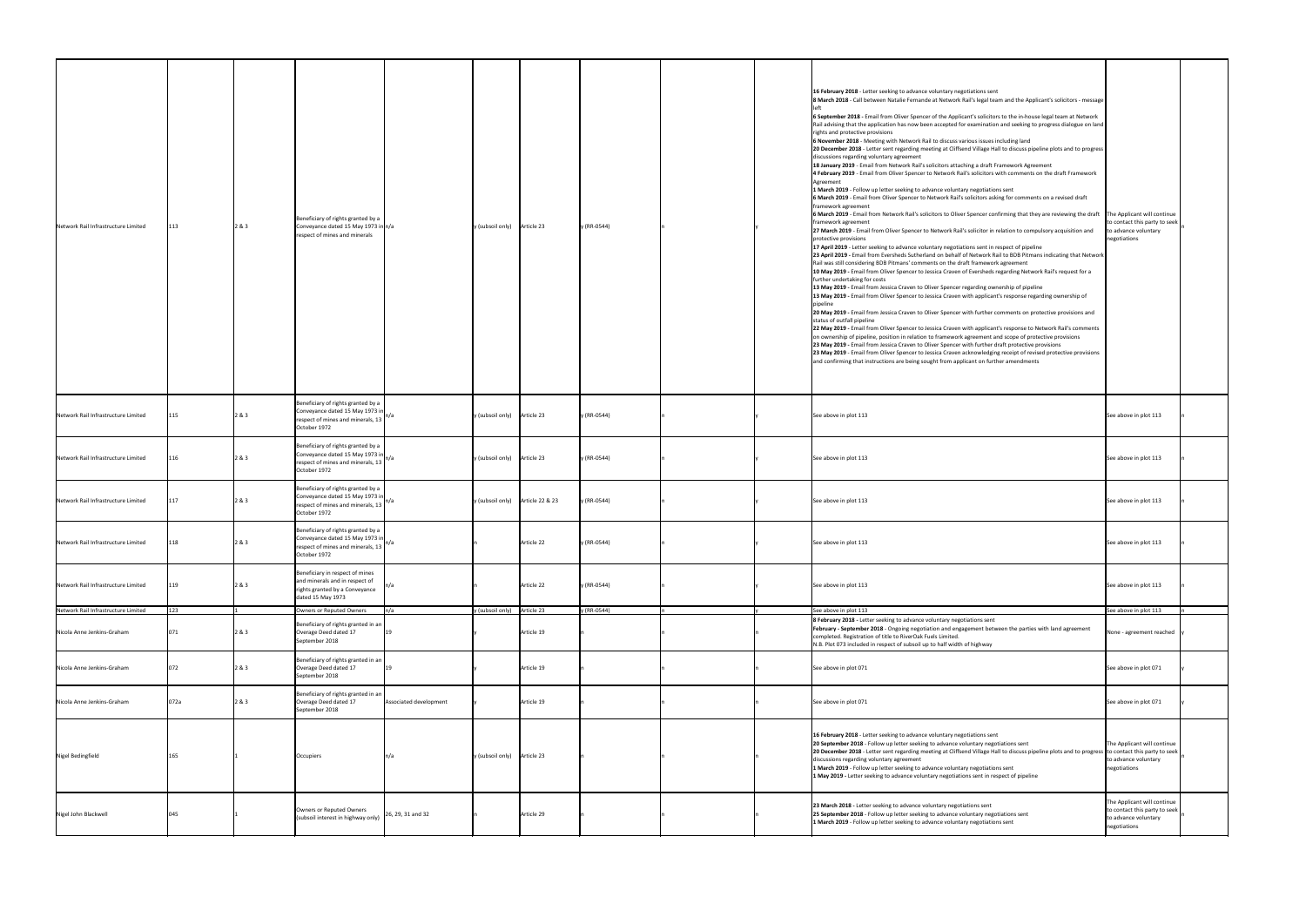| Network Rail Infrastructure Limited                               | 113        | 2 & 3 | Beneficiary of rights granted by a<br>Conveyance dated 15 May 1973 in $n/a$<br>respect of mines and minerals                  | y (subsoil only) Article 23           |            | y (RR-0544) |  | 16 February 2018 - Letter seeking to advance voluntary negotiations sent<br>8 March 2018 - Call between Natalie Fernande at Network Rail's legal team and the Applicant's solicitors - message<br>6 September 2018 - Email from Oliver Spencer of the Applicant's solicitors to the in-house legal team at Network<br> Rail advising that the application has now been accepted for examination and seeking to progress dialogue on land  <br>rights and protective provisions<br>6 November 2018 - Meeting with Network Rail to discuss various issues including land<br> 20 December 2018 - Letter sent regarding meeting at Cliffsend Village Hall to discuss pipeline plots and to progress  <br>discussions regarding voluntary agreement<br>18 January 2019 - Email from Network Rail's solicitors attaching a draft Framework Agreement<br>4 February 2019 - Email from Oliver Spencer to Network Rail's solicitors with comments on the draft Framework<br>Agreemen<br>1 March 2019 - Follow up letter seeking to advance voluntary negotiations sent<br>6 March 2019 - Email from Oliver Spencer to Network Rail's solicitors asking for comments on a revised draft<br>framework agreement<br>6 March 2019 - Email from Network Rail's solicitors to Oliver Spencer confirming that they are reviewing the draft The Applicant will continue<br>framework agreement<br>27 March 2019 - Email from Oliver Spencer to Network Rail's solicitor in relation to compulsory acquisition and<br>protective provisions<br>17 April 2019 - Letter seeking to advance voluntary negotiations sent in respect of pipeline<br>[23 April 2019 - Email from Eversheds Sutherland on behalf of Network Rail to BDB Pitmans indicating that Network<br>Rail was still considering BDB Pitmans' comments on the draft framework agreement<br>10 May 2019 - Email from Oliver Spencer to Jessica Craven of Eversheds regarding Network Rail's request for a<br>further undertaking for costs<br>13 May 2019 - Email from Jessica Craven to Oliver Spencer regarding ownership of pipeline<br>13 May 2019 - Email from Oliver Spencer to Jessica Craven with applicant's response regarding ownership of<br>20 May 2019 - Email from Jessica Craven to Oliver Spencer with further comments on protective provisions and<br>status of outfall pipeline<br>22 May 2019 - Email from Oliver Spencer to Jessica Craven with applicant's response to Network Rail's comments<br>on ownership of pipeline, position in relation to framework agreement and scope of protective provisions<br>23 May 2019 - Email from Jessica Craven to Oliver Spencer with further draft protective provisions<br>23 May 2019 - Email from Oliver Spencer to Jessica Craven acknowledging receipt of revised protective provisions<br>and confirming that instructions are being sought from applicant on further amendments | to contact this party to seek<br>to advance voluntary<br>negotiations                                |
|-------------------------------------------------------------------|------------|-------|-------------------------------------------------------------------------------------------------------------------------------|---------------------------------------|------------|-------------|--|--------------------------------------------------------------------------------------------------------------------------------------------------------------------------------------------------------------------------------------------------------------------------------------------------------------------------------------------------------------------------------------------------------------------------------------------------------------------------------------------------------------------------------------------------------------------------------------------------------------------------------------------------------------------------------------------------------------------------------------------------------------------------------------------------------------------------------------------------------------------------------------------------------------------------------------------------------------------------------------------------------------------------------------------------------------------------------------------------------------------------------------------------------------------------------------------------------------------------------------------------------------------------------------------------------------------------------------------------------------------------------------------------------------------------------------------------------------------------------------------------------------------------------------------------------------------------------------------------------------------------------------------------------------------------------------------------------------------------------------------------------------------------------------------------------------------------------------------------------------------------------------------------------------------------------------------------------------------------------------------------------------------------------------------------------------------------------------------------------------------------------------------------------------------------------------------------------------------------------------------------------------------------------------------------------------------------------------------------------------------------------------------------------------------------------------------------------------------------------------------------------------------------------------------------------------------------------------------------------------------------------------------------------------------------------------------------------------------------------------------------------------------------------------------------------------------------------------------------------------------------------------------------|------------------------------------------------------------------------------------------------------|
| Network Rail Infrastructure Limited                               | 115        | 2 & 3 | Beneficiary of rights granted by a<br>Conveyance dated 15 May 1973 in<br>respect of mines and minerals, 13<br>October 1972    | $y$ (subsoil only) Article 23         |            | y (RR-0544) |  | See above in plot 113                                                                                                                                                                                                                                                                                                                                                                                                                                                                                                                                                                                                                                                                                                                                                                                                                                                                                                                                                                                                                                                                                                                                                                                                                                                                                                                                                                                                                                                                                                                                                                                                                                                                                                                                                                                                                                                                                                                                                                                                                                                                                                                                                                                                                                                                                                                                                                                                                                                                                                                                                                                                                                                                                                                                                                                                                                                                            | See above in plot 113                                                                                |
| Network Rail Infrastructure Limited                               | 116        | 2 & 3 | Beneficiary of rights granted by a<br>Conveyance dated 15 May 1973 in<br>respect of mines and minerals, 13  "<br>October 1972 | y (subsoil only) Article 23           |            | y (RR-0544) |  | See above in plot 113                                                                                                                                                                                                                                                                                                                                                                                                                                                                                                                                                                                                                                                                                                                                                                                                                                                                                                                                                                                                                                                                                                                                                                                                                                                                                                                                                                                                                                                                                                                                                                                                                                                                                                                                                                                                                                                                                                                                                                                                                                                                                                                                                                                                                                                                                                                                                                                                                                                                                                                                                                                                                                                                                                                                                                                                                                                                            | See above in plot 113                                                                                |
| Network Rail Infrastructure Limited                               |            | 2 & 3 | Beneficiary of rights granted by a<br>Conveyance dated 15 May 1973 in<br>respect of mines and minerals, 13<br>October 1972    | $y$ (subsoil only)<br>Article 22 & 23 |            | y (RR-0544) |  | See above in plot 113                                                                                                                                                                                                                                                                                                                                                                                                                                                                                                                                                                                                                                                                                                                                                                                                                                                                                                                                                                                                                                                                                                                                                                                                                                                                                                                                                                                                                                                                                                                                                                                                                                                                                                                                                                                                                                                                                                                                                                                                                                                                                                                                                                                                                                                                                                                                                                                                                                                                                                                                                                                                                                                                                                                                                                                                                                                                            | See above in plot 113                                                                                |
| Network Rail Infrastructure Limited                               | 118        | 2 & 3 | Beneficiary of rights granted by a<br>Conveyance dated 15 May 1973 in<br>respect of mines and minerals, 13  "<br>October 1972 |                                       | Article 22 | y (RR-0544) |  | See above in plot 113                                                                                                                                                                                                                                                                                                                                                                                                                                                                                                                                                                                                                                                                                                                                                                                                                                                                                                                                                                                                                                                                                                                                                                                                                                                                                                                                                                                                                                                                                                                                                                                                                                                                                                                                                                                                                                                                                                                                                                                                                                                                                                                                                                                                                                                                                                                                                                                                                                                                                                                                                                                                                                                                                                                                                                                                                                                                            | See above in plot 113                                                                                |
| Network Rail Infrastructure Limited                               |            | 2 & 3 | Beneficiary in respect of mines<br>and minerals and in respect of<br>rights granted by a Conveyance<br>dated 15 May 1973      |                                       | Article 22 | y (RR-0544) |  | See above in plot 113                                                                                                                                                                                                                                                                                                                                                                                                                                                                                                                                                                                                                                                                                                                                                                                                                                                                                                                                                                                                                                                                                                                                                                                                                                                                                                                                                                                                                                                                                                                                                                                                                                                                                                                                                                                                                                                                                                                                                                                                                                                                                                                                                                                                                                                                                                                                                                                                                                                                                                                                                                                                                                                                                                                                                                                                                                                                            | See above in plot 113                                                                                |
| Network Rail Infrastructure Limited<br>Nicola Anne Jenkins-Graham | 123<br>071 | 2 & 3 | Owners or Reputed Owners<br>Beneficiary of rights granted in an<br>Overage Deed dated 17<br>September 2018                    | y (subsoil only) Article 23           | Article 19 | y (RR-0544) |  | See above in plot 113<br>8 February 2018 - Letter seeking to advance voluntary negotiations sent<br>February - September 2018 - Ongoing negotiation and engagement between the parties with land agreement<br>completed. Registration of title to RiverOak Fuels Limited.<br>N.B. Plot 073 included in respect of subsoil up to half width of highway                                                                                                                                                                                                                                                                                                                                                                                                                                                                                                                                                                                                                                                                                                                                                                                                                                                                                                                                                                                                                                                                                                                                                                                                                                                                                                                                                                                                                                                                                                                                                                                                                                                                                                                                                                                                                                                                                                                                                                                                                                                                                                                                                                                                                                                                                                                                                                                                                                                                                                                                            | See above in plot 113<br>None - agreement reached                                                    |
| Nicola Anne Jenkins-Graham                                        | 072        | 2 & 3 | Beneficiary of rights granted in an<br>Overage Deed dated 17<br>September 2018                                                |                                       | Article 19 |             |  | See above in plot 071                                                                                                                                                                                                                                                                                                                                                                                                                                                                                                                                                                                                                                                                                                                                                                                                                                                                                                                                                                                                                                                                                                                                                                                                                                                                                                                                                                                                                                                                                                                                                                                                                                                                                                                                                                                                                                                                                                                                                                                                                                                                                                                                                                                                                                                                                                                                                                                                                                                                                                                                                                                                                                                                                                                                                                                                                                                                            | See above in plot 071                                                                                |
| Nicola Anne Jenkins-Graham                                        | 072a       | 2 & 3 | Beneficiary of rights granted in an<br>Overage Deed dated 17<br>September 2018                                                | Associated development                | Article 19 |             |  | See above in plot 071                                                                                                                                                                                                                                                                                                                                                                                                                                                                                                                                                                                                                                                                                                                                                                                                                                                                                                                                                                                                                                                                                                                                                                                                                                                                                                                                                                                                                                                                                                                                                                                                                                                                                                                                                                                                                                                                                                                                                                                                                                                                                                                                                                                                                                                                                                                                                                                                                                                                                                                                                                                                                                                                                                                                                                                                                                                                            | See above in plot 071                                                                                |
| Nigel Bedingfield                                                 | 165        |       | Occupiers                                                                                                                     | $y$ (subsoil only) Article 23         |            |             |  | 16 February 2018 - Letter seeking to advance voluntary negotiations sent<br>20 September 2018 - Follow up letter seeking to advance voluntary negotiations sent<br>[20 December 2018 - Letter sent regarding meeting at Cliffsend Village Hall to discuss pipeline plots and to progress to contact this party to seek<br>discussions regarding voluntary agreement<br>1 March 2019 - Follow up letter seeking to advance voluntary negotiations sent<br>1 May 2019 - Letter seeking to advance voluntary negotiations sent in respect of pipeline                                                                                                                                                                                                                                                                                                                                                                                                                                                                                                                                                                                                                                                                                                                                                                                                                                                                                                                                                                                                                                                                                                                                                                                                                                                                                                                                                                                                                                                                                                                                                                                                                                                                                                                                                                                                                                                                                                                                                                                                                                                                                                                                                                                                                                                                                                                                               | The Applicant will continue<br>to advance voluntary<br>negotiations                                  |
| Nigel John Blackwell                                              | 1045       |       | Owners or Reputed Owners<br>(subsoil interest in highway only)                                                                | 26, 29, 31 and 32                     | Article 29 |             |  | 23 March 2018 - Letter seeking to advance voluntary negotiations sent<br>25 September 2018 - Follow up letter seeking to advance voluntary negotiations sent<br>1 March 2019 - Follow up letter seeking to advance voluntary negotiations sent                                                                                                                                                                                                                                                                                                                                                                                                                                                                                                                                                                                                                                                                                                                                                                                                                                                                                                                                                                                                                                                                                                                                                                                                                                                                                                                                                                                                                                                                                                                                                                                                                                                                                                                                                                                                                                                                                                                                                                                                                                                                                                                                                                                                                                                                                                                                                                                                                                                                                                                                                                                                                                                   | The Applicant will continue<br>to contact this party to seek<br>to advance voluntary<br>negotiations |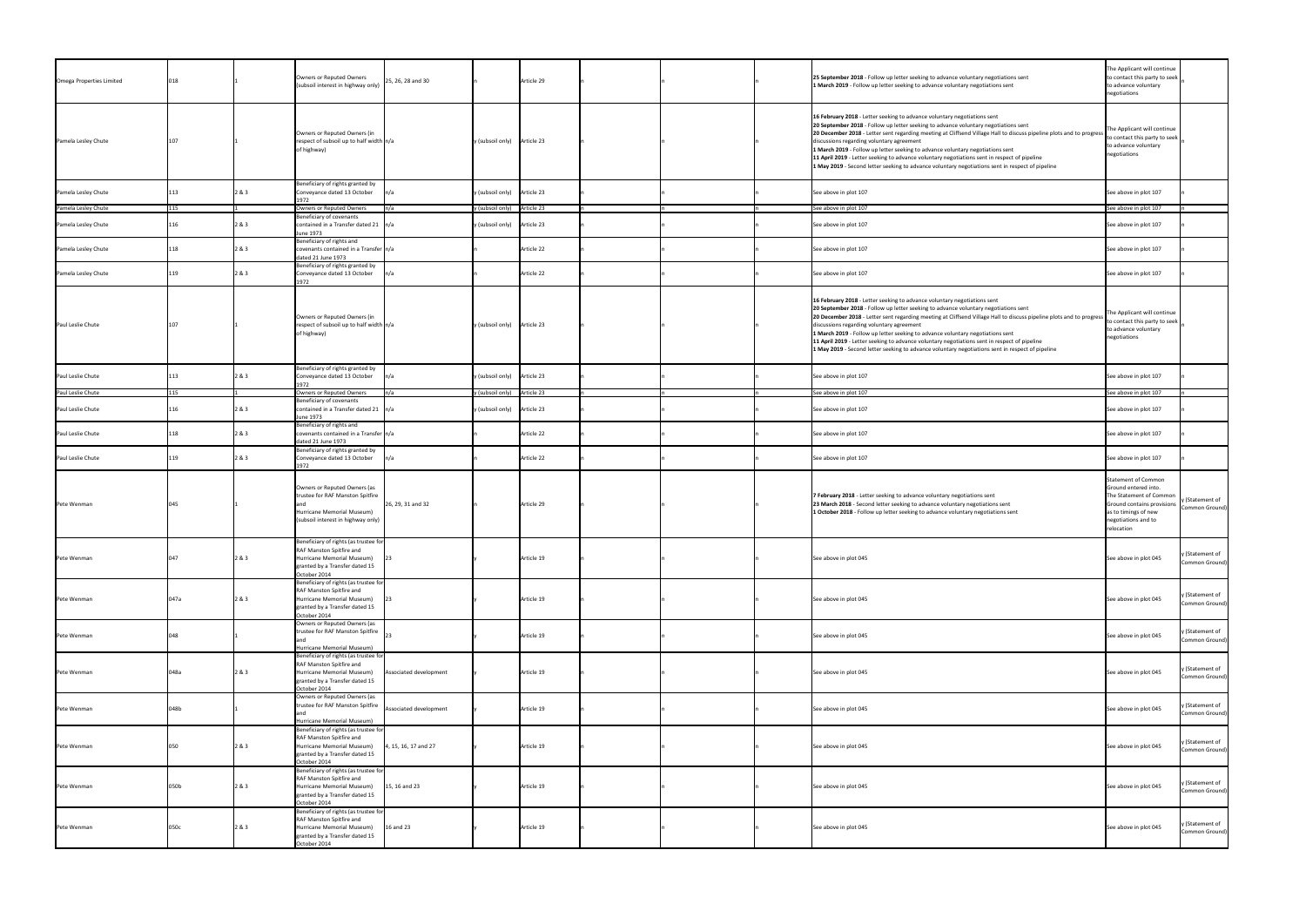| Omega Properties Limited |      |       | Owners or Reputed Owners<br>(subsoil interest in highway only)                                                                                       | 25, 26, 28 and 30        | Article 29                    | 25 September 2018 - Follow up letter seeking to advance voluntary negotiations sent<br>1 March 2019 - Follow up letter seeking to advance voluntary negotiations sent                                                                                                                                                                                                                                                                                                                                                                                                                                                      | The Applicant will continue<br>to contact this party to seek<br>to advance voluntary<br>negotiations                                                              |                                   |
|--------------------------|------|-------|------------------------------------------------------------------------------------------------------------------------------------------------------|--------------------------|-------------------------------|----------------------------------------------------------------------------------------------------------------------------------------------------------------------------------------------------------------------------------------------------------------------------------------------------------------------------------------------------------------------------------------------------------------------------------------------------------------------------------------------------------------------------------------------------------------------------------------------------------------------------|-------------------------------------------------------------------------------------------------------------------------------------------------------------------|-----------------------------------|
| Pamela Lesley Chute      |      |       | Owners or Reputed Owners (in<br>respect of subsoil up to half width $n/a$<br>of highway)                                                             |                          | y (subsoil only) Article 23   | 16 February 2018 - Letter seeking to advance voluntary negotiations sent<br>20 September 2018 - Follow up letter seeking to advance voluntary negotiations sent<br>20 December 2018 - Letter sent regarding meeting at Cliffsend Village Hall to discuss pipeline plots and to progress<br>discussions regarding voluntary agreement<br>1 March 2019 - Follow up letter seeking to advance voluntary negotiations sent<br>11 April 2019 - Letter seeking to advance voluntary negotiations sent in respect of pipeline<br>1 May 2019 - Second letter seeking to advance voluntary negotiations sent in respect of pipeline | The Applicant will continue<br>to contact this party to seek<br>to advance voluntary<br>negotiations                                                              |                                   |
| Pamela Lesley Chute      |      | 2 & 3 | Beneficiary of rights granted by<br>Conveyance dated 13 October                                                                                      | In/a                     | y (subsoil only) Article 23   | See above in plot 107                                                                                                                                                                                                                                                                                                                                                                                                                                                                                                                                                                                                      | See above in plot 107                                                                                                                                             |                                   |
| Pamela Lesley Chute      | 115  |       | Owners or Reputed Owners                                                                                                                             | $\mathsf{In}/\mathsf{a}$ | y (subsoil only) Article 23   | See above in plot 107                                                                                                                                                                                                                                                                                                                                                                                                                                                                                                                                                                                                      | See above in plot 107                                                                                                                                             |                                   |
| Pamela Lesley Chute      |      | 2 & 3 | Beneficiary of covenants<br>contained in a Transfer dated 21 $\sqrt{n/a}$                                                                            |                          | $y$ (subsoil only) Article 23 | See above in plot 107                                                                                                                                                                                                                                                                                                                                                                                                                                                                                                                                                                                                      | See above in plot 107                                                                                                                                             |                                   |
|                          |      |       | June 1973                                                                                                                                            |                          |                               |                                                                                                                                                                                                                                                                                                                                                                                                                                                                                                                                                                                                                            |                                                                                                                                                                   |                                   |
| Pamela Lesley Chute      |      | 2 & 3 | Beneficiary of rights and<br>covenants contained in a Transfer   n/a<br>dated 21 June 1973                                                           |                          | Article 22                    | See above in plot 107                                                                                                                                                                                                                                                                                                                                                                                                                                                                                                                                                                                                      | See above in plot 107                                                                                                                                             |                                   |
| Pamela Lesley Chute      |      | 2 & 3 | Beneficiary of rights granted by<br>Conveyance dated 13 October<br>1972                                                                              | $\mathsf{In}/\mathsf{a}$ | Article 22                    | See above in plot 107                                                                                                                                                                                                                                                                                                                                                                                                                                                                                                                                                                                                      | See above in plot 107                                                                                                                                             |                                   |
| Paul Leslie Chute        | 107  |       | Owners or Reputed Owners (in<br>respect of subsoil up to half width $n/a$<br>of highway)                                                             |                          | y (subsoil only) Article 23   | 16 February 2018 - Letter seeking to advance voluntary negotiations sent<br>20 September 2018 - Follow up letter seeking to advance voluntary negotiations sent<br>20 December 2018 - Letter sent regarding meeting at Cliffsend Village Hall to discuss pipeline plots and to progress<br>discussions regarding voluntary agreement<br>1 March 2019 - Follow up letter seeking to advance voluntary negotiations sent<br>11 April 2019 - Letter seeking to advance voluntary negotiations sent in respect of pipeline<br>1 May 2019 - Second letter seeking to advance voluntary negotiations sent in respect of pipeline | The Applicant will continue<br>to contact this party to seek<br>to advance voluntary<br>negotiations                                                              |                                   |
| Paul Leslie Chute        |      | 2 & 3 | Beneficiary of rights granted by<br>Conveyance dated 13 October                                                                                      | In/a                     | y (subsoil only) Article 23   | See above in plot 107                                                                                                                                                                                                                                                                                                                                                                                                                                                                                                                                                                                                      | See above in plot 107                                                                                                                                             |                                   |
| Paul Leslie Chute        | 115  |       | 1972<br>Owners or Reputed Owners                                                                                                                     | $\mathsf{In}/\mathsf{a}$ | y (subsoil only) Article 23   | See above in plot 107                                                                                                                                                                                                                                                                                                                                                                                                                                                                                                                                                                                                      | See above in plot 107                                                                                                                                             |                                   |
| Paul Leslie Chute        |      | 2 & 3 | Beneficiary of covenants<br>contained in a Transfer dated 21 $ n/a $<br>June 1973                                                                    |                          | $y$ (subsoil only) Article 23 | See above in plot 107                                                                                                                                                                                                                                                                                                                                                                                                                                                                                                                                                                                                      | See above in plot 107                                                                                                                                             |                                   |
| Paul Leslie Chute        |      | 2 & 3 | Beneficiary of rights and<br>covenants contained in a Transfer   n/a<br>dated 21 June 1973                                                           |                          | Article 22                    | See above in plot 107                                                                                                                                                                                                                                                                                                                                                                                                                                                                                                                                                                                                      | See above in plot 107                                                                                                                                             |                                   |
| Paul Leslie Chute        | 19   | 2 & 3 | Beneficiary of rights granted by<br>Conveyance dated 13 October<br>1972                                                                              | ln/a                     | Article 22                    | See above in plot 107                                                                                                                                                                                                                                                                                                                                                                                                                                                                                                                                                                                                      | See above in plot 107                                                                                                                                             |                                   |
| Pete Wenman              |      |       | Owners or Reputed Owners (as<br>trustee for RAF Manston Spitfire<br>Hurricane Memorial Museum)<br>(subsoil interest in highway only)                 | 26, 29, 31 and 32        | Article 29                    | 7 February 2018 - Letter seeking to advance voluntary negotiations sent<br>23 March 2018 - Second letter seeking to advance voluntary negotiations sent<br>1 October 2018 - Follow up letter seeking to advance voluntary negotiations sent                                                                                                                                                                                                                                                                                                                                                                                | Statement of Common<br>Ground entered into.<br>The Statement of Common<br>Ground contains provisions<br>as to timings of new<br>negotiations and to<br>relocation | y (Statement of<br>Common Ground) |
| Pete Wenman              | 047. | 2 & 3 | Beneficiary of rights (as trustee for<br>RAF Manston Spitfire and<br>Hurricane Memorial Museum) 23<br>granted by a Transfer dated 15<br>October 2014 |                          | Article 19                    | See above in plot 045                                                                                                                                                                                                                                                                                                                                                                                                                                                                                                                                                                                                      | See above in plot 045                                                                                                                                             | y (Statement of<br>Common Ground) |
| Pete Wenman              | 047a | 2 & 3 | Beneficiary of rights (as trustee for<br>RAF Manston Spitfire and<br>Hurricane Memorial Museum)<br>granted by a Transfer dated 15<br>October 2014    |                          | Article 19                    | See above in plot 045                                                                                                                                                                                                                                                                                                                                                                                                                                                                                                                                                                                                      | See above in plot 045                                                                                                                                             | y (Statement of<br>Common Ground) |
| Pete Wenman              | 048  |       | Owners or Reputed Owners (as<br>trustee for RAF Manston Spitfire<br>Hurricane Memorial Museum)                                                       |                          | Article 19                    | See above in plot 045                                                                                                                                                                                                                                                                                                                                                                                                                                                                                                                                                                                                      | See above in plot 045                                                                                                                                             | y (Statement of<br>Common Ground) |
| Pete Wenman              | 048a | 2 & 3 | Beneficiary of rights (as trustee for<br>RAF Manston Spitfire and<br>Hurricane Memorial Museum)<br>granted by a Transfer dated 15<br>October 2014    | Associated development   | Article 19                    | See above in plot 045                                                                                                                                                                                                                                                                                                                                                                                                                                                                                                                                                                                                      | See above in plot 045                                                                                                                                             | y (Statement of<br>Common Ground) |
| Pete Wenman              | 048b |       | Owners or Reputed Owners (as<br>trustee for RAF Manston Spitfire  <br> Associated development<br>land<br>Hurricane Memorial Museum)                  |                          | Article 19                    | See above in plot 045                                                                                                                                                                                                                                                                                                                                                                                                                                                                                                                                                                                                      | See above in plot 045                                                                                                                                             | y (Statement of<br>Common Ground) |
| Pete Wenman              | 050  | 2 & 3 | Beneficiary of rights (as trustee for<br>RAF Manston Spitfire and<br>Hurricane Memorial Museum)<br>granted by a Transfer dated 15<br>October 2014    | 4, 15, 16, 17 and 27     | Article 19                    | See above in plot 045                                                                                                                                                                                                                                                                                                                                                                                                                                                                                                                                                                                                      | See above in plot 045                                                                                                                                             | y (Statement of<br>Common Ground) |
| Pete Wenman              | 050b | 2 & 3 | Beneficiary of rights (as trustee for<br>RAF Manston Spitfire and<br>Hurricane Memorial Museum)<br>granted by a Transfer dated 15<br>October 2014    | 15, 16 and 23            | Article 19                    | See above in plot 045                                                                                                                                                                                                                                                                                                                                                                                                                                                                                                                                                                                                      | See above in plot 045                                                                                                                                             | y (Statement of<br>Common Ground) |
| Pete Wenman              | 050c | 2 & 3 | Beneficiary of rights (as trustee for<br>RAF Manston Spitfire and<br>Hurricane Memorial Museum)<br>granted by a Transfer dated 15<br>October 2014    | 16 and 23                | Article 19                    | See above in plot 045                                                                                                                                                                                                                                                                                                                                                                                                                                                                                                                                                                                                      | See above in plot 045                                                                                                                                             | y (Statement of<br>Common Ground) |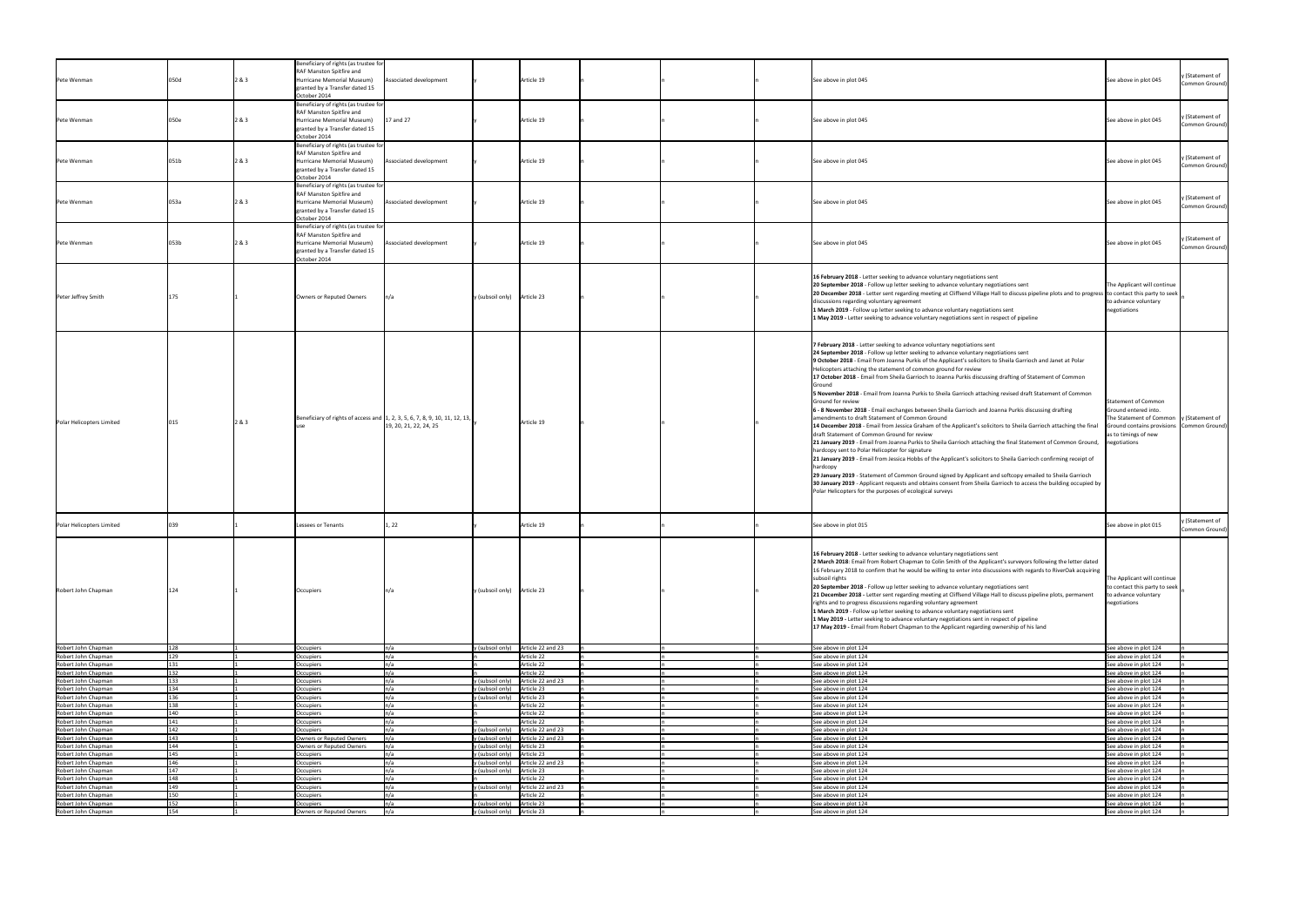|                                                                   |      |       | Beneficiary of rights (as trustee for       |                                                                             |                                                               |  |                                                                                                                                                    |                                                       |                 |
|-------------------------------------------------------------------|------|-------|---------------------------------------------|-----------------------------------------------------------------------------|---------------------------------------------------------------|--|----------------------------------------------------------------------------------------------------------------------------------------------------|-------------------------------------------------------|-----------------|
|                                                                   |      |       | RAF Manston Spitfire and                    |                                                                             |                                                               |  |                                                                                                                                                    |                                                       | y (Statement of |
| Pete Wenman                                                       | 050d | 2 & 3 | Hurricane Memorial Museum)                  | Associated development                                                      | Article 19                                                    |  | See above in plot 045                                                                                                                              | See above in plot 045                                 | Common Ground)  |
|                                                                   |      |       | granted by a Transfer dated 15              |                                                                             |                                                               |  |                                                                                                                                                    |                                                       |                 |
|                                                                   |      |       | October 2014                                |                                                                             |                                                               |  |                                                                                                                                                    |                                                       |                 |
|                                                                   |      |       | Beneficiary of rights (as trustee for       |                                                                             |                                                               |  |                                                                                                                                                    |                                                       |                 |
|                                                                   |      |       | RAF Manston Spitfire and                    |                                                                             |                                                               |  |                                                                                                                                                    |                                                       |                 |
|                                                                   |      |       | Hurricane Memorial Museum)                  | $17$ and 27                                                                 | Article 19                                                    |  |                                                                                                                                                    |                                                       | y (Statement of |
| Pete Wenman                                                       | 050e | 2 & 3 |                                             |                                                                             |                                                               |  | See above in plot 045                                                                                                                              | See above in plot 045                                 | Common Ground)  |
|                                                                   |      |       | granted by a Transfer dated 15              |                                                                             |                                                               |  |                                                                                                                                                    |                                                       |                 |
|                                                                   |      |       | October 2014                                |                                                                             |                                                               |  |                                                                                                                                                    |                                                       |                 |
|                                                                   |      |       | Beneficiary of rights (as trustee for       |                                                                             |                                                               |  |                                                                                                                                                    |                                                       |                 |
|                                                                   |      |       | RAF Manston Spitfire and                    |                                                                             |                                                               |  |                                                                                                                                                    |                                                       |                 |
|                                                                   |      |       |                                             |                                                                             |                                                               |  |                                                                                                                                                    |                                                       | y (Statement of |
| Pete Wenman                                                       | 051b | 2 & 3 | Hurricane Memorial Museum)                  | Associated development                                                      | Article 19                                                    |  | See above in plot 045                                                                                                                              | See above in plot 045                                 | Common Ground)  |
|                                                                   |      |       | granted by a Transfer dated 15              |                                                                             |                                                               |  |                                                                                                                                                    |                                                       |                 |
|                                                                   |      |       | October 2014                                |                                                                             |                                                               |  |                                                                                                                                                    |                                                       |                 |
|                                                                   |      |       | Beneficiary of rights (as trustee for       |                                                                             |                                                               |  |                                                                                                                                                    |                                                       |                 |
|                                                                   |      |       | RAF Manston Spitfire and                    |                                                                             |                                                               |  |                                                                                                                                                    |                                                       |                 |
|                                                                   |      |       |                                             |                                                                             |                                                               |  |                                                                                                                                                    |                                                       | y (Statement of |
| Pete Wenman                                                       | 053a | 2 & 3 | Hurricane Memorial Museum)                  | Associated development                                                      | Article 19                                                    |  | See above in plot 045                                                                                                                              | See above in plot 045                                 | Common Ground)  |
|                                                                   |      |       | granted by a Transfer dated 15              |                                                                             |                                                               |  |                                                                                                                                                    |                                                       |                 |
|                                                                   |      |       | October 2014                                |                                                                             |                                                               |  |                                                                                                                                                    |                                                       |                 |
|                                                                   |      |       | Beneficiary of rights (as trustee for       |                                                                             |                                                               |  |                                                                                                                                                    |                                                       |                 |
|                                                                   |      |       | RAF Manston Spitfire and                    |                                                                             |                                                               |  |                                                                                                                                                    |                                                       |                 |
|                                                                   |      |       |                                             |                                                                             |                                                               |  |                                                                                                                                                    |                                                       | y (Statement of |
| Pete Wenman                                                       | 053b | 2 & 3 | Hurricane Memorial Museum)                  | Associated development                                                      | Article 19                                                    |  | See above in plot 045                                                                                                                              | See above in plot 045                                 | Common Ground)  |
|                                                                   |      |       | granted by a Transfer dated 15              |                                                                             |                                                               |  |                                                                                                                                                    |                                                       |                 |
|                                                                   |      |       | October 2014                                |                                                                             |                                                               |  |                                                                                                                                                    |                                                       |                 |
|                                                                   |      |       |                                             |                                                                             |                                                               |  |                                                                                                                                                    |                                                       |                 |
|                                                                   |      |       |                                             |                                                                             |                                                               |  |                                                                                                                                                    |                                                       |                 |
|                                                                   |      |       |                                             |                                                                             |                                                               |  | 16 February 2018 - Letter seeking to advance voluntary negotiations sent                                                                           |                                                       |                 |
|                                                                   |      |       |                                             |                                                                             |                                                               |  | 20 September 2018 - Follow up letter seeking to advance voluntary negotiations sent                                                                | The Applicant will continue                           |                 |
|                                                                   |      |       |                                             |                                                                             |                                                               |  | 20 December 2018 - Letter sent regarding meeting at Cliffsend Village Hall to discuss pipeline plots and to progress to contact this party to seek |                                                       |                 |
| Peter Jeffrey Smith                                               |      |       | Owners or Reputed Owners                    | n/a                                                                         | Article 23<br>y (subsoil only)                                |  | discussions regarding voluntary agreement                                                                                                          | to advance voluntary                                  |                 |
|                                                                   |      |       |                                             |                                                                             |                                                               |  |                                                                                                                                                    |                                                       |                 |
|                                                                   |      |       |                                             |                                                                             |                                                               |  | 1 March 2019 - Follow up letter seeking to advance voluntary negotiations sent                                                                     | negotiations                                          |                 |
|                                                                   |      |       |                                             |                                                                             |                                                               |  | 1 May 2019 - Letter seeking to advance voluntary negotiations sent in respect of pipeline                                                          |                                                       |                 |
|                                                                   |      |       |                                             |                                                                             |                                                               |  |                                                                                                                                                    |                                                       |                 |
|                                                                   |      |       |                                             |                                                                             |                                                               |  |                                                                                                                                                    |                                                       |                 |
|                                                                   |      |       |                                             |                                                                             |                                                               |  |                                                                                                                                                    |                                                       |                 |
|                                                                   |      |       |                                             |                                                                             |                                                               |  | 7 February 2018 - Letter seeking to advance voluntary negotiations sent                                                                            |                                                       |                 |
|                                                                   |      |       |                                             |                                                                             |                                                               |  | 24 September 2018 - Follow up letter seeking to advance voluntary negotiations sent                                                                |                                                       |                 |
|                                                                   |      |       |                                             |                                                                             |                                                               |  | 9 October 2018 - Email from Joanna Purkis of the Applicant's solicitors to Sheila Garrioch and Janet at Polar                                      |                                                       |                 |
|                                                                   |      |       |                                             |                                                                             |                                                               |  |                                                                                                                                                    |                                                       |                 |
|                                                                   |      |       |                                             |                                                                             |                                                               |  | Helicopters attaching the statement of common ground for review                                                                                    |                                                       |                 |
|                                                                   |      |       |                                             |                                                                             |                                                               |  | 17 October 2018 - Email from Sheila Garrioch to Joanna Purkis discussing drafting of Statement of Common                                           |                                                       |                 |
|                                                                   |      |       |                                             |                                                                             |                                                               |  | Ground                                                                                                                                             |                                                       |                 |
|                                                                   |      |       |                                             |                                                                             |                                                               |  | 5 November 2018 - Email from Joanna Purkis to Sheila Garrioch attaching revised draft Statement of Common                                          |                                                       |                 |
|                                                                   |      |       |                                             |                                                                             |                                                               |  |                                                                                                                                                    |                                                       |                 |
|                                                                   |      |       |                                             |                                                                             |                                                               |  | Ground for review                                                                                                                                  | Statement of Common                                   |                 |
|                                                                   |      |       |                                             |                                                                             |                                                               |  | 6 - 8 November 2018 - Email exchanges between Sheila Garrioch and Joanna Purkis discussing drafting                                                | Ground entered into.                                  |                 |
|                                                                   |      |       |                                             | Beneficiary of rights of access and 1, 2, 3, 5, 6, 7, 8, 9, 10, 11, 12, 13, |                                                               |  | amendments to draft Statement of Common Ground                                                                                                     | The Statement of Common $\vert y \vert$ (Statement of |                 |
| Polar Helicopters Limited                                         |      | 2 & 3 |                                             | 19, 20, 21, 22, 24, 25                                                      | Article 19                                                    |  | 14 December 2018 - Email from Jessica Graham of the Applicant's solicitors to Sheila Garrioch attaching the final                                  | Ground contains provisions Common Ground)             |                 |
|                                                                   |      |       |                                             |                                                                             |                                                               |  |                                                                                                                                                    |                                                       |                 |
|                                                                   |      |       |                                             |                                                                             |                                                               |  | draft Statement of Common Ground for review                                                                                                        | as to timings of new                                  |                 |
|                                                                   |      |       |                                             |                                                                             |                                                               |  | 21 January 2019 - Email from Joanna Purkis to Sheila Garrioch attaching the final Statement of Common Ground,                                      | negotiations                                          |                 |
|                                                                   |      |       |                                             |                                                                             |                                                               |  | hardcopy sent to Polar Helicopter for signature                                                                                                    |                                                       |                 |
|                                                                   |      |       |                                             |                                                                             |                                                               |  | 21 January 2019 - Email from Jessica Hobbs of the Applicant's solicitors to Sheila Garrioch confirming receipt of                                  |                                                       |                 |
|                                                                   |      |       |                                             |                                                                             |                                                               |  |                                                                                                                                                    |                                                       |                 |
|                                                                   |      |       |                                             |                                                                             |                                                               |  | hardcopy                                                                                                                                           |                                                       |                 |
|                                                                   |      |       |                                             |                                                                             |                                                               |  | 29 January 2019 - Statement of Common Ground signed by Applicant and softcopy emailed to Sheila Garrioch                                           |                                                       |                 |
|                                                                   |      |       |                                             |                                                                             |                                                               |  | 30 January 2019 - Applicant requests and obtains consent from Sheila Garrioch to access the building occupied by                                   |                                                       |                 |
|                                                                   |      |       |                                             |                                                                             |                                                               |  |                                                                                                                                                    |                                                       |                 |
|                                                                   |      |       |                                             |                                                                             |                                                               |  | Polar Helicopters for the purposes of ecological surveys                                                                                           |                                                       |                 |
|                                                                   |      |       |                                             |                                                                             |                                                               |  |                                                                                                                                                    |                                                       |                 |
|                                                                   |      |       |                                             |                                                                             |                                                               |  |                                                                                                                                                    |                                                       |                 |
|                                                                   |      |       |                                             |                                                                             |                                                               |  |                                                                                                                                                    |                                                       |                 |
| Polar Helicopters Limited                                         |      |       | Lessees or Tenants                          | 1, 22                                                                       | Article 19                                                    |  | See above in plot 015                                                                                                                              | See above in plot 015                                 | y (Statement of |
|                                                                   |      |       |                                             |                                                                             |                                                               |  |                                                                                                                                                    |                                                       | Common Ground)  |
|                                                                   |      |       |                                             |                                                                             |                                                               |  |                                                                                                                                                    |                                                       |                 |
|                                                                   |      |       |                                             |                                                                             |                                                               |  |                                                                                                                                                    |                                                       |                 |
|                                                                   |      |       |                                             |                                                                             |                                                               |  |                                                                                                                                                    |                                                       |                 |
|                                                                   |      |       |                                             |                                                                             |                                                               |  |                                                                                                                                                    |                                                       |                 |
|                                                                   |      |       |                                             |                                                                             |                                                               |  | 16 February 2018 - Letter seeking to advance voluntary negotiations sent                                                                           |                                                       |                 |
|                                                                   |      |       |                                             |                                                                             |                                                               |  |                                                                                                                                                    |                                                       |                 |
|                                                                   |      |       |                                             |                                                                             |                                                               |  | 2 March 2018: Email from Robert Chapman to Colin Smith of the Applicant's surveyors following the letter dated                                     |                                                       |                 |
|                                                                   |      |       |                                             |                                                                             |                                                               |  | 16 February 2018 to confirm that he would be willing to enter into discussions with regards to RiverOak acquiring                                  |                                                       |                 |
|                                                                   |      |       |                                             |                                                                             |                                                               |  | subsoil rights                                                                                                                                     | The Applicant will continue                           |                 |
|                                                                   |      |       |                                             |                                                                             |                                                               |  | 20 September 2018 - Follow up letter seeking to advance voluntary negotiations sent                                                                | to contact this party to seek                         |                 |
| Robert John Chapman                                               |      |       | Occupiers                                   |                                                                             | Article 23<br>y (subsoil only)                                |  |                                                                                                                                                    |                                                       |                 |
|                                                                   |      |       |                                             |                                                                             |                                                               |  | 21 December 2018 - Letter sent regarding meeting at Cliffsend Village Hall to discuss pipeline plots, permanent                                    | to advance voluntary                                  |                 |
|                                                                   |      |       |                                             |                                                                             |                                                               |  | rights and to progress discussions regarding voluntary agreement                                                                                   | negotiations                                          |                 |
|                                                                   |      |       |                                             |                                                                             |                                                               |  | 1 March 2019 - Follow up letter seeking to advance voluntary negotiations sent                                                                     |                                                       |                 |
|                                                                   |      |       |                                             |                                                                             |                                                               |  | 1 May 2019 - Letter seeking to advance voluntary negotiations sent in respect of pipeline                                                          |                                                       |                 |
|                                                                   |      |       |                                             |                                                                             |                                                               |  | 17 May 2019 - Email from Robert Chapman to the Applicant regarding ownership of his land                                                           |                                                       |                 |
|                                                                   |      |       |                                             |                                                                             |                                                               |  |                                                                                                                                                    |                                                       |                 |
|                                                                   |      |       |                                             |                                                                             |                                                               |  |                                                                                                                                                    |                                                       |                 |
| Robert John Chapman                                               | 128  |       | Occupiers                                   | n/a                                                                         | y (subsoil only) $\int$ Article 22 and 23                     |  | See above in plot 124                                                                                                                              | See above in plot 124                                 |                 |
|                                                                   |      |       |                                             |                                                                             |                                                               |  |                                                                                                                                                    |                                                       |                 |
| Robert John Chapman                                               |      |       | Occupiers                                   | n/a                                                                         | Article 22                                                    |  | See above in plot 124                                                                                                                              | See above in plot 124                                 |                 |
| Robert John Chapman                                               |      |       | Occupiers                                   | n/a                                                                         | Article 22                                                    |  | See above in plot 124                                                                                                                              | See above in plot 124                                 |                 |
| Robert John Chapman                                               | 132  |       | Occupiers                                   |                                                                             | Article 22                                                    |  | See above in plot 124                                                                                                                              | See above in plot 124                                 |                 |
|                                                                   | 133  |       |                                             |                                                                             |                                                               |  |                                                                                                                                                    |                                                       |                 |
| Robert John Chapman                                               |      |       | Occupiers                                   |                                                                             | (subsoil only)<br>Article 22 and 23                           |  | See above in plot 124                                                                                                                              | See above in plot 124                                 |                 |
| Robert John Chapman                                               |      |       | Occupiers                                   |                                                                             | Article 23<br>(subsoil only)                                  |  | See above in plot 124                                                                                                                              | See above in plot 124                                 |                 |
| Robert John Chapman                                               |      |       | Occupiers                                   |                                                                             | Article 23<br>y (subsoil only)                                |  | See above in plot 124                                                                                                                              | See above in plot 124                                 |                 |
| Robert John Chapman                                               |      |       | <b>Occupiers</b>                            |                                                                             | Article 22                                                    |  | See above in plot 124                                                                                                                              | See above in plot 124                                 |                 |
|                                                                   | 140  |       |                                             |                                                                             |                                                               |  |                                                                                                                                                    |                                                       |                 |
| Robert John Chapman                                               |      |       | Occupiers                                   |                                                                             | Article 22                                                    |  | See above in plot 124                                                                                                                              | See above in plot 124                                 |                 |
| Robert John Chapman                                               | 141  |       | Occupiers                                   |                                                                             | Article 22                                                    |  | See above in plot 124                                                                                                                              | See above in plot 124                                 |                 |
|                                                                   | 142  |       | Occupiers                                   | n/a                                                                         | (subsoil only)<br>Article 22 and 23                           |  | See above in plot 124                                                                                                                              | See above in plot 124                                 |                 |
|                                                                   | 143  |       | Owners or Reputed Owners                    | n/a                                                                         | y (subsoil only) Article 22 and 23                            |  | See above in plot 124                                                                                                                              | See above in plot 124                                 |                 |
| Robert John Chapman<br>Robert John Chapman<br>Robert John Chapman | 144  |       | Owners or Reputed Owners                    | n/a                                                                         | y (subsoil only) Article 23                                   |  | See above in plot 124                                                                                                                              | See above in plot 124                                 |                 |
|                                                                   | .45  |       |                                             |                                                                             |                                                               |  |                                                                                                                                                    |                                                       |                 |
| Robert John Chapman                                               |      |       | Occupiers                                   |                                                                             | y (subsoil only)<br>Article 23                                |  | See above in plot 124                                                                                                                              | See above in plot 124                                 |                 |
|                                                                   |      |       | Occupiers                                   |                                                                             | Article 22 and 23<br>y (subsoil only)                         |  | See above in plot 124                                                                                                                              | See above in plot 124                                 |                 |
| Robert John Chapman<br>Robert John Chapman                        | 147  |       | Occupiers                                   | n/a                                                                         | y (subsoil only)<br>Article 23                                |  | See above in plot 124                                                                                                                              | See above in plot 124                                 |                 |
| Robert John Chapman                                               | 148  |       | Occupiers                                   |                                                                             | Article 22                                                    |  | See above in plot 124                                                                                                                              | See above in plot 124                                 |                 |
|                                                                   | 149  |       |                                             |                                                                             | (subsoil only)                                                |  |                                                                                                                                                    |                                                       |                 |
| Robert John Chapman                                               | 150  |       | Occupiers                                   |                                                                             | Article 22 and 23                                             |  | See above in plot 124                                                                                                                              | See above in plot 124                                 |                 |
| Robert John Chapman                                               |      |       | Occupiers                                   |                                                                             | Article 22                                                    |  | See above in plot 124                                                                                                                              | See above in plot 124                                 |                 |
| Robert John Chapman<br>Robert John Chapman                        | 154  |       | Occupiers<br>Owners or Reputed Owners [n/a] |                                                                             | Article 23<br>(subsoil only)<br>y (subsoil only)   Article 23 |  | See above in plot 124<br>See above in plot 124                                                                                                     | See above in plot 124<br>See above in plot 124        |                 |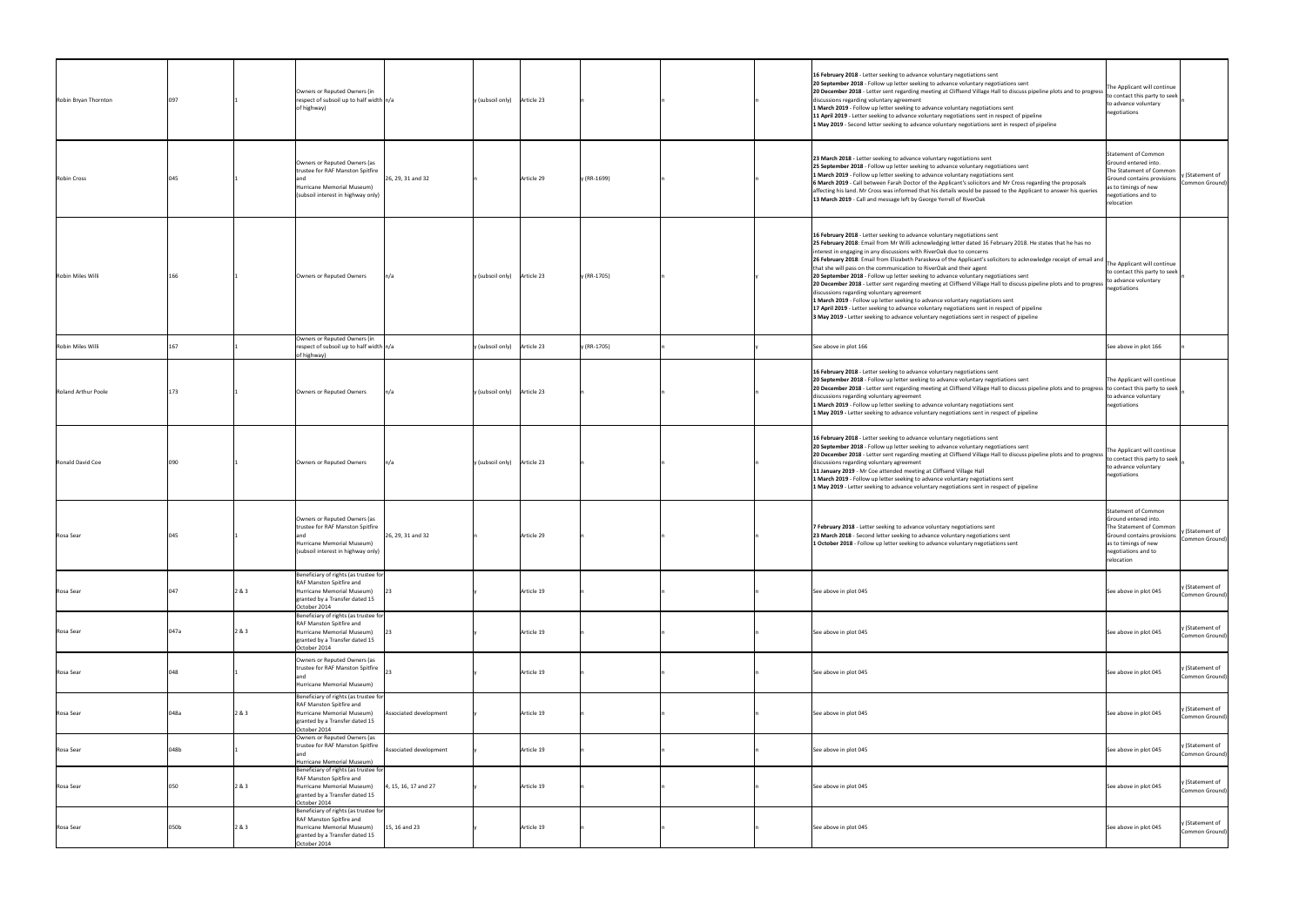| Robin Bryan Thornton     |      |       | Owners or Reputed Owners (in<br>respect of subsoil up to half width $n/a$<br>of highway)                                                                                    | y (subsoil only) Article 23 |             | 16 February 2018 - Letter seeking to advance voluntary negotiations sent<br>20 September 2018 - Follow up letter seeking to advance voluntary negotiations sent<br>20 December 2018 - Letter sent regarding meeting at Cliffsend Village Hall to discuss pipeline plots and to progress<br>discussions regarding voluntary agreement<br>1 March 2019 - Follow up letter seeking to advance voluntary negotiations sent<br>11 April 2019 - Letter seeking to advance voluntary negotiations sent in respect of pipeline<br>1 May 2019 - Second letter seeking to advance voluntary negotiations sent in respect of pipeline                                                                                                                                                                                                                                                                                                                                                                                | The Applicant will continue<br>to contact this party to seek<br>to advance voluntary<br>negotiations                                                              |                                   |
|--------------------------|------|-------|-----------------------------------------------------------------------------------------------------------------------------------------------------------------------------|-----------------------------|-------------|-----------------------------------------------------------------------------------------------------------------------------------------------------------------------------------------------------------------------------------------------------------------------------------------------------------------------------------------------------------------------------------------------------------------------------------------------------------------------------------------------------------------------------------------------------------------------------------------------------------------------------------------------------------------------------------------------------------------------------------------------------------------------------------------------------------------------------------------------------------------------------------------------------------------------------------------------------------------------------------------------------------|-------------------------------------------------------------------------------------------------------------------------------------------------------------------|-----------------------------------|
| <b>Robin Cross</b>       |      |       | Owners or Reputed Owners (as<br>trustee for RAF Manston Spitfire<br>26, 29, 31 and 32<br>Hurricane Memorial Museum)<br>(subsoil interest in highway only)                   | Article 29                  | y (RR-1699) | 23 March 2018 - Letter seeking to advance voluntary negotiations sent<br>25 September 2018 - Follow up letter seeking to advance voluntary negotiations sent<br>1 March 2019 - Follow up letter seeking to advance voluntary negotiations sent<br>6 March 2019 - Call between Farah Doctor of the Applicant's solicitors and Mr Cross regarding the proposals<br>affecting his land. Mr Cross was informed that his details would be passed to the Applicant to answer his queries<br>13 March 2019 - Call and message left by George Yerrell of RiverOak                                                                                                                                                                                                                                                                                                                                                                                                                                                 | Statement of Common<br>Ground entered into.<br>The Statement of Common<br>Ground contains provisions<br>as to timings of new<br>negotiations and to<br>relocation | y (Statement of<br>Common Ground) |
| <b>Robin Miles Willi</b> | 166  |       | n/a<br>Owners or Reputed Owners                                                                                                                                             | y (subsoil only) Article 23 | y (RR-1705) | 16 February 2018 - Letter seeking to advance voluntary negotiations sent<br>25 February 2018: Email from Mr Willi acknowledging letter dated 16 February 2018. He states that he has no<br>interest in engaging in any discussions with RiverOak due to concerns<br>[26 February 2018: Email from Elizabeth Paraskeva of the Applicant's solicitors to acknowledge receipt of email and<br>that she will pass on the communication to RiverOak and their agent<br>20 September 2018 - Follow up letter seeking to advance voluntary negotiations sent<br>20 December 2018 - Letter sent regarding meeting at Cliffsend Village Hall to discuss pipeline plots and to progress<br>discussions regarding voluntary agreement<br>1 March 2019 - Follow up letter seeking to advance voluntary negotiations sent<br>17 April 2019 - Letter seeking to advance voluntary negotiations sent in respect of pipeline<br>3 May 2019 - Letter seeking to advance voluntary negotiations sent in respect of pipeline | The Applicant will continue<br>to contact this party to seek  <br>to advance voluntary<br>negotiations                                                            |                                   |
| Robin Miles Willi        |      |       | Owners or Reputed Owners (in<br>respect of subsoil up to half width $n/a$<br>of highway)                                                                                    | y (subsoil only) Article 23 | y (RR-1705) | See above in plot 166                                                                                                                                                                                                                                                                                                                                                                                                                                                                                                                                                                                                                                                                                                                                                                                                                                                                                                                                                                                     | See above in plot 166                                                                                                                                             |                                   |
| Roland Arthur Poole      | 173  |       | Owners or Reputed Owners<br>n/a                                                                                                                                             | y (subsoil only) Article 23 |             | 16 February 2018 - Letter seeking to advance voluntary negotiations sent<br>20 September 2018 - Follow up letter seeking to advance voluntary negotiations sent<br>20 December 2018 - Letter sent regarding meeting at Cliffsend Village Hall to discuss pipeline plots and to progress to contact this party to seek<br>discussions regarding voluntary agreement<br>1 March 2019 - Follow up letter seeking to advance voluntary negotiations sent<br>1 May 2019 - Letter seeking to advance voluntary negotiations sent in respect of pipeline                                                                                                                                                                                                                                                                                                                                                                                                                                                         | The Applicant will continue<br>to advance voluntary<br>negotiations                                                                                               |                                   |
| Ronald David Coe         | 090  |       | ln/a<br>Owners or Reputed Owners                                                                                                                                            | y (subsoil only) Article 23 |             | 16 February 2018 - Letter seeking to advance voluntary negotiations sent<br>20 September 2018 - Follow up letter seeking to advance voluntary negotiations sent<br>20 December 2018 - Letter sent regarding meeting at Cliffsend Village Hall to discuss pipeline plots and to progress<br>discussions regarding voluntary agreement<br>11 January 2019 - Mr Coe attended meeting at Cliffsend Village Hall<br>1 March 2019 - Follow up letter seeking to advance voluntary negotiations sent<br>1 May 2019 - Letter seeking to advance voluntary negotiations sent in respect of pipeline                                                                                                                                                                                                                                                                                                                                                                                                                | The Applicant will continue<br>to contact this party to seek<br>to advance voluntary<br>negotiations                                                              |                                   |
| Rosa Sear                |      |       | Owners or Reputed Owners (as<br>trustee for RAF Manston Spitfire<br>26, 29, 31 and 32<br>Hurricane Memorial Museum)<br>(subsoil interest in highway only)                   | Article 29                  |             | 7 February 2018 - Letter seeking to advance voluntary negotiations sent<br>23 March 2018 - Second letter seeking to advance voluntary negotiations sent<br>1 October 2018 - Follow up letter seeking to advance voluntary negotiations sent                                                                                                                                                                                                                                                                                                                                                                                                                                                                                                                                                                                                                                                                                                                                                               | Statement of Common<br>Ground entered into.<br>The Statement of Common<br>Ground contains provisions<br>as to timings of new<br>negotiations and to<br>relocation | y (Statement of<br>Common Ground) |
| Rosa Sear                | 047  | 2 & 3 | Beneficiary of rights (as trustee for<br><b>RAF Manston Spitfire and</b><br>Hurricane Memorial Museum)<br>granted by a Transfer dated 15<br>October 2014                    | Article 19                  |             | See above in plot 045                                                                                                                                                                                                                                                                                                                                                                                                                                                                                                                                                                                                                                                                                                                                                                                                                                                                                                                                                                                     | See above in plot 045                                                                                                                                             | y (Statement of<br>Common Ground) |
| Rosa Sear                | 047a | 2 & 3 | Beneficiary of rights (as trustee for<br>RAF Manston Spitfire and<br>Hurricane Memorial Museum)<br>granted by a Transfer dated 15<br>October 2014                           | Article 19                  |             | See above in plot 045                                                                                                                                                                                                                                                                                                                                                                                                                                                                                                                                                                                                                                                                                                                                                                                                                                                                                                                                                                                     | See above in plot 045                                                                                                                                             | y (Statement of<br>Common Ground) |
| Rosa Sear                | 048  |       | Owners or Reputed Owners (as<br>trustee for RAF Manston Spitfire<br>Hurricane Memorial Museum)                                                                              | Article 19                  |             | See above in plot 045                                                                                                                                                                                                                                                                                                                                                                                                                                                                                                                                                                                                                                                                                                                                                                                                                                                                                                                                                                                     | See above in plot 045                                                                                                                                             | y (Statement of<br>Common Ground) |
| Rosa Sear                | 048a | 2 & 3 | Beneficiary of rights (as trustee for<br>RAF Manston Spitfire and<br>Associated development<br>Hurricane Memorial Museum)<br>granted by a Transfer dated 15<br>October 2014 | Article 19                  |             | See above in plot 045                                                                                                                                                                                                                                                                                                                                                                                                                                                                                                                                                                                                                                                                                                                                                                                                                                                                                                                                                                                     | See above in plot 045                                                                                                                                             | y (Statement of<br>Common Ground) |
| Rosa Sear                | 048b |       | Owners or Reputed Owners (as<br>trustee for RAF Manston Spitfire<br>Associated development<br>Hurricane Memorial Museum)                                                    | Article 19                  |             | See above in plot 045                                                                                                                                                                                                                                                                                                                                                                                                                                                                                                                                                                                                                                                                                                                                                                                                                                                                                                                                                                                     | See above in plot 045                                                                                                                                             | y (Statement of<br>Common Ground) |
| Rosa Sear                | 050  | 2 & 3 | Beneficiary of rights (as trustee for<br>RAF Manston Spitfire and<br>4, 15, 16, 17 and 27<br>Hurricane Memorial Museum)<br>granted by a Transfer dated 15<br>October 2014   | Article 19                  |             | See above in plot 045                                                                                                                                                                                                                                                                                                                                                                                                                                                                                                                                                                                                                                                                                                                                                                                                                                                                                                                                                                                     | See above in plot 045                                                                                                                                             | y (Statement of<br>Common Ground) |
| Rosa Sear                | 050b | 2 & 3 | Beneficiary of rights (as trustee for<br>RAF Manston Spitfire and<br>15, 16 and 23<br>Hurricane Memorial Museum)<br>granted by a Transfer dated 15<br>October 2014          | Article 19                  |             | See above in plot 045                                                                                                                                                                                                                                                                                                                                                                                                                                                                                                                                                                                                                                                                                                                                                                                                                                                                                                                                                                                     | See above in plot 045                                                                                                                                             | y (Statement of<br>Common Ground) |
|                          |      |       |                                                                                                                                                                             |                             |             |                                                                                                                                                                                                                                                                                                                                                                                                                                                                                                                                                                                                                                                                                                                                                                                                                                                                                                                                                                                                           |                                                                                                                                                                   |                                   |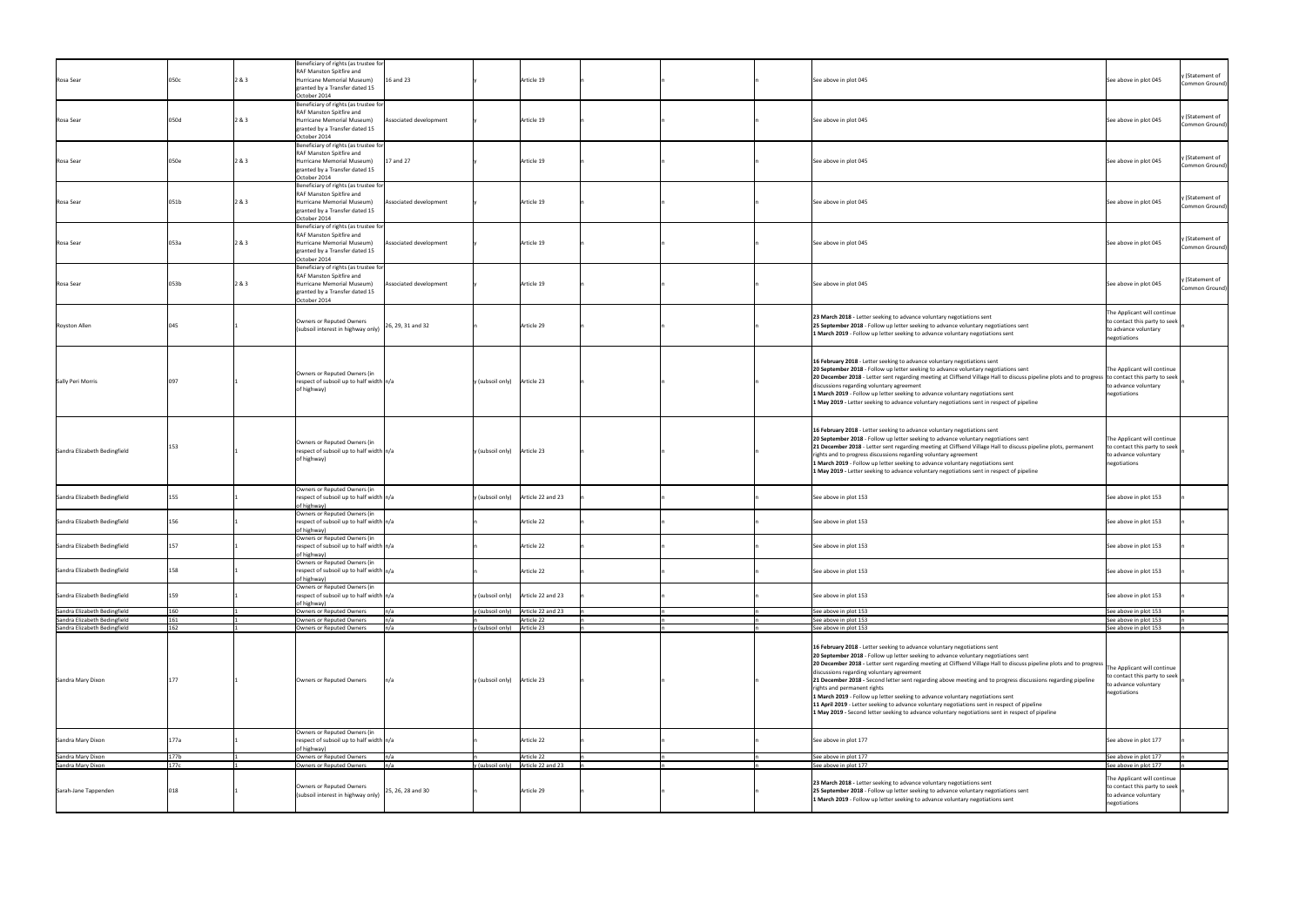|                                        |              |       | Beneficiary of rights (as trustee for<br>RAF Manston Spitfire and                      |                             |                                           |                                                                                                                                                                                                             |                                                            |
|----------------------------------------|--------------|-------|----------------------------------------------------------------------------------------|-----------------------------|-------------------------------------------|-------------------------------------------------------------------------------------------------------------------------------------------------------------------------------------------------------------|------------------------------------------------------------|
| Rosa Sear                              | 050c         | 2 & 3 | 16 and 23<br>Hurricane Memorial Museum)<br>granted by a Transfer dated 15              |                             | Article 19                                | See above in plot 045                                                                                                                                                                                       | y (Statement of<br>See above in plot 045<br>Common Ground) |
|                                        |              |       | October 2014                                                                           |                             |                                           |                                                                                                                                                                                                             |                                                            |
|                                        |              |       | Beneficiary of rights (as trustee for<br>RAF Manston Spitfire and                      |                             |                                           |                                                                                                                                                                                                             | y (Statement of                                            |
| Rosa Sear                              | 050d         | 2 & 3 | Hurricane Memorial Museum)<br>Associated development<br>granted by a Transfer dated 15 |                             | Article 19                                | See above in plot 045                                                                                                                                                                                       | See above in plot 045<br>Common Ground)                    |
|                                        |              |       | October 2014<br>Beneficiary of rights (as trustee for                                  |                             |                                           |                                                                                                                                                                                                             |                                                            |
|                                        |              |       | RAF Manston Spitfire and                                                               |                             |                                           |                                                                                                                                                                                                             | y (Statement of                                            |
| Rosa Sear                              | 050e         | 2&83  | 17 and 27<br>Hurricane Memorial Museum)<br>granted by a Transfer dated 15              |                             | Article 19                                | See above in plot 045                                                                                                                                                                                       | See above in plot 045<br>Common Ground)                    |
|                                        |              |       | October 2014<br>Beneficiary of rights (as trustee for                                  |                             |                                           |                                                                                                                                                                                                             |                                                            |
| Rosa Sear                              | 051b         | 2 & 3 | RAF Manston Spitfire and<br>Hurricane Memorial Museum)<br>Associated development       |                             | Article 19                                | See above in plot 045                                                                                                                                                                                       | y (Statement of<br>See above in plot 045                   |
|                                        |              |       | granted by a Transfer dated 15                                                         |                             |                                           |                                                                                                                                                                                                             | Common Ground)                                             |
|                                        |              |       | October 2014<br>Beneficiary of rights (as trustee for                                  |                             |                                           |                                                                                                                                                                                                             |                                                            |
| Rosa Sear                              | 053a         | 2&8.3 | RAF Manston Spitfire and<br>Hurricane Memorial Museum)<br>Associated development       |                             | Article 19                                | See above in plot 045                                                                                                                                                                                       | y (Statement of<br>See above in plot 045                   |
|                                        |              |       | granted by a Transfer dated 15<br>October 2014                                         |                             |                                           |                                                                                                                                                                                                             | Common Ground)                                             |
|                                        |              |       | Beneficiary of rights (as trustee for                                                  |                             |                                           |                                                                                                                                                                                                             |                                                            |
| Rosa Sear                              | 053b         | 2&83  | RAF Manston Spitfire and<br>Associated development<br>Hurricane Memorial Museum)       |                             | Article 19                                | See above in plot 045                                                                                                                                                                                       | y (Statement of<br>See above in plot 045<br>Common Ground) |
|                                        |              |       | granted by a Transfer dated 15<br>October 2014                                         |                             |                                           |                                                                                                                                                                                                             |                                                            |
|                                        |              |       |                                                                                        |                             |                                           | 23 March 2018 - Letter seeking to advance voluntary negotiations sent                                                                                                                                       | The Applicant will continue                                |
| <b>Royston Allen</b>                   |              |       | Owners or Reputed Owners<br>26, 29, 31 and 32<br>(subsoil interest in highway only)    |                             | Article 29                                | 25 September 2018 - Follow up letter seeking to advance voluntary negotiations sent                                                                                                                         | to contact this party to seek<br>to advance voluntary      |
|                                        |              |       |                                                                                        |                             |                                           | 1 March 2019 - Follow up letter seeking to advance voluntary negotiations sent                                                                                                                              | negotiations                                               |
|                                        |              |       |                                                                                        |                             |                                           |                                                                                                                                                                                                             |                                                            |
|                                        |              |       | Owners or Reputed Owners (in                                                           |                             |                                           | 16 February 2018 - Letter seeking to advance voluntary negotiations sent<br>20 September 2018 - Follow up letter seeking to advance voluntary negotiations sent                                             | The Applicant will continue                                |
| <b>Sally Peri Morris</b>               |              |       | respect of subsoil up to half width $n/a$                                              | y (subsoil only) Article 23 |                                           | 20 December 2018 - Letter sent regarding meeting at Cliffsend Village Hall to discuss pipeline plots and to progress to contact this party to seek<br>discussions regarding voluntary agreement             | to advance voluntary                                       |
|                                        |              |       | of highway)                                                                            |                             |                                           | 1 March 2019 - Follow up letter seeking to advance voluntary negotiations sent                                                                                                                              | negotiations                                               |
|                                        |              |       |                                                                                        |                             |                                           | 1 May 2019 - Letter seeking to advance voluntary negotiations sent in respect of pipeline                                                                                                                   |                                                            |
|                                        |              |       |                                                                                        |                             |                                           |                                                                                                                                                                                                             |                                                            |
|                                        |              |       | Owners or Reputed Owners (in                                                           |                             |                                           | 16 February 2018 - Letter seeking to advance voluntary negotiations sent<br>20 September 2018 - Follow up letter seeking to advance voluntary negotiations sent                                             | The Applicant will continue                                |
| Sandra Elizabeth Bedingfield           |              |       | respect of subsoil up to half width $n/a$                                              | y (subsoil only) Article 23 |                                           | 21 December 2018 - Letter sent regarding meeting at Cliffsend Village Hall to discuss pipeline plots, permanent<br>rights and to progress discussions regarding voluntary agreement                         | to contact this party to seek<br>to advance voluntary      |
|                                        |              |       | of highway)                                                                            |                             |                                           | 1 March 2019 - Follow up letter seeking to advance voluntary negotiations sent                                                                                                                              | negotiations                                               |
|                                        |              |       |                                                                                        |                             |                                           | 1 May 2019 - Letter seeking to advance voluntary negotiations sent in respect of pipeline                                                                                                                   |                                                            |
| Sandra Elizabeth Bedingfield           |              |       | Owners or Reputed Owners (in<br>respect of subsoil up to half width $n/a$              |                             | y (subsoil only) Article 22 and 23        | See above in plot 153                                                                                                                                                                                       | See above in plot 153                                      |
|                                        |              |       | of highway)<br>Owners or Reputed Owners (in                                            |                             |                                           |                                                                                                                                                                                                             |                                                            |
| Sandra Elizabeth Bedingfield           | 156          |       | respect of subsoil up to half width $n/a$                                              |                             | Article 22                                | See above in plot 153                                                                                                                                                                                       | See above in plot 153                                      |
|                                        |              |       | of highway)<br>Owners or Reputed Owners (in                                            |                             |                                           |                                                                                                                                                                                                             |                                                            |
| Sandra Elizabeth Bedingfield           | 157          |       | respect of subsoil up to half width $n/a$<br>of highway)                               |                             | Article 22                                | See above in plot 153                                                                                                                                                                                       | See above in plot 153                                      |
| Sandra Elizabeth Bedingfield           | 158          |       | Owners or Reputed Owners (in<br>respect of subsoil up to half width $n/a$              |                             | Article 22                                | See above in plot 153                                                                                                                                                                                       | See above in plot 153                                      |
|                                        |              |       | of highway)                                                                            |                             |                                           |                                                                                                                                                                                                             |                                                            |
| Sandra Elizabeth Bedingfield           | 159          |       | Owners or Reputed Owners (in<br>respect of subsoil up to half width $n/a$              |                             | y (subsoil only) Article 22 and 23        | See above in plot 153                                                                                                                                                                                       | See above in plot 153                                      |
| Sandra Elizabeth Bedingfield           | 160          |       | of highway)<br>Owners or Reputed Owners<br>n/a                                         |                             | y (subsoil only) $\int$ Article 22 and 23 | See above in plot 153                                                                                                                                                                                       | See above in plot 153                                      |
| Sandra Elizabeth Bedingfield           | 161          |       | $\mathsf{In}/\mathsf{a}$<br>Owners or Reputed Owners                                   |                             | Article 22                                | See above in plot 153                                                                                                                                                                                       | See above in plot 153                                      |
| Sandra Elizabeth Bedingfield           | 162          |       | n/a<br>Owners or Reputed Owners                                                        | y (subsoil only) Article 23 |                                           | See above in plot 153                                                                                                                                                                                       | See above in plot 153                                      |
|                                        |              |       |                                                                                        |                             |                                           | 16 February 2018 - Letter seeking to advance voluntary negotiations sent                                                                                                                                    |                                                            |
|                                        |              |       |                                                                                        |                             |                                           | 20 September 2018 - Follow up letter seeking to advance voluntary negotiations sent<br>20 December 2018 - Letter sent regarding meeting at Cliffsend Village Hall to discuss pipeline plots and to progress | The Applicant will continue                                |
| Sandra Mary Dixon                      |              |       | n/a<br>Owners or Reputed Owners                                                        | y (subsoil only) Article 23 |                                           | discussions regarding voluntary agreement<br>21 December 2018 - Second letter sent regarding above meeting and to progress discussions regarding pipeline                                                   | to contact this party to seek                              |
|                                        |              |       |                                                                                        |                             |                                           | rights and permanent rights                                                                                                                                                                                 | to advance voluntary<br>negotiations                       |
|                                        |              |       |                                                                                        |                             |                                           | 1 March 2019 - Follow up letter seeking to advance voluntary negotiations sent<br>11 April 2019 - Letter seeking to advance voluntary negotiations sent in respect of pipeline                              |                                                            |
|                                        |              |       |                                                                                        |                             |                                           | 1 May 2019 - Second letter seeking to advance voluntary negotiations sent in respect of pipeline                                                                                                            |                                                            |
|                                        |              |       | Owners or Reputed Owners (in                                                           |                             |                                           |                                                                                                                                                                                                             |                                                            |
| Sandra Mary Dixon                      | 177a         |       | respect of subsoil up to half width n/a<br>of highway)                                 |                             | Article 22                                | See above in plot 177                                                                                                                                                                                       | See above in plot 177                                      |
| Sandra Mary Dixon<br>Sandra Mary Dixon | 177b<br>177c |       | Owners or Reputed Owners<br>n/a<br>n/a<br>Owners or Reputed Owners                     | y (subsoil only)            | Article 22<br>Article 22 and 23           | See above in plot 177<br>See above in plot 177                                                                                                                                                              | See above in plot 177<br>See above in plot 177             |
|                                        |              |       |                                                                                        |                             |                                           |                                                                                                                                                                                                             | The Applicant will continue                                |
| Sarah-Jane Tappenden                   |              |       | Owners or Reputed Owners<br>25, 26, 28 and 30                                          |                             | Article 29                                | 23 March 2018 - Letter seeking to advance voluntary negotiations sent<br>25 September 2018 - Follow up letter seeking to advance voluntary negotiations sent                                                | to contact this party to seek                              |
|                                        |              |       | (subsoil interest in highway only)                                                     |                             |                                           | 1 March 2019 - Follow up letter seeking to advance voluntary negotiations sent                                                                                                                              | to advance voluntary<br>negotiations                       |
|                                        |              |       |                                                                                        |                             |                                           |                                                                                                                                                                                                             |                                                            |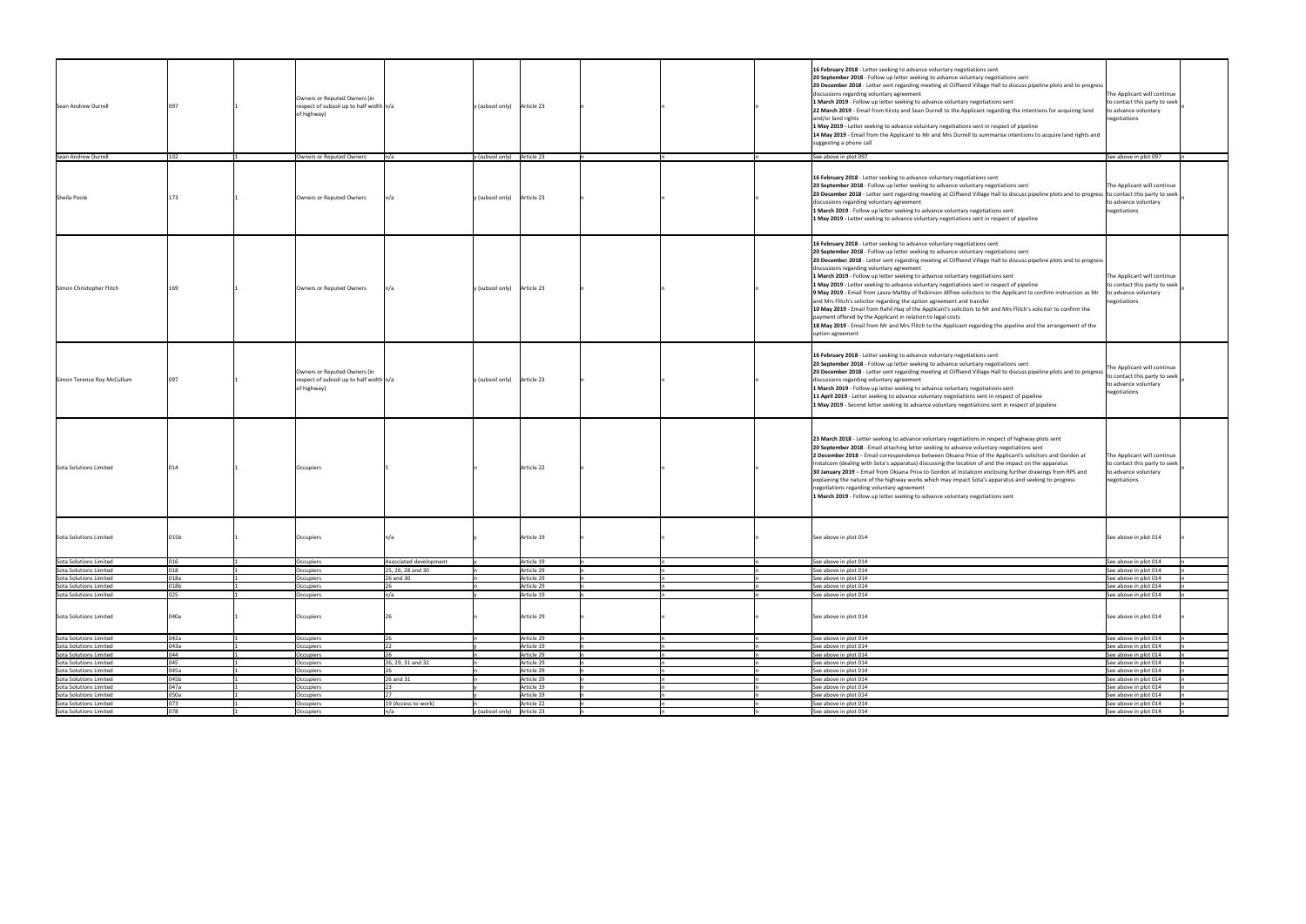| Sean Andrew Durrell        |      | Owners or Reputed Owners (in<br>respect of subsoil up to half width $n/a$<br>of highway) |                        | Article 23<br>y (subsoil only) |  | 16 February 2018 - Letter seeking to advance voluntary negotiations sent<br>20 September 2018 - Follow up letter seeking to advance voluntary negotiations sent<br>20 December 2018 - Letter sent regarding meeting at Cliffsend Village Hall to discuss pipeline plots and to progress<br>discussions regarding voluntary agreement<br>1 March 2019 - Follow up letter seeking to advance voluntary negotiations sent<br>22 March 2019 - Email from Kirsty and Sean Durrell to the Applicant regarding the intentions for acquiring land<br>and/or land rights<br>1 May 2019 - Letter seeking to advance voluntary negotiations sent in respect of pipeline<br>14 May 2019 - Email from the Applicant to Mr and Mrs Durrell to summarise intentions to acquire land rights and<br>suggesting a phone call                                                                                                                                                                                                                                                                     | The Applicant will continue<br>to contact this party to seek<br>to advance voluntary<br>negotiations |
|----------------------------|------|------------------------------------------------------------------------------------------|------------------------|--------------------------------|--|--------------------------------------------------------------------------------------------------------------------------------------------------------------------------------------------------------------------------------------------------------------------------------------------------------------------------------------------------------------------------------------------------------------------------------------------------------------------------------------------------------------------------------------------------------------------------------------------------------------------------------------------------------------------------------------------------------------------------------------------------------------------------------------------------------------------------------------------------------------------------------------------------------------------------------------------------------------------------------------------------------------------------------------------------------------------------------|------------------------------------------------------------------------------------------------------|
|                            |      |                                                                                          |                        |                                |  |                                                                                                                                                                                                                                                                                                                                                                                                                                                                                                                                                                                                                                                                                                                                                                                                                                                                                                                                                                                                                                                                                |                                                                                                      |
| Sean Andrew Durrell        | 102  | Owners or Reputed Owners                                                                 | n/a                    | $y$ (subsoil only) Article 23  |  | See above in plot 097                                                                                                                                                                                                                                                                                                                                                                                                                                                                                                                                                                                                                                                                                                                                                                                                                                                                                                                                                                                                                                                          | See above in plot 097                                                                                |
| Sheila Poole               |      | Owners or Reputed Owners                                                                 |                        | Article 23<br>y (subsoil only) |  | 16 February 2018 - Letter seeking to advance voluntary negotiations sent<br>20 September 2018 - Follow up letter seeking to advance voluntary negotiations sent<br>20 December 2018 - Letter sent regarding meeting at Cliffsend Village Hall to discuss pipeline plots and to progress to contact this party to seek<br>discussions regarding voluntary agreement<br>1 March 2019 - Follow up letter seeking to advance voluntary negotiations sent<br>1 May 2019 - Letter seeking to advance voluntary negotiations sent in respect of pipeline                                                                                                                                                                                                                                                                                                                                                                                                                                                                                                                              | The Applicant will continue<br>to advance voluntary<br>negotiations                                  |
| Simon Christopher Flitch   |      | Owners or Reputed Owners                                                                 |                        | Article 23<br>y (subsoil only) |  | 16 February 2018 - Letter seeking to advance voluntary negotiations sent<br>20 September 2018 - Follow up letter seeking to advance voluntary negotiations sent<br>20 December 2018 - Letter sent regarding meeting at Cliffsend Village Hall to discuss pipeline plots and to progress<br>discussions regarding voluntary agreement<br>1 March 2019 - Follow up letter seeking to advance voluntary negotiations sent<br>1 May 2019 - Letter seeking to advance voluntary negotiations sent in respect of pipeline<br><b>9 May 2019</b> - Email from Laura Maltby of Robinson Allfree solicitors to the Applicant to confirm instruction as Mr $\vert$ to advance voluntary<br>and Mrs Flitch's solicitor regarding the option agreement and transfer<br>10 May 2019 - Email from Rahil Haq of the Applicant's solicitors to Mr and Mrs Flitch's solicitor to confirm the<br>payment offered by the Applicant in relation to legal costs<br>18 May 2019 - Email from Mr and Mrs Flitch to the Applicant regarding the pipeline and the arrangement of the<br>option agreement | The Applicant will continue<br>to contact this party to seek<br>negotiations                         |
| Simon Terence Roy McCullum | 097  | Owners or Reputed Owners (in<br>respect of subsoil up to half width $n/a$<br>of highway) |                        | y (subsoil only) Article 23    |  | 16 February 2018 - Letter seeking to advance voluntary negotiations sent<br>20 September 2018 - Follow up letter seeking to advance voluntary negotiations sent<br>20 December 2018 - Letter sent regarding meeting at Cliffsend Village Hall to discuss pipeline plots and to progress<br>discussions regarding voluntary agreement<br>1 March 2019 - Follow up letter seeking to advance voluntary negotiations sent<br>11 April 2019 - Letter seeking to advance voluntary negotiations sent in respect of pipeline<br>1 May 2019 - Second letter seeking to advance voluntary negotiations sent in respect of pipeline                                                                                                                                                                                                                                                                                                                                                                                                                                                     | The Applicant will continue<br>to contact this party to seek<br>to advance voluntary<br>negotiations |
| Sota Solutions Limited     |      | Occupiers                                                                                |                        | Article 22                     |  | 23 March 2018 - Letter seeking to advance voluntary negotiations in respect of highway plots sent<br>20 September 2018 - Email attaching letter seeking to advance voluntary negotiations sent<br>2 December 2018 - Email correspondence between Oksana Price of the Applicant's solicitors and Gordon at<br>Instalcom (dealing with Sota's apparatus) discussing the location of and the impact on the apparatus<br>30 January 2019 - Email from Oksana Price to Gordon at Instalcom enclosing further drawings from RPS and<br>explaining the nature of the highway works which may impact Sota's apparatus and seeking to progress<br>negotiations regarding voluntary agreement<br>1 March 2019 - Follow up letter seeking to advance voluntary negotiations sent                                                                                                                                                                                                                                                                                                          | The Applicant will continue<br>to contact this party to seek<br>to advance voluntary<br>negotiations |
|                            |      |                                                                                          |                        |                                |  |                                                                                                                                                                                                                                                                                                                                                                                                                                                                                                                                                                                                                                                                                                                                                                                                                                                                                                                                                                                                                                                                                |                                                                                                      |
| Sota Solutions Limited     | 015b | Occupiers                                                                                |                        | Article 19                     |  | See above in plot 014                                                                                                                                                                                                                                                                                                                                                                                                                                                                                                                                                                                                                                                                                                                                                                                                                                                                                                                                                                                                                                                          | See above in plot 014                                                                                |
| Sota Solutions Limited     | 016  | Occupiers                                                                                | Associated development | Article 19                     |  | See above in plot 014                                                                                                                                                                                                                                                                                                                                                                                                                                                                                                                                                                                                                                                                                                                                                                                                                                                                                                                                                                                                                                                          | See above in plot 014                                                                                |
| Sota Solutions Limited     | በ1 Ջ | Occupiers                                                                                | 25, 26, 28 and 30      | Article 29                     |  | See above in plot 014                                                                                                                                                                                                                                                                                                                                                                                                                                                                                                                                                                                                                                                                                                                                                                                                                                                                                                                                                                                                                                                          | See above in plot 014                                                                                |
| Sota Solutions Limited     | 018a | Occupiers                                                                                | 26 and 30              | Article 29                     |  | See above in plot 014                                                                                                                                                                                                                                                                                                                                                                                                                                                                                                                                                                                                                                                                                                                                                                                                                                                                                                                                                                                                                                                          | See above in plot 014                                                                                |
|                            |      |                                                                                          |                        |                                |  |                                                                                                                                                                                                                                                                                                                                                                                                                                                                                                                                                                                                                                                                                                                                                                                                                                                                                                                                                                                                                                                                                |                                                                                                      |
| Sota Solutions Limited     | 018b | Occupiers                                                                                |                        | Article 29                     |  | See above in plot 014                                                                                                                                                                                                                                                                                                                                                                                                                                                                                                                                                                                                                                                                                                                                                                                                                                                                                                                                                                                                                                                          | See above in plot 014                                                                                |
| Sota Solutions Limited     | 025  | Occupiers                                                                                |                        | Article 19                     |  | See above in plot 014                                                                                                                                                                                                                                                                                                                                                                                                                                                                                                                                                                                                                                                                                                                                                                                                                                                                                                                                                                                                                                                          | See above in plot 014                                                                                |
| Sota Solutions Limited     | 040a | Occupiers                                                                                |                        | Article 29                     |  | See above in plot 014                                                                                                                                                                                                                                                                                                                                                                                                                                                                                                                                                                                                                                                                                                                                                                                                                                                                                                                                                                                                                                                          | See above in plot 014                                                                                |
| Sota Solutions Limited     | 042a | Occupiers                                                                                |                        | Article 29                     |  | See above in plot 014                                                                                                                                                                                                                                                                                                                                                                                                                                                                                                                                                                                                                                                                                                                                                                                                                                                                                                                                                                                                                                                          | See above in plot 014                                                                                |
| Sota Solutions Limited     | 043a | Occupiers                                                                                |                        | Article 19                     |  | See above in plot 014                                                                                                                                                                                                                                                                                                                                                                                                                                                                                                                                                                                                                                                                                                                                                                                                                                                                                                                                                                                                                                                          | See above in plot 014                                                                                |
| Sota Solutions Limited     | ∩⊿⊿  | Occupiers                                                                                |                        | Article 29                     |  | See above in plot 014                                                                                                                                                                                                                                                                                                                                                                                                                                                                                                                                                                                                                                                                                                                                                                                                                                                                                                                                                                                                                                                          | See above in plot 014                                                                                |
|                            | 045  |                                                                                          | 26, 29, 31 and 32      | Article 29                     |  | See above in plot 014                                                                                                                                                                                                                                                                                                                                                                                                                                                                                                                                                                                                                                                                                                                                                                                                                                                                                                                                                                                                                                                          |                                                                                                      |
| Sota Solutions Limited     |      | Occupiers                                                                                |                        |                                |  |                                                                                                                                                                                                                                                                                                                                                                                                                                                                                                                                                                                                                                                                                                                                                                                                                                                                                                                                                                                                                                                                                | See above in plot 014                                                                                |
| Sota Solutions Limited     | 045a | Occupiers                                                                                |                        | Article 29                     |  | See above in plot 014                                                                                                                                                                                                                                                                                                                                                                                                                                                                                                                                                                                                                                                                                                                                                                                                                                                                                                                                                                                                                                                          | See above in plot 014                                                                                |
| Sota Solutions Limited     | 045b | Occupiers                                                                                | 26 and 31              | Article 29                     |  | See above in plot 014                                                                                                                                                                                                                                                                                                                                                                                                                                                                                                                                                                                                                                                                                                                                                                                                                                                                                                                                                                                                                                                          | See above in plot 014                                                                                |
| Sota Solutions Limited     | 047a | Occupiers                                                                                |                        | Article 19                     |  | See above in plot 014                                                                                                                                                                                                                                                                                                                                                                                                                                                                                                                                                                                                                                                                                                                                                                                                                                                                                                                                                                                                                                                          | See above in plot 014                                                                                |
| Sota Solutions Limited     | 050a | Occupiers                                                                                |                        | Article 19                     |  | See above in plot 014                                                                                                                                                                                                                                                                                                                                                                                                                                                                                                                                                                                                                                                                                                                                                                                                                                                                                                                                                                                                                                                          | See above in plot 014                                                                                |
|                            |      |                                                                                          |                        |                                |  |                                                                                                                                                                                                                                                                                                                                                                                                                                                                                                                                                                                                                                                                                                                                                                                                                                                                                                                                                                                                                                                                                |                                                                                                      |
| Sota Solutions Limited     | በ73  | Occupiers                                                                                | 19 (Access to work)    | Article 22                     |  | See above in plot 014                                                                                                                                                                                                                                                                                                                                                                                                                                                                                                                                                                                                                                                                                                                                                                                                                                                                                                                                                                                                                                                          | See above in plot 014                                                                                |
| Sota Solutions Limited     | 078  | Occupiers                                                                                | n/a                    | y (subsoil only) Article 23    |  | See above in plot 014                                                                                                                                                                                                                                                                                                                                                                                                                                                                                                                                                                                                                                                                                                                                                                                                                                                                                                                                                                                                                                                          | See above in plot 014                                                                                |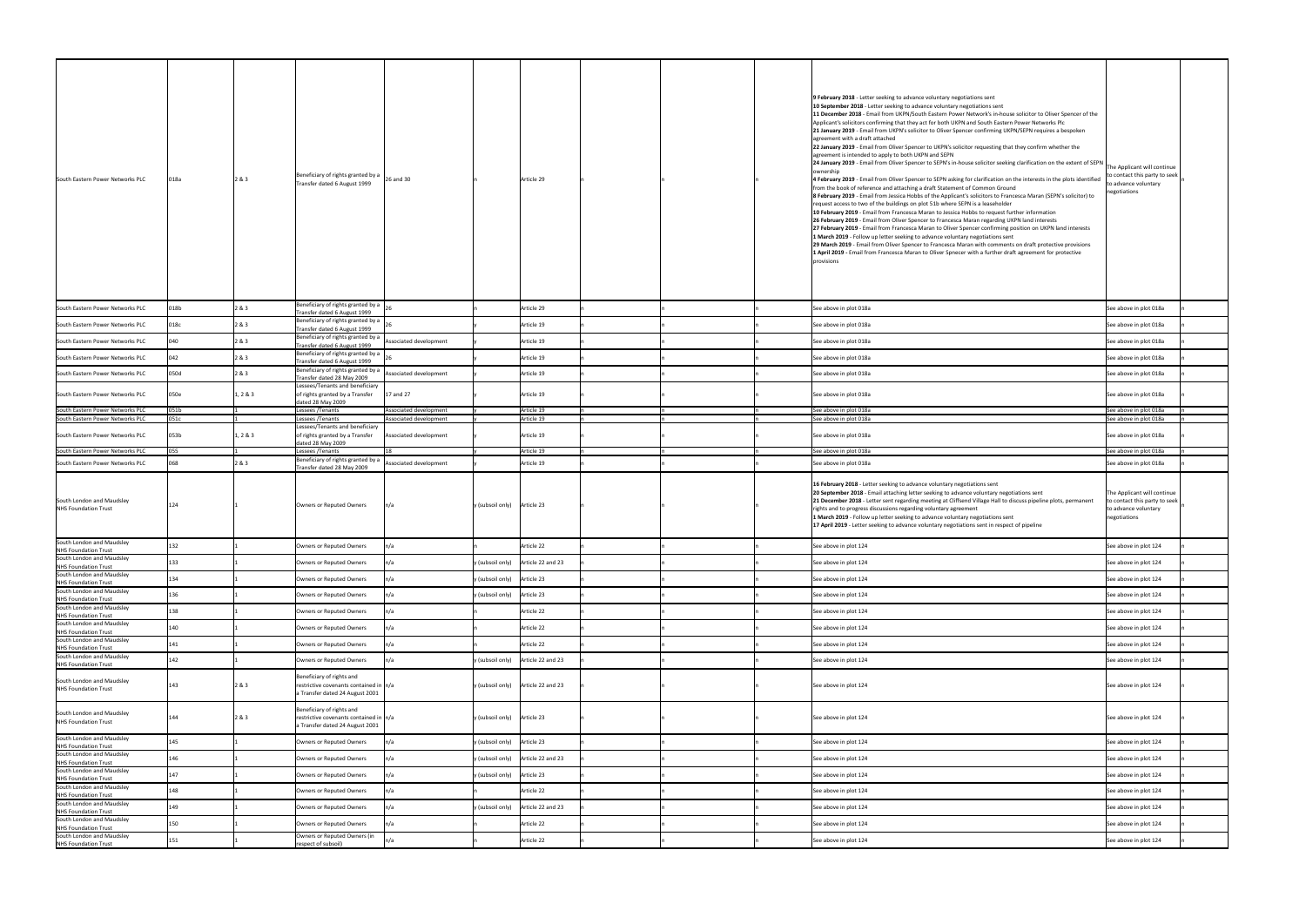| South Eastern Power Networks PLC                                                                                          | )18a         | 2 & 3        | Beneficiary of rights granted by a $\Big _{26}$ and 30<br>Transfer dated 6 August 1999                   |                                                  | Article 29                                             | 9 February 2018 - Letter seeking to advance voluntary negotiations sent<br>10 September 2018 - Letter seeking to advance voluntary negotiations sent<br>11 December 2018 - Email from UKPN/South Eastern Power Network's in-house solicitor to Oliver Spencer of the<br>Applicant's solicitors confirming that they act for both UKPN and South Eastern Power Networks Plc<br>21 January 2019 - Email from UKPN's solicitor to Oliver Spencer confirming UKPN/SEPN requires a bespoken<br>agreement with a draft attached<br>22 January 2019 - Email from Oliver Spencer to UKPN's solicitor requesting that they confirm whether the<br>agreement is intended to apply to both UKPN and SEPN<br>24 January 2019 - Email from Oliver Spencer to SEPN's in-house solicitor seeking clarification on the extent of SEPN<br>ownership<br>4 February 2019 - Email from Oliver Spencer to SEPN asking for clarification on the interests in the plots identified<br>from the book of reference and attaching a draft Statement of Common Ground<br>8 February 2019 - Email from Jessica Hobbs of the Applicant's solicitors to Francesca Maran (SEPN's solicitor) to<br>request access to two of the buildings on plot 51b where SEPN is a leaseholder<br>10 February 2019 - Email from Francesca Maran to Jessica Hobbs to request further information<br>26 February 2019 - Email from Oliver Spencer to Francesca Maran regarding UKPN land interests<br>27 February 2019 - Email from Francesca Maran to Oliver Spencer confirming position on UKPN land interests<br>1 March 2019 - Follow up letter seeking to advance voluntary negotiations sent<br>29 March 2019 - Email from Oliver Spencer to Francesca Maran with comments on draft protective provisions<br>1 April 2019 - Email from Francesca Maran to Oliver Spnecer with a further draft agreement for protective<br>provisions | The Applicant will continue<br>to contact this party to seek<br>to advance voluntary<br>negotiations |
|---------------------------------------------------------------------------------------------------------------------------|--------------|--------------|----------------------------------------------------------------------------------------------------------|--------------------------------------------------|--------------------------------------------------------|---------------------------------------------------------------------------------------------------------------------------------------------------------------------------------------------------------------------------------------------------------------------------------------------------------------------------------------------------------------------------------------------------------------------------------------------------------------------------------------------------------------------------------------------------------------------------------------------------------------------------------------------------------------------------------------------------------------------------------------------------------------------------------------------------------------------------------------------------------------------------------------------------------------------------------------------------------------------------------------------------------------------------------------------------------------------------------------------------------------------------------------------------------------------------------------------------------------------------------------------------------------------------------------------------------------------------------------------------------------------------------------------------------------------------------------------------------------------------------------------------------------------------------------------------------------------------------------------------------------------------------------------------------------------------------------------------------------------------------------------------------------------------------------------------------------------------------------------------------------------------------------------|------------------------------------------------------------------------------------------------------|
| South Eastern Power Networks PLC                                                                                          | 018b         | 2 & 3        | Beneficiary of rights granted by a                                                                       |                                                  | Article 29                                             | See above in plot 018a                                                                                                                                                                                                                                                                                                                                                                                                                                                                                                                                                                                                                                                                                                                                                                                                                                                                                                                                                                                                                                                                                                                                                                                                                                                                                                                                                                                                                                                                                                                                                                                                                                                                                                                                                                                                                                                                      | See above in plot 018a                                                                               |
| South Eastern Power Networks PLC                                                                                          | )18c         | 2 & 3        | Transfer dated 6 August 1999<br>Beneficiary of rights granted by a                                       |                                                  | Article 19                                             | See above in plot 018a                                                                                                                                                                                                                                                                                                                                                                                                                                                                                                                                                                                                                                                                                                                                                                                                                                                                                                                                                                                                                                                                                                                                                                                                                                                                                                                                                                                                                                                                                                                                                                                                                                                                                                                                                                                                                                                                      | See above in plot 018a                                                                               |
|                                                                                                                           |              |              | Transfer dated 6 August 1999<br>Beneficiary of rights granted by a                                       |                                                  |                                                        |                                                                                                                                                                                                                                                                                                                                                                                                                                                                                                                                                                                                                                                                                                                                                                                                                                                                                                                                                                                                                                                                                                                                                                                                                                                                                                                                                                                                                                                                                                                                                                                                                                                                                                                                                                                                                                                                                             |                                                                                                      |
| South Eastern Power Networks PLC                                                                                          |              | 2&3          | Transfer dated 6 August 1999<br>Beneficiary of rights granted by a                                       | Associated development                           | Article 19                                             | See above in plot 018a                                                                                                                                                                                                                                                                                                                                                                                                                                                                                                                                                                                                                                                                                                                                                                                                                                                                                                                                                                                                                                                                                                                                                                                                                                                                                                                                                                                                                                                                                                                                                                                                                                                                                                                                                                                                                                                                      | See above in plot 018a                                                                               |
| South Eastern Power Networks PLC                                                                                          |              | 2&3          | Transfer dated 6 August 1999                                                                             |                                                  | Article 19                                             | See above in plot 018a                                                                                                                                                                                                                                                                                                                                                                                                                                                                                                                                                                                                                                                                                                                                                                                                                                                                                                                                                                                                                                                                                                                                                                                                                                                                                                                                                                                                                                                                                                                                                                                                                                                                                                                                                                                                                                                                      | See above in plot 018a                                                                               |
| South Eastern Power Networks PLC                                                                                          | 050d         | 2&3          | Beneficiary of rights granted by a<br>Transfer dated 28 May 2009                                         | Associated development                           | Article 19                                             | See above in plot 018a                                                                                                                                                                                                                                                                                                                                                                                                                                                                                                                                                                                                                                                                                                                                                                                                                                                                                                                                                                                                                                                                                                                                                                                                                                                                                                                                                                                                                                                                                                                                                                                                                                                                                                                                                                                                                                                                      | See above in plot 018a                                                                               |
| South Eastern Power Networks PLC                                                                                          | 050e         | 1, 2 & 3     | Lessees/Tenants and beneficiary<br>of rights granted by a Transfer<br>dated 28 May 2009                  | 17 and 27                                        | Article 19                                             | See above in plot 018a                                                                                                                                                                                                                                                                                                                                                                                                                                                                                                                                                                                                                                                                                                                                                                                                                                                                                                                                                                                                                                                                                                                                                                                                                                                                                                                                                                                                                                                                                                                                                                                                                                                                                                                                                                                                                                                                      | See above in plot 018a                                                                               |
| South Eastern Power Networks PLC<br>South Eastern Power Networks PLC                                                      | 051b<br>051c |              | Lessees /Tenants<br>Lessees /Tenants                                                                     | Associated development<br>Associated development | Article 19<br>Article 19                               | See above in plot 018a<br>See above in plot 018a                                                                                                                                                                                                                                                                                                                                                                                                                                                                                                                                                                                                                                                                                                                                                                                                                                                                                                                                                                                                                                                                                                                                                                                                                                                                                                                                                                                                                                                                                                                                                                                                                                                                                                                                                                                                                                            | See above in plot 018a<br>See above in plot 018a                                                     |
|                                                                                                                           |              |              | Lessees/Tenants and beneficiary                                                                          |                                                  |                                                        |                                                                                                                                                                                                                                                                                                                                                                                                                                                                                                                                                                                                                                                                                                                                                                                                                                                                                                                                                                                                                                                                                                                                                                                                                                                                                                                                                                                                                                                                                                                                                                                                                                                                                                                                                                                                                                                                                             |                                                                                                      |
| South Eastern Power Networks PLC<br>South Eastern Power Networks PLC                                                      | 053b<br>055  | 1, 2 & 3     | of rights granted by a Transfer<br>dated 28 May 2009<br>Lessees / Tenants                                | Associated development                           | Article 19<br>Article 19                               | See above in plot 018a<br>See above in plot 018a                                                                                                                                                                                                                                                                                                                                                                                                                                                                                                                                                                                                                                                                                                                                                                                                                                                                                                                                                                                                                                                                                                                                                                                                                                                                                                                                                                                                                                                                                                                                                                                                                                                                                                                                                                                                                                            | See above in plot 018a<br>See above in plot 018a                                                     |
|                                                                                                                           |              |              |                                                                                                          |                                                  |                                                        |                                                                                                                                                                                                                                                                                                                                                                                                                                                                                                                                                                                                                                                                                                                                                                                                                                                                                                                                                                                                                                                                                                                                                                                                                                                                                                                                                                                                                                                                                                                                                                                                                                                                                                                                                                                                                                                                                             |                                                                                                      |
| South Eastern Power Networks PLC                                                                                          |              | <u>'</u> & 3 | Beneficiary of rights granted by a                                                                       | Associated development                           | Article 19                                             | See above in plot 018a                                                                                                                                                                                                                                                                                                                                                                                                                                                                                                                                                                                                                                                                                                                                                                                                                                                                                                                                                                                                                                                                                                                                                                                                                                                                                                                                                                                                                                                                                                                                                                                                                                                                                                                                                                                                                                                                      | See above in plot 018a                                                                               |
| South London and Maudsley<br>NHS Foundation Trust                                                                         |              |              | Transfer dated 28 May 2009<br>Owners or Reputed Owners                                                   | n/a                                              | y (subsoil only) Article 23                            | 16 February 2018 - Letter seeking to advance voluntary negotiations sent<br>20 September 2018 - Email attaching letter seeking to advance voluntary negotiations sent<br>21 December 2018 - Letter sent regarding meeting at Cliffsend Village Hall to discuss pipeline plots, permanent<br>rights and to progress discussions regarding voluntary agreement<br>1 March 2019 - Follow up letter seeking to advance voluntary negotiations sent<br>17 April 2019 - Letter seeking to advance voluntary negotiations sent in respect of pipeline                                                                                                                                                                                                                                                                                                                                                                                                                                                                                                                                                                                                                                                                                                                                                                                                                                                                                                                                                                                                                                                                                                                                                                                                                                                                                                                                              | The Applicant will continue<br>to contact this party to seek<br>to advance voluntary<br>negotiations |
| South London and Maudsley                                                                                                 |              |              | Owners or Reputed Owners                                                                                 |                                                  | Article 22                                             | See above in plot 124                                                                                                                                                                                                                                                                                                                                                                                                                                                                                                                                                                                                                                                                                                                                                                                                                                                                                                                                                                                                                                                                                                                                                                                                                                                                                                                                                                                                                                                                                                                                                                                                                                                                                                                                                                                                                                                                       | See above in plot 124                                                                                |
| NHS Foundation Trust<br>South London and Maudsley                                                                         | .33          |              | Owners or Reputed Owners                                                                                 |                                                  | y (subsoil only) $\int$ Article 22 and 23              | See above in plot 124                                                                                                                                                                                                                                                                                                                                                                                                                                                                                                                                                                                                                                                                                                                                                                                                                                                                                                                                                                                                                                                                                                                                                                                                                                                                                                                                                                                                                                                                                                                                                                                                                                                                                                                                                                                                                                                                       | See above in plot 124                                                                                |
| South London and Maudsley                                                                                                 |              |              | Owners or Reputed Owners                                                                                 |                                                  | Article 23<br>y (subsoil only)                         | See above in plot 124                                                                                                                                                                                                                                                                                                                                                                                                                                                                                                                                                                                                                                                                                                                                                                                                                                                                                                                                                                                                                                                                                                                                                                                                                                                                                                                                                                                                                                                                                                                                                                                                                                                                                                                                                                                                                                                                       | See above in plot 124                                                                                |
| NHS Foundation Trust<br><b>NHS Foundation Trust</b><br>South London and Maudsley                                          |              |              |                                                                                                          |                                                  |                                                        |                                                                                                                                                                                                                                                                                                                                                                                                                                                                                                                                                                                                                                                                                                                                                                                                                                                                                                                                                                                                                                                                                                                                                                                                                                                                                                                                                                                                                                                                                                                                                                                                                                                                                                                                                                                                                                                                                             |                                                                                                      |
| <b>NHS Foundation Trust</b><br>South London and Maudsley                                                                  |              |              | Owners or Reputed Owners                                                                                 |                                                  | y (subsoil only) Article 23                            | See above in plot 124                                                                                                                                                                                                                                                                                                                                                                                                                                                                                                                                                                                                                                                                                                                                                                                                                                                                                                                                                                                                                                                                                                                                                                                                                                                                                                                                                                                                                                                                                                                                                                                                                                                                                                                                                                                                                                                                       | See above in plot 124                                                                                |
| <b>NHS Foundation Trust</b><br>South London and Maudsley                                                                  |              |              | Owners or Reputed Owners                                                                                 |                                                  | Article 22                                             | See above in plot 124                                                                                                                                                                                                                                                                                                                                                                                                                                                                                                                                                                                                                                                                                                                                                                                                                                                                                                                                                                                                                                                                                                                                                                                                                                                                                                                                                                                                                                                                                                                                                                                                                                                                                                                                                                                                                                                                       | See above in plot 124                                                                                |
| NHS Foundation Trust                                                                                                      |              |              | Owners or Reputed Owners                                                                                 |                                                  | Article 22                                             | See above in plot 124                                                                                                                                                                                                                                                                                                                                                                                                                                                                                                                                                                                                                                                                                                                                                                                                                                                                                                                                                                                                                                                                                                                                                                                                                                                                                                                                                                                                                                                                                                                                                                                                                                                                                                                                                                                                                                                                       | See above in plot 124                                                                                |
| South London and Maudsley<br>NHS Foundation Trust                                                                         |              |              | Owners or Reputed Owners                                                                                 |                                                  | Article 22                                             | See above in plot 124                                                                                                                                                                                                                                                                                                                                                                                                                                                                                                                                                                                                                                                                                                                                                                                                                                                                                                                                                                                                                                                                                                                                                                                                                                                                                                                                                                                                                                                                                                                                                                                                                                                                                                                                                                                                                                                                       | See above in plot 124                                                                                |
| South London and Maudsley                                                                                                 |              |              | Owners or Reputed Owners                                                                                 |                                                  | Article 22 and 23<br>y (subsoil only)                  | See above in plot 124                                                                                                                                                                                                                                                                                                                                                                                                                                                                                                                                                                                                                                                                                                                                                                                                                                                                                                                                                                                                                                                                                                                                                                                                                                                                                                                                                                                                                                                                                                                                                                                                                                                                                                                                                                                                                                                                       | See above in plot 124                                                                                |
| NHS Foundation Trust<br>South London and Maudsley<br>NHS Foundation Trust                                                 | 143          | 2 & 3        | Beneficiary of rights and<br>restrictive covenants contained in $n/a$<br>a Transfer dated 24 August 2001 |                                                  | $y$ (subsoil only) Article 22 and 23                   | See above in plot 124                                                                                                                                                                                                                                                                                                                                                                                                                                                                                                                                                                                                                                                                                                                                                                                                                                                                                                                                                                                                                                                                                                                                                                                                                                                                                                                                                                                                                                                                                                                                                                                                                                                                                                                                                                                                                                                                       | See above in plot 124                                                                                |
| South London and Maudsley<br>NHS Foundation Trust                                                                         | 144          | 2 & 3        | Beneficiary of rights and<br>restrictive covenants contained in  n/a<br>a Transfer dated 24 August 2001  |                                                  | y (subsoil only) Article 23                            | See above in plot 124                                                                                                                                                                                                                                                                                                                                                                                                                                                                                                                                                                                                                                                                                                                                                                                                                                                                                                                                                                                                                                                                                                                                                                                                                                                                                                                                                                                                                                                                                                                                                                                                                                                                                                                                                                                                                                                                       | See above in plot 124                                                                                |
| South London and Maudsley<br><b>NHS Foundation Trust</b>                                                                  |              |              | Owners or Reputed Owners                                                                                 |                                                  | y (subsoil only) Article 23                            | See above in plot 124                                                                                                                                                                                                                                                                                                                                                                                                                                                                                                                                                                                                                                                                                                                                                                                                                                                                                                                                                                                                                                                                                                                                                                                                                                                                                                                                                                                                                                                                                                                                                                                                                                                                                                                                                                                                                                                                       | See above in plot 124                                                                                |
| South London and Maudsley                                                                                                 |              |              | Owners or Reputed Owners                                                                                 |                                                  | y (subsoil only) Article 22 and 23                     | See above in plot 124                                                                                                                                                                                                                                                                                                                                                                                                                                                                                                                                                                                                                                                                                                                                                                                                                                                                                                                                                                                                                                                                                                                                                                                                                                                                                                                                                                                                                                                                                                                                                                                                                                                                                                                                                                                                                                                                       | See above in plot 124                                                                                |
| South London and Maudsley                                                                                                 |              |              | Owners or Reputed Owners                                                                                 |                                                  | Article 23<br>y (subsoil only)                         | See above in plot 124                                                                                                                                                                                                                                                                                                                                                                                                                                                                                                                                                                                                                                                                                                                                                                                                                                                                                                                                                                                                                                                                                                                                                                                                                                                                                                                                                                                                                                                                                                                                                                                                                                                                                                                                                                                                                                                                       | See above in plot 124                                                                                |
| South London and Maudsley                                                                                                 |              |              | Owners or Reputed Owners                                                                                 |                                                  | Article 22                                             | See above in plot 124                                                                                                                                                                                                                                                                                                                                                                                                                                                                                                                                                                                                                                                                                                                                                                                                                                                                                                                                                                                                                                                                                                                                                                                                                                                                                                                                                                                                                                                                                                                                                                                                                                                                                                                                                                                                                                                                       | See above in plot 124                                                                                |
| South London and Maudsley                                                                                                 |              |              |                                                                                                          |                                                  |                                                        |                                                                                                                                                                                                                                                                                                                                                                                                                                                                                                                                                                                                                                                                                                                                                                                                                                                                                                                                                                                                                                                                                                                                                                                                                                                                                                                                                                                                                                                                                                                                                                                                                                                                                                                                                                                                                                                                                             |                                                                                                      |
| NHS Foundation Trust<br>NHS Foundation Trust<br>NHS Foundation Trust<br>NHS Foundation Trust<br>South London and Maudsley |              |              | Owners or Reputed Owners                                                                                 |                                                  | $\sqrt{y}$ (subsoil only) $\sqrt{y}$ Article 22 and 23 | See above in plot 124                                                                                                                                                                                                                                                                                                                                                                                                                                                                                                                                                                                                                                                                                                                                                                                                                                                                                                                                                                                                                                                                                                                                                                                                                                                                                                                                                                                                                                                                                                                                                                                                                                                                                                                                                                                                                                                                       | See above in plot 124                                                                                |
| <b>NHS Foundation Trust</b><br>South London and Maudsley                                                                  |              |              | Owners or Reputed Owners<br>Owners or Reputed Owners (in                                                 | n/a                                              | Article 22<br>Article 22                               | See above in plot 124<br>See above in plot 124                                                                                                                                                                                                                                                                                                                                                                                                                                                                                                                                                                                                                                                                                                                                                                                                                                                                                                                                                                                                                                                                                                                                                                                                                                                                                                                                                                                                                                                                                                                                                                                                                                                                                                                                                                                                                                              | See above in plot 124<br>See above in plot 124                                                       |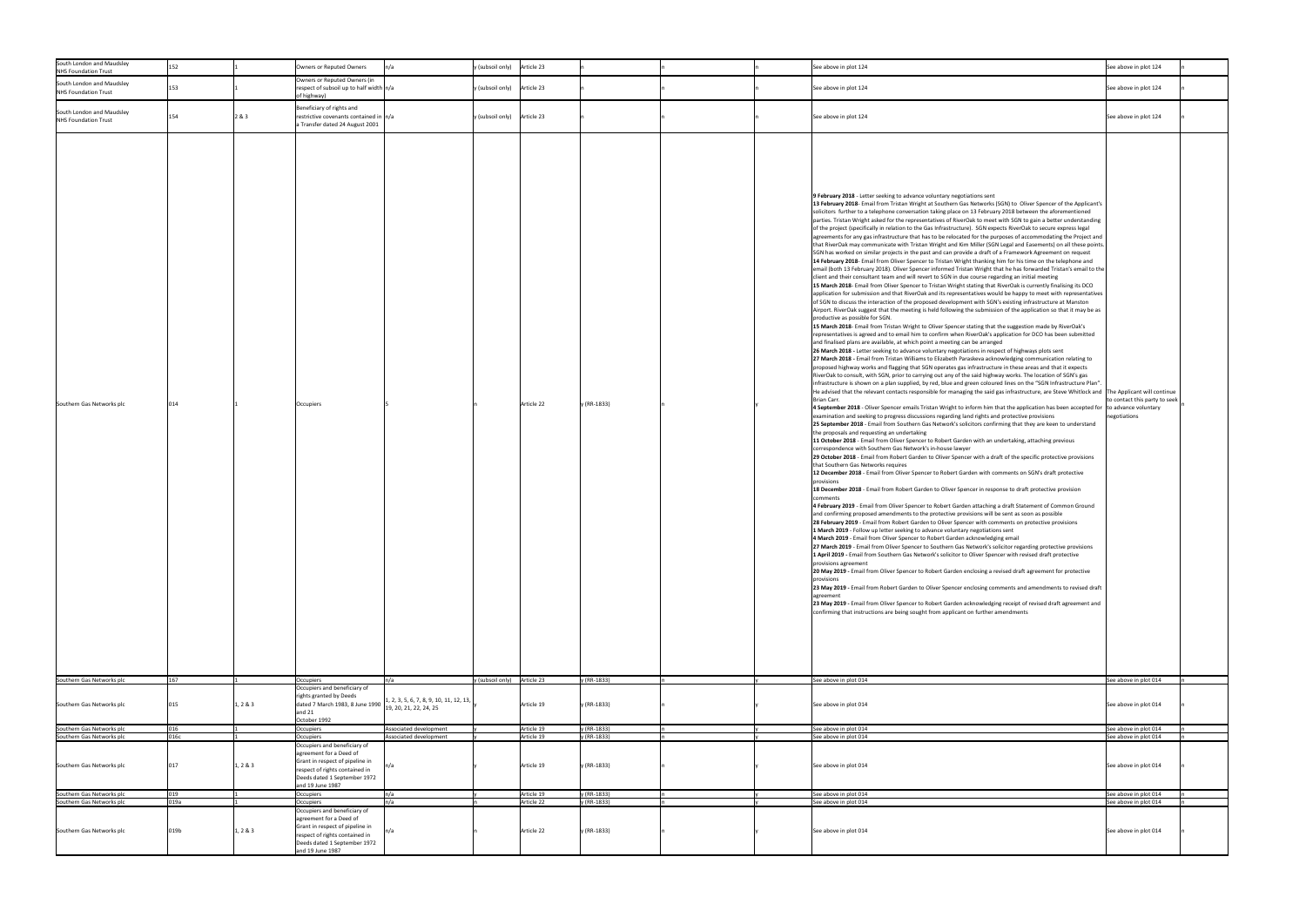| South London and Maudsley                              |             |                                                                                                                                                                                              |                                                                                 |                               |                          |                            |  |                                                                                                                                                                                                                                                                                                                                                                                                                                                                                                                                                                                                                                                                                                                                                                                                                                                                                                                                                                                                                                                                                                                                                                                                                                                                                                                                                                                                                                                                                                                                                                                                                                                                                                                                                                                                                                                                                                                                                                                                                                                                                                                                                                                                                                                                                                                                                                                                                                                                                                                                                                                                                                                                                                                                                                                                                                                                                                                                                                                                                                                                                                                                                                                                                                                                                                                                                                                                                                                                                                                                                                                                                                                                                                                                                                                                                                                                                                                                                                                                                                                                                                                                                                                                                                                                                                                                                                                                                                                                                                                                                                                                                                                                                                                                                                                                                                                                                                                                                                                                                                           |                                                 |
|--------------------------------------------------------|-------------|----------------------------------------------------------------------------------------------------------------------------------------------------------------------------------------------|---------------------------------------------------------------------------------|-------------------------------|--------------------------|----------------------------|--|-------------------------------------------------------------------------------------------------------------------------------------------------------------------------------------------------------------------------------------------------------------------------------------------------------------------------------------------------------------------------------------------------------------------------------------------------------------------------------------------------------------------------------------------------------------------------------------------------------------------------------------------------------------------------------------------------------------------------------------------------------------------------------------------------------------------------------------------------------------------------------------------------------------------------------------------------------------------------------------------------------------------------------------------------------------------------------------------------------------------------------------------------------------------------------------------------------------------------------------------------------------------------------------------------------------------------------------------------------------------------------------------------------------------------------------------------------------------------------------------------------------------------------------------------------------------------------------------------------------------------------------------------------------------------------------------------------------------------------------------------------------------------------------------------------------------------------------------------------------------------------------------------------------------------------------------------------------------------------------------------------------------------------------------------------------------------------------------------------------------------------------------------------------------------------------------------------------------------------------------------------------------------------------------------------------------------------------------------------------------------------------------------------------------------------------------------------------------------------------------------------------------------------------------------------------------------------------------------------------------------------------------------------------------------------------------------------------------------------------------------------------------------------------------------------------------------------------------------------------------------------------------------------------------------------------------------------------------------------------------------------------------------------------------------------------------------------------------------------------------------------------------------------------------------------------------------------------------------------------------------------------------------------------------------------------------------------------------------------------------------------------------------------------------------------------------------------------------------------------------------------------------------------------------------------------------------------------------------------------------------------------------------------------------------------------------------------------------------------------------------------------------------------------------------------------------------------------------------------------------------------------------------------------------------------------------------------------------------------------------------------------------------------------------------------------------------------------------------------------------------------------------------------------------------------------------------------------------------------------------------------------------------------------------------------------------------------------------------------------------------------------------------------------------------------------------------------------------------------------------------------------------------------------------------------------------------------------------------------------------------------------------------------------------------------------------------------------------------------------------------------------------------------------------------------------------------------------------------------------------------------------------------------------------------------------------------------------------------------------------------------------------------------------------|-------------------------------------------------|
| <b>NHS Foundation Trust</b>                            |             | Owners or Reputed Owners                                                                                                                                                                     |                                                                                 | y (subsoil only) Article 23   |                          |                            |  | See above in plot 124                                                                                                                                                                                                                                                                                                                                                                                                                                                                                                                                                                                                                                                                                                                                                                                                                                                                                                                                                                                                                                                                                                                                                                                                                                                                                                                                                                                                                                                                                                                                                                                                                                                                                                                                                                                                                                                                                                                                                                                                                                                                                                                                                                                                                                                                                                                                                                                                                                                                                                                                                                                                                                                                                                                                                                                                                                                                                                                                                                                                                                                                                                                                                                                                                                                                                                                                                                                                                                                                                                                                                                                                                                                                                                                                                                                                                                                                                                                                                                                                                                                                                                                                                                                                                                                                                                                                                                                                                                                                                                                                                                                                                                                                                                                                                                                                                                                                                                                                                                                                                     | See above in plot 124                           |
| South London and Maudsley<br>NHS Foundation Trust      |             | Owners or Reputed Owners (in<br>respect of subsoil up to half width n/a<br>of highway)                                                                                                       |                                                                                 | $y$ (subsoil only) Article 23 |                          |                            |  | See above in plot 124                                                                                                                                                                                                                                                                                                                                                                                                                                                                                                                                                                                                                                                                                                                                                                                                                                                                                                                                                                                                                                                                                                                                                                                                                                                                                                                                                                                                                                                                                                                                                                                                                                                                                                                                                                                                                                                                                                                                                                                                                                                                                                                                                                                                                                                                                                                                                                                                                                                                                                                                                                                                                                                                                                                                                                                                                                                                                                                                                                                                                                                                                                                                                                                                                                                                                                                                                                                                                                                                                                                                                                                                                                                                                                                                                                                                                                                                                                                                                                                                                                                                                                                                                                                                                                                                                                                                                                                                                                                                                                                                                                                                                                                                                                                                                                                                                                                                                                                                                                                                                     | See above in plot 124                           |
| South London and Maudsley<br>NHS Foundation Trust      | 154         | Beneficiary of rights and<br>2 & 3<br>restrictive covenants contained in  n/a<br>a Transfer dated 24 August 2001                                                                             |                                                                                 | y (subsoil only) Article 23   |                          |                            |  | See above in plot 124                                                                                                                                                                                                                                                                                                                                                                                                                                                                                                                                                                                                                                                                                                                                                                                                                                                                                                                                                                                                                                                                                                                                                                                                                                                                                                                                                                                                                                                                                                                                                                                                                                                                                                                                                                                                                                                                                                                                                                                                                                                                                                                                                                                                                                                                                                                                                                                                                                                                                                                                                                                                                                                                                                                                                                                                                                                                                                                                                                                                                                                                                                                                                                                                                                                                                                                                                                                                                                                                                                                                                                                                                                                                                                                                                                                                                                                                                                                                                                                                                                                                                                                                                                                                                                                                                                                                                                                                                                                                                                                                                                                                                                                                                                                                                                                                                                                                                                                                                                                                                     | See above in plot 124                           |
| Southern Gas Networks plc                              | 014         | Occupiers                                                                                                                                                                                    |                                                                                 |                               | Article 22               | y (RR-1833)                |  | 9 February 2018 - Letter seeking to advance voluntary negotiations sent<br>13 February 2018- Email from Tristan Wright at Southern Gas Networks (SGN) to Oliver Spencer of the Applicant's<br>solicitors further to a telephone conversation taking place on 13 February 2018 between the aforementioned<br>parties. Tristan Wright asked for the representatives of RiverOak to meet with SGN to gain a better understanding<br>of the project (specifically in relation to the Gas Infrastructure). SGN expects RiverOak to secure express legal<br>agreements for any gas infrastructure that has to be relocated for the purposes of accommodating the Project and<br>that RiverOak may communicate with Tristan Wright and Kim Miller (SGN Legal and Easements) on all these points.<br>SGN has worked on similar projects in the past and can provide a draft of a Framework Agreement on request<br>14 February 2018- Email from Oliver Spencer to Tristan Wright thanking him for his time on the telephone and<br>email (both 13 February 2018). Oliver Spencer informed Tristan Wright that he has forwarded Tristan's email to the<br>client and their consultant team and will revert to SGN in due course regarding an initial meeting<br>15 March 2018- Email from Oliver Spencer to Tristan Wright stating that RiverOak is currently finalising its DCO<br>application for submission and that RiverOak and its representatives would be happy to meet with representatives<br>of SGN to discuss the interaction of the proposed development with SGN's existing infrastructure at Manston<br>Airport. RiverOak suggest that the meeting is held following the submission of the application so that it may be as<br>productive as possible for SGN.<br>15 March 2018- Email from Tristan Wright to Oliver Spencer stating that the suggestion made by RiverOak's<br>representatives is agreed and to email him to confirm when RiverOak's application for DCO has been submitted<br>and finalised plans are available, at which point a meeting can be arranged<br>26 March 2018 - Letter seeking to advance voluntary negotiations in respect of highways plots sent<br>27 March 2018 - Email from Tristan Williams to Elizabeth Paraskeva acknowledging communication relating to<br>proposed highway works and flagging that SGN operates gas infrastructure in these areas and that it expects<br>RiverOak to consult, with SGN, prior to carrying out any of the said highway works. The location of SGN's gas<br>linfrastructure is shown on a plan supplied, by red, blue and green coloured lines on the "SGN Infrastructure Plan".<br>He advised that the relevant contacts responsible for managing the said gas infrastructure, are Steve Whitlock and The Applicant will continue<br>Brian Carr.<br>4 September 2018 - Oliver Spencer emails Tristan Wright to inform him that the application has been accepted for to advance voluntary<br>examination and seeking to progress discussions regarding land rights and protective provisions<br>25 September 2018 - Email from Southern Gas Network's solicitors confirming that they are keen to understand<br>the proposals and requesting an undertaking<br>11 October 2018 - Email from Oliver Spencer to Robert Garden with an undertaking, attaching previous<br>correspondence with Southern Gas Network's in-house lawyer<br>29 October 2018 - Email from Robert Garden to Oliver Spencer with a draft of the specific protective provisions<br>that Southern Gas Networks requires<br>12 December 2018 - Email from Oliver Spencer to Robert Garden with comments on SGN's draft protective<br>provisions<br>18 December 2018 - Email from Robert Garden to Oliver Spencer in response to draft protective provision<br>comments<br>4 February 2019 - Email from Oliver Spencer to Robert Garden attaching a draft Statement of Common Ground<br>and confirming proposed amendments to the protective provisions will be sent as soon as possible<br>28 February 2019 - Email from Robert Garden to Oliver Spencer with comments on protective provisions<br>1 March 2019 - Follow up letter seeking to advance voluntary negotiations sent<br>4 March 2019 - Email from Oliver Spencer to Robert Garden acknowledging email<br>27 March 2019 - Email from Oliver Spencer to Southern Gas Network's solicitor regarding protective provisions<br>1 April 2019 - Email from Southern Gas Network's solicitor to Oliver Spencer with revised draft protective<br>provisions agreement<br>20 May 2019 - Email from Oliver Spencer to Robert Garden enclosing a revised draft agreement for protective<br>provisions<br>23 May 2019 - Email from Robert Garden to Oliver Spencer enclosing comments and amendments to revised draft<br>agreement<br>23 May 2019 - Email from Oliver Spencer to Robert Garden acknowledging receipt of revised draft agreement and<br>confirming that instructions are being sought from applicant on further amendments | to contact this party to seek  <br>negotiations |
| Southern Gas Networks plc                              | 167         | <b>Occupiers</b><br>Occupiers and beneficiary of                                                                                                                                             | n/a                                                                             | y (subsoil only) Article 23   |                          | y (RR-1833)                |  | See above in plot 014                                                                                                                                                                                                                                                                                                                                                                                                                                                                                                                                                                                                                                                                                                                                                                                                                                                                                                                                                                                                                                                                                                                                                                                                                                                                                                                                                                                                                                                                                                                                                                                                                                                                                                                                                                                                                                                                                                                                                                                                                                                                                                                                                                                                                                                                                                                                                                                                                                                                                                                                                                                                                                                                                                                                                                                                                                                                                                                                                                                                                                                                                                                                                                                                                                                                                                                                                                                                                                                                                                                                                                                                                                                                                                                                                                                                                                                                                                                                                                                                                                                                                                                                                                                                                                                                                                                                                                                                                                                                                                                                                                                                                                                                                                                                                                                                                                                                                                                                                                                                                     | See above in plot 014                           |
| Southern Gas Networks plc                              | 015         | rights granted by Deeds<br>dated 7 March 1983, 8 June 1990<br>1, 2 & 3<br>and $21$                                                                                                           | $\vert 1, 2, 3, 5, 6, 7, 8, 9, 10, 11, 12, 13, \vert$<br>19, 20, 21, 22, 24, 25 |                               | Article 19               | y (RR-1833)                |  | See above in plot 014                                                                                                                                                                                                                                                                                                                                                                                                                                                                                                                                                                                                                                                                                                                                                                                                                                                                                                                                                                                                                                                                                                                                                                                                                                                                                                                                                                                                                                                                                                                                                                                                                                                                                                                                                                                                                                                                                                                                                                                                                                                                                                                                                                                                                                                                                                                                                                                                                                                                                                                                                                                                                                                                                                                                                                                                                                                                                                                                                                                                                                                                                                                                                                                                                                                                                                                                                                                                                                                                                                                                                                                                                                                                                                                                                                                                                                                                                                                                                                                                                                                                                                                                                                                                                                                                                                                                                                                                                                                                                                                                                                                                                                                                                                                                                                                                                                                                                                                                                                                                                     | See above in plot 014                           |
|                                                        |             | October 1992                                                                                                                                                                                 |                                                                                 |                               |                          |                            |  |                                                                                                                                                                                                                                                                                                                                                                                                                                                                                                                                                                                                                                                                                                                                                                                                                                                                                                                                                                                                                                                                                                                                                                                                                                                                                                                                                                                                                                                                                                                                                                                                                                                                                                                                                                                                                                                                                                                                                                                                                                                                                                                                                                                                                                                                                                                                                                                                                                                                                                                                                                                                                                                                                                                                                                                                                                                                                                                                                                                                                                                                                                                                                                                                                                                                                                                                                                                                                                                                                                                                                                                                                                                                                                                                                                                                                                                                                                                                                                                                                                                                                                                                                                                                                                                                                                                                                                                                                                                                                                                                                                                                                                                                                                                                                                                                                                                                                                                                                                                                                                           |                                                 |
| Southern Gas Networks plc                              | 016         | Occupiers                                                                                                                                                                                    | Associated development                                                          |                               | Article 19               | y (RR-1833)                |  | See above in plot 014                                                                                                                                                                                                                                                                                                                                                                                                                                                                                                                                                                                                                                                                                                                                                                                                                                                                                                                                                                                                                                                                                                                                                                                                                                                                                                                                                                                                                                                                                                                                                                                                                                                                                                                                                                                                                                                                                                                                                                                                                                                                                                                                                                                                                                                                                                                                                                                                                                                                                                                                                                                                                                                                                                                                                                                                                                                                                                                                                                                                                                                                                                                                                                                                                                                                                                                                                                                                                                                                                                                                                                                                                                                                                                                                                                                                                                                                                                                                                                                                                                                                                                                                                                                                                                                                                                                                                                                                                                                                                                                                                                                                                                                                                                                                                                                                                                                                                                                                                                                                                     | See above in plot 014                           |
| Southern Gas Networks plc                              | 016c        | Occupiers                                                                                                                                                                                    | Associated development                                                          |                               | Article 19               | y (RR-1833)                |  | See above in plot 014                                                                                                                                                                                                                                                                                                                                                                                                                                                                                                                                                                                                                                                                                                                                                                                                                                                                                                                                                                                                                                                                                                                                                                                                                                                                                                                                                                                                                                                                                                                                                                                                                                                                                                                                                                                                                                                                                                                                                                                                                                                                                                                                                                                                                                                                                                                                                                                                                                                                                                                                                                                                                                                                                                                                                                                                                                                                                                                                                                                                                                                                                                                                                                                                                                                                                                                                                                                                                                                                                                                                                                                                                                                                                                                                                                                                                                                                                                                                                                                                                                                                                                                                                                                                                                                                                                                                                                                                                                                                                                                                                                                                                                                                                                                                                                                                                                                                                                                                                                                                                     | See above in plot 014                           |
|                                                        |             | Occupiers and beneficiary of                                                                                                                                                                 |                                                                                 |                               |                          |                            |  |                                                                                                                                                                                                                                                                                                                                                                                                                                                                                                                                                                                                                                                                                                                                                                                                                                                                                                                                                                                                                                                                                                                                                                                                                                                                                                                                                                                                                                                                                                                                                                                                                                                                                                                                                                                                                                                                                                                                                                                                                                                                                                                                                                                                                                                                                                                                                                                                                                                                                                                                                                                                                                                                                                                                                                                                                                                                                                                                                                                                                                                                                                                                                                                                                                                                                                                                                                                                                                                                                                                                                                                                                                                                                                                                                                                                                                                                                                                                                                                                                                                                                                                                                                                                                                                                                                                                                                                                                                                                                                                                                                                                                                                                                                                                                                                                                                                                                                                                                                                                                                           |                                                 |
| Southern Gas Networks plc                              |             | agreement for a Deed of<br>Grant in respect of pipeline in<br>1, 2 & 3<br>respect of rights contained in<br>Deeds dated 1 September 1972<br>and 19 June 1987                                 |                                                                                 |                               | Article 19               | y (RR-1833)                |  | See above in plot 014                                                                                                                                                                                                                                                                                                                                                                                                                                                                                                                                                                                                                                                                                                                                                                                                                                                                                                                                                                                                                                                                                                                                                                                                                                                                                                                                                                                                                                                                                                                                                                                                                                                                                                                                                                                                                                                                                                                                                                                                                                                                                                                                                                                                                                                                                                                                                                                                                                                                                                                                                                                                                                                                                                                                                                                                                                                                                                                                                                                                                                                                                                                                                                                                                                                                                                                                                                                                                                                                                                                                                                                                                                                                                                                                                                                                                                                                                                                                                                                                                                                                                                                                                                                                                                                                                                                                                                                                                                                                                                                                                                                                                                                                                                                                                                                                                                                                                                                                                                                                                     | See above in plot 014                           |
| Southern Gas Networks plc                              | 019<br>019a | Occupiers                                                                                                                                                                                    | $\mathsf{In}/\mathsf{a}$                                                        |                               | Article 19               | y (RR-1833)                |  | See above in plot 014                                                                                                                                                                                                                                                                                                                                                                                                                                                                                                                                                                                                                                                                                                                                                                                                                                                                                                                                                                                                                                                                                                                                                                                                                                                                                                                                                                                                                                                                                                                                                                                                                                                                                                                                                                                                                                                                                                                                                                                                                                                                                                                                                                                                                                                                                                                                                                                                                                                                                                                                                                                                                                                                                                                                                                                                                                                                                                                                                                                                                                                                                                                                                                                                                                                                                                                                                                                                                                                                                                                                                                                                                                                                                                                                                                                                                                                                                                                                                                                                                                                                                                                                                                                                                                                                                                                                                                                                                                                                                                                                                                                                                                                                                                                                                                                                                                                                                                                                                                                                                     | See above in plot 014                           |
| Southern Gas Networks plc<br>Southern Gas Networks plc | 019b        | <b>Occupiers</b><br>Occupiers and beneficiary of<br>agreement for a Deed of<br>Grant in respect of pipeline in<br>1, 2 & 3<br>respect of rights contained in<br>Deeds dated 1 September 1972 | $\mathsf{In}/\mathsf{a}$<br>$\mathsf{In}/\mathsf{a}$                            |                               | Article 22<br>Article 22 | y (RR-1833)<br>y (RR-1833) |  | See above in plot 014<br>See above in plot 014                                                                                                                                                                                                                                                                                                                                                                                                                                                                                                                                                                                                                                                                                                                                                                                                                                                                                                                                                                                                                                                                                                                                                                                                                                                                                                                                                                                                                                                                                                                                                                                                                                                                                                                                                                                                                                                                                                                                                                                                                                                                                                                                                                                                                                                                                                                                                                                                                                                                                                                                                                                                                                                                                                                                                                                                                                                                                                                                                                                                                                                                                                                                                                                                                                                                                                                                                                                                                                                                                                                                                                                                                                                                                                                                                                                                                                                                                                                                                                                                                                                                                                                                                                                                                                                                                                                                                                                                                                                                                                                                                                                                                                                                                                                                                                                                                                                                                                                                                                                            | See above in plot 014<br>See above in plot 014  |
|                                                        |             | and 19 June 1987                                                                                                                                                                             |                                                                                 |                               |                          |                            |  |                                                                                                                                                                                                                                                                                                                                                                                                                                                                                                                                                                                                                                                                                                                                                                                                                                                                                                                                                                                                                                                                                                                                                                                                                                                                                                                                                                                                                                                                                                                                                                                                                                                                                                                                                                                                                                                                                                                                                                                                                                                                                                                                                                                                                                                                                                                                                                                                                                                                                                                                                                                                                                                                                                                                                                                                                                                                                                                                                                                                                                                                                                                                                                                                                                                                                                                                                                                                                                                                                                                                                                                                                                                                                                                                                                                                                                                                                                                                                                                                                                                                                                                                                                                                                                                                                                                                                                                                                                                                                                                                                                                                                                                                                                                                                                                                                                                                                                                                                                                                                                           |                                                 |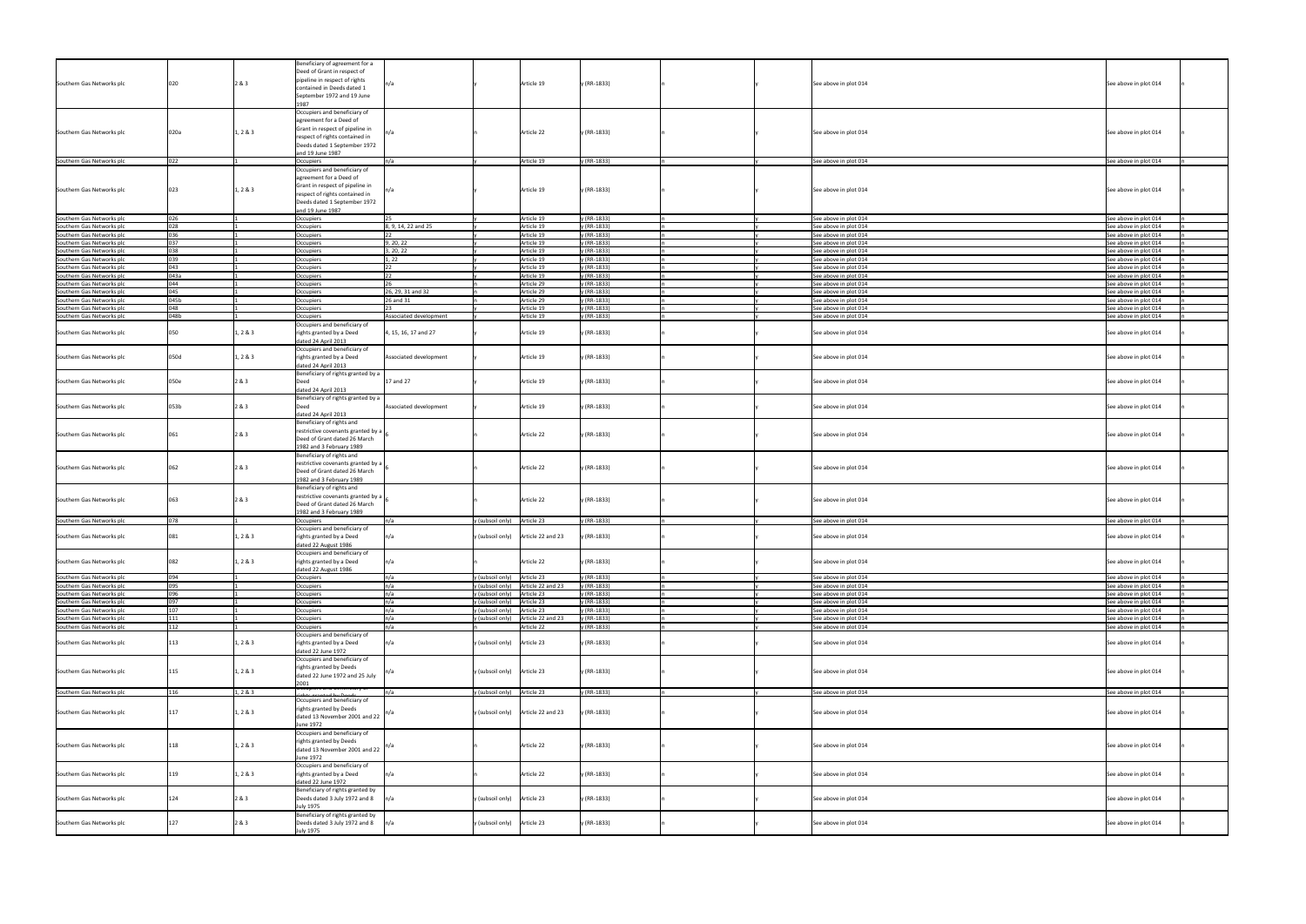|                           |      |          | Beneficiary of agreement for a                         |                          |                                         |             |                       |                       |
|---------------------------|------|----------|--------------------------------------------------------|--------------------------|-----------------------------------------|-------------|-----------------------|-----------------------|
|                           |      |          | Deed of Grant in respect of                            |                          |                                         |             |                       |                       |
|                           |      |          |                                                        |                          |                                         |             |                       |                       |
| Southern Gas Networks plc |      | 2 & 3    | pipeline in respect of rights                          |                          | Article 19                              | y (RR-1833) | See above in plot 014 | See above in plot 014 |
|                           |      |          | contained in Deeds dated 1                             |                          |                                         |             |                       |                       |
|                           |      |          | September 1972 and 19 June                             |                          |                                         |             |                       |                       |
|                           |      |          |                                                        |                          |                                         |             |                       |                       |
|                           |      |          |                                                        |                          |                                         |             |                       |                       |
|                           |      |          | Occupiers and beneficiary of                           |                          |                                         |             |                       |                       |
|                           |      |          | agreement for a Deed of                                |                          |                                         |             |                       |                       |
|                           |      |          |                                                        |                          |                                         |             |                       |                       |
| Southern Gas Networks plc | 020a | 1, 2 & 3 | Grant in respect of pipeline in                        | n/a                      | Article 22                              | y (RR-1833) | See above in plot 014 | See above in plot 014 |
|                           |      |          | respect of rights contained in                         |                          |                                         |             |                       |                       |
|                           |      |          | Deeds dated 1 September 1972                           |                          |                                         |             |                       |                       |
|                           |      |          |                                                        |                          |                                         |             |                       |                       |
|                           |      |          | and 19 June 1987                                       |                          |                                         |             |                       |                       |
| Southern Gas Networks plc | 022  |          | Occupiers                                              | n/a                      | Article 19                              | y (RR-1833) | See above in plot 014 | See above in plot 014 |
|                           |      |          |                                                        |                          |                                         |             |                       |                       |
|                           |      |          | Occupiers and beneficiary of                           |                          |                                         |             |                       |                       |
|                           |      |          | agreement for a Deed of                                |                          |                                         |             |                       |                       |
|                           |      |          |                                                        |                          |                                         |             |                       |                       |
| Southern Gas Networks plc | 023  | 1, 2 & 3 | Grant in respect of pipeline in                        | In/a                     | Article 19                              | y (RR-1833) | See above in plot 014 | See above in plot 014 |
|                           |      |          | respect of rights contained in                         |                          |                                         |             |                       |                       |
|                           |      |          | Deeds dated 1 September 1972                           |                          |                                         |             |                       |                       |
|                           |      |          |                                                        |                          |                                         |             |                       |                       |
|                           |      |          | and 19 June 1987                                       |                          |                                         |             |                       |                       |
| Southern Gas Networks plc |      |          | Occupiers                                              |                          | Article 19                              | y (RR-1833) | See above in plot 014 | See above in plot 014 |
|                           |      |          |                                                        |                          |                                         |             |                       |                       |
| Southern Gas Networks plc | በንጸ  |          | Occupiers                                              | 8, 9, 14, 22 and 25      | Article 19                              | y (RR-1833) | See above in plot 014 | See above in plot 014 |
| Southern Gas Networks plc |      |          | Occupiers                                              |                          | Article 19                              | y (RR-1833) | See above in plot 014 | See above in plot 014 |
|                           | 037  |          |                                                        | 9, 20, 22                |                                         |             |                       |                       |
| Southern Gas Networks plc |      |          | Occupiers                                              |                          | Article 19                              | y (RR-1833) | See above in plot 014 | See above in plot 014 |
| Southern Gas Networks plc |      |          | Occupiers                                              | 3, 20, 22                | Article 19                              | y (RR-1833) | See above in plot 014 | See above in plot 014 |
| Southern Gas Networks plc | 039  |          | Occupiers                                              | , 22                     | Article 19                              | y (RR-1833) | See above in plot 014 | See above in plot 014 |
|                           |      |          |                                                        |                          |                                         |             |                       |                       |
| Southern Gas Networks plc | 043  |          | Occupiers                                              |                          | Article 19                              | y (RR-1833) | See above in plot 014 | See above in plot 014 |
| Southern Gas Networks plc | 043a |          | Occupiers                                              |                          | Article 19                              | y (RR-1833) | See above in plot 014 | See above in plot 014 |
|                           | 044  |          |                                                        |                          |                                         |             |                       |                       |
| Southern Gas Networks plc |      |          | Occupiers                                              |                          | Article 29                              | y (RR-1833) | See above in plot 014 | See above in plot 014 |
| Southern Gas Networks plc | 045  |          | Occupiers                                              | 26, 29, 31 and 32        | Article 29                              | y (RR-1833) | See above in plot 014 | See above in plot 014 |
| Southern Gas Networks plc | 045b |          |                                                        | 26 and 31                | Article 29                              | y (RR-1833) |                       |                       |
|                           |      |          | Occupiers                                              |                          |                                         |             | See above in plot 014 | See above in plot 014 |
| Southern Gas Networks plc | 048  |          | Occupiers                                              | 23                       | Article 19                              | y (RR-1833) | See above in plot 014 | See above in plot 014 |
| Southern Gas Networks plc | 048b |          | Occupiers                                              | Associated development   | Article 19                              | y (RR-1833) | See above in plot 014 | See above in plot 014 |
|                           |      |          |                                                        |                          |                                         |             |                       |                       |
|                           |      |          | Occupiers and beneficiary of                           |                          |                                         |             |                       |                       |
| Southern Gas Networks plc | N50  | 1, 2 & 3 | rights granted by a Deed                               | 4, 15, 16, 17 and 27     | Article 19                              | y (RR-1833) | See above in plot 014 | See above in plot 014 |
|                           |      |          |                                                        |                          |                                         |             |                       |                       |
|                           |      |          | dated 24 April 2013                                    |                          |                                         |             |                       |                       |
|                           |      |          | Occupiers and beneficiary of                           |                          |                                         |             |                       |                       |
|                           |      |          |                                                        |                          |                                         |             |                       |                       |
| Southern Gas Networks plc | 050d | 1, 2 & 3 | rights granted by a Deed                               | Associated development   | Article 19                              | y (RR-1833) | See above in plot 014 | See above in plot 014 |
|                           |      |          | dated 24 April 2013                                    |                          |                                         |             |                       |                       |
|                           |      |          |                                                        |                          |                                         |             |                       |                       |
|                           |      |          | Beneficiary of rights granted by a                     |                          |                                         |             |                       |                       |
| Southern Gas Networks plc | 050e | 2 & 3    | Deed                                                   | 17 and 27                | Article 19                              | y (RR-1833) | See above in plot 014 | See above in plot 014 |
|                           |      |          | dated 24 April 2013                                    |                          |                                         |             |                       |                       |
|                           |      |          |                                                        |                          |                                         |             |                       |                       |
|                           |      |          | Beneficiary of rights granted by a                     |                          |                                         |             |                       |                       |
| Southern Gas Networks plc | 053b | 2 & 3    | Deed                                                   | Associated development   | Article 19                              | y (RR-1833) | See above in plot 014 | See above in plot 014 |
|                           |      |          |                                                        |                          |                                         |             |                       |                       |
|                           |      |          | dated 24 April 2013                                    |                          |                                         |             |                       |                       |
|                           |      |          | Beneficiary of rights and                              |                          |                                         |             |                       |                       |
|                           |      |          | restrictive covenants granted by a                     |                          |                                         |             |                       |                       |
| Southern Gas Networks plc | 061  | 2 & 3    |                                                        |                          | Article 22                              | y (RR-1833) | See above in plot 014 | See above in plot 014 |
|                           |      |          | Deed of Grant dated 26 March                           |                          |                                         |             |                       |                       |
|                           |      |          | 1982 and 3 February 1989                               |                          |                                         |             |                       |                       |
|                           |      |          |                                                        |                          |                                         |             |                       |                       |
|                           |      |          | Beneficiary of rights and                              |                          |                                         |             |                       |                       |
|                           |      |          | restrictive covenants granted by a                     |                          |                                         |             |                       |                       |
| Southern Gas Networks plc | 062  | 2&3      |                                                        |                          | Article 22                              | y (RR-1833) | See above in plot 014 | See above in plot 014 |
|                           |      |          | Deed of Grant dated 26 March                           |                          |                                         |             |                       |                       |
|                           |      |          | 1982 and 3 February 1989                               |                          |                                         |             |                       |                       |
|                           |      |          | Beneficiary of rights and                              |                          |                                         |             |                       |                       |
|                           |      |          |                                                        |                          |                                         |             |                       |                       |
|                           |      |          | restrictive covenants granted by a                     |                          |                                         |             |                       |                       |
| Southern Gas Networks plc | 063  | 2 & 3    | Deed of Grant dated 26 March                           |                          | Article 22                              | y (RR-1833) | See above in plot 014 | See above in plot 014 |
|                           |      |          |                                                        |                          |                                         |             |                       |                       |
|                           |      |          | 1982 and 3 February 1989                               |                          |                                         |             |                       |                       |
| Southern Gas Networks plc |      |          | Occupiers                                              |                          | Article 23<br>y (subsoil only)          | y (RR-1833) | See above in plot 014 | See above in plot 014 |
|                           |      |          |                                                        |                          |                                         |             |                       |                       |
|                           |      |          | Occupiers and beneficiary of                           |                          |                                         |             |                       |                       |
| Southern Gas Networks plc | 081  | 1, 2 & 3 | rights granted by a Deed                               | ln/a                     | $y$ (subsoil only)<br>Article 22 and 23 | y (RR-1833) | See above in plot 014 | See above in plot 014 |
|                           |      |          |                                                        |                          |                                         |             |                       |                       |
|                           |      |          | dated 22 August 1986                                   |                          |                                         |             |                       |                       |
|                           |      |          | Occupiers and beneficiary of                           |                          |                                         |             |                       |                       |
| Southern Gas Networks plc |      |          |                                                        |                          |                                         |             |                       |                       |
|                           | 082  | 1, 2 & 3 | rights granted by a Deed                               | $\vert n/a \vert$        |                                         |             |                       |                       |
|                           |      |          | dated 22 August 1986                                   |                          | Article 22                              | y (RR-1833) | See above in plot 014 | See above in plot 014 |
| Southern Gas Networks plc | 094  |          |                                                        |                          |                                         |             |                       |                       |
|                           |      |          |                                                        |                          |                                         |             |                       |                       |
| Southern Gas Networks plc | 095  |          | Occupiers                                              |                          | Article 23<br>y (subsoil only)          | y (RR-1833) | See above in plot 014 | See above in plot 014 |
| Southern Gas Networks plc |      |          | Occupiers                                              |                          | Article 22 and 23<br>y (subsoil only)   | y (RR-1833) | See above in plot 014 | See above in plot 014 |
|                           | 096  |          |                                                        | n/a                      |                                         |             |                       |                       |
| Southern Gas Networks plc |      |          | Occupiers                                              |                          | y (subsoil only)<br>Article 23          | y (RR-1833) | See above in plot 014 | See above in plot 014 |
|                           | 097  |          | Occupiers                                              |                          | y (subsoil only)<br>Article 23          | y (RR-1833) | See above in plot 014 | See above in plot 014 |
| Southern Gas Networks plc | 107  |          | Occupiers                                              | n/a                      | y (subsoil only) Article 23             | y (RR-1833) | See above in plot 014 | See above in plot 014 |
|                           |      |          |                                                        |                          |                                         |             |                       |                       |
| Southern Gas Networks plc |      |          | Occupiers                                              | n/a                      | Article 22 and 23<br>y (subsoil only)   | y (RR-1833) | See above in plot 014 | See above in plot 014 |
| Southern Gas Networks plc | 112  |          | Occupiers                                              | n/a                      | Article 22                              | y (RR-1833) | See above in plot 014 | See above in plot 014 |
|                           |      |          |                                                        |                          |                                         |             |                       |                       |
|                           |      |          | Occupiers and beneficiary of                           |                          |                                         |             |                       |                       |
| Southern Gas Networks plc | L13  | 1, 2 & 3 | rights granted by a Deed                               | $\ln/a$                  | Article 23<br>y (subsoil only)          | y (RR-1833) | See above in plot 014 | See above in plot 014 |
|                           |      |          |                                                        |                          |                                         |             |                       |                       |
|                           |      |          | dated 22 June 1972                                     |                          |                                         |             |                       |                       |
|                           |      |          | Occupiers and beneficiary of                           |                          |                                         |             |                       |                       |
|                           |      |          |                                                        |                          |                                         |             |                       |                       |
| Southern Gas Networks plc | 115  | 1, 2 & 3 | rights granted by Deeds                                | ln/a                     | Article 23<br>y (subsoil only)          | y (RR-1833) | See above in plot 014 | See above in plot 014 |
|                           |      |          | dated 22 June 1972 and 25 July                         |                          |                                         |             |                       |                       |
|                           |      |          | 2001                                                   |                          |                                         |             |                       |                       |
|                           | 116  |          | <del>occupiers anu benenciary o</del>                  |                          |                                         |             |                       |                       |
| Southern Gas Networks plc |      | 1, 2 & 3 | thte <i>arented</i> by Deed                            |                          | Article 23<br>y (subsoil only)          | y (RR-1833) | See above in plot 014 | See above in plot 014 |
|                           |      |          | Occupiers and beneficiary of                           |                          |                                         |             |                       |                       |
|                           |      |          |                                                        |                          |                                         |             |                       |                       |
| Southern Gas Networks plc |      | 1, 2 & 3 | rights granted by Deeds                                | ln/a                     | $y$ (subsoil only) Article 22 and 23    | y (RR-1833) | See above in plot 014 | See above in plot 014 |
|                           |      |          | dated 13 November 2001 and 22                          |                          |                                         |             |                       |                       |
|                           |      |          |                                                        |                          |                                         |             |                       |                       |
|                           |      |          | June 1972                                              |                          |                                         |             |                       |                       |
|                           |      |          | Occupiers and beneficiary of                           |                          |                                         |             |                       |                       |
|                           |      |          |                                                        |                          |                                         |             |                       |                       |
| Southern Gas Networks plc |      | 1, 2 & 3 | rights granted by Deeds                                |                          | Article 22                              | y (RR-1833) | See above in plot 014 | See above in plot 014 |
|                           |      |          | dated 13 November 2001 and 22 $\int_0^{\frac{\pi}{4}}$ |                          |                                         |             |                       |                       |
|                           |      |          | June 1972                                              |                          |                                         |             |                       |                       |
|                           |      |          |                                                        |                          |                                         |             |                       |                       |
|                           |      |          | Occupiers and beneficiary of                           |                          |                                         |             |                       |                       |
| Southern Gas Networks plc |      | 1, 2 & 3 | rights granted by a Deed                               | $\mathsf{In}/\mathsf{a}$ | Article 22                              | y (RR-1833) | See above in plot 014 | See above in plot 014 |
|                           |      |          |                                                        |                          |                                         |             |                       |                       |
|                           |      |          | dated 22 June 1972                                     |                          |                                         |             |                       |                       |
|                           |      |          | Beneficiary of rights granted by                       |                          |                                         |             |                       |                       |
| Southern Gas Networks plc | 124  | 2 & 3    | Deeds dated 3 July 1972 and 8                          | ln/a                     | y (subsoil only) Article 23             | y (RR-1833) | See above in plot 014 | See above in plot 014 |
|                           |      |          |                                                        |                          |                                         |             |                       |                       |
|                           |      |          | <b>July 1975</b>                                       |                          |                                         |             |                       |                       |
|                           |      |          | Beneficiary of rights granted by                       |                          |                                         |             |                       |                       |
|                           | 127  |          |                                                        |                          |                                         |             |                       |                       |
| Southern Gas Networks plc |      | 2 & 3    | Deeds dated 3 July 1972 and 8                          | n/a                      | y (subsoil only) Article 23             | y (RR-1833) | See above in plot 014 | See above in plot 014 |
|                           |      |          | July 1975                                              |                          |                                         |             |                       |                       |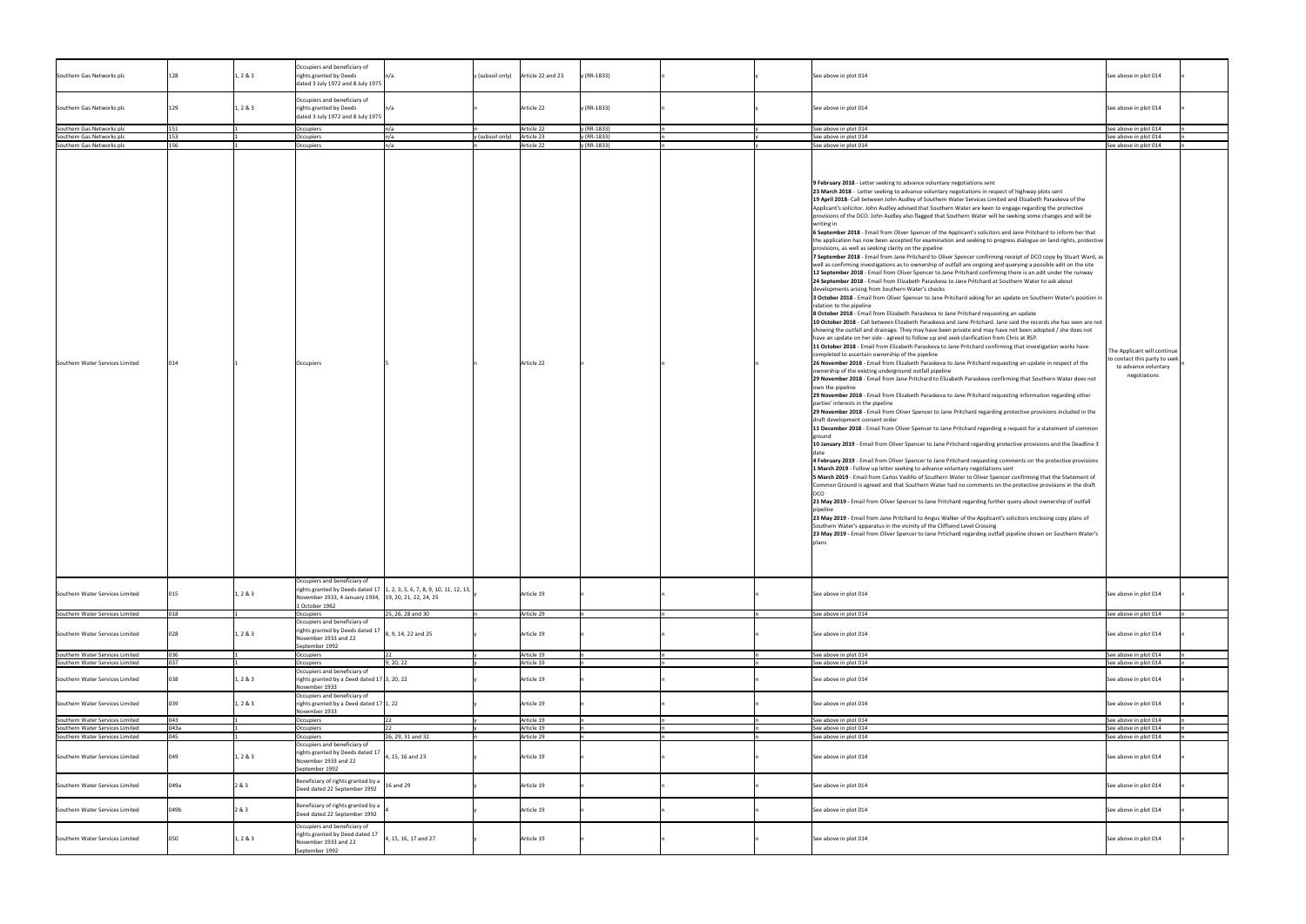| Southern Gas Networks plc                                          | 128        | 1, 2 & 3 | Occupiers and beneficiary of<br>rights granted by Deeds<br>dated 3 July 1972 and 8 July 1975                            |                                                                                        |                  | $y$ (subsoil only)<br>Article 22 and 23 | y (RR-1833) | See above in plot 014                                                                                                                                                                                                                                                                                                                                                                                                                                                                                                                                                                                                                                                                                                                                                                                                                                                                                                                                                                                                                                                                                                                                                                                                                                                                                                                                                                                                                                                                                                                                                                                                                                                                                                                                                                                                                                                                                                                                                                                       | See above in plot 014                                                                                |
|--------------------------------------------------------------------|------------|----------|-------------------------------------------------------------------------------------------------------------------------|----------------------------------------------------------------------------------------|------------------|-----------------------------------------|-------------|-------------------------------------------------------------------------------------------------------------------------------------------------------------------------------------------------------------------------------------------------------------------------------------------------------------------------------------------------------------------------------------------------------------------------------------------------------------------------------------------------------------------------------------------------------------------------------------------------------------------------------------------------------------------------------------------------------------------------------------------------------------------------------------------------------------------------------------------------------------------------------------------------------------------------------------------------------------------------------------------------------------------------------------------------------------------------------------------------------------------------------------------------------------------------------------------------------------------------------------------------------------------------------------------------------------------------------------------------------------------------------------------------------------------------------------------------------------------------------------------------------------------------------------------------------------------------------------------------------------------------------------------------------------------------------------------------------------------------------------------------------------------------------------------------------------------------------------------------------------------------------------------------------------------------------------------------------------------------------------------------------------|------------------------------------------------------------------------------------------------------|
| Southern Gas Networks plc                                          |            | 1, 2 & 3 | Occupiers and beneficiary of<br>rights granted by Deeds<br>dated 3 July 1972 and 8 July 1975                            |                                                                                        |                  | Article 22                              | y (RR-1833) | See above in plot 014                                                                                                                                                                                                                                                                                                                                                                                                                                                                                                                                                                                                                                                                                                                                                                                                                                                                                                                                                                                                                                                                                                                                                                                                                                                                                                                                                                                                                                                                                                                                                                                                                                                                                                                                                                                                                                                                                                                                                                                       | See above in plot 014                                                                                |
| Southern Gas Networks plc                                          |            |          | Occupiers                                                                                                               |                                                                                        |                  | Article 22                              | y (RR-1833) | See above in plot 014                                                                                                                                                                                                                                                                                                                                                                                                                                                                                                                                                                                                                                                                                                                                                                                                                                                                                                                                                                                                                                                                                                                                                                                                                                                                                                                                                                                                                                                                                                                                                                                                                                                                                                                                                                                                                                                                                                                                                                                       | See above in plot 014                                                                                |
| Southern Gas Networks plc                                          | 153        |          | Occupiers                                                                                                               |                                                                                        | y (subsoil only) | Article 23                              | y (RR-1833) | See above in plot 014                                                                                                                                                                                                                                                                                                                                                                                                                                                                                                                                                                                                                                                                                                                                                                                                                                                                                                                                                                                                                                                                                                                                                                                                                                                                                                                                                                                                                                                                                                                                                                                                                                                                                                                                                                                                                                                                                                                                                                                       | See above in plot 014                                                                                |
|                                                                    |            |          |                                                                                                                         |                                                                                        |                  |                                         |             |                                                                                                                                                                                                                                                                                                                                                                                                                                                                                                                                                                                                                                                                                                                                                                                                                                                                                                                                                                                                                                                                                                                                                                                                                                                                                                                                                                                                                                                                                                                                                                                                                                                                                                                                                                                                                                                                                                                                                                                                             |                                                                                                      |
| Southern Gas Networks plc                                          | 156        |          | Occupiers                                                                                                               |                                                                                        |                  | Article 22                              | y (RR-1833) | See above in plot 014<br>9 February 2018 - Letter seeking to advance voluntary negotiations sent<br>23 March 2018 - Letter seeking to advance voluntary negotiations in respect of highway plots sent<br>19 April 2018- Call between John Audley of Southern Water Services Limited and Elizabeth Paraskeva of the<br>Applicant's solicitor. John Audley advised that Southern Water are keen to engage regarding the protective<br>provisions of the DCO. John Audley also flagged that Southern Water will be seeking some changes and will be<br>writing in<br>6 September 2018 - Email from Oliver Spencer of the Applicant's solicitors and Jane Pritchard to inform her that<br>the application has now been accepted for examination and seeking to progress dialogue on land rights, protective<br>provisions, as well as seeking clarity on the pipeline<br>7 September 2018 - Email from Jane Pritchard to Oliver Spencer confirming receipt of DCO copy by Stuart Ward, as<br>well as confirming investigations as to ownership of outfall are ongoing and querying a possible adit on the site<br>12 September 2018 - Email from Oliver Spencer to Jane Pritchard confirming there is an adit under the runway<br>24 September 2018 - Email from Elizabeth Paraskeva to Jane Pritchard at Southern Water to ask about<br>developments arising from Southern Water's checks<br>3 October 2018 - Email from Oliver Spencer to Jane Pritchard asking for an update on Southern Water's position in<br>relation to the pipeline<br>8 October 2018 - Email from Elizabeth Paraskeva to Jane Pritchard requesting an update<br>10 October 2018 - Call between Elizabeth Paraskeva and Jane Pritchard. Jane said the records she has seen are not<br>showing the outfall and drainage. They may have been private and may have not been adopted / she does not                                                                                                                                         | See above in plot 014                                                                                |
| Southern Water Services Limited                                    |            |          | <b>Occupiers</b>                                                                                                        |                                                                                        |                  | Article 22                              |             | have an update on her side - agreed to follow up and seek clarification from Chris at RSP.<br>11 October 2018 - Email from Elizabeth Paraskeva to Jane Pritchard confirming that investigation works have<br>completed to ascertain ownership of the pipeline<br>26 November 2018 - Email from Elizabeth Paraskeva to Jane Pritchard requesting an update in respect of the<br>ownership of the existing underground outfall pipeline<br>29 November 2018 - Email from Jane Pritchard to Elizabeth Paraskeva confirming that Southern Water does not<br>own the pipeline<br>29 November 2018 - Email from Elizabeth Paraskeva to Jane Pritchard requesting information regarding other<br>parties' interests in the pipeline<br>29 November 2018 - Email from Oliver Spencer to Jane Pritchard regarding protective provisions included in the<br>draft development consent order<br>11 December 2018 - Email from Oliver Spencer to Jane Pritchard regarding a request for a statement of common<br>grounc<br>10 January 2019 - Email from Oliver Spencer to Jane Pritchard regarding protective provisions and the Deadline 3<br>4 February 2019 - Email from Oliver Spencer to Jane Pritchard requesting comments on the protective provisions<br>1 March 2019 - Follow up letter seeking to advance voluntary negotiations sent<br>5 March 2019 - Email from Carlos Vadillo of Southern Water to Oliver Spencer confirming that the Statement of<br>Common Ground is agreed and that Southern Water had no comments on the protective provisions in the draft<br>21 May 2019 - Email from Oliver Spencer to Jane Pritchard regarding further query about ownership of outfall<br>23 May 2019 - Email from Jane Pritchard to Angus Walker of the Applicant's solicitors enclosing copy plans of<br>Southern Water's apparatus in the vicinity of the Cliffsend Level Crossing<br>23 May 2019 - Email from Oliver Spencer to Jane Prtichard regarding outfall pipeline shown on Southern Water's<br>plans | The Applicant will continue<br>to contact this party to seek<br>to advance voluntary<br>negotiations |
| Southern Water Services Limited                                    | 015        | 1, 2 & 3 | Occupiers and beneficiary of<br>November 1933, 4 January 1934, 19, 20, 21, 22, 24, 25<br>1 October 1962                 | rights granted by Deeds dated 17 $\vert 1, 2, 3, 5, 6, 7, 8, 9, 10, 11, 12, 13, \vert$ |                  | Article 19                              |             | See above in plot 014                                                                                                                                                                                                                                                                                                                                                                                                                                                                                                                                                                                                                                                                                                                                                                                                                                                                                                                                                                                                                                                                                                                                                                                                                                                                                                                                                                                                                                                                                                                                                                                                                                                                                                                                                                                                                                                                                                                                                                                       | See above in plot 014                                                                                |
| Southern Water Services Limited                                    |            |          | Occupiers<br>Occupiers and beneficiary of                                                                               | 25, 26, 28 and 30                                                                      |                  | Article 29                              |             | See above in plot 014                                                                                                                                                                                                                                                                                                                                                                                                                                                                                                                                                                                                                                                                                                                                                                                                                                                                                                                                                                                                                                                                                                                                                                                                                                                                                                                                                                                                                                                                                                                                                                                                                                                                                                                                                                                                                                                                                                                                                                                       | See above in plot 014                                                                                |
| Southern Water Services Limited                                    | በንጸ        | 1, 2 & 3 | rights granted by Deeds dated 17<br>November 1933 and 22<br>September 1992                                              | 8, 9, 14, 22 and 25                                                                    |                  | Article 19                              |             | See above in plot 014                                                                                                                                                                                                                                                                                                                                                                                                                                                                                                                                                                                                                                                                                                                                                                                                                                                                                                                                                                                                                                                                                                                                                                                                                                                                                                                                                                                                                                                                                                                                                                                                                                                                                                                                                                                                                                                                                                                                                                                       | See above in plot 014                                                                                |
| Southern Water Services Limited                                    | 036        |          | Occupiers                                                                                                               |                                                                                        |                  | Article 19                              |             | See above in plot 014                                                                                                                                                                                                                                                                                                                                                                                                                                                                                                                                                                                                                                                                                                                                                                                                                                                                                                                                                                                                                                                                                                                                                                                                                                                                                                                                                                                                                                                                                                                                                                                                                                                                                                                                                                                                                                                                                                                                                                                       | See above in plot 014                                                                                |
| Southern Water Services Limited                                    | <b>037</b> |          | Occupiers                                                                                                               | 9, 20, 22                                                                              |                  | Article 19                              |             | See above in plot 014                                                                                                                                                                                                                                                                                                                                                                                                                                                                                                                                                                                                                                                                                                                                                                                                                                                                                                                                                                                                                                                                                                                                                                                                                                                                                                                                                                                                                                                                                                                                                                                                                                                                                                                                                                                                                                                                                                                                                                                       | See above in plot 014                                                                                |
| Southern Water Services Limited                                    |            | 1, 2 & 3 | Occupiers and beneficiary of<br>rights granted by a Deed dated 17 3, 20, 22<br>November 1933                            |                                                                                        |                  | Article 19                              |             | See above in plot 014                                                                                                                                                                                                                                                                                                                                                                                                                                                                                                                                                                                                                                                                                                                                                                                                                                                                                                                                                                                                                                                                                                                                                                                                                                                                                                                                                                                                                                                                                                                                                                                                                                                                                                                                                                                                                                                                                                                                                                                       | See above in plot 014                                                                                |
| Southern Water Services Limited                                    |            | 1, 2 & 3 | Occupiers and beneficiary of<br>rights granted by a Deed dated 17 $\vert$ 1, 22<br>November 1933                        |                                                                                        |                  | Article 19                              |             | See above in plot 014                                                                                                                                                                                                                                                                                                                                                                                                                                                                                                                                                                                                                                                                                                                                                                                                                                                                                                                                                                                                                                                                                                                                                                                                                                                                                                                                                                                                                                                                                                                                                                                                                                                                                                                                                                                                                                                                                                                                                                                       | See above in plot 014                                                                                |
| Southern Water Services Limited                                    | 043        |          | Occupiers                                                                                                               |                                                                                        |                  | Article 19                              |             | See above in plot 014                                                                                                                                                                                                                                                                                                                                                                                                                                                                                                                                                                                                                                                                                                                                                                                                                                                                                                                                                                                                                                                                                                                                                                                                                                                                                                                                                                                                                                                                                                                                                                                                                                                                                                                                                                                                                                                                                                                                                                                       | See above in plot 014                                                                                |
| Southern Water Services Limited                                    | 043a       |          | Occupiers                                                                                                               |                                                                                        |                  | Article 19                              |             | See above in plot 014                                                                                                                                                                                                                                                                                                                                                                                                                                                                                                                                                                                                                                                                                                                                                                                                                                                                                                                                                                                                                                                                                                                                                                                                                                                                                                                                                                                                                                                                                                                                                                                                                                                                                                                                                                                                                                                                                                                                                                                       | See above in plot 014                                                                                |
| Southern Water Services Limited<br>Southern Water Services Limited | 045<br>049 | 1, 2 & 3 | Occupiers<br>Occupiers and beneficiary of<br>rights granted by Deeds dated 17<br>November 1933 and 22<br>September 1992 | 26, 29, 31 and 32<br>4, 15, 16 and 23                                                  |                  | Article 29<br>Article 19                |             | See above in plot 014<br>See above in plot 014                                                                                                                                                                                                                                                                                                                                                                                                                                                                                                                                                                                                                                                                                                                                                                                                                                                                                                                                                                                                                                                                                                                                                                                                                                                                                                                                                                                                                                                                                                                                                                                                                                                                                                                                                                                                                                                                                                                                                              | See above in plot 014<br>See above in plot 014                                                       |
| Southern Water Services Limited                                    | 049a       | 2 & 3    | Beneficiary of rights granted by a $\Big $ 16 and 29<br>Deed dated 22 September 1992                                    |                                                                                        |                  | Article 19                              |             | See above in plot 014                                                                                                                                                                                                                                                                                                                                                                                                                                                                                                                                                                                                                                                                                                                                                                                                                                                                                                                                                                                                                                                                                                                                                                                                                                                                                                                                                                                                                                                                                                                                                                                                                                                                                                                                                                                                                                                                                                                                                                                       | See above in plot 014                                                                                |
| Southern Water Services Limited                                    | 049b       | 2 & 3    | Beneficiary of rights granted by a<br>Deed dated 22 September 1992                                                      |                                                                                        |                  | Article 19                              |             | See above in plot 014                                                                                                                                                                                                                                                                                                                                                                                                                                                                                                                                                                                                                                                                                                                                                                                                                                                                                                                                                                                                                                                                                                                                                                                                                                                                                                                                                                                                                                                                                                                                                                                                                                                                                                                                                                                                                                                                                                                                                                                       | See above in plot 014                                                                                |
| Southern Water Services Limited                                    | 050        | 1, 2 & 3 | Occupiers and beneficiary of<br>rights granted by Deed dated 17<br>November 1933 and 22<br>September 1992               | 4, 15, 16, 17 and 27                                                                   |                  | Article 19                              |             | See above in plot 014                                                                                                                                                                                                                                                                                                                                                                                                                                                                                                                                                                                                                                                                                                                                                                                                                                                                                                                                                                                                                                                                                                                                                                                                                                                                                                                                                                                                                                                                                                                                                                                                                                                                                                                                                                                                                                                                                                                                                                                       | See above in plot 014                                                                                |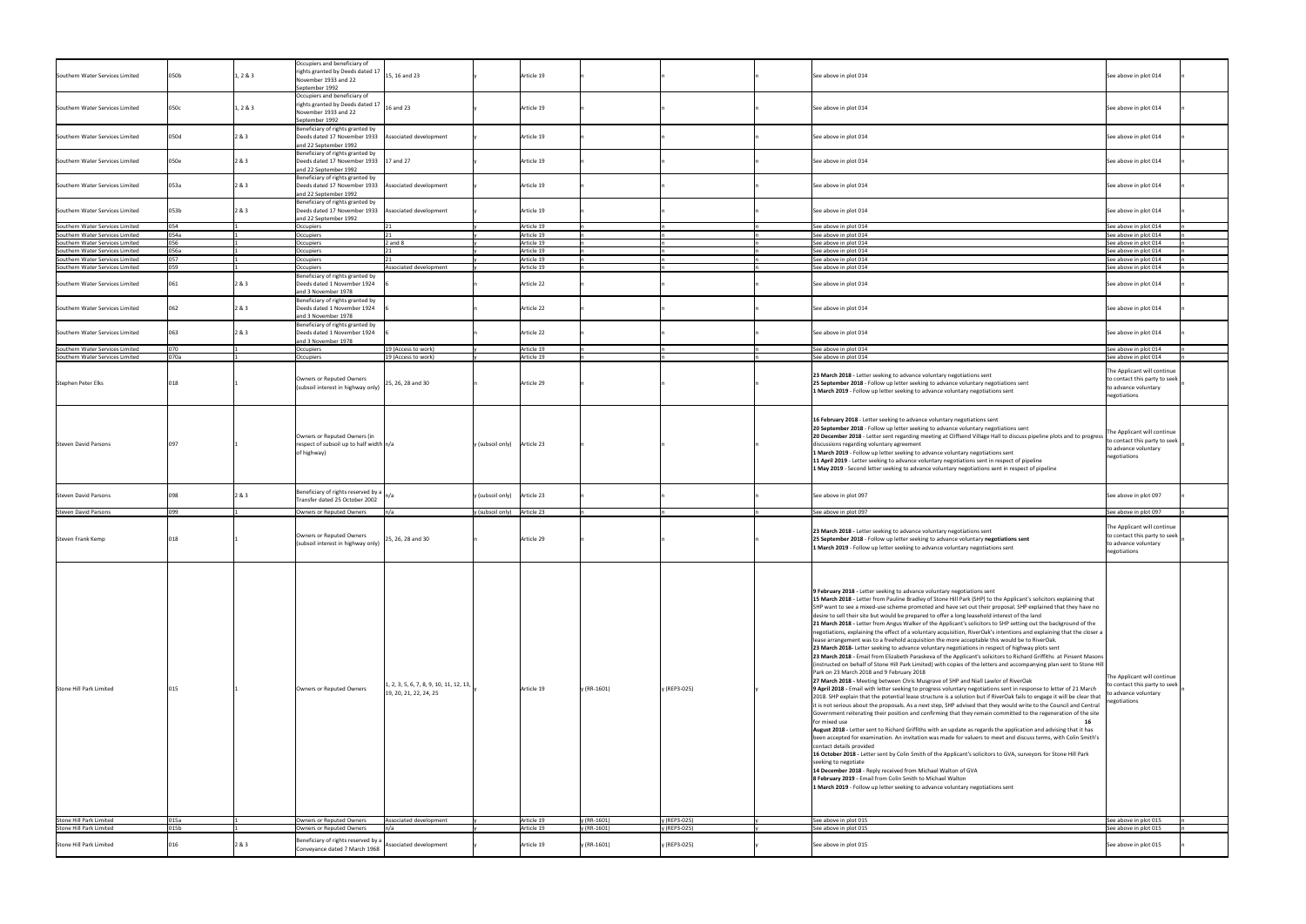| Southern Water Services Limited | 050b | 1, 2 & 3 | Occupiers and beneficiary of<br>rights granted by Deeds dated 17<br>November 1933 and 22<br>September 1992                                                                         | 15, 16 and 23                                                       |                             | Article 19 |             |              | See above in plot 014                                                                                                                                                                                                                                                                                                                                                                                                                                                                                                                                                                                                                                                                                                                                                                                                                                                                                                                                                                                                                                                                                                                                                                                                                                                                                                                                                                                                                                                                                                                                                                                                                                                                                                                                                                                                                                                                                                                                                                                                                                                                                                                                                                                                                                                                                                                                                                              | See above in plot 014                                                                                |
|---------------------------------|------|----------|------------------------------------------------------------------------------------------------------------------------------------------------------------------------------------|---------------------------------------------------------------------|-----------------------------|------------|-------------|--------------|----------------------------------------------------------------------------------------------------------------------------------------------------------------------------------------------------------------------------------------------------------------------------------------------------------------------------------------------------------------------------------------------------------------------------------------------------------------------------------------------------------------------------------------------------------------------------------------------------------------------------------------------------------------------------------------------------------------------------------------------------------------------------------------------------------------------------------------------------------------------------------------------------------------------------------------------------------------------------------------------------------------------------------------------------------------------------------------------------------------------------------------------------------------------------------------------------------------------------------------------------------------------------------------------------------------------------------------------------------------------------------------------------------------------------------------------------------------------------------------------------------------------------------------------------------------------------------------------------------------------------------------------------------------------------------------------------------------------------------------------------------------------------------------------------------------------------------------------------------------------------------------------------------------------------------------------------------------------------------------------------------------------------------------------------------------------------------------------------------------------------------------------------------------------------------------------------------------------------------------------------------------------------------------------------------------------------------------------------------------------------------------------------|------------------------------------------------------------------------------------------------------|
| Southern Water Services Limited | 050c | 1, 2 & 3 | Occupiers and beneficiary of<br>$\left  \text{right} \right $ and $\left  \text{right} \right $ and $\left  \text{right} \right $ and 23<br>November 1933 and 22<br>September 1992 |                                                                     |                             | Article 19 |             |              | See above in plot 014                                                                                                                                                                                                                                                                                                                                                                                                                                                                                                                                                                                                                                                                                                                                                                                                                                                                                                                                                                                                                                                                                                                                                                                                                                                                                                                                                                                                                                                                                                                                                                                                                                                                                                                                                                                                                                                                                                                                                                                                                                                                                                                                                                                                                                                                                                                                                                              | See above in plot 014                                                                                |
| Southern Water Services Limited | 050d | 2 & 3    | Beneficiary of rights granted by<br>Deeds dated 17 November 1933   Associated development<br>and 22 September 1992                                                                 |                                                                     |                             | Article 19 |             |              | See above in plot 014                                                                                                                                                                                                                                                                                                                                                                                                                                                                                                                                                                                                                                                                                                                                                                                                                                                                                                                                                                                                                                                                                                                                                                                                                                                                                                                                                                                                                                                                                                                                                                                                                                                                                                                                                                                                                                                                                                                                                                                                                                                                                                                                                                                                                                                                                                                                                                              | See above in plot 014                                                                                |
| Southern Water Services Limited | 050e | 2 & 3    | Beneficiary of rights granted by<br>Deeds dated 17 November 1933 17 and 27<br>and 22 September 1992                                                                                |                                                                     |                             | Article 19 |             |              | See above in plot 014                                                                                                                                                                                                                                                                                                                                                                                                                                                                                                                                                                                                                                                                                                                                                                                                                                                                                                                                                                                                                                                                                                                                                                                                                                                                                                                                                                                                                                                                                                                                                                                                                                                                                                                                                                                                                                                                                                                                                                                                                                                                                                                                                                                                                                                                                                                                                                              | See above in plot 014                                                                                |
| Southern Water Services Limited | 053a | 2 & 3    | Beneficiary of rights granted by<br>Deeds dated 17 November 1933   Associated development<br>and 22 September 1992                                                                 |                                                                     |                             | Article 19 |             |              | See above in plot 014                                                                                                                                                                                                                                                                                                                                                                                                                                                                                                                                                                                                                                                                                                                                                                                                                                                                                                                                                                                                                                                                                                                                                                                                                                                                                                                                                                                                                                                                                                                                                                                                                                                                                                                                                                                                                                                                                                                                                                                                                                                                                                                                                                                                                                                                                                                                                                              | See above in plot 014                                                                                |
| Southern Water Services Limited | 053b | 2 & 3    | Beneficiary of rights granted by<br>Deeds dated 17 November 1933 Associated development<br>and 22 September 1992                                                                   |                                                                     |                             | Article 19 |             |              | See above in plot 014                                                                                                                                                                                                                                                                                                                                                                                                                                                                                                                                                                                                                                                                                                                                                                                                                                                                                                                                                                                                                                                                                                                                                                                                                                                                                                                                                                                                                                                                                                                                                                                                                                                                                                                                                                                                                                                                                                                                                                                                                                                                                                                                                                                                                                                                                                                                                                              | See above in plot 014                                                                                |
|                                 |      |          |                                                                                                                                                                                    |                                                                     |                             | Article 19 |             |              |                                                                                                                                                                                                                                                                                                                                                                                                                                                                                                                                                                                                                                                                                                                                                                                                                                                                                                                                                                                                                                                                                                                                                                                                                                                                                                                                                                                                                                                                                                                                                                                                                                                                                                                                                                                                                                                                                                                                                                                                                                                                                                                                                                                                                                                                                                                                                                                                    |                                                                                                      |
| Southern Water Services Limited | 054  |          | <b>Occupiers</b>                                                                                                                                                                   |                                                                     |                             |            |             |              | See above in plot 014                                                                                                                                                                                                                                                                                                                                                                                                                                                                                                                                                                                                                                                                                                                                                                                                                                                                                                                                                                                                                                                                                                                                                                                                                                                                                                                                                                                                                                                                                                                                                                                                                                                                                                                                                                                                                                                                                                                                                                                                                                                                                                                                                                                                                                                                                                                                                                              | See above in plot 014                                                                                |
| Southern Water Services Limited | 054a |          | Occupiers                                                                                                                                                                          |                                                                     |                             | Article 19 |             |              | See above in plot 014                                                                                                                                                                                                                                                                                                                                                                                                                                                                                                                                                                                                                                                                                                                                                                                                                                                                                                                                                                                                                                                                                                                                                                                                                                                                                                                                                                                                                                                                                                                                                                                                                                                                                                                                                                                                                                                                                                                                                                                                                                                                                                                                                                                                                                                                                                                                                                              | See above in plot 014                                                                                |
| Southern Water Services Limited | 056  |          | Occupiers                                                                                                                                                                          | $2$ and $8$                                                         |                             | Article 19 |             |              | See above in plot 014                                                                                                                                                                                                                                                                                                                                                                                                                                                                                                                                                                                                                                                                                                                                                                                                                                                                                                                                                                                                                                                                                                                                                                                                                                                                                                                                                                                                                                                                                                                                                                                                                                                                                                                                                                                                                                                                                                                                                                                                                                                                                                                                                                                                                                                                                                                                                                              | See above in plot 014                                                                                |
| Southern Water Services Limited | 056a |          | Occupiers                                                                                                                                                                          |                                                                     |                             | Article 19 |             |              | See above in plot 014                                                                                                                                                                                                                                                                                                                                                                                                                                                                                                                                                                                                                                                                                                                                                                                                                                                                                                                                                                                                                                                                                                                                                                                                                                                                                                                                                                                                                                                                                                                                                                                                                                                                                                                                                                                                                                                                                                                                                                                                                                                                                                                                                                                                                                                                                                                                                                              | See above in plot 014                                                                                |
| Southern Water Services Limited | 057  |          | Occupiers                                                                                                                                                                          |                                                                     |                             | Article 19 |             |              | See above in plot 014                                                                                                                                                                                                                                                                                                                                                                                                                                                                                                                                                                                                                                                                                                                                                                                                                                                                                                                                                                                                                                                                                                                                                                                                                                                                                                                                                                                                                                                                                                                                                                                                                                                                                                                                                                                                                                                                                                                                                                                                                                                                                                                                                                                                                                                                                                                                                                              | See above in plot 014                                                                                |
| Southern Water Services Limited | 059  |          | Occupiers                                                                                                                                                                          | Associated development                                              |                             | Article 19 |             |              | See above in plot 014                                                                                                                                                                                                                                                                                                                                                                                                                                                                                                                                                                                                                                                                                                                                                                                                                                                                                                                                                                                                                                                                                                                                                                                                                                                                                                                                                                                                                                                                                                                                                                                                                                                                                                                                                                                                                                                                                                                                                                                                                                                                                                                                                                                                                                                                                                                                                                              | See above in plot 014                                                                                |
|                                 |      |          | Beneficiary of rights granted by                                                                                                                                                   |                                                                     |                             |            |             |              |                                                                                                                                                                                                                                                                                                                                                                                                                                                                                                                                                                                                                                                                                                                                                                                                                                                                                                                                                                                                                                                                                                                                                                                                                                                                                                                                                                                                                                                                                                                                                                                                                                                                                                                                                                                                                                                                                                                                                                                                                                                                                                                                                                                                                                                                                                                                                                                                    |                                                                                                      |
| Southern Water Services Limited | 061  | 2 & 3    | Deeds dated 1 November 1924<br>and 3 November 1978                                                                                                                                 |                                                                     |                             | Article 22 |             |              | See above in plot 014                                                                                                                                                                                                                                                                                                                                                                                                                                                                                                                                                                                                                                                                                                                                                                                                                                                                                                                                                                                                                                                                                                                                                                                                                                                                                                                                                                                                                                                                                                                                                                                                                                                                                                                                                                                                                                                                                                                                                                                                                                                                                                                                                                                                                                                                                                                                                                              | See above in plot 014                                                                                |
| Southern Water Services Limited | 062  | 2 & 3    | Beneficiary of rights granted by<br>Deeds dated 1 November 1924<br>and 3 November 1978                                                                                             |                                                                     |                             | Article 22 |             |              | See above in plot 014                                                                                                                                                                                                                                                                                                                                                                                                                                                                                                                                                                                                                                                                                                                                                                                                                                                                                                                                                                                                                                                                                                                                                                                                                                                                                                                                                                                                                                                                                                                                                                                                                                                                                                                                                                                                                                                                                                                                                                                                                                                                                                                                                                                                                                                                                                                                                                              | See above in plot 014                                                                                |
| Southern Water Services Limited | 660  | 2&3      | Beneficiary of rights granted by<br>Deeds dated 1 November 1924                                                                                                                    |                                                                     |                             | Article 22 |             |              | See above in plot 014                                                                                                                                                                                                                                                                                                                                                                                                                                                                                                                                                                                                                                                                                                                                                                                                                                                                                                                                                                                                                                                                                                                                                                                                                                                                                                                                                                                                                                                                                                                                                                                                                                                                                                                                                                                                                                                                                                                                                                                                                                                                                                                                                                                                                                                                                                                                                                              | See above in plot 014                                                                                |
|                                 |      |          | and 3 November 1978                                                                                                                                                                | 19 (Access to work)                                                 |                             |            |             |              |                                                                                                                                                                                                                                                                                                                                                                                                                                                                                                                                                                                                                                                                                                                                                                                                                                                                                                                                                                                                                                                                                                                                                                                                                                                                                                                                                                                                                                                                                                                                                                                                                                                                                                                                                                                                                                                                                                                                                                                                                                                                                                                                                                                                                                                                                                                                                                                                    |                                                                                                      |
| Southern Water Services Limited |      |          | <b>Occupiers</b>                                                                                                                                                                   |                                                                     |                             | Article 19 |             |              | See above in plot 014                                                                                                                                                                                                                                                                                                                                                                                                                                                                                                                                                                                                                                                                                                                                                                                                                                                                                                                                                                                                                                                                                                                                                                                                                                                                                                                                                                                                                                                                                                                                                                                                                                                                                                                                                                                                                                                                                                                                                                                                                                                                                                                                                                                                                                                                                                                                                                              | See above in plot 014                                                                                |
| Southern Water Services Limited | 070a |          | Occupiers                                                                                                                                                                          | 19 (Access to work)                                                 |                             | Article 19 |             |              | See above in plot 014                                                                                                                                                                                                                                                                                                                                                                                                                                                                                                                                                                                                                                                                                                                                                                                                                                                                                                                                                                                                                                                                                                                                                                                                                                                                                                                                                                                                                                                                                                                                                                                                                                                                                                                                                                                                                                                                                                                                                                                                                                                                                                                                                                                                                                                                                                                                                                              | See above in plot 014                                                                                |
| Stephen Peter Elks              |      |          | Owners or Reputed Owners<br>(subsoil interest in highway only)                                                                                                                     | 25, 26, 28 and 30                                                   |                             | Article 29 |             |              | 23 March 2018 - Letter seeking to advance voluntary negotiations sent<br>25 September 2018 - Follow up letter seeking to advance voluntary negotiations sent<br>1 March 2019 - Follow up letter seeking to advance voluntary negotiations sent                                                                                                                                                                                                                                                                                                                                                                                                                                                                                                                                                                                                                                                                                                                                                                                                                                                                                                                                                                                                                                                                                                                                                                                                                                                                                                                                                                                                                                                                                                                                                                                                                                                                                                                                                                                                                                                                                                                                                                                                                                                                                                                                                     | The Applicant will continue<br>to contact this party to seek<br>to advance voluntary<br>negotiations |
| Steven David Parsons            |      |          | Owners or Reputed Owners (in<br>respect of subsoil up to half width $n/a$<br>of highway)                                                                                           |                                                                     | y (subsoil only) Article 23 |            |             |              | 16 February 2018 - Letter seeking to advance voluntary negotiations sent<br>20 September 2018 - Follow up letter seeking to advance voluntary negotiations sent<br>20 December 2018 - Letter sent regarding meeting at Cliffsend Village Hall to discuss pipeline plots and to progress<br>discussions regarding voluntary agreement<br>1 March 2019 - Follow up letter seeking to advance voluntary negotiations sent<br>11 April 2019 - Letter seeking to advance voluntary negotiations sent in respect of pipeline<br>1 May 2019 - Second letter seeking to advance voluntary negotiations sent in respect of pipeline                                                                                                                                                                                                                                                                                                                                                                                                                                                                                                                                                                                                                                                                                                                                                                                                                                                                                                                                                                                                                                                                                                                                                                                                                                                                                                                                                                                                                                                                                                                                                                                                                                                                                                                                                                         | The Applicant will continue<br>to contact this party to seek<br>to advance voluntary<br>negotiations |
| Steven David Parsons            |      | 2 & 3    | Beneficiary of rights reserved by a<br>Transfer dated 25 October 2002                                                                                                              |                                                                     | y (subsoil only) Article 23 |            |             |              | See above in plot 097                                                                                                                                                                                                                                                                                                                                                                                                                                                                                                                                                                                                                                                                                                                                                                                                                                                                                                                                                                                                                                                                                                                                                                                                                                                                                                                                                                                                                                                                                                                                                                                                                                                                                                                                                                                                                                                                                                                                                                                                                                                                                                                                                                                                                                                                                                                                                                              | See above in plot 097                                                                                |
| Steven David Parsons            | 099  |          | Owners or Reputed Owners                                                                                                                                                           |                                                                     | y (subsoil only) Article 23 |            |             |              | See above in plot 097                                                                                                                                                                                                                                                                                                                                                                                                                                                                                                                                                                                                                                                                                                                                                                                                                                                                                                                                                                                                                                                                                                                                                                                                                                                                                                                                                                                                                                                                                                                                                                                                                                                                                                                                                                                                                                                                                                                                                                                                                                                                                                                                                                                                                                                                                                                                                                              | See above in plot 097                                                                                |
| Steven Frank Kemp               |      |          | Owners or Reputed Owners<br>(subsoil interest in highway only)                                                                                                                     | 25, 26, 28 and 30                                                   |                             | Article 29 |             |              | 23 March 2018 - Letter seeking to advance voluntary negotiations sent<br>25 September 2018 - Follow up letter seeking to advance voluntary negotiations sent<br>1 March 2019 - Follow up letter seeking to advance voluntary negotiations sent                                                                                                                                                                                                                                                                                                                                                                                                                                                                                                                                                                                                                                                                                                                                                                                                                                                                                                                                                                                                                                                                                                                                                                                                                                                                                                                                                                                                                                                                                                                                                                                                                                                                                                                                                                                                                                                                                                                                                                                                                                                                                                                                                     | The Applicant will continue<br>to contact this party to seek<br>to advance voluntary<br>negotiations |
| Stone Hill Park Limited         |      |          | Owners or Reputed Owners                                                                                                                                                           | $1, 2, 3, 5, 6, 7, 8, 9, 10, 11, 12, 13,$<br>19, 20, 21, 22, 24, 25 |                             | Article 19 | y (RR-1601) | y (REP3-025) | 9 February 2018 - Letter seeking to advance voluntary negotiations sent<br>15 March 2018 - Letter from Pauline Bradley of Stone Hill Park (SHP) to the Applicant's solicitors explaining that<br>SHP want to see a mixed-use scheme promoted and have set out their proposal. SHP explained that they have no<br>desire to sell their site but would be prepared to offer a long leasehold interest of the land<br>21 March 2018 - Letter from Angus Walker of the Applicant's solicitors to SHP setting out the background of the<br>negotiations, explaining the effect of a voluntary acquisition, RiverOak's intentions and explaining that the closer a<br>lease arrangement was to a freehold acquisition the more acceptable this would be to RiverOak.<br>23 March 2018- Letter seeking to advance voluntary negotiations in respect of highway plots sent<br>23 March 2018 - Email from Elizabeth Paraskeva of the Applicant's solicitors to Richard Griffiths at Pinsent Masons<br>(instructed on behalf of Stone Hill Park Limited) with copies of the letters and accompanying plan sent to Stone Hill<br>Park on 23 March 2018 and 9 February 2018<br>27 March 2018 - Meeting between Chris Musgrave of SHP and Niall Lawlor of RiverOak<br>9 April 2018 - Email with letter seeking to progress voluntary negotiations sent in response to letter of 21 March<br>2018. SHP explain that the potential lease structure is a solution but if RiverOak fails to engage it will be clear that<br>it is not serious about the proposals. As a next step, SHP advised that they would write to the Council and Central<br>Government reiterating their position and confirming that they remain committed to the regeneration of the site<br>for mixed use<br>August 2018 - Letter sent to Richard Griffiths with an update as regards the application and advising that it has<br>been accepted for examination. An invitation was made for valuers to meet and discuss terms, with Colin Smith's<br>contact details provided<br>16 October 2018 - Letter sent by Colin Smith of the Applicant's solicitors to GVA, surveyors for Stone Hill Park<br>seeking to negotiate<br>14 December 2018 - Reply received from Michael Walton of GVA<br>8 February 2019 - Email from Colin Smith to Michael Walton<br>1 March 2019 - Follow up letter seeking to advance voluntary negotiations sent | The Applicant will continue<br>to contact this party to seek<br>to advance voluntary<br>negotiations |
| Stone Hill Park Limited         | 015a |          | Owners or Reputed Owners                                                                                                                                                           | Associated development                                              |                             | Article 19 | $(RR-1601)$ | y (REP3-025) | See above in plot 015                                                                                                                                                                                                                                                                                                                                                                                                                                                                                                                                                                                                                                                                                                                                                                                                                                                                                                                                                                                                                                                                                                                                                                                                                                                                                                                                                                                                                                                                                                                                                                                                                                                                                                                                                                                                                                                                                                                                                                                                                                                                                                                                                                                                                                                                                                                                                                              | See above in plot 015                                                                                |
| Stone Hill Park Limited         | 015b |          | Owners or Reputed Owners                                                                                                                                                           |                                                                     |                             | Article 19 | y (RR-1601) | y (REP3-025) | See above in plot 015                                                                                                                                                                                                                                                                                                                                                                                                                                                                                                                                                                                                                                                                                                                                                                                                                                                                                                                                                                                                                                                                                                                                                                                                                                                                                                                                                                                                                                                                                                                                                                                                                                                                                                                                                                                                                                                                                                                                                                                                                                                                                                                                                                                                                                                                                                                                                                              | See above in plot 015                                                                                |
| Stone Hill Park Limited         |      | 2 & 3    | Beneficiary of rights reserved by a Associated development<br>Conveyance dated 7 March 1968                                                                                        |                                                                     |                             | Article 19 | y (RR-1601) | y (REP3-025) | See above in plot 015                                                                                                                                                                                                                                                                                                                                                                                                                                                                                                                                                                                                                                                                                                                                                                                                                                                                                                                                                                                                                                                                                                                                                                                                                                                                                                                                                                                                                                                                                                                                                                                                                                                                                                                                                                                                                                                                                                                                                                                                                                                                                                                                                                                                                                                                                                                                                                              | See above in plot 015                                                                                |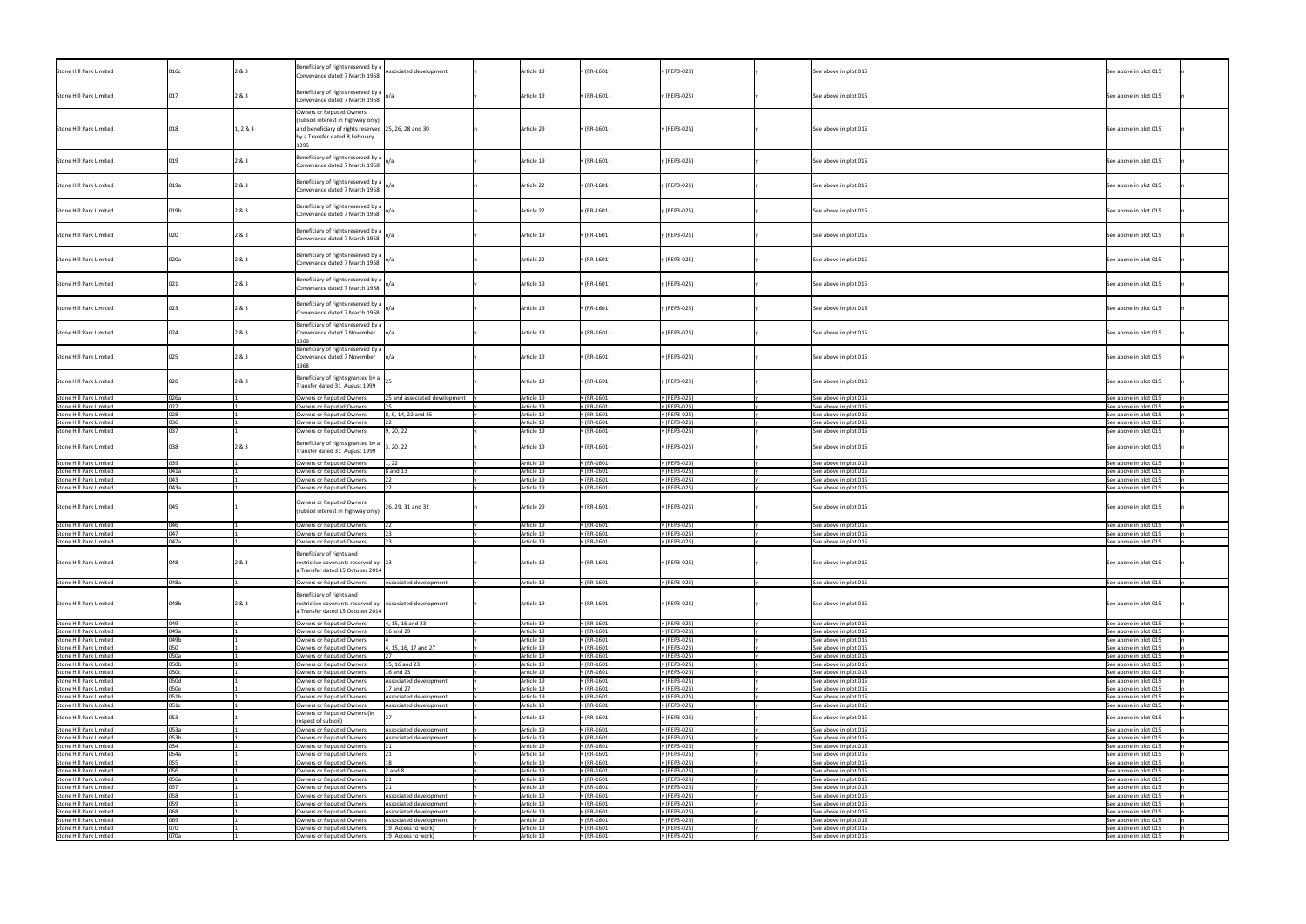| Stone Hill Park Limited                                   | 016c        | 2&3      | Beneficiary of rights reserved by a $\vert$ Associated development<br>Conveyance dated 7 March 1968                                                      |                                            |            | Article 19               | $y$ (RR-1601)              | y (REP3-025)                 | See above in plot 015                          | See above in plot 015                          |
|-----------------------------------------------------------|-------------|----------|----------------------------------------------------------------------------------------------------------------------------------------------------------|--------------------------------------------|------------|--------------------------|----------------------------|------------------------------|------------------------------------------------|------------------------------------------------|
| Stone Hill Park Limited                                   |             | 2 & 3    | Beneficiary of rights reserved by a<br>Conveyance dated 7 March 1968                                                                                     |                                            |            | Article 19               | $y$ (RR-1601)              | y (REP3-025)                 | See above in plot 015                          | See above in plot 015                          |
| Stone Hill Park Limited                                   | 018         | 1, 2 & 3 | Owners or Reputed Owners<br>(subsoil interest in highway only)<br>and beneficiary of rights reserved 25, 26, 28 and 30<br>by a Transfer dated 8 February |                                            | Article 29 |                          | $y$ (RR-1601)              | y (REP3-025)                 | See above in plot 015                          | See above in plot 015                          |
| Stone Hill Park Limited                                   |             | 2&3      | Beneficiary of rights reserved by a $\int$<br>Conveyance dated 7 March 1968                                                                              |                                            | Article 19 |                          | y (RR-1601)                | y (REP3-025)                 | See above in plot 015                          | See above in plot 015                          |
| Stone Hill Park Limited                                   | 019a        | 2&3      | Beneficiary of rights reserved by a $\int$<br>Conveyance dated 7 March 1968                                                                              |                                            | Article 22 |                          | y (RR-1601)                | y (REP3-025)                 | See above in plot 015                          | See above in plot 015                          |
| Stone Hill Park Limited                                   | 019b        | 2 & 3    | Beneficiary of rights reserved by a<br>Conveyance dated 7 March 1968                                                                                     |                                            |            | Article 22               | y (RR-1601)                | y (REP3-025)                 | See above in plot 015                          | See above in plot 015                          |
| Stone Hill Park Limited                                   | 020         | 2&3      | Beneficiary of rights reserved by a $\int$<br>Conveyance dated 7 March 1968                                                                              |                                            |            | Article 19               | y (RR-1601)                | y (REP3-025)                 | See above in plot 015                          | See above in plot 015                          |
| Stone Hill Park Limited                                   | 020a        | 2&3      | Beneficiary of rights reserved by a<br>Conveyance dated 7 March 1968                                                                                     |                                            |            | Article 22               | y (RR-1601)                | y (REP3-025)                 | See above in plot 015                          | See above in plot 015                          |
| Stone Hill Park Limited                                   |             | 2 & 3    | Beneficiary of rights reserved by a<br>Conveyance dated 7 March 1968 $\vert n/a \vert$                                                                   |                                            |            | Article 19               | y (RR-1601)                | y (REP3-025)                 | See above in plot 015                          | See above in plot 015                          |
| Stone Hill Park Limited                                   |             | 2 & 3    | Beneficiary of rights reserved by a $\bigg _{n/a}$<br>Conveyance dated 7 March 1968                                                                      |                                            |            | Article 19               | y (RR-1601)                | y (REP3-025)                 | See above in plot 015                          | See above in plot 015                          |
| Stone Hill Park Limited                                   |             | 2&3      | Beneficiary of rights reserved by a<br>Conveyance dated 7 November                                                                                       |                                            |            | Article 19               | y (RR-1601)                | y (REP3-025)                 | See above in plot 015                          | See above in plot 015                          |
| Stone Hill Park Limited                                   |             | 2&3      | Beneficiary of rights reserved by a<br>Conveyance dated 7 November<br>1968                                                                               |                                            |            | Article 19               | $y$ (RR-1601)              | y (REP3-025)                 | See above in plot 015                          | See above in plot 015                          |
| Stone Hill Park Limited                                   |             | 2&3      | Beneficiary of rights granted by a<br>Transfer dated 31 August 1999                                                                                      |                                            |            | Article 19               | y (RR-1601)                | y (REP3-025)                 | See above in plot 015                          | See above in plot 015                          |
| Stone Hill Park Limited                                   | 026a        |          | <b>Owners or Reputed Owners</b>                                                                                                                          | 25 and associated development              |            | Article 19               | / (RR-1601)                | y (REP3-025)                 | See above in plot 015                          | See above in plot 015                          |
| Stone Hill Park Limited                                   | 027         |          | Owners or Reputed Owners                                                                                                                                 |                                            | Article 19 |                          | y (RR-1601)                | y (REP3-025)                 | See above in plot 015                          | See above in plot 015                          |
|                                                           |             |          |                                                                                                                                                          |                                            |            |                          |                            |                              |                                                |                                                |
| <b>Stone Hill Park Limited</b>                            | 028         |          | <b>Owners or Reputed Owners</b>                                                                                                                          | 3, 9, 14, 22 and 25                        |            | Article 19               | $(RR-1601)$                | y (REP3-025)                 | See above in plot 015                          | See above in plot 015                          |
| Stone Hill Park Limited                                   | 036         |          | <b>Owners or Reputed Owners</b>                                                                                                                          |                                            |            | Article 19               | y (RR-1601)                | y (REP3-025)                 | See above in plot 015                          | See above in plot 015                          |
| Stone Hill Park Limited                                   | 037         |          | <b>Owners or Reputed Owners</b>                                                                                                                          | 9, 20, 22                                  |            | Article 19               | y (RR-1601)                | y (REP3-025)                 | See above in plot 015                          | See above in plot 015                          |
|                                                           |             |          |                                                                                                                                                          |                                            |            |                          |                            |                              |                                                |                                                |
| Stone Hill Park Limited                                   | 038         | 2&3      | Beneficiary of rights granted by a $\Big $ 3, 20, 22<br>Transfer dated 31 August 1999                                                                    |                                            |            | Article 19               | $y$ (RR-1601)              | y (REP3-025)                 | See above in plot 015                          | See above in plot 015                          |
| Stone Hill Park Limited                                   | 039         |          | Owners or Reputed Owners                                                                                                                                 | 1, 22                                      |            | Article 19               | $(RR-1601)$                | y (REP3-025)                 | See above in plot 015                          | See above in plot 015                          |
| Stone Hill Park Limited                                   | 041a        |          | <b>Owners or Reputed Owners</b>                                                                                                                          | 8 and 13                                   |            | Article 19               | / (RR-1601)                | y (REP3-025)                 | See above in plot 015                          | See above in plot 015                          |
|                                                           |             |          |                                                                                                                                                          |                                            |            |                          |                            |                              |                                                |                                                |
| Stone Hill Park Limited                                   | 043         |          | Owners or Reputed Owners                                                                                                                                 | $ 22\rangle$                               |            | Article 19               | y (RR-1601)                | y (REP3-025)                 | See above in plot 015                          | See above in plot 015                          |
| <b>Stone Hill Park Limited</b>                            | 043a        |          | <b>Owners or Reputed Owners</b>                                                                                                                          |                                            |            | Article 19               | y (RR-1601)                | y (REP3-025)                 | See above in plot 015                          | See above in plot 015                          |
| Stone Hill Park Limited                                   | 045         |          | Owners or Reputed Owners<br>(subsoil interest in highway only)                                                                                           | 26, 29, 31 and 32                          |            | Article 29               | y (RR-1601)                | y (REP3-025)                 | See above in plot 015                          | See above in plot 015                          |
| Stone Hill Park Limited                                   | 046         |          | <b>Owners or Reputed Owners</b>                                                                                                                          | 122                                        |            | Article 19               | y (RR-1601)                | y (REP3-025)                 | See above in plot 015                          | See above in plot 015                          |
|                                                           | 047         |          |                                                                                                                                                          |                                            |            |                          |                            |                              |                                                |                                                |
| Stone Hill Park Limited                                   |             |          | Owners or Reputed Owners                                                                                                                                 |                                            |            | Article 19               | $(RR-1601)$                | y (REP3-025)                 | See above in plot 015                          | See above in plot 015                          |
| Stone Hill Park Limited                                   | 047a        |          | <b>Owners or Reputed Owners</b>                                                                                                                          |                                            |            | Article 19               | y (RR-1601)                | y (REP3-025)                 | See above in plot 015                          | See above in plot 015                          |
| Stone Hill Park Limited                                   | 048         | 2&3      | Beneficiary of rights and<br>restrictive covenants reserved by 23<br>a Transfer dated 15 October 2014                                                    |                                            | Article 19 |                          | y (RR-1601)                | y (REP3-025)                 | See above in plot 015                          | See above in plot 015                          |
| Stone Hill Park Limited                                   | 048a        |          | Owners or Reputed Owners                                                                                                                                 | Associated development                     |            | Article 19               | $(RR-1601)$                | y (REP3-025)                 | See above in plot 015                          | See above in plot 015                          |
| Stone Hill Park Limited                                   | 048b        | 2&3      | Beneficiary of rights and<br>restrictive covenants reserved by Associated development<br>a Transfer dated 15 October 2014                                |                                            |            | Article 19               | y (RR-1601)                | y (REP3-025)                 | See above in plot 015                          | See above in plot 015                          |
| Stone Hill Park Limited                                   | 049         |          | Owners or Reputed Owners                                                                                                                                 | 4, 15, 16 and 23                           |            | Article 19               | $(RR-1601)$                | y (REP3-025)                 | See above in plot 015                          | See above in plot 015                          |
|                                                           |             |          |                                                                                                                                                          |                                            |            |                          |                            |                              |                                                |                                                |
| Stone Hill Park Limited                                   | 049a        |          | <b>Owners or Reputed Owners</b>                                                                                                                          | 16 and 29                                  |            | Article 19               | $(RR-1601)$                | y (REP3-025)                 | See above in plot 015                          | See above in plot 015                          |
| <b>Stone Hill Park Limited</b>                            | 049b        |          | <b>Owners or Reputed Owners</b>                                                                                                                          |                                            |            | Article 19               | $(RR-1601)$                | y (REP3-025)                 | See above in plot 015                          | See above in plot 015                          |
| Stone Hill Park Limited                                   | 050         |          | <b>Owners or Reputed Owners</b>                                                                                                                          | 4, 15, 16, 17 and 27                       |            | Article 19               | y (RR-1601)                | y (REP3-025)                 | See above in plot 015                          | See above in plot 015                          |
|                                                           |             |          |                                                                                                                                                          |                                            |            |                          |                            |                              |                                                |                                                |
| <b>Stone Hill Park Limited</b>                            | 050a        |          | Owners or Reputed Owners                                                                                                                                 |                                            |            | Article 19               | $(RR-1601)$                | y (REP3-025)                 | See above in plot 015                          | See above in plot 015                          |
| Stone Hill Park Limited                                   | 050b        |          | <b>Owners or Reputed Owners</b>                                                                                                                          | 15, 16 and 23                              |            | Article 19               | $(RR-1601)$                | y (REP3-025)                 | See above in plot 015                          | See above in plot 015                          |
| <b>Stone Hill Park Limited</b>                            | 050c        |          | <b>Owners or Reputed Owners</b>                                                                                                                          | 16 and 23                                  |            | Article 19               | (RR-1601)                  | y (REP3-025)                 | See above in plot 015                          | See above in plot 015                          |
| Stone Hill Park Limited                                   | 050d        |          | <b>Owners or Reputed Owners</b>                                                                                                                          | Associated development                     |            | Article 19               | $(RR-1601)$                | y (REP3-025)                 | See above in plot 015                          | See above in plot 015                          |
|                                                           |             |          |                                                                                                                                                          |                                            |            |                          |                            |                              |                                                |                                                |
| <b>Stone Hill Park Limited</b>                            | 050e        |          | <b>Owners or Reputed Owners</b>                                                                                                                          | 17 and 27                                  |            | Article 19               | (RR-1601)                  | y (REP3-025)                 | See above in plot 015                          | See above in plot 015                          |
| Stone Hill Park Limited                                   | 051b        |          | <b>Owners or Reputed Owners</b>                                                                                                                          | Associated development                     |            | Article 19               | $(RR-1601)$                | y (REP3-025)                 | See above in plot 015                          | See above in plot 015                          |
| Stone Hill Park Limited                                   | 051c        |          | <b>Owners or Reputed Owners</b>                                                                                                                          | Associated development                     |            | Article 19               | $(RR-1601)$                | y (REP3-025)                 | See above in plot 015                          | See above in plot 015                          |
|                                                           |             |          |                                                                                                                                                          |                                            |            |                          |                            |                              |                                                |                                                |
| Stone Hill Park Limited                                   | 053         |          | Owners or Reputed Owners (in                                                                                                                             |                                            |            | Article 19               | y (RR-1601)                | y (REP3-025)                 | See above in plot 015                          | See above in plot 015                          |
|                                                           |             |          | respect of subsoil)                                                                                                                                      |                                            |            |                          |                            |                              |                                                |                                                |
| Stone Hill Park Limited                                   | 053a        |          | <b>Owners or Reputed Owners</b>                                                                                                                          | Associated development                     |            | Article 19               | $(RR-1601)$                | y (REP3-025)                 | See above in plot 015                          | See above in plot 015                          |
| <b>Stone Hill Park Limited</b>                            | 053b        |          | Owners or Reputed Owners                                                                                                                                 | Associated development                     |            | Article 19               | $(RR-1601)$                | y (REP3-025)                 | See above in plot 015                          | See above in plot 015                          |
|                                                           |             |          |                                                                                                                                                          |                                            |            |                          |                            |                              |                                                |                                                |
| Stone Hill Park Limited                                   |             |          | <b>Owners or Reputed Owners</b>                                                                                                                          |                                            |            | Article 19               | $(RR-1601)$                | y (REP3-025)                 | See above in plot 015                          | See above in plot 015                          |
| Stone Hill Park Limited                                   | 054         |          |                                                                                                                                                          |                                            |            | Article 19               | $(RR-1601)$                | y (REP3-025)                 | See above in plot 015                          | See above in plot 015                          |
|                                                           | 054a        |          | Owners or Reputed Owners                                                                                                                                 |                                            |            |                          |                            |                              |                                                |                                                |
|                                                           |             |          |                                                                                                                                                          |                                            |            |                          |                            |                              |                                                |                                                |
| Stone Hill Park Limited                                   | 055         |          | <b>Owners or Reputed Owners</b>                                                                                                                          |                                            |            | Article 19               | $(RR-1601)$                | y (REP3-025)                 | See above in plot 015                          | See above in plot 015                          |
| <b>Stone Hill Park Limited</b>                            | 056         |          | <b>Owners or Reputed Owners</b>                                                                                                                          | $2$ and $8$                                |            | Article 19               | $(RR-1601)$                | y (REP3-025)                 | See above in plot 015                          | See above in plot 015                          |
| Stone Hill Park Limited                                   | 056a        |          | <b>Owners or Reputed Owners</b>                                                                                                                          |                                            |            | Article 19               | (RR-1601)                  | y (REP3-025)                 | See above in plot 015                          | See above in plot 015                          |
|                                                           | 057         |          |                                                                                                                                                          |                                            |            |                          |                            |                              |                                                |                                                |
| Stone Hill Park Limited                                   |             |          | <b>Owners or Reputed Owners</b>                                                                                                                          |                                            |            | Article 19               | y (RR-1601)                | y (REP3-025)                 | See above in plot 015                          | See above in plot 015                          |
| Stone Hill Park Limited                                   | 058         |          | Owners or Reputed Owners                                                                                                                                 | Associated development                     |            | Article 19               | y (RR-1601)                | y (REP3-025)                 | See above in plot 015                          | See above in plot 015                          |
| Stone Hill Park Limited                                   | 059         |          | <b>Owners or Reputed Owners</b>                                                                                                                          | Associated development                     |            | Article 19               | (RR-1601)                  | y (REP3-025)                 | See above in plot 015                          | See above in plot 015                          |
| Stone Hill Park Limited                                   | 068         |          | Owners or Reputed Owners                                                                                                                                 | Associated development                     |            | Article 19               | y (RR-1601)                | y (REP3-025)                 | See above in plot 015                          | See above in plot 015                          |
|                                                           |             |          |                                                                                                                                                          |                                            |            |                          |                            |                              |                                                |                                                |
| Stone Hill Park Limited                                   | 069         |          | Owners or Reputed Owners                                                                                                                                 | Associated development                     |            | Article 19               | $(RR-1601)$                | y (REP3-025)                 | See above in plot 015                          | See above in plot 015                          |
| Stone Hill Park Limited<br><b>Stone Hill Park Limited</b> | 070<br>070a |          | <b>Owners or Reputed Owners</b><br>Owners or Reputed Owners                                                                                              | 19 (Access to work)<br>19 (Access to work) |            | Article 19<br>Article 19 | $(RR-1601)$<br>y (RR-1601) | y (REP3-025)<br>y (REP3-025) | See above in plot 015<br>See above in plot 015 | See above in plot 015<br>See above in plot 015 |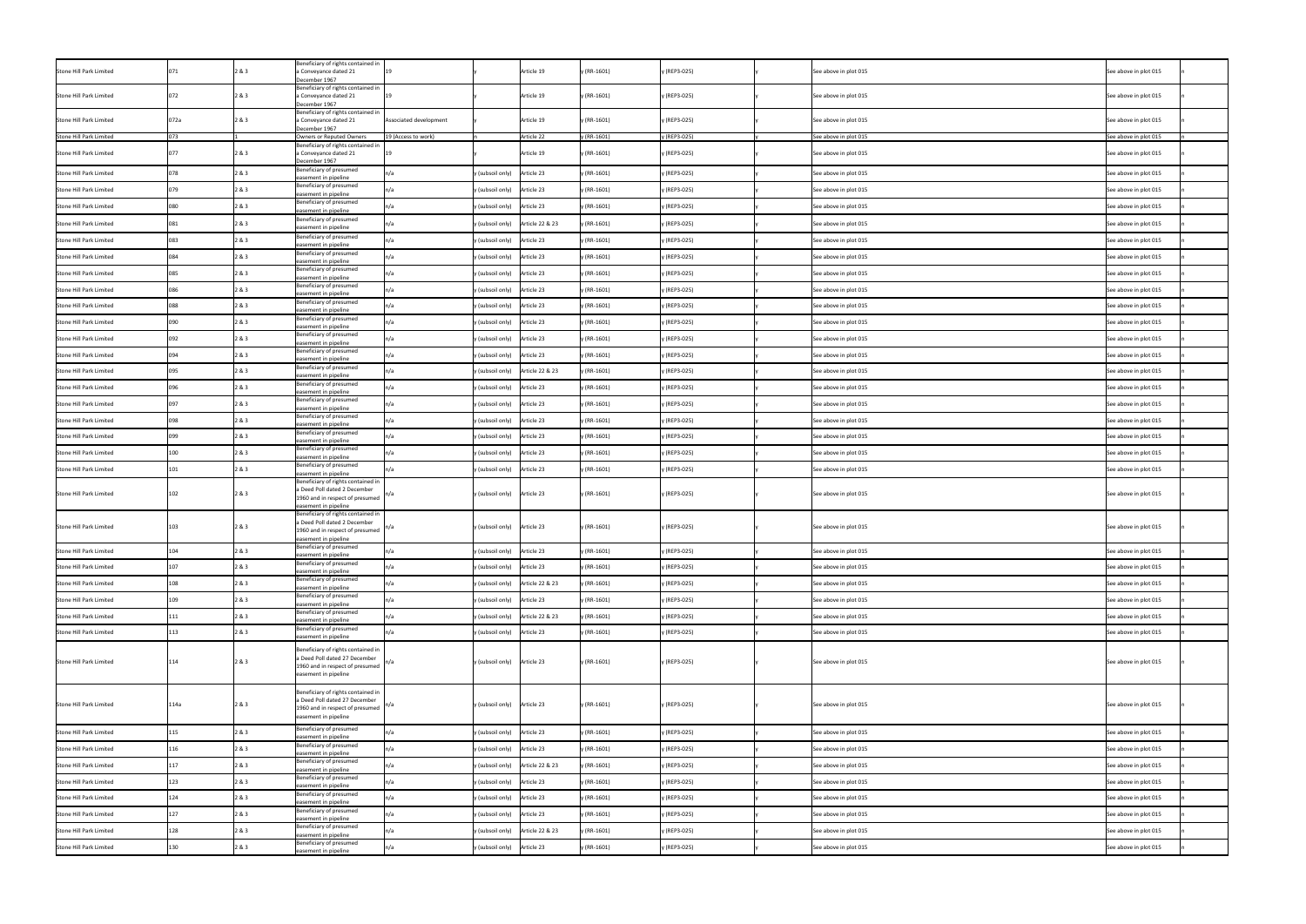| Stone Hill Park Limited |      | 2&3   | Beneficiary of rights contained in<br>a Conveyance dated 21<br>December 1967                                                                   |                        |                               | Article 19      | y (RR-1601)   | y (REP3-025) | See above in plot 015 | See above in plot 015 |
|-------------------------|------|-------|------------------------------------------------------------------------------------------------------------------------------------------------|------------------------|-------------------------------|-----------------|---------------|--------------|-----------------------|-----------------------|
| Stone Hill Park Limited |      | 2&3   | Beneficiary of rights contained in<br>a Conveyance dated 21<br>December 1967                                                                   |                        |                               | Article 19      | y (RR-1601)   | y (REP3-025) | See above in plot 015 | See above in plot 015 |
| Stone Hill Park Limited | 072a | 2&3   | Beneficiary of rights contained in<br>a Conveyance dated 21<br>December 1967                                                                   | Associated development |                               | Article 19      | $y$ (RR-1601) | y (REP3-025) | See above in plot 015 | See above in plot 015 |
| Stone Hill Park Limited | በ73  |       | Owners or Reputed Owners                                                                                                                       | 19 (Access to work)    |                               | Article 22      | / (RR-1601)   | y (REP3-025) | See above in plot 015 | See above in plot 015 |
| Stone Hill Park Limited |      | 2 & 3 | Beneficiary of rights contained in<br>a Conveyance dated 21<br>December 1967                                                                   |                        |                               | Article 19      | $y$ (RR-1601) | y (REP3-025) | See above in plot 015 | See above in plot 015 |
| Stone Hill Park Limited |      | 2 & 3 | Beneficiary of presumed<br>easement in pipeline                                                                                                |                        | y (subsoil only)              | Article 23      | y (RR-1601)   | y (REP3-025) | See above in plot 015 | See above in plot 015 |
| Stone Hill Park Limited |      | 2 & 3 | Beneficiary of presumed<br>easement in pipeline                                                                                                |                        | y (subsoil only)              | Article 23      | $y$ (RR-1601) | y (REP3-025) | See above in plot 015 | See above in plot 015 |
| Stone Hill Park Limited |      | 2 & 3 | Beneficiary of presumed<br>easement in pipeline                                                                                                |                        | y (subsoil only)              | Article 23      | y (RR-1601)   | y (REP3-025) | See above in plot 015 | See above in plot 015 |
| Stone Hill Park Limited |      | 2 & 3 | Beneficiary of presumed<br>easement in pipeline                                                                                                |                        | y (subsoil only)              | Article 22 & 23 | y (RR-1601)   | y (REP3-025) | See above in plot 015 | See above in plot 015 |
| Stone Hill Park Limited |      | 2 & 3 | Beneficiary of presumed<br>easement in pipeline                                                                                                |                        | y (subsoil only)              | Article 23      | y (RR-1601)   | y (REP3-025) | See above in plot 015 | See above in plot 015 |
| Stone Hill Park Limited |      | 2 & 3 | Beneficiary of presumed<br>easement in pipeline                                                                                                |                        | y (subsoil only)              | Article 23      | $y$ (RR-1601) | y (REP3-025) | See above in plot 015 | See above in plot 015 |
| Stone Hill Park Limited |      | 2&3   | Beneficiary of presumed<br>easement in pipeline                                                                                                |                        | y (subsoil only)              | Article 23      | y (RR-1601)   | y (REP3-025) | See above in plot 015 | See above in plot 015 |
| Stone Hill Park Limited |      | 2&3   | Beneficiary of presumed<br>easement in pipeline                                                                                                |                        | y (subsoil only)              | Article 23      | y (RR-1601)   | y (REP3-025) | See above in plot 015 | See above in plot 015 |
| Stone Hill Park Limited |      |       | Beneficiary of presumed<br>easement in pipeline                                                                                                |                        | y (subsoil only) Article 23   |                 | / (RR-1601)   | y (REP3-025) | See above in plot 015 | See above in plot 015 |
| Stone Hill Park Limited |      | 2&3   | Beneficiary of presumed<br>easement in pipeline                                                                                                |                        | y (subsoil only) Article 23   |                 | y (RR-1601)   | y (REP3-025) | See above in plot 015 | See above in plot 015 |
| Stone Hill Park Limited |      | 2&3   | Beneficiary of presumed<br>easement in pipeline                                                                                                |                        | y (subsoil only) Article 23   |                 | y (RR-1601)   | y (REP3-025) | See above in plot 015 | See above in plot 015 |
| Stone Hill Park Limited |      | 2 & 3 | Beneficiary of presumed<br>easement in pipeline                                                                                                |                        | y (subsoil only) Article 23   |                 | y (RR-1601)   | y (REP3-025) | See above in plot 015 | See above in plot 015 |
| Stone Hill Park Limited |      | 2 & 3 | Beneficiary of presumed<br>easement in pipeline                                                                                                |                        | y (subsoil only)              | Article 22 & 23 | y (RR-1601)   | y (REP3-025) | See above in plot 015 | See above in plot 015 |
| Stone Hill Park Limited |      | 2&3   | Beneficiary of presumed<br>easement in pipeline                                                                                                |                        | y (subsoil only)              | Article 23      | y (RR-1601)   | y (REP3-025) | See above in plot 015 | See above in plot 015 |
| Stone Hill Park Limited |      | 2 & 3 | Beneficiary of presumed<br>easement in pipeline                                                                                                |                        | y (subsoil only)              | Article 23      | y (RR-1601)   | y (REP3-025) | See above in plot 015 | See above in plot 015 |
| Stone Hill Park Limited |      | 2&3   | Beneficiary of presumed<br>easement in pipeline                                                                                                |                        | y (subsoil only) Article 23   |                 | y (RR-1601)   | y (REP3-025) | See above in plot 015 | See above in plot 015 |
| Stone Hill Park Limited | 099  | 2 & 3 | Beneficiary of presumed<br>easement in pipeline                                                                                                |                        | y (subsoil only)              | Article 23      | $y$ (RR-1601) | y (REP3-025) | See above in plot 015 | See above in plot 015 |
| Stone Hill Park Limited |      | 2&3   | Beneficiary of presumed<br>easement in pipeline                                                                                                |                        | y (subsoil only) Article 23   |                 | y (RR-1601)   | y (REP3-025) | See above in plot 015 | See above in plot 015 |
| Stone Hill Park Limited |      | 2 & 3 | Beneficiary of presumed<br>easement in pipeline                                                                                                |                        | y (subsoil only) Article 23   |                 | y (RR-1601)   | y (REP3-025) | See above in plot 015 | See above in plot 015 |
| Stone Hill Park Limited |      | 2 & 3 | Beneficiary of rights contained in<br>a Deed Poll dated 2 December<br>1960 and in respect of presumed $\int_0^{\ln/a}$<br>easement in pipeline |                        | y (subsoil only) Article 23   |                 | y (RR-1601)   | y (REP3-025) | See above in plot 015 | See above in plot 015 |
| Stone Hill Park Limited | 103  | 2 & 3 | Beneficiary of rights contained in<br>a Deed Poll dated 2 December<br>1960 and in respect of presumed<br>easement in pipeline                  |                        | y (subsoil only) Article 23   |                 | y (RR-1601)   | y (REP3-025) | See above in plot 015 | See above in plot 015 |
| Stone Hill Park Limited | 104  | 2 & 3 | Beneficiary of presumed<br>easement in pipeline                                                                                                |                        | y (subsoil only)              | Article 23      | $y$ (RR-1601) | y (REP3-025) | See above in plot 015 | See above in plot 015 |
| Stone Hill Park Limited |      | 2 & 3 | Beneficiary of presumed<br>easement in pipeline                                                                                                |                        | y (subsoil only) Article 23   |                 | $y$ (RR-1601) | y (REP3-025) | See above in plot 015 | See above in plot 015 |
| Stone Hill Park Limited |      | 2&3   | Beneficiary of presumed<br>easement in pipeline                                                                                                |                        | y (subsoil only)              | Article 22 & 23 | $y$ (RR-1601) | y (REP3-025) | See above in plot 015 | See above in plot 015 |
| Stone Hill Park Limited |      | 2 & 3 | Beneficiary of presumed<br>easement in pipeline                                                                                                |                        | y (subsoil only)              | Article 23      | $y$ (RR-1601) | y (REP3-025) | See above in plot 015 | See above in plot 015 |
| Stone Hill Park Limited |      | 2&3   | Beneficiary of presumed<br>easement in pipeline                                                                                                |                        | y (subsoil only)              | Article 22 & 23 | $y$ (RR-1601) | y (REP3-025) | See above in plot 015 | See above in plot 015 |
| Stone Hill Park Limited |      | 2&3   | Beneficiary of presumed<br>easement in pipeline                                                                                                |                        | y (subsoil only)              | Article 23      | $y$ (RR-1601) | y (REP3-025) | See above in plot 015 | See above in plot 015 |
| Stone Hill Park Limited | .14  | 2 & 3 | Beneficiary of rights contained in<br>a Deed Poll dated 27 December<br>1960 and in respect of presumed<br>easement in pipeline                 |                        | y (subsoil only)              | Article 23      | y (RR-1601)   | y (REP3-025) | See above in plot 015 | See above in plot 015 |
| Stone Hill Park Limited | L14a | 2 & 3 | Beneficiary of rights contained in<br>a Deed Poll dated 27 December<br>1960 and in respect of presumed<br>easement in pipeline                 |                        | y (subsoil only)              | Article 23      | y (RR-1601)   | y (REP3-025) | See above in plot 015 | See above in plot 015 |
| Stone Hill Park Limited |      | 2&3   | Beneficiary of presumed<br>easement in pipeline                                                                                                |                        | y (subsoil only)              | Article 23      | y (RR-1601)   | y (REP3-025) | See above in plot 015 | See above in plot 015 |
| Stone Hill Park Limited |      | 2&3   | Beneficiary of presumed<br>easement in pipeline                                                                                                |                        | y (subsoil only)              | Article 23      | $y$ (RR-1601) | y (REP3-025) | See above in plot 015 | See above in plot 015 |
| Stone Hill Park Limited |      | 283   | Beneficiary of presumed<br>easement in pipeline                                                                                                |                        | y (subsoil only)              | Article 22 & 23 | $y$ (RR-1601) | y (REP3-025) | See above in plot 015 | See above in plot 015 |
| Stone Hill Park Limited |      | 2&3   | Beneficiary of presumed<br>easement in pipeline                                                                                                |                        | y (subsoil only)              | Article 23      | $y$ (RR-1601) | y (REP3-025) | See above in plot 015 | See above in plot 015 |
| Stone Hill Park Limited |      | 2 & 3 | Beneficiary of presumed<br>easement in pipeline                                                                                                |                        | y (subsoil only)              | Article 23      | $y$ (RR-1601) | y (REP3-025) | See above in plot 015 | See above in plot 015 |
| Stone Hill Park Limited | 127  | 2&83  | Beneficiary of presumed<br>easement in pipeline                                                                                                |                        | $y$ (subsoil only) Article 23 |                 | y (RR-1601)   | y (REP3-025) | See above in plot 015 | See above in plot 015 |
| Stone Hill Park Limited |      | 2 & 3 | Beneficiary of presumed<br>easement in pipeline                                                                                                |                        | y (subsoil only)              | Article 22 & 23 | y (RR-1601)   | y (REP3-025) | See above in plot 015 | See above in plot 015 |
| Stone Hill Park Limited |      | 2&3   | Beneficiary of presumed<br>easement in pipeline                                                                                                |                        | y (subsoil only) Article 23   |                 | y (RR-1601)   | y (REP3-025) | See above in plot 015 | See above in plot 015 |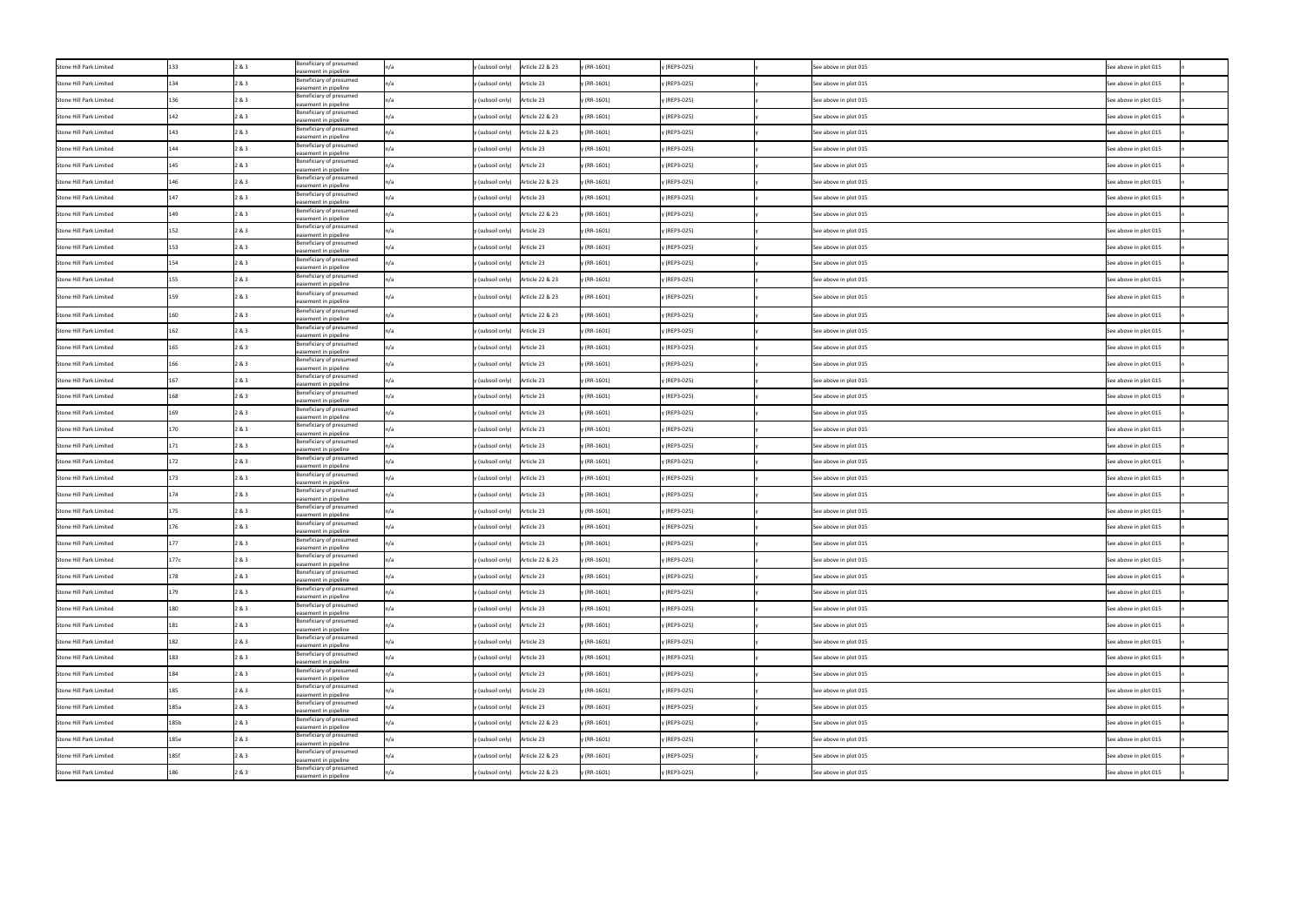| Stone Hill Park Limited |      | 2 & 3      | Beneficiary of presumed<br>easement in pipeline |     | Article 22 & 23<br>y (subsoil only)   | y (RR-1601) | y (REP3-025) | See above in plot 015 | See above in plot 015 |
|-------------------------|------|------------|-------------------------------------------------|-----|---------------------------------------|-------------|--------------|-----------------------|-----------------------|
| Stone Hill Park Limited |      | 2 & 3      | Beneficiary of presumed<br>easement in pipeline |     | y (subsoil only)<br>Article 23        | y (RR-1601) | y (REP3-025) | See above in plot 015 | See above in plot 015 |
| Stone Hill Park Limited |      | 2 & 3      | Beneficiary of presumed<br>easement in pipeline |     | Article 23<br>y (subsoil only)        | y (RR-1601) | y (REP3-025) | See above in plot 015 | See above in plot 015 |
| Stone Hill Park Limited |      | 2 & 3      | Beneficiary of presumed<br>easement in pipeline |     | Article 22 & 23<br>y (subsoil only)   | y (RR-1601) | y (REP3-025) | See above in plot 015 | See above in plot 015 |
| Stone Hill Park Limited | 143  | 2 & 3      | Beneficiary of presumed<br>easement in pipeline |     | Article 22 & 23<br>y (subsoil only)   | y (RR-1601) | y (REP3-025) | See above in plot 015 | See above in plot 015 |
| Stone Hill Park Limited |      | 2 & 3      | Beneficiary of presumed<br>easement in pipeline |     | Article 23<br>y (subsoil only)        | y (RR-1601) | y (REP3-025) | See above in plot 015 | See above in plot 015 |
| Stone Hill Park Limited |      | 2 & 3      | Beneficiary of presumed<br>easement in pipeline |     | Article 23<br>y (subsoil only)        | y (RR-1601) | y (REP3-025) | See above in plot 015 | See above in plot 015 |
| Stone Hill Park Limited |      | 2 & 3      | Beneficiary of presumed<br>easement in pipeline | n/a | Article 22 & 23<br>y (subsoil only)   | y (RR-1601) | y (REP3-025) | See above in plot 015 | See above in plot 015 |
| Stone Hill Park Limited |      | 2 & 3      | Beneficiary of presumed<br>easement in pipeline |     | Article 23<br>y (subsoil only)        | y (RR-1601) | y (REP3-025) | See above in plot 015 | See above in plot 015 |
| Stone Hill Park Limited |      | 2 & 3      | Beneficiary of presumed<br>easement in pipeline |     | Article 22 & 23<br>y (subsoil only)   | y (RR-1601) | y (REP3-025) | See above in plot 015 | See above in plot 015 |
| Stone Hill Park Limited |      | 2 & 3      | Beneficiary of presumed<br>easement in pipeline |     | Article 23<br>y (subsoil only)        | y (RR-1601) | y (REP3-025) | See above in plot 015 | See above in plot 015 |
| Stone Hill Park Limited |      | <u>83.</u> | Beneficiary of presumed<br>easement in pipeline |     | Article 23<br>y (subsoil only)        | y (RR-1601) | y (REP3-025) | See above in plot 015 | See above in plot 015 |
| Stone Hill Park Limited |      | 2 & 3      | Beneficiary of presumed<br>easement in pipeline |     | Article 23<br>y (subsoil only)        | y (RR-1601) | y (REP3-025) | See above in plot 015 | See above in plot 015 |
| Stone Hill Park Limited |      | 2 & 3      | Beneficiary of presumed<br>easement in pipeline |     | Article 22 & 23<br>y (subsoil only)   | y (RR-1601) | y (REP3-025) | See above in plot 015 | See above in plot 015 |
| Stone Hill Park Limited | 159  | 2 & 3      | Beneficiary of presumed<br>easement in pipeline | n/a | Article 22 & 23<br>y (subsoil only)   | y (RR-1601) | y (REP3-025) | See above in plot 015 | See above in plot 015 |
| Stone Hill Park Limited | 160  | 2 & 3      | Beneficiary of presumed<br>easement in pipeline |     | Article 22 & 23<br>y (subsoil only)   | y (RR-1601) | y (REP3-025) | See above in plot 015 | See above in plot 015 |
| Stone Hill Park Limited |      | 2 & 3      | Beneficiary of presumed<br>easement in pipeline |     | Article 23<br>y (subsoil only)        | y (RR-1601) | y (REP3-025) | See above in plot 015 | See above in plot 015 |
| Stone Hill Park Limited |      | 2 & 3      | Beneficiary of presumed<br>easement in pipeline |     | y (subsoil only) Article 23           | y (RR-1601) | y (REP3-025) | See above in plot 015 | See above in plot 015 |
| Stone Hill Park Limited | 166  | 2 & 3      | Beneficiary of presumed<br>easement in pipeline |     | y (subsoil only) Article 23           | y (RR-1601) | y (REP3-025) | See above in plot 015 | See above in plot 015 |
| Stone Hill Park Limited |      | 2 & 3      | Beneficiary of presumed<br>easement in pipeline |     | Article 23<br>y (subsoil only)        | y (RR-1601) | y (REP3-025) | See above in plot 015 | See above in plot 015 |
| Stone Hill Park Limited | 168  | 2 & 3      | Beneficiary of presumed<br>easement in pipeline |     | Article 23<br>y (subsoil only)        | y (RR-1601) | y (REP3-025) | See above in plot 015 | See above in plot 015 |
| Stone Hill Park Limited |      | 2 & 3      | Beneficiary of presumed<br>easement in pipeline |     | y (subsoil only)<br>Article 23        | y (RR-1601) | y (REP3-025) | See above in plot 015 | See above in plot 015 |
| Stone Hill Park Limited | 170  | 2 & 3      | Beneficiary of presumed<br>easement in pipeline |     | Article 23<br>y (subsoil only)        | y (RR-1601) | y (REP3-025) | See above in plot 015 | See above in plot 015 |
| Stone Hill Park Limited |      | 2 & 3      | Beneficiary of presumed<br>easement in pipeline |     | Article 23<br>y (subsoil only)        | y (RR-1601) | y (REP3-025) | See above in plot 015 | See above in plot 015 |
| Stone Hill Park Limited |      | 2 & 3      | Beneficiary of presumed<br>easement in pipeline |     | Article 23<br>y (subsoil only)        | y (RR-1601) | y (REP3-025) | See above in plot 015 | See above in plot 015 |
| Stone Hill Park Limited |      | 2&3        | Beneficiary of presumed<br>easement in pipeline |     | y (subsoil only) Article 23           | y (RR-1601) | y (REP3-025) | See above in plot 015 | See above in plot 015 |
| Stone Hill Park Limited |      | 2 & 3      | Beneficiary of presumed<br>easement in pipeline |     | Article 23<br>y (subsoil only)        | y (RR-1601) | y (REP3-025) | See above in plot 015 | See above in plot 015 |
| Stone Hill Park Limited |      | 2 & 3      | Beneficiary of presumed<br>easement in pipeline |     | Article 23<br>y (subsoil only)        | y (RR-1601) | y (REP3-025) | See above in plot 015 | See above in plot 015 |
| Stone Hill Park Limited | 176  | 2 & 3      | Beneficiary of presumed<br>easement in pipeline |     | Article 23<br>y (subsoil only)        | y (RR-1601) | y (REP3-025) | See above in plot 015 | See above in plot 015 |
| Stone Hill Park Limited |      | 2 & 3      | Beneficiary of presumed<br>easement in pipeline |     | Article 23<br>y (subsoil only)        | y (RR-1601) | y (REP3-025) | See above in plot 015 | See above in plot 015 |
| Stone Hill Park Limited | 177c | 2 & 3      | Beneficiary of presumed<br>easement in pipeline |     | $y$ (subsoil only)<br>Article 22 & 23 | y (RR-1601) | y (REP3-025) | See above in plot 015 | See above in plot 015 |
| Stone Hill Park Limited |      | 2 & 3      | Beneficiary of presumed<br>easement in pipeline |     | y (subsoil only) Article 23           | y (RR-1601) | y (REP3-025) | See above in plot 015 | See above in plot 015 |
| Stone Hill Park Limited |      | 2 & 3      | Beneficiary of presumed<br>easement in pipeline |     | y (subsoil only) Article 23           | y (RR-1601) | y (REP3-025) | See above in plot 015 | See above in plot 015 |
| Stone Hill Park Limited | 180  | 2 & 3      | Beneficiary of presumed<br>easement in pipeline |     | y (subsoil only) Article 23           | y (RR-1601) | y (REP3-025) | See above in plot 015 | See above in plot 015 |
| Stone Hill Park Limited | 181  | 2 & 3      | Beneficiary of presumed<br>easement in pipeline |     | Article 23<br>y (subsoil only)        | y (RR-1601) | y (REP3-025) | See above in plot 015 | See above in plot 015 |
| Stone Hill Park Limited | 182  | 2 & 3      | Beneficiary of presumed<br>easement in pipeline |     | Article 23<br>y (subsoil only)        | y (RR-1601) | y (REP3-025) | See above in plot 015 | See above in plot 015 |
| Stone Hill Park Limited | 183  | 2 & 3      | Beneficiary of presumed<br>easement in pipeline |     | Article 23<br>y (subsoil only)        | y (RR-1601) | y (REP3-025) | See above in plot 015 | See above in plot 015 |
| Stone Hill Park Limited | 184  | 2 & 3      | Beneficiary of presumed<br>easement in pipeline |     | Article 23<br>y (subsoil only)        | y (RR-1601) | y (REP3-025) | See above in plot 015 | See above in plot 015 |
| Stone Hill Park Limited |      | 2 & 3      | Beneficiary of presumed<br>easement in pipeline |     | Article 23<br>y (subsoil only)        | y (RR-1601) | y (REP3-025) | See above in plot 015 | See above in plot 015 |
| Stone Hill Park Limited | 185a | 2 & 3      | Beneficiary of presumed<br>easement in pipeline |     | y (subsoil only) Article 23           | y (RR-1601) | y (REP3-025) | See above in plot 015 | See above in plot 015 |
| Stone Hill Park Limited | 185b | 2 & 3      | Beneficiary of presumed<br>easement in pipeline |     | y (subsoil only) Article 22 & 23      | y (RR-1601) | y (REP3-025) | See above in plot 015 | See above in plot 015 |
| Stone Hill Park Limited | 185e | 2 & 3      | Beneficiary of presumed<br>easement in pipeline |     | y (subsoil only) Article 23           | y (RR-1601) | y (REP3-025) | See above in plot 015 | See above in plot 015 |
| Stone Hill Park Limited | 185f | 2 & 3      | Beneficiary of presumed<br>easement in pipeline | n/a | Article 22 & 23<br>y (subsoil only)   | y (RR-1601) | y (REP3-025) | See above in plot 015 | See above in plot 015 |
| Stone Hill Park Limited | 186  | 2 & 3      | Beneficiary of presumed<br>easement in pipeline |     | Article 22 & 23<br>y (subsoil only)   | y (RR-1601) | y (REP3-025) | See above in plot 015 | See above in plot 015 |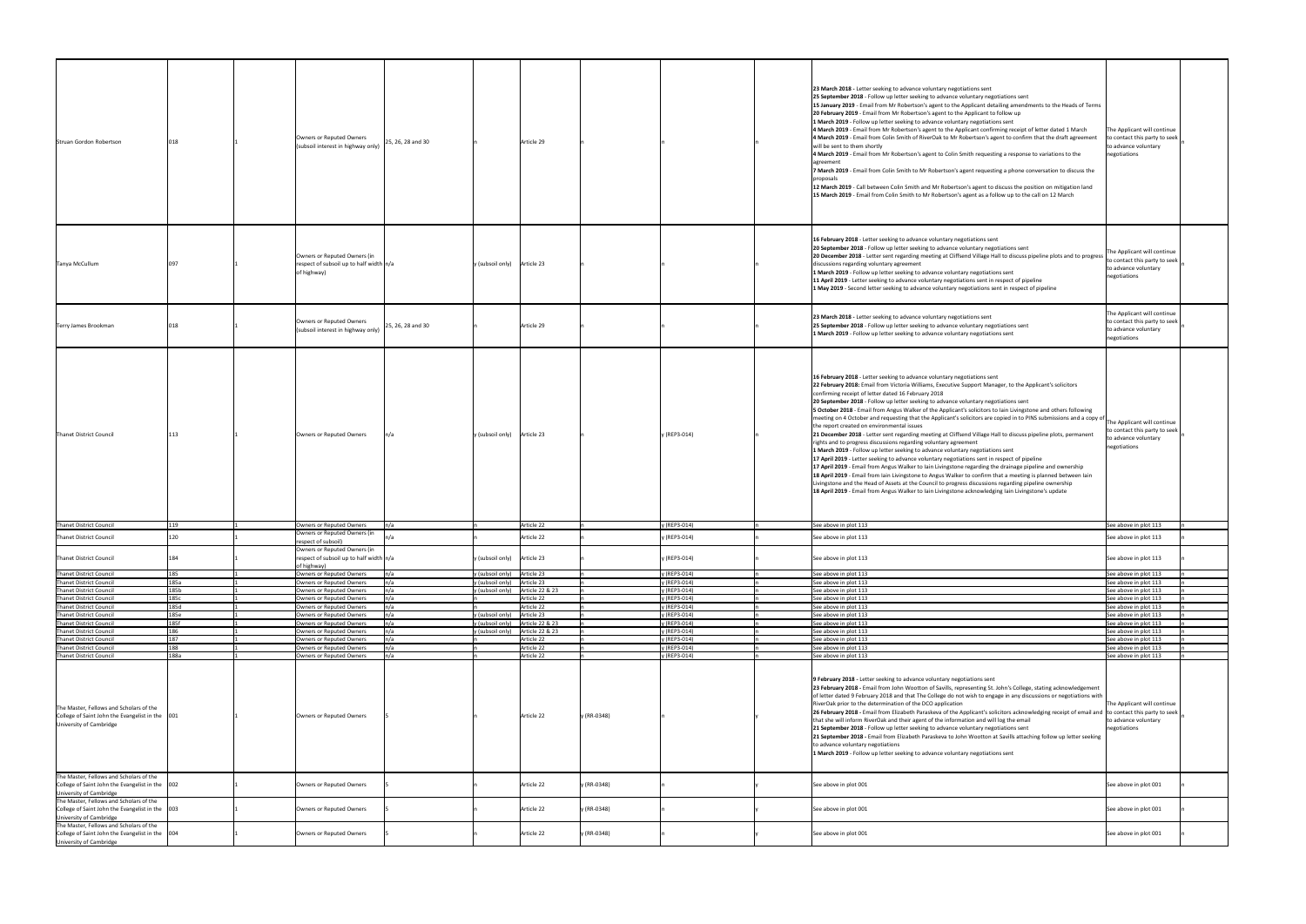| Struan Gordon Robertson                                                                                                                                            |       | Owners or Reputed Owners<br>(subsoil interest in highway only)                           | 25, 26, 28 and 30 | Article 29                              |                             | 23 March 2018 - Letter seeking to advance voluntary negotiations sent<br>25 September 2018 - Follow up letter seeking to advance voluntary negotiations sent<br>15 January 2019 - Email from Mr Robertson's agent to the Applicant detailing amendments to the Heads of Terms<br>20 February 2019 - Email from Mr Robertson's agent to the Applicant to follow up<br>1 March 2019 - Follow up letter seeking to advance voluntary negotiations sent<br>4 March 2019 - Email from Mr Robertson's agent to the Applicant confirming receipt of letter dated 1 March<br>4 March 2019 - Email from Colin Smith of RiverOak to Mr Robertson's agent to confirm that the draft agreement<br>will be sent to them shortly<br>4 March 2019 - Email from Mr Robertson's agent to Colin Smith requesting a response to variations to the<br>agreement<br>7 March 2019 - Email from Colin Smith to Mr Robertson's agent requesting a phone conversation to discuss the<br>proposals<br>12 March 2019 - Call between Colin Smith and Mr Robertson's agent to discuss the position on mitigation land<br>15 March 2019 - Email from Colin Smith to Mr Robertson's agent as a follow up to the call on 12 March                                                                                                                                                                                                                                                   | The Applicant will continue<br>to contact this party to seek<br>to advance voluntary<br>negotiations |
|--------------------------------------------------------------------------------------------------------------------------------------------------------------------|-------|------------------------------------------------------------------------------------------|-------------------|-----------------------------------------|-----------------------------|-----------------------------------------------------------------------------------------------------------------------------------------------------------------------------------------------------------------------------------------------------------------------------------------------------------------------------------------------------------------------------------------------------------------------------------------------------------------------------------------------------------------------------------------------------------------------------------------------------------------------------------------------------------------------------------------------------------------------------------------------------------------------------------------------------------------------------------------------------------------------------------------------------------------------------------------------------------------------------------------------------------------------------------------------------------------------------------------------------------------------------------------------------------------------------------------------------------------------------------------------------------------------------------------------------------------------------------------------------------------------------------------------------------------------------------------------------|------------------------------------------------------------------------------------------------------|
| Tanya McCullum                                                                                                                                                     |       | Owners or Reputed Owners (in<br>respect of subsoil up to half width $n/a$<br>of highway) |                   | y (subsoil only) Article 23             |                             | 16 February 2018 - Letter seeking to advance voluntary negotiations sent<br>20 September 2018 - Follow up letter seeking to advance voluntary negotiations sent<br>20 December 2018 - Letter sent regarding meeting at Cliffsend Village Hall to discuss pipeline plots and to progress<br>discussions regarding voluntary agreement<br>1 March 2019 - Follow up letter seeking to advance voluntary negotiations sent<br>11 April 2019 - Letter seeking to advance voluntary negotiations sent in respect of pipeline<br>1 May 2019 - Second letter seeking to advance voluntary negotiations sent in respect of pipeline                                                                                                                                                                                                                                                                                                                                                                                                                                                                                                                                                                                                                                                                                                                                                                                                                          | The Applicant will continue<br>to contact this party to seek<br>to advance voluntary<br>negotiations |
| Terry James Brookman                                                                                                                                               |       | Owners or Reputed Owners<br>(subsoil interest in highway only)                           | 25, 26, 28 and 30 | Article 29                              |                             | 23 March 2018 - Letter seeking to advance voluntary negotiations sent<br>25 September 2018 - Follow up letter seeking to advance voluntary negotiations sent<br>1 March 2019 - Follow up letter seeking to advance voluntary negotiations sent                                                                                                                                                                                                                                                                                                                                                                                                                                                                                                                                                                                                                                                                                                                                                                                                                                                                                                                                                                                                                                                                                                                                                                                                      | The Applicant will continue<br>to contact this party to seek<br>to advance voluntary<br>negotiations |
| Thanet District Council                                                                                                                                            |       | Owners or Reputed Owners                                                                 |                   | y (subsoil only) Article 23             | y (REP3-014)                | 16 February 2018 - Letter seeking to advance voluntary negotiations sent<br>22 February 2018: Email from Victoria Williams, Executive Support Manager, to the Applicant's solicitors<br>confirming receipt of letter dated 16 February 2018<br>20 September 2018 - Follow up letter seeking to advance voluntary negotiations sent<br>5 October 2018 - Email from Angus Walker of the Applicant's solicitors to lain Livingstone and others following<br> meeting on 4 October and requesting that the Applicant's solicitors are copied in to PINS submissions and a copy of<br>the report created on environmental issues<br>21 December 2018 - Letter sent regarding meeting at Cliffsend Village Hall to discuss pipeline plots, permanent<br>rights and to progress discussions regarding voluntary agreement<br>1 March 2019 - Follow up letter seeking to advance voluntary negotiations sent<br>17 April 2019 - Letter seeking to advance voluntary negotiations sent in respect of pipeline<br>17 April 2019 - Email from Angus Walker to lain Livingstone regarding the drainage pipeline and ownership<br>18 April 2019 - Email from Iain Livingstone to Angus Walker to confirm that a meeting is planned between lain<br>Livingstone and the Head of Assets at the Council to progress discussions regarding pipeline ownership<br>18 April 2019 - Email from Angus Walker to lain Livingstone acknowledging lain Livingstone's update | The Applicant will continue<br>to contact this party to seek<br>to advance voluntary<br>negotiations |
|                                                                                                                                                                    |       |                                                                                          |                   |                                         |                             |                                                                                                                                                                                                                                                                                                                                                                                                                                                                                                                                                                                                                                                                                                                                                                                                                                                                                                                                                                                                                                                                                                                                                                                                                                                                                                                                                                                                                                                     |                                                                                                      |
| Thanet District Council                                                                                                                                            | 119   | Owners or Reputed Owners                                                                 | n/a               | Article 22                              | y (REP3-014)                | See above in plot 113                                                                                                                                                                                                                                                                                                                                                                                                                                                                                                                                                                                                                                                                                                                                                                                                                                                                                                                                                                                                                                                                                                                                                                                                                                                                                                                                                                                                                               | See above in plot 113                                                                                |
| Thanet District Council                                                                                                                                            |       | Owners or Reputed Owners (in<br>respect of subsoil)                                      |                   | Article 22                              | y (REP3-014)                | See above in plot 113                                                                                                                                                                                                                                                                                                                                                                                                                                                                                                                                                                                                                                                                                                                                                                                                                                                                                                                                                                                                                                                                                                                                                                                                                                                                                                                                                                                                                               | See above in plot 113                                                                                |
| Thanet District Council                                                                                                                                            |       | Owners or Reputed Owners (in<br>respect of subsoil up to half width $n/a$<br>of highway) |                   | y (subsoil only) Article 23             | y (REP3-014)                | See above in plot 113                                                                                                                                                                                                                                                                                                                                                                                                                                                                                                                                                                                                                                                                                                                                                                                                                                                                                                                                                                                                                                                                                                                                                                                                                                                                                                                                                                                                                               | See above in plot 113                                                                                |
| Thanet District Council                                                                                                                                            | 185   | Owners or Reputed Owners                                                                 | n/a               | y (subsoil only) Article 23             | y (REP3-014)                | See above in plot 113                                                                                                                                                                                                                                                                                                                                                                                                                                                                                                                                                                                                                                                                                                                                                                                                                                                                                                                                                                                                                                                                                                                                                                                                                                                                                                                                                                                                                               | See above in plot 113                                                                                |
| Thanet District Council                                                                                                                                            | 185a  | Owners or Reputed Owners                                                                 | n/a               | y (subsoil only)<br>Article 23          | y (REP3-014)                | See above in plot 113                                                                                                                                                                                                                                                                                                                                                                                                                                                                                                                                                                                                                                                                                                                                                                                                                                                                                                                                                                                                                                                                                                                                                                                                                                                                                                                                                                                                                               | See above in plot 113                                                                                |
| Thanet District Council                                                                                                                                            | 185b  | Owners or Reputed Owners                                                                 |                   | Article 22 & 23<br>y (subsoil only)     | y (REP3-014)                | See above in plot 113                                                                                                                                                                                                                                                                                                                                                                                                                                                                                                                                                                                                                                                                                                                                                                                                                                                                                                                                                                                                                                                                                                                                                                                                                                                                                                                                                                                                                               | See above in plot 113                                                                                |
| Thanet District Council                                                                                                                                            | 185с  | Owners or Reputed Owners                                                                 | n/a               | Article 22                              | y (REP3-014)                | See above in plot 113                                                                                                                                                                                                                                                                                                                                                                                                                                                                                                                                                                                                                                                                                                                                                                                                                                                                                                                                                                                                                                                                                                                                                                                                                                                                                                                                                                                                                               | See above in plot 113                                                                                |
| Thanet District Council                                                                                                                                            | 185d  | Owners or Reputed Owners                                                                 |                   | Article 22                              | y (REP3-014)                | See above in plot 113                                                                                                                                                                                                                                                                                                                                                                                                                                                                                                                                                                                                                                                                                                                                                                                                                                                                                                                                                                                                                                                                                                                                                                                                                                                                                                                                                                                                                               | See above in plot 113                                                                                |
| Thanet District Council                                                                                                                                            | 185e  | Owners or Reputed Owners                                                                 |                   | y (subsoil only)<br>Article 23          | y (REP3-014)                | See above in plot 113                                                                                                                                                                                                                                                                                                                                                                                                                                                                                                                                                                                                                                                                                                                                                                                                                                                                                                                                                                                                                                                                                                                                                                                                                                                                                                                                                                                                                               | See above in plot 113                                                                                |
| Thanet District Council                                                                                                                                            | 185f  | Owners or Reputed Owners                                                                 | n/a               | y (subsoil only) Article 22 & 23        | y (REP3-014)                | See above in plot 113                                                                                                                                                                                                                                                                                                                                                                                                                                                                                                                                                                                                                                                                                                                                                                                                                                                                                                                                                                                                                                                                                                                                                                                                                                                                                                                                                                                                                               | See above in plot 113                                                                                |
| Thanet District Council                                                                                                                                            | 1 R.G | Owners or Reputed Owners                                                                 | n/a               | y (subsoil only) $\int$ Article 22 & 23 | y (REP3-014)                | See above in plot 113                                                                                                                                                                                                                                                                                                                                                                                                                                                                                                                                                                                                                                                                                                                                                                                                                                                                                                                                                                                                                                                                                                                                                                                                                                                                                                                                                                                                                               | See above in plot 113                                                                                |
| Thanet District Council                                                                                                                                            | 187   | Owners or Reputed Owners                                                                 |                   | Article 22                              | y (REP3-014)                | See above in plot 113                                                                                                                                                                                                                                                                                                                                                                                                                                                                                                                                                                                                                                                                                                                                                                                                                                                                                                                                                                                                                                                                                                                                                                                                                                                                                                                                                                                                                               | See above in plot 113                                                                                |
| Thanet District Council                                                                                                                                            | 188   | Owners or Reputed Owners                                                                 | n/a               | Article 22                              | y (REP3-014)                | See above in plot 113                                                                                                                                                                                                                                                                                                                                                                                                                                                                                                                                                                                                                                                                                                                                                                                                                                                                                                                                                                                                                                                                                                                                                                                                                                                                                                                                                                                                                               | See above in plot 113                                                                                |
| Thanet District Council<br>The Master, Fellows and Scholars of the<br>College of Saint John the Evangelist in the 001<br>University of Cambridge                   | 188a  | Owners or Reputed Owners<br>Owners or Reputed Owners                                     | n/a               | Article 22<br>Article 22                | y (REP3-014)<br>y (RR-0348) | See above in plot 113<br>9 February 2018 - Letter seeking to advance voluntary negotiations sent<br>23 February 2018 - Email from John Wootton of Savills, representing St. John's College, stating acknowledgement<br>of letter dated 9 February 2018 and that The College do not wish to engage in any discussions or negotiations with<br>RiverOak prior to the determination of the DCO application<br>26 February 2018 - Email from Elizabeth Paraskeva of the Applicant's solicitors acknowledging receipt of email and to contact this party to seek<br>that she will inform RiverOak and their agent of the information and will log the email<br>21 September 2018 - Follow up letter seeking to advance voluntary negotiations sent<br>21 September 2018 - Email from Elizabeth Paraskeva to John Wootton at Savills attaching follow up letter seeking<br>to advance voluntary negotiations<br>1 March 2019 - Follow up letter seeking to advance voluntary negotiations sent                                                                                                                                                                                                                                                                                                                                                                                                                                                            | See above in plot 113<br>The Applicant will continue<br>to advance voluntary<br>negotiations         |
| The Master, Fellows and Scholars of the<br>College of Saint John the Evangelist in the   002<br>University of Cambridge<br>The Master, Fellows and Scholars of the |       | Owners or Reputed Owners                                                                 |                   | Article 22                              | y (RR-0348)                 | See above in plot 001                                                                                                                                                                                                                                                                                                                                                                                                                                                                                                                                                                                                                                                                                                                                                                                                                                                                                                                                                                                                                                                                                                                                                                                                                                                                                                                                                                                                                               | See above in plot 001                                                                                |
| College of Saint John the Evangelist in the   003<br>University of Cambridge                                                                                       |       | Owners or Reputed Owners                                                                 |                   | Article 22                              | y (RR-0348)                 | See above in plot 001                                                                                                                                                                                                                                                                                                                                                                                                                                                                                                                                                                                                                                                                                                                                                                                                                                                                                                                                                                                                                                                                                                                                                                                                                                                                                                                                                                                                                               | See above in plot 001                                                                                |
| The Master, Fellows and Scholars of the<br>College of Saint John the Evangelist in the 004<br>University of Cambridge                                              |       | Owners or Reputed Owners                                                                 |                   | Article 22                              | y (RR-0348)                 | See above in plot 001                                                                                                                                                                                                                                                                                                                                                                                                                                                                                                                                                                                                                                                                                                                                                                                                                                                                                                                                                                                                                                                                                                                                                                                                                                                                                                                                                                                                                               | See above in plot 001                                                                                |
|                                                                                                                                                                    |       |                                                                                          |                   |                                         |                             |                                                                                                                                                                                                                                                                                                                                                                                                                                                                                                                                                                                                                                                                                                                                                                                                                                                                                                                                                                                                                                                                                                                                                                                                                                                                                                                                                                                                                                                     |                                                                                                      |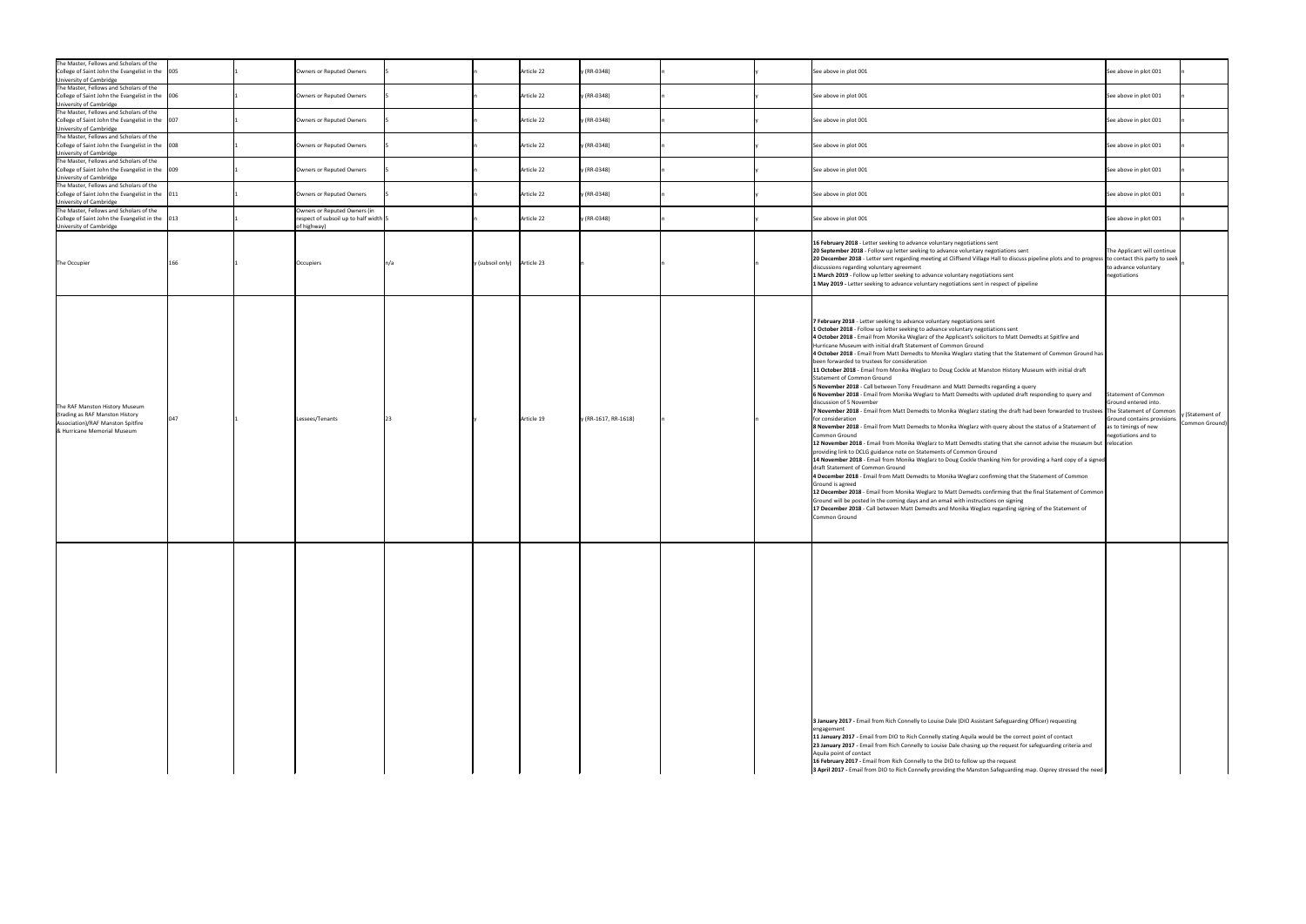| The Master, Fellows and Scholars of the<br>College of Saint John the Evangelist in the   005<br>University of Cambridge              |      | Owners or Reputed Owners                                              |                               | Article 22 | y (RR-0348)          | See above in plot 001                                                                                                                                                                                                                                                                                                                                                                                                                                                                                                                                                                                                                                                                                                                                                                                                                                                                                                                                                                                                                                                                                                                                                                                                                                                                                                                                                                                                                                                                                                                                                                                                                                                                                                                                                                                                                                                                                                                                                                | See above in plot 001                                                                                                                                         |
|--------------------------------------------------------------------------------------------------------------------------------------|------|-----------------------------------------------------------------------|-------------------------------|------------|----------------------|--------------------------------------------------------------------------------------------------------------------------------------------------------------------------------------------------------------------------------------------------------------------------------------------------------------------------------------------------------------------------------------------------------------------------------------------------------------------------------------------------------------------------------------------------------------------------------------------------------------------------------------------------------------------------------------------------------------------------------------------------------------------------------------------------------------------------------------------------------------------------------------------------------------------------------------------------------------------------------------------------------------------------------------------------------------------------------------------------------------------------------------------------------------------------------------------------------------------------------------------------------------------------------------------------------------------------------------------------------------------------------------------------------------------------------------------------------------------------------------------------------------------------------------------------------------------------------------------------------------------------------------------------------------------------------------------------------------------------------------------------------------------------------------------------------------------------------------------------------------------------------------------------------------------------------------------------------------------------------------|---------------------------------------------------------------------------------------------------------------------------------------------------------------|
| The Master, Fellows and Scholars of the<br>College of Saint John the Evangelist in the  006<br>University of Cambridge               |      | Owners or Reputed Owners                                              |                               | Article 22 | y (RR-0348)          | See above in plot 001                                                                                                                                                                                                                                                                                                                                                                                                                                                                                                                                                                                                                                                                                                                                                                                                                                                                                                                                                                                                                                                                                                                                                                                                                                                                                                                                                                                                                                                                                                                                                                                                                                                                                                                                                                                                                                                                                                                                                                | See above in plot 001                                                                                                                                         |
| The Master, Fellows and Scholars of the<br>College of Saint John the Evangelist in the 007<br>University of Cambridge                |      | Owners or Reputed Owners                                              |                               | Article 22 | y (RR-0348)          | See above in plot 001                                                                                                                                                                                                                                                                                                                                                                                                                                                                                                                                                                                                                                                                                                                                                                                                                                                                                                                                                                                                                                                                                                                                                                                                                                                                                                                                                                                                                                                                                                                                                                                                                                                                                                                                                                                                                                                                                                                                                                | See above in plot 001                                                                                                                                         |
| The Master, Fellows and Scholars of the<br>College of Saint John the Evangelist in the 008                                           |      | Owners or Reputed Owners                                              |                               | Article 22 | y (RR-0348)          | See above in plot 001                                                                                                                                                                                                                                                                                                                                                                                                                                                                                                                                                                                                                                                                                                                                                                                                                                                                                                                                                                                                                                                                                                                                                                                                                                                                                                                                                                                                                                                                                                                                                                                                                                                                                                                                                                                                                                                                                                                                                                | See above in plot 001                                                                                                                                         |
| University of Cambridge<br>The Master, Fellows and Scholars of the<br>College of Saint John the Evangelist in the 009                |      | Owners or Reputed Owners                                              |                               | Article 22 | y (RR-0348)          | See above in plot 001                                                                                                                                                                                                                                                                                                                                                                                                                                                                                                                                                                                                                                                                                                                                                                                                                                                                                                                                                                                                                                                                                                                                                                                                                                                                                                                                                                                                                                                                                                                                                                                                                                                                                                                                                                                                                                                                                                                                                                | See above in plot 001                                                                                                                                         |
| University of Cambridge<br>The Master, Fellows and Scholars of the<br>College of Saint John the Evangelist in the 011                |      | Owners or Reputed Owners                                              |                               | Article 22 | y (RR-0348)          | See above in plot 001                                                                                                                                                                                                                                                                                                                                                                                                                                                                                                                                                                                                                                                                                                                                                                                                                                                                                                                                                                                                                                                                                                                                                                                                                                                                                                                                                                                                                                                                                                                                                                                                                                                                                                                                                                                                                                                                                                                                                                | See above in plot 001                                                                                                                                         |
| University of Cambridge<br>The Master, Fellows and Scholars of the<br>College of Saint John the Evangelist in the 013                |      | Owners or Reputed Owners (in<br>respect of subsoil up to half width 5 |                               | Article 22 | y (RR-0348)          | See above in plot 001                                                                                                                                                                                                                                                                                                                                                                                                                                                                                                                                                                                                                                                                                                                                                                                                                                                                                                                                                                                                                                                                                                                                                                                                                                                                                                                                                                                                                                                                                                                                                                                                                                                                                                                                                                                                                                                                                                                                                                | See above in plot 001                                                                                                                                         |
| University of Cambridge                                                                                                              |      | of highway)                                                           |                               |            |                      |                                                                                                                                                                                                                                                                                                                                                                                                                                                                                                                                                                                                                                                                                                                                                                                                                                                                                                                                                                                                                                                                                                                                                                                                                                                                                                                                                                                                                                                                                                                                                                                                                                                                                                                                                                                                                                                                                                                                                                                      |                                                                                                                                                               |
| The Occupier                                                                                                                         |      | Occupiers                                                             | $y$ (subsoil only) Article 23 |            |                      | 16 February 2018 - Letter seeking to advance voluntary negotiations sent<br>20 September 2018 - Follow up letter seeking to advance voluntary negotiations sent<br>20 December 2018 - Letter sent regarding meeting at Cliffsend Village Hall to discuss pipeline plots and to progress to contact this party to seek<br>discussions regarding voluntary agreement<br>1 March 2019 - Follow up letter seeking to advance voluntary negotiations sent<br>1 May 2019 - Letter seeking to advance voluntary negotiations sent in respect of pipeline                                                                                                                                                                                                                                                                                                                                                                                                                                                                                                                                                                                                                                                                                                                                                                                                                                                                                                                                                                                                                                                                                                                                                                                                                                                                                                                                                                                                                                    | The Applicant will continue<br>to advance voluntary<br>negotiations                                                                                           |
| The RAF Manston History Museum<br>trading as RAF Manston History<br>Association)/RAF Manston Spitfire<br>& Hurricane Memorial Museum | 1047 | Lessees/Tenants                                                       |                               | Article 19 | y (RR-1617, RR-1618) | 7 February 2018 - Letter seeking to advance voluntary negotiations sent<br>1 October 2018 - Follow up letter seeking to advance voluntary negotiations sent<br>4 October 2018 - Email from Monika Weglarz of the Applicant's solicitors to Matt Demedts at Spitfire and<br>Hurricane Museum with initial draft Statement of Common Ground<br>4 October 2018 - Email from Matt Demedts to Monika Weglarz stating that the Statement of Common Ground has<br>been forwarded to trustees for consideration<br>11 October 2018 - Email from Monika Weglarz to Doug Cockle at Manston History Museum with initial draft<br>Statement of Common Ground<br>5 November 2018 - Call between Tony Freudmann and Matt Demedts regarding a query<br>6 November 2018 - Email from Monika Weglarz to Matt Demedts with updated draft responding to query and<br>discussion of 5 November<br>7 November 2018 - Email from Matt Demedts to Monika Weglarz stating the draft had been forwarded to trustees The Statement of Common<br>for consideration<br>8 November 2018 - Email from Matt Demedts to Monika Weglarz with query about the status of a Statement of<br>Common Ground<br>12 November 2018 - Email from Monika Weglarz to Matt Demedts stating that she cannot advise the museum but relocation<br>providing link to DCLG guidance note on Statements of Common Ground<br>14 November 2018 - Email from Monika Weglarz to Doug Cockle thanking him for providing a hard copy of a signed<br>draft Statement of Common Ground<br>4 December 2018 - Email from Matt Demedts to Monika Weglarz confirming that the Statement of Common<br>Ground is agreed<br>12 December 2018 - Email from Monika Weglarz to Matt Demedts confirming that the final Statement of Common<br>Ground will be posted in the coming days and an email with instructions on signing<br>17 December 2018 - Call between Matt Demedts and Monika Weglarz regarding signing of the Statement of<br>Common Ground | Statement of Common<br>Ground entered into.<br>y (Statement of<br>Ground contains provisions<br>Common Ground)<br>as to timings of new<br>negotiations and to |
|                                                                                                                                      |      |                                                                       |                               |            |                      | 3 January 2017 - Email from Rich Connelly to Louise Dale (DIO Assistant Safeguarding Officer) requesting<br>engagement<br>11 January 2017 - Email from DIO to Rich Connelly stating Aquila would be the correct point of contact<br>23 January 2017 - Email from Rich Connelly to Louise Dale chasing up the request for safeguarding criteria and<br>Aquila point of contact<br>16 February 2017 - Email from Rich Connelly to the DIO to follow up the request<br>3 April 2017 - Email from DIO to Rich Connelly providing the Manston Safeguarding map. Osprey stressed the need                                                                                                                                                                                                                                                                                                                                                                                                                                                                                                                                                                                                                                                                                                                                                                                                                                                                                                                                                                                                                                                                                                                                                                                                                                                                                                                                                                                                  |                                                                                                                                                               |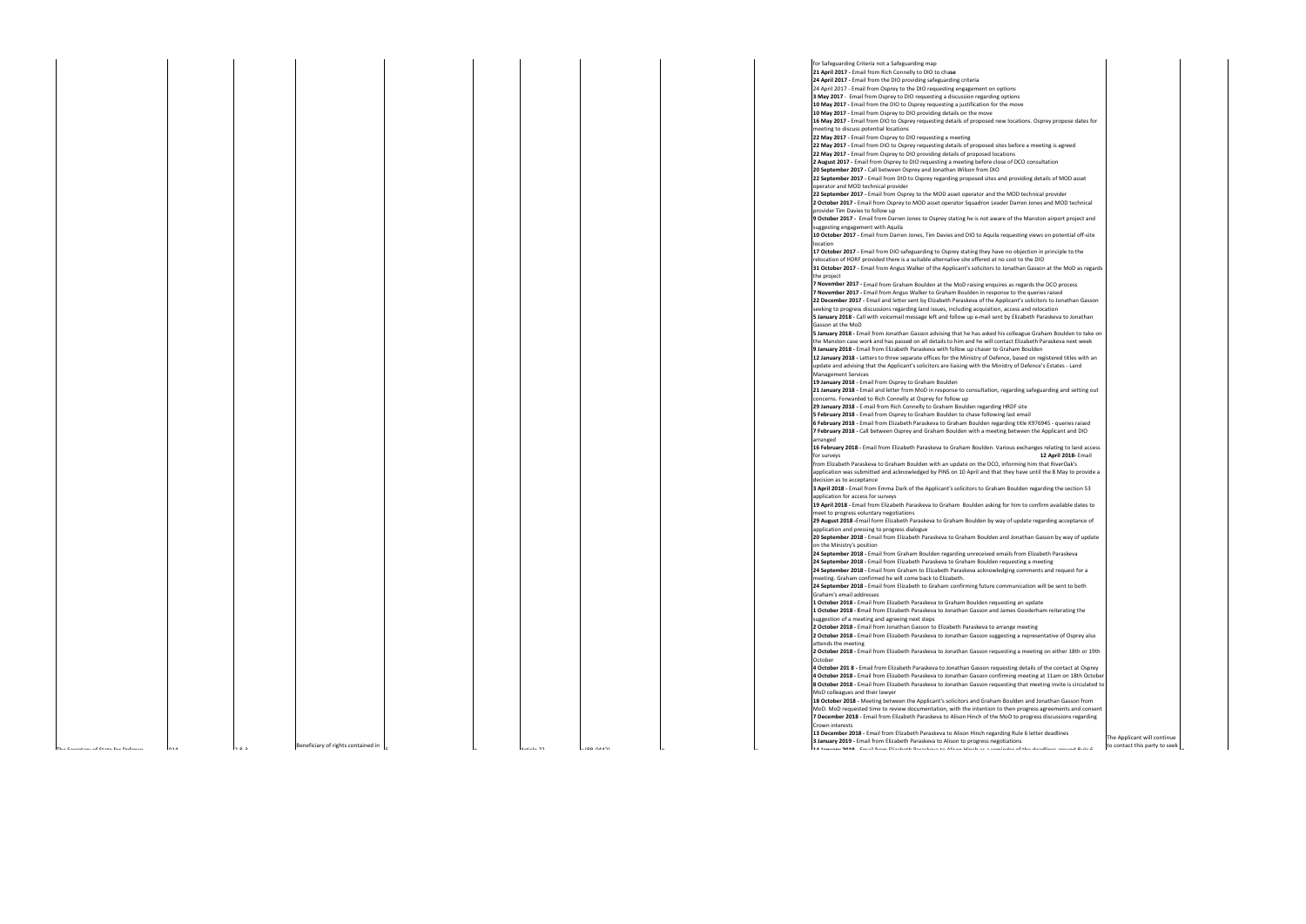for Safeguarding Criteria not a Safeguarding map **21 April 2017 -** Email from Rich Connelly to DIO to cha**se 24 April 2017 -** Email from the DIO providing safeguarding criteria 24 April 2017 - Email from Osprey to the DIO requesting engagement on opti **3 May 2017** - Email from Osprey to DIO requesting a discussion regarding op 10 May 2017 - Email from the DIO to Osprey requesting a justification for the **10 May 2017 -** Email from Osprey to DIO providing details on the move **16 May 2017 - Email from DIO to Osprey requesting details of proposed new** meeting to discuss potential locations **22 May 2017 -** Email from Osprey to DIO requesting a meeting **22 May 2017 - Email from DIO to Osprey requesting details of proposed sites** 22 May 2017 - Email from Osprey to DIO providing details of proposed locati **2 August 2017 -** Email from Osprey to DIO requesting a meeting before close **20 September 2017 -** Call between Osprey and Jonathan Wilson from DIO **22 September 2017 - Email from DIO to Osprey regarding proposed sites and** operator and MOD technical provider **22 September 2017 - Email from Osprey to the MOD asset operator and the** 

2 October 2017 - Email from Osprey to MOD asset operator Squadron Leade provider Tim Davies to follow up

**9 October 2017 -** Email from Darren Jones to Osprey stating he is not aware suggesting engagement with Aquila

**10 October 2017 - Email from Darren Jones, Tim Davies and DIO to Aquila re** location

**17 October 2017 -** Email from DIO safeguarding to Osprey stating they have i relocation of HDRF provided there is a suitable alternative site offered at no **31 October 2017 - Email from Angus Walker of the Applicant's solicitors to J** the project

**7 November 2017 -** Email from Graham Boulden at the MoD raising enquires **7 November 2017 - Email from Angus Walker to Graham Boulden in respons 22 December 2017 - Email and letter sent by Elizabeth Paraskeva of the Appl** seeking to progress discussions regarding land issues, including acquisition, 5 January 2018 - Call with voicemail message left and follow up e-mail sent b Gasson at the MoD

5 January 2018 - Email from Jonathan Gasson advising that he has asked his the Manston case work and has passed on all details to him and he will conta 9 January 2018 - Email from Elizabeth Paraskeva with follow up chaser to Gra 12 January 2018 - Letters to three separate offices for the Ministry of Defend update and advising that the Applicant's solicitors are liaising with the Minist Management Services

**21 January 2018 - Email and letter from MoD in response to consultation, regarding** concerns. Forwarded to Rich Connelly at Osprey for follow up

**29 January 2018 - E-mail from Rich Connelly to Graham Boulden regarding H** 

**5 February 2018 - Email from Osprey to Graham Boulden to chase following 6 February 2018 - Email from Elizabeth Paraskeva to Graham Boulden regarding title K976** 7 February 2018 - Call between Osprey and Graham Boulden with a meeting arranged

16 February 2018 - Email from Elizabeth Paraskeva to Graham Boulden. Vari for surveys **12 April 2018-** Email

from Elizabeth Paraskeva to Graham Boulden with an update on the DCO, in application was submitted and acknowledged by PINS on 10 April and that

**19 April 2018 - Email from Elizabeth Paraskeva to Graham Boulden asking for the to confirm and to confirm a** meet to progress voluntary negotiations

**29 August 2018 -**Email form Elizabeth Paraskeva to Graham Boulden by way application and pressing to progress dialogue

**20 September 2018 - Email from Elizabeth Paraskeva to Graham Boulden and Jonathan Gasson Brand** on the Ministry's position

**24 September 2018 - Email from Graham Boulden regarding unreceived ema 24 September 2018 - Email from Elizabeth Paraskeva to Graham Boulden redefing a meeting and meeting and meeti** 

**24 September 2018 - Email from Graham to Elizabeth Paraskeva acknowledg** meeting. Graham confirmed he will come back to Elizabeth.

**24 September 2018 - Email from Elizabeth to Graham confirming future communication will be sent to both sent to** Graham's email addresses

1 October 2018 - Email from Elizabeth Paraskeva to Graham Boulden reques 1 October 2018 - Email from Elizabeth Paraskeva to Jonathan Gasson and Jar suggestion of a meeting and agreeing next steps

**2 October 2018 - Email from Jonathan Gasson to Elizabeth Paraskeva to arra 2 October 2018 - Email from Elizabeth Paraskeva to Jonathan Gasson suggesting** 

attends the meeting **2 October 2018 - Email from Elizabeth Paraskeva to Jonathan Gasson reques** 

**October 4 October 201 8 - Email from Elizabeth Paraskeva to Jonathan Gasson reque** 

**4 October 2018 - Email from Elizabeth Paraskeva to Jonathan Gasson confirn 8 October 2018 - Email from Elizabeth Paraskeva to Jonathan Gasson requestion that meeting in American meeting** MoD colleagues and their lawyer

**19 January 2018 -** Email from Osprey to Graham Boulden

**18 October 2018 - Meeting between the Applicant's solicitors and Graham I** MoD. MoD requested time to review documentation, with the intention to t **7 December 2018 - Email from Elizabeth Paraskeva to Alison Hinch of the Moto Form** Crown interests

 $N + i \leq R$ 

**13 December 2018 - Email from Elizabeth Paraskeva to Alison Hinch regarding 13 and Rule 6 letter 8 letter deadli 3 January 2019 -** Email from Elizabeth Paraskeva to Alison to progress negotiations **14 January 2019** Email from Elizabeth Paraskeva to Alison Hinch as a reminder of the deadlines around Rule 6

| tions<br>ptions                                                                                                                |  |
|--------------------------------------------------------------------------------------------------------------------------------|--|
| he move                                                                                                                        |  |
| w locations. Osprey propose dates for                                                                                          |  |
| es before a meeting is agreed<br>tions                                                                                         |  |
| e of DCO consultation                                                                                                          |  |
| d providing details of MOD asset                                                                                               |  |
| e MOD technical provider<br>er Darren Jones and MOD technical                                                                  |  |
| e of the Manston airport project and                                                                                           |  |
| equesting views on potential off-site                                                                                          |  |
| no objection in principle to the<br>o cost to the DIO<br>Jonathan Gasson at the MoD as regards                                 |  |
| es as regards the DCO process                                                                                                  |  |
| ise to the queries raised<br>plicant's solicitors to Jonathan Gasson                                                           |  |
| access and relocation<br>by Elizabeth Paraskeva to Jonathan                                                                    |  |
| s colleague Graham Boulden to take on<br>itact Elizabeth Paraskeva next week                                                   |  |
| iraham Boulden<br>ice, based on registered titles with an                                                                      |  |
| stry of Defence's Estates - Land                                                                                               |  |
| egarding safeguarding and setting out                                                                                          |  |
| <b>HRDF</b> site<br>g last email                                                                                               |  |
| rding title K976945 - queries raised<br>g between the Applicant and DIO                                                        |  |
| rious exchanges relating to land access<br>12 April 2018- Email                                                                |  |
| nforming him that RiverOak's<br>they have until the 8 May to provide a                                                         |  |
| n Boulden regarding the section 53                                                                                             |  |
| for him to confirm available dates to                                                                                          |  |
| y of update regarding acceptance of                                                                                            |  |
| nd Jonathan Gasson by way of update                                                                                            |  |
| ails from Elizabeth Paraskeva<br>equesting a meeting<br>dging comments and request for a                                       |  |
| mmunication will be sent to both                                                                                               |  |
| sting an update<br>ames Gooderham reiterating the                                                                              |  |
| ange meeting<br>sting a representative of Osprey also                                                                          |  |
| esting a meeting on either 18th or 19th                                                                                        |  |
| esting details of the contact at Osprey<br>ming meeting at 11am on 18th October<br>esting that meeting invite is circulated to |  |
| Boulden and Jonathan Gasson from<br>then progress agreements and consent<br>AoD to progress discussions regarding              |  |
| ing Rule 6 letter deadlines                                                                                                    |  |

 $\sim 1$ 

 $\mathbf{I}$ 

he Applicant will continue to contact this party to seek  $\vert$ <sub>n</sub>



decision as to acceptance **3 April 2018 - Email from Emma Dark of the Applicant's solicitors to Graham** application for access for surveys

n

y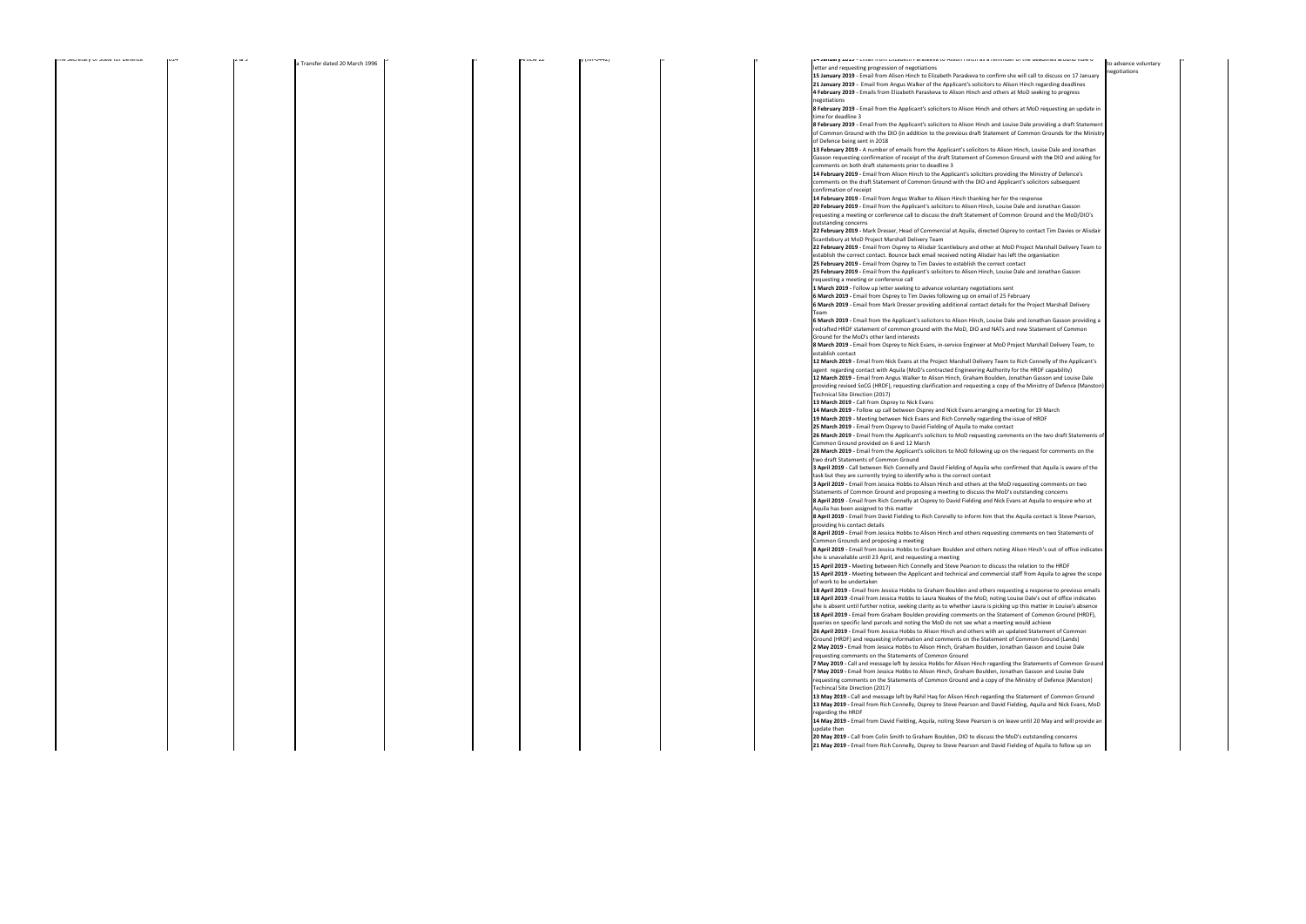|                     |  | AI LILIE ZZ | y (nn-v442) |  | <b>14 Jahuafy 2013 -</b> Effian Honi Enzabeth Paraskeva to Anson minuras a reminuer of the deadinies around Kule o                                                                                                             |                                      |  |
|---------------------|--|-------------|-------------|--|--------------------------------------------------------------------------------------------------------------------------------------------------------------------------------------------------------------------------------|--------------------------------------|--|
| dated 20 March 1996 |  |             |             |  | letter and requesting progression of negotiations                                                                                                                                                                              | to advance voluntary<br>negotiations |  |
|                     |  |             |             |  | 15 January 2019 - Email from Alison Hinch to Elizabeth Paraskeva to confirm she will call to discuss on 17 January                                                                                                             |                                      |  |
|                     |  |             |             |  | 21 January 2019 - Email from Angus Walker of the Applicant's solicitors to Alison Hinch regarding deadlines                                                                                                                    |                                      |  |
|                     |  |             |             |  | 4 February 2019 - Emails from Elizabeth Paraskeva to Alison Hinch and others at MoD seeking to progress                                                                                                                        |                                      |  |
|                     |  |             |             |  | negotiations                                                                                                                                                                                                                   |                                      |  |
|                     |  |             |             |  | 8 February 2019 - Email from the Applicant's solicitors to Alison Hinch and others at MoD requesting an update in<br>time for deadline 3                                                                                       |                                      |  |
|                     |  |             |             |  | 8 February 2019 - Email from the Applicant's solicitors to Alison Hinch and Louise Dale providing a draft Statement                                                                                                            |                                      |  |
|                     |  |             |             |  | of Common Ground with the DIO (in addition to the previous draft Statement of Common Grounds for the Ministry                                                                                                                  |                                      |  |
|                     |  |             |             |  | of Defence being sent in 2018                                                                                                                                                                                                  |                                      |  |
|                     |  |             |             |  | 13 February 2019 - A number of emails from the Applicant's solicitors to Alison Hinch, Louise Dale and Jonathan                                                                                                                |                                      |  |
|                     |  |             |             |  | Gasson requesting confirmation of receipt of the draft Statement of Common Ground with the DIO and asking for                                                                                                                  |                                      |  |
|                     |  |             |             |  | comments on both draft statements prior to deadline 3                                                                                                                                                                          |                                      |  |
|                     |  |             |             |  | 14 February 2019 - Email from Alison Hinch to the Applicant's solicitors providing the Ministry of Defence's                                                                                                                   |                                      |  |
|                     |  |             |             |  | comments on the draft Statement of Common Ground with the DIO and Applicant's solicitors subsequent                                                                                                                            |                                      |  |
|                     |  |             |             |  | confirmation of receipt                                                                                                                                                                                                        |                                      |  |
|                     |  |             |             |  | 14 February 2019 - Email from Angus Walker to Alison Hinch thanking her for the response                                                                                                                                       |                                      |  |
|                     |  |             |             |  | 20 February 2019 - Email from the Applicant's solicitors to Alison Hinch, Louise Dale and Jonathan Gasson                                                                                                                      |                                      |  |
|                     |  |             |             |  | requesting a meeting or conference call to discuss the draft Statement of Common Ground and the MoD/DIO's                                                                                                                      |                                      |  |
|                     |  |             |             |  | outstanding concerns                                                                                                                                                                                                           |                                      |  |
|                     |  |             |             |  | 22 February 2019 - Mark Dresser, Head of Commercial at Aquila, directed Osprey to contact Tim Davies or Alisdair                                                                                                               |                                      |  |
|                     |  |             |             |  | Scantlebury at MoD Project Marshall Delivery Team                                                                                                                                                                              |                                      |  |
|                     |  |             |             |  | 22 February 2019 - Email from Osprey to Alisdair Scantlebury and other at MoD Project Marshall Delivery Team to<br>establish the correct contact. Bounce back email received noting Alisdair has left the organisation         |                                      |  |
|                     |  |             |             |  | 25 February 2019 - Email from Osprey to Tim Davies to establish the correct contact                                                                                                                                            |                                      |  |
|                     |  |             |             |  | 25 February 2019 - Email from the Applicant's solicitors to Alison Hinch, Louise Dale and Jonathan Gasson                                                                                                                      |                                      |  |
|                     |  |             |             |  | requesting a meeting or conference call                                                                                                                                                                                        |                                      |  |
|                     |  |             |             |  | 1 March 2019 - Follow up letter seeking to advance voluntary negotiations sent                                                                                                                                                 |                                      |  |
|                     |  |             |             |  | 6 March 2019 - Email from Osprey to Tim Davies following up on email of 25 February                                                                                                                                            |                                      |  |
|                     |  |             |             |  | 6 March 2019 - Email from Mark Dresser providing additional contact details for the Project Marshall Delivery                                                                                                                  |                                      |  |
|                     |  |             |             |  | Team                                                                                                                                                                                                                           |                                      |  |
|                     |  |             |             |  | 6 March 2019 - Email from the Applicant's solicitors to Alison Hinch, Louise Dale and Jonathan Gasson providing a                                                                                                              |                                      |  |
|                     |  |             |             |  | redrafted HRDF statement of common ground with the MoD, DIO and NATs and new Statement of Common                                                                                                                               |                                      |  |
|                     |  |             |             |  | Ground for the MoD's other land interests                                                                                                                                                                                      |                                      |  |
|                     |  |             |             |  | 8 March 2019 - Email from Osprey to Nick Evans, in-service Engineer at MoD Project Marshall Delivery Team, to                                                                                                                  |                                      |  |
|                     |  |             |             |  | establish contact                                                                                                                                                                                                              |                                      |  |
|                     |  |             |             |  | 12 March 2019 - Email from Nick Evans at the Project Marshall Delivery Team to Rich Connelly of the Applicant's                                                                                                                |                                      |  |
|                     |  |             |             |  | agent regarding contact with Aquila (MoD's contracted Engineering Authority for the HRDF capability)                                                                                                                           |                                      |  |
|                     |  |             |             |  | 12 March 2019 - Email from Angus Walker to Alison Hinch, Graham Boulden, Jonathan Gasson and Louise Dale<br>providing revised SoCG (HRDF), requesting clarification and requesting a copy of the Ministry of Defence (Manston) |                                      |  |
|                     |  |             |             |  | Technical Site Direction (2017)                                                                                                                                                                                                |                                      |  |
|                     |  |             |             |  | 13 March 2019 - Call from Osprey to Nick Evans                                                                                                                                                                                 |                                      |  |
|                     |  |             |             |  | 14 March 2019 - Follow up call between Osprey and Nick Evans arranging a meeting for 19 March                                                                                                                                  |                                      |  |
|                     |  |             |             |  | 19 March 2019 - Meeting between Nick Evans and Rich Connelly regarding the issue of HRDF                                                                                                                                       |                                      |  |
|                     |  |             |             |  | 25 March 2019 - Email from Osprey to David Fielding of Aquila to make contact                                                                                                                                                  |                                      |  |
|                     |  |             |             |  | 26 March 2019 - Email from the Applicant's solicitors to MoD requesting comments on the two draft Statements of                                                                                                                |                                      |  |
|                     |  |             |             |  | Common Ground provided on 6 and 12 March                                                                                                                                                                                       |                                      |  |
|                     |  |             |             |  | 28 March 2019 - Email from the Applicant's solicitors to MoD following up on the request for comments on the                                                                                                                   |                                      |  |
|                     |  |             |             |  | two draft Statements of Common Ground                                                                                                                                                                                          |                                      |  |
|                     |  |             |             |  | 3 April 2019 - Call between Rich Connelly and David Fielding of Aquila who confirmed that Aquila is aware of the                                                                                                               |                                      |  |
|                     |  |             |             |  | task but they are currently trying to identify who is the correct contact                                                                                                                                                      |                                      |  |
|                     |  |             |             |  | 3 April 2019 - Email from Jessica Hobbs to Alison Hinch and others at the MoD requesting comments on two                                                                                                                       |                                      |  |
|                     |  |             |             |  | Statements of Common Ground and proposing a meeting to discuss the MoD's outstanding concerns                                                                                                                                  |                                      |  |
|                     |  |             |             |  | 8 April 2019 - Email from Rich Connelly at Osprey to David Fielding and Nick Evans at Aquila to enquire who at                                                                                                                 |                                      |  |
|                     |  |             |             |  | Aquila has been assigned to this matter<br>8 April 2019 - Email from David Fielding to Rich Connelly to inform him that the Aquila contact is Steve Pearson,                                                                   |                                      |  |
|                     |  |             |             |  | providing his contact details                                                                                                                                                                                                  |                                      |  |
|                     |  |             |             |  | 8 April 2019 - Email from Jessica Hobbs to Alison Hinch and others requesting comments on two Statements of                                                                                                                    |                                      |  |
|                     |  |             |             |  | Common Grounds and proposing a meeting                                                                                                                                                                                         |                                      |  |
|                     |  |             |             |  | 8 April 2019 - Email from Jessica Hobbs to Graham Boulden and others noting Alison Hinch's out of office indicates                                                                                                             |                                      |  |
|                     |  |             |             |  | she is unavailable until 23 April, and requesting a meeting                                                                                                                                                                    |                                      |  |
|                     |  |             |             |  | 15 April 2019 - Meeting between Rich Connelly and Steve Pearson to discuss the relation to the HRDF                                                                                                                            |                                      |  |
|                     |  |             |             |  | 15 April 2019 - Meeting between the Applicant and technical and commercial staff from Aquila to agree the scope                                                                                                                |                                      |  |
|                     |  |             |             |  | of work to be undertaken                                                                                                                                                                                                       |                                      |  |
|                     |  |             |             |  | 18 April 2019 - Email from Jessica Hobbs to Graham Boulden and others requesting a response to previous emails                                                                                                                 |                                      |  |
|                     |  |             |             |  | 18 April 2019 -Email from Jessica Hobbs to Laura Noakes of the MoD, noting Louise Dale's out of office indicates                                                                                                               |                                      |  |
|                     |  |             |             |  | she is absent until further notice, seeking clarity as to whether Laura is picking up this matter in Louise's absence                                                                                                          |                                      |  |
|                     |  |             |             |  | 18 April 2019 - Email from Graham Boulden providing comments on the Statement of Common Ground (HRDF),<br>queries on specific land parcels and noting the MoD do not see what a meeting would achieve                          |                                      |  |
|                     |  |             |             |  | 26 April 2019 - Email from Jessica Hobbs to Alison Hinch and others with an updated Statement of Common                                                                                                                        |                                      |  |
|                     |  |             |             |  | Ground (HRDF) and requesting information and comments on the Statement of Common Ground (Lands)                                                                                                                                |                                      |  |
|                     |  |             |             |  | 2 May 2019 - Email from Jessica Hobbs to Alison Hinch, Graham Boulden, Jonathan Gasson and Louise Dale                                                                                                                         |                                      |  |
|                     |  |             |             |  | requesting comments on the Statements of Common Ground                                                                                                                                                                         |                                      |  |
|                     |  |             |             |  | 7 May 2019 - Call and message left by Jessica Hobbs for Alison Hinch regarding the Statements of Common Ground                                                                                                                 |                                      |  |
|                     |  |             |             |  | 7 May 2019 - Email from Jessica Hobbs to Alison Hinch, Graham Boulden, Jonathan Gasson and Louise Dale                                                                                                                         |                                      |  |
|                     |  |             |             |  | requesting comments on the Statements of Common Ground and a copy of the Ministry of Defence (Manston)                                                                                                                         |                                      |  |
|                     |  |             |             |  | Techincal Site Direction (2017)                                                                                                                                                                                                |                                      |  |
|                     |  |             |             |  | 13 May 2019 - Call and message left by Rahil Haq for Alison Hinch regarding the Statement of Common Ground                                                                                                                     |                                      |  |
|                     |  |             |             |  | 13 May 2019 - Email from Rich Connelly, Osprey to Steve Pearson and David Fielding, Aquila and Nick Evans, MoD                                                                                                                 |                                      |  |
|                     |  |             |             |  | regarding the HRDF                                                                                                                                                                                                             |                                      |  |
|                     |  |             |             |  | 14 May 2019 - Email from David Fielding, Aquila, noting Steve Pearson is on leave until 20 May and will provide an                                                                                                             |                                      |  |
|                     |  |             |             |  | update then                                                                                                                                                                                                                    |                                      |  |
|                     |  |             |             |  | 20 May 2019 - Call from Colin Smith to Graham Boulden, DIO to discuss the MoD's outstanding concerns<br>21 May 2019 - Email from Rich Connelly, Osprey to Steve Pearson and David Fielding of Aquila to follow up on           |                                      |  |
|                     |  |             |             |  |                                                                                                                                                                                                                                |                                      |  |

| The perferent of progressive the person | 1014 | 202 | a Transfer dated 20 March 1996 $\vert$ <sup>2</sup> |  |
|-----------------------------------------|------|-----|-----------------------------------------------------|--|
|                                         |      |     |                                                     |  |
|                                         |      |     |                                                     |  |
|                                         |      |     |                                                     |  |
|                                         |      |     |                                                     |  |
|                                         |      |     |                                                     |  |
|                                         |      |     |                                                     |  |
|                                         |      |     |                                                     |  |
|                                         |      |     |                                                     |  |
|                                         |      |     |                                                     |  |
|                                         |      |     |                                                     |  |
|                                         |      |     |                                                     |  |
|                                         |      |     |                                                     |  |
|                                         |      |     |                                                     |  |
|                                         |      |     |                                                     |  |
|                                         |      |     |                                                     |  |
|                                         |      |     |                                                     |  |
|                                         |      |     |                                                     |  |
|                                         |      |     |                                                     |  |
|                                         |      |     |                                                     |  |
|                                         |      |     |                                                     |  |
|                                         |      |     |                                                     |  |
|                                         |      |     |                                                     |  |
|                                         |      |     |                                                     |  |
|                                         |      |     |                                                     |  |
|                                         |      |     |                                                     |  |
|                                         |      |     |                                                     |  |
|                                         |      |     |                                                     |  |
|                                         |      |     |                                                     |  |
|                                         |      |     |                                                     |  |
|                                         |      |     |                                                     |  |
|                                         |      |     |                                                     |  |
|                                         |      |     |                                                     |  |
|                                         |      |     |                                                     |  |
|                                         |      |     |                                                     |  |
|                                         |      |     |                                                     |  |
|                                         |      |     |                                                     |  |
|                                         |      |     |                                                     |  |
|                                         |      |     |                                                     |  |
|                                         |      |     |                                                     |  |
|                                         |      |     |                                                     |  |
|                                         |      |     |                                                     |  |
|                                         |      |     |                                                     |  |
|                                         |      |     |                                                     |  |
|                                         |      |     |                                                     |  |
|                                         |      |     |                                                     |  |
|                                         |      |     |                                                     |  |
|                                         |      |     |                                                     |  |
|                                         |      |     |                                                     |  |
|                                         |      |     |                                                     |  |
|                                         |      |     |                                                     |  |
|                                         |      |     |                                                     |  |
|                                         |      |     |                                                     |  |
|                                         |      |     |                                                     |  |
|                                         |      |     |                                                     |  |
|                                         |      |     |                                                     |  |
|                                         |      |     |                                                     |  |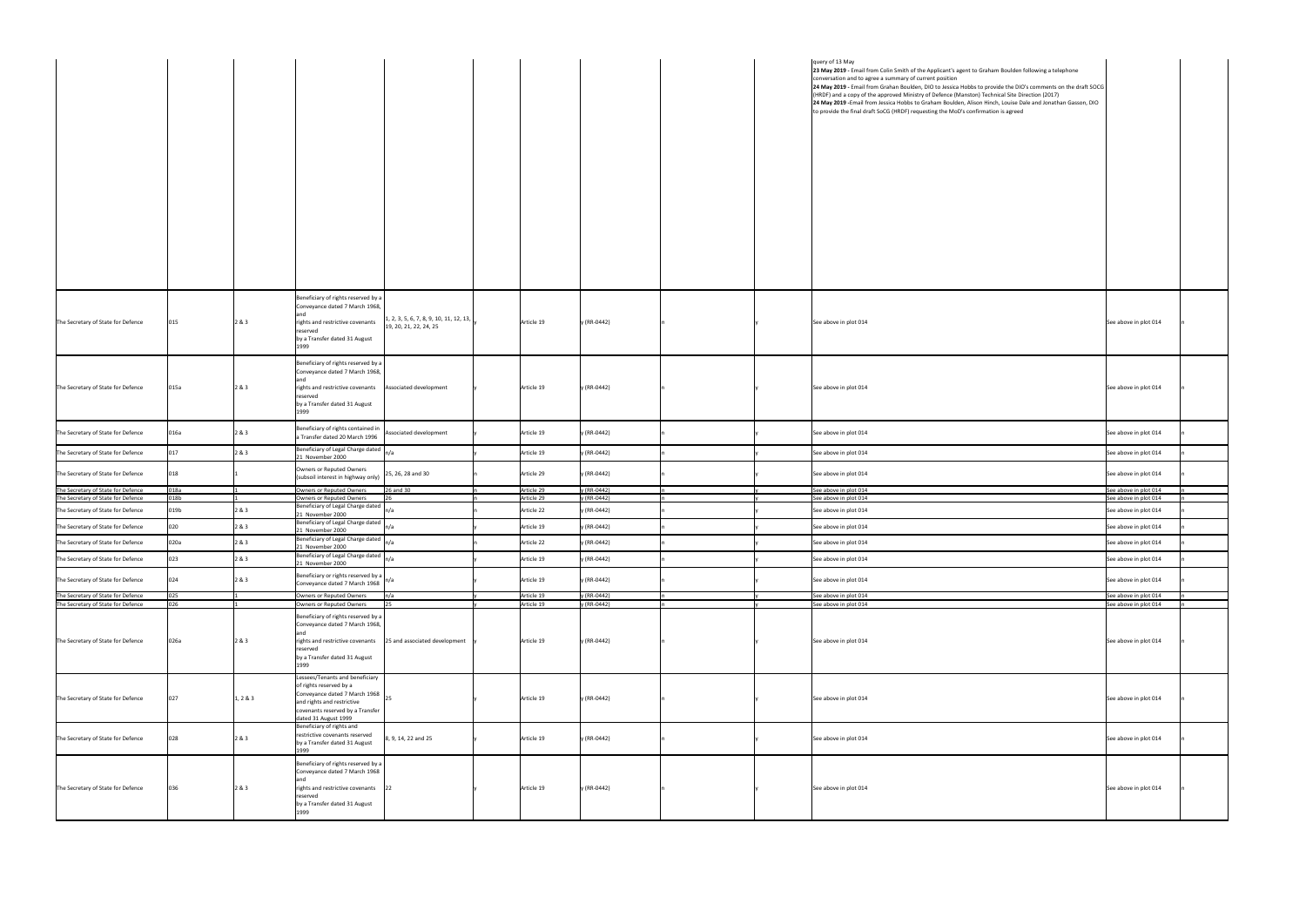|                                                                          |              |          |                                                                                                                                                                                                |                          |                            |  | query of 13 May<br>23 May 2019 - Email from Colin Smith of the Applicant's agent to Graham Boulden following a telephone<br>conversation and to agree a summary of current position<br> 24 May 2019 - Email from Grahan Boulden, DIO to Jessica Hobbs to provide the DIO's comments on the draft SOCG<br>(HRDF) and a copy of the approved Ministry of Defence (Manston) Technical Site Direction (2017)<br>24 May 2019 - Email from Jessica Hobbs to Graham Boulden, Alison Hinch, Louise Dale and Jonathan Gasson, DIO<br>to provide the final draft SoCG (HRDF) requesting the MoD's confirmation is agreed |                                                |
|--------------------------------------------------------------------------|--------------|----------|------------------------------------------------------------------------------------------------------------------------------------------------------------------------------------------------|--------------------------|----------------------------|--|----------------------------------------------------------------------------------------------------------------------------------------------------------------------------------------------------------------------------------------------------------------------------------------------------------------------------------------------------------------------------------------------------------------------------------------------------------------------------------------------------------------------------------------------------------------------------------------------------------------|------------------------------------------------|
| The Secretary of State for Defence                                       | 015          | 2 & 3    | Beneficiary of rights reserved by a<br>Conveyance dated 7 March 1968,<br>$\left[1, 2, 3, 5, 6, 7, 8, 9, 10, 11, 12, 13, \right]$<br>rights and restrictive covenants<br>19, 20, 21, 22, 24, 25 | Article 19               | y (RR-0442)                |  | See above in plot 014                                                                                                                                                                                                                                                                                                                                                                                                                                                                                                                                                                                          | See above in plot 014                          |
|                                                                          |              |          | reserved<br>by a Transfer dated 31 August<br>1999<br>Beneficiary of rights reserved by a<br>Conveyance dated 7 March 1968,                                                                     |                          |                            |  |                                                                                                                                                                                                                                                                                                                                                                                                                                                                                                                                                                                                                |                                                |
| The Secretary of State for Defence                                       | 015a         | 2 & 3    | rights and restrictive covenants<br>Associated development<br>reserved<br>by a Transfer dated 31 August<br>1999                                                                                | Article 19               | y (RR-0442)                |  | See above in plot 014                                                                                                                                                                                                                                                                                                                                                                                                                                                                                                                                                                                          | See above in plot 014                          |
| The Secretary of State for Defence                                       | 016a         | 2 & 3    | Beneficiary of rights contained in<br>Associated development<br>a Transfer dated 20 March 1996                                                                                                 | Article 19               | y (RR-0442)                |  | See above in plot 014                                                                                                                                                                                                                                                                                                                                                                                                                                                                                                                                                                                          | See above in plot 014                          |
| The Secretary of State for Defence                                       | 017          | 2 & 3    | Beneficiary of Legal Charge dated<br>21 November 2000                                                                                                                                          | Article 19               | y (RR-0442)                |  | See above in plot 014                                                                                                                                                                                                                                                                                                                                                                                                                                                                                                                                                                                          | See above in plot 014                          |
| The Secretary of State for Defence                                       | 018          |          | Owners or Reputed Owners<br>25, 26, 28 and 30<br>(subsoil interest in highway only)                                                                                                            | Article 29               | y (RR-0442)                |  | See above in plot 014                                                                                                                                                                                                                                                                                                                                                                                                                                                                                                                                                                                          | See above in plot 014                          |
| The Secretary of State for Defence<br>The Secretary of State for Defence | 018a<br>018b |          | Owners or Reputed Owners<br>26 and 30<br>Owners or Reputed Owners                                                                                                                              | Article 29<br>Article 29 | y (RR-0442)<br>y (RR-0442) |  | See above in plot 014<br>See above in plot 014                                                                                                                                                                                                                                                                                                                                                                                                                                                                                                                                                                 | See above in plot 014<br>See above in plot 014 |
| The Secretary of State for Defence                                       | 019b         | 2 & 3    | Beneficiary of Legal Charge dated                                                                                                                                                              | Article 22               | y (RR-0442)                |  | See above in plot 014                                                                                                                                                                                                                                                                                                                                                                                                                                                                                                                                                                                          | See above in plot 014                          |
| The Secretary of State for Defence                                       | 020          | 2 & 3    | 21 November 2000<br>Beneficiary of Legal Charge dated                                                                                                                                          | Article 19               | y (RR-0442)                |  | See above in plot 014                                                                                                                                                                                                                                                                                                                                                                                                                                                                                                                                                                                          | See above in plot 014                          |
| The Secretary of State for Defence                                       | 020a         | 2 & 3    | 21 November 2000<br>Beneficiary of Legal Charge dated                                                                                                                                          | Article 22               | y (RR-0442)                |  | See above in plot 014                                                                                                                                                                                                                                                                                                                                                                                                                                                                                                                                                                                          | See above in plot 014                          |
| The Secretary of State for Defence                                       | 023          | 2 & 3    | 21 November 2000<br>Beneficiary of Legal Charge dated                                                                                                                                          | Article 19               | y (RR-0442)                |  | See above in plot 014                                                                                                                                                                                                                                                                                                                                                                                                                                                                                                                                                                                          | See above in plot 014                          |
|                                                                          |              |          | 21 November 2000<br>Beneficiary or rights reserved by a $\int_{a}$                                                                                                                             |                          |                            |  |                                                                                                                                                                                                                                                                                                                                                                                                                                                                                                                                                                                                                |                                                |
| The Secretary of State for Defence                                       | 024          | 2 & 3    | Conveyance dated 7 March 1968                                                                                                                                                                  | Article 19               | y (RR-0442)                |  | See above in plot 014                                                                                                                                                                                                                                                                                                                                                                                                                                                                                                                                                                                          | See above in plot 014                          |
| The Secretary of State for Defence<br>The Secretary of State for Defence | 025<br>026   |          | Owners or Reputed Owners<br>า/ล<br>Owners or Reputed Owners                                                                                                                                    | Article 19<br>Article 19 | y (RR-0442)<br>y (RR-0442) |  | See above in plot 014<br>See above in plot 014                                                                                                                                                                                                                                                                                                                                                                                                                                                                                                                                                                 | See above in plot 014<br>See above in plot 014 |
| The Secretary of State for Defence                                       | 026a         | 2 & 3    | Beneficiary of rights reserved by a<br>Conveyance dated 7 March 1968,<br>25 and associated development<br>rights and restrictive covenants                                                     | Article 19               | y (RR-0442)                |  | See above in plot 014                                                                                                                                                                                                                                                                                                                                                                                                                                                                                                                                                                                          | See above in plot 014                          |
|                                                                          |              |          | reserved<br>by a Transfer dated 31 August<br>1999<br>Lessees/Tenants and beneficiary                                                                                                           |                          |                            |  |                                                                                                                                                                                                                                                                                                                                                                                                                                                                                                                                                                                                                |                                                |
| The Secretary of State for Defence                                       | 027          | 1, 2 & 3 | of rights reserved by a<br>Conveyance dated 7 March 1968<br>and rights and restrictive<br>covenants reserved by a Transfer<br>dated 31 August 1999                                             | Article 19               | y (RR-0442)                |  | See above in plot 014                                                                                                                                                                                                                                                                                                                                                                                                                                                                                                                                                                                          | See above in plot 014                          |
| The Secretary of State for Defence                                       | 028          | 2 & 3    | Beneficiary of rights and<br>restrictive covenants reserved<br>8, 9, 14, 22 and 25<br>by a Transfer dated 31 August<br>1999                                                                    | Article 19               | y (RR-0442)                |  | See above in plot 014                                                                                                                                                                                                                                                                                                                                                                                                                                                                                                                                                                                          | See above in plot 014                          |
| The Secretary of State for Defence                                       | 036          | 2 & 3    | Beneficiary of rights reserved by a<br>Conveyance dated 7 March 1968<br>rights and restrictive covenants<br>reserved                                                                           | Article 19               | y (RR-0442)                |  | See above in plot 014                                                                                                                                                                                                                                                                                                                                                                                                                                                                                                                                                                                          | See above in plot 014                          |
|                                                                          |              |          | by a Transfer dated 31 August<br>1999                                                                                                                                                          |                          |                            |  |                                                                                                                                                                                                                                                                                                                                                                                                                                                                                                                                                                                                                |                                                |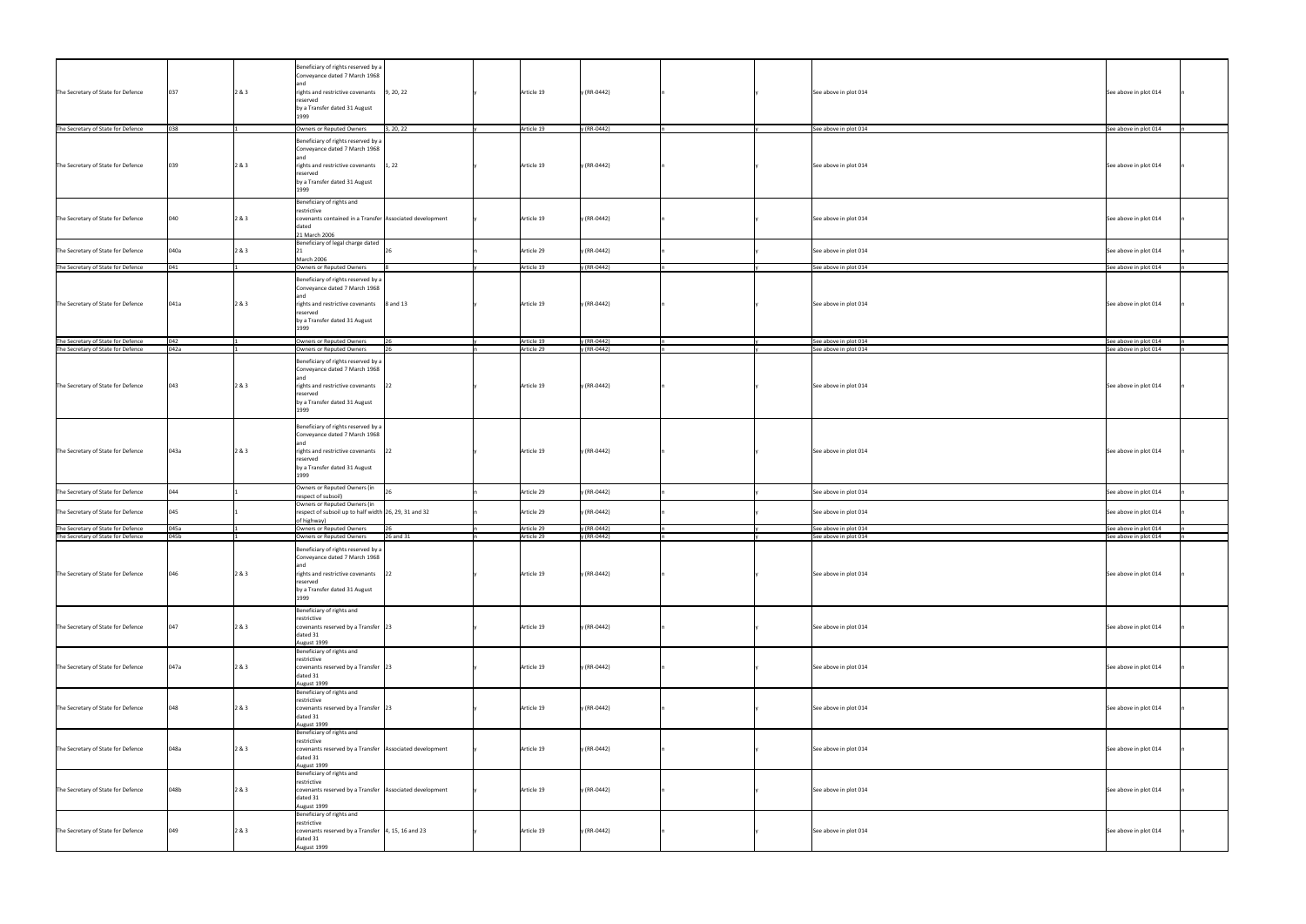|                                    |      |       | Beneficiary of rights reserved by a<br>Conveyance dated 7 March 1968                           |           |            |             |                       |                       |
|------------------------------------|------|-------|------------------------------------------------------------------------------------------------|-----------|------------|-------------|-----------------------|-----------------------|
|                                    |      |       | land                                                                                           |           |            |             |                       |                       |
| The Secretary of State for Defence | 037  | 2 & 3 | rights and restrictive covenants<br>reserved                                                   | 9, 20, 22 | Article 19 | y (RR-0442) | See above in plot 014 | See above in plot 014 |
|                                    |      |       | by a Transfer dated 31 August<br>1999                                                          |           |            |             |                       |                       |
| The Secretary of State for Defence |      |       | Owners or Reputed Owners                                                                       | 3, 20, 22 | Article 19 | (RR-0442)   | See above in plot 014 | See above in plot 014 |
|                                    |      |       | Beneficiary of rights reserved by a                                                            |           |            |             |                       |                       |
|                                    |      |       | Conveyance dated 7 March 1968                                                                  |           |            |             |                       |                       |
| The Secretary of State for Defence | 039  | 2 & 3 | land<br>rights and restrictive covenants                                                       | 1, 22     | Article 19 | y (RR-0442) | See above in plot 014 | See above in plot 014 |
|                                    |      |       | reserved                                                                                       |           |            |             |                       |                       |
|                                    |      |       | by a Transfer dated 31 August<br>1999                                                          |           |            |             |                       |                       |
|                                    |      |       | Beneficiary of rights and                                                                      |           |            |             |                       |                       |
|                                    |      |       | restrictive                                                                                    |           |            |             |                       |                       |
| The Secretary of State for Defence | 040  | 2 & 3 | covenants contained in a Transfer Associated development<br>dated                              |           | Article 19 | y (RR-0442) | See above in plot 014 | See above in plot 014 |
|                                    |      |       | 21 March 2006                                                                                  |           |            |             |                       |                       |
| The Secretary of State for Defence | 040a | 2 & 3 | Beneficiary of legal charge dated                                                              |           | Article 29 | y (RR-0442) | See above in plot 014 | See above in plot 014 |
|                                    |      |       | March 2006                                                                                     |           |            |             |                       |                       |
| The Secretary of State for Defence | 041  |       | Owners or Reputed Owners                                                                       |           | Article 19 | (RR-0442)   | See above in plot 014 | See above in plot 014 |
|                                    |      |       | Beneficiary of rights reserved by a<br>Conveyance dated 7 March 1968                           |           |            |             |                       |                       |
|                                    | 041a | 2 & 3 |                                                                                                |           | Article 19 | y (RR-0442) |                       |                       |
| The Secretary of State for Defence |      |       | rights and restrictive covenants $\begin{bmatrix} 8 \text{ and } 13 \end{bmatrix}$<br>reserved |           |            |             | See above in plot 014 | See above in plot 014 |
|                                    |      |       | by a Transfer dated 31 August<br>1999                                                          |           |            |             |                       |                       |
| The Secretary of State for Defence | 042  |       | Owners or Reputed Owners                                                                       |           | Article 19 | y (RR-0442) | See above in plot 014 | See above in plot 014 |
| The Secretary of State for Defence | 042a |       | Owners or Reputed Owners                                                                       |           | Article 29 | y (RR-0442) | See above in plot 014 | See above in plot 014 |
|                                    |      |       | Beneficiary of rights reserved by a                                                            |           |            |             |                       |                       |
|                                    |      |       | Conveyance dated 7 March 1968<br>land                                                          |           |            |             |                       |                       |
| The Secretary of State for Defence | 043  | 2 & 3 | rights and restrictive covenants                                                               |           | Article 19 | y (RR-0442) | See above in plot 014 | See above in plot 014 |
|                                    |      |       | reserved<br>by a Transfer dated 31 August                                                      |           |            |             |                       |                       |
|                                    |      |       | 1999                                                                                           |           |            |             |                       |                       |
|                                    |      |       | Beneficiary of rights reserved by a                                                            |           |            |             |                       |                       |
|                                    |      |       | Conveyance dated 7 March 1968                                                                  |           |            |             |                       |                       |
| The Secretary of State for Defence | 043a | 2 & 3 | land<br>rights and restrictive covenants                                                       |           | Article 19 | y (RR-0442) | See above in plot 014 | See above in plot 014 |
|                                    |      |       | reserved                                                                                       |           |            |             |                       |                       |
|                                    |      |       | by a Transfer dated 31 August<br>1999                                                          |           |            |             |                       |                       |
| The Secretary of State for Defence | 044  |       | Owners or Reputed Owners (in                                                                   |           | Article 29 | y (RR-0442) | See above in plot 014 | See above in plot 014 |
|                                    |      |       | respect of subsoil)<br>Owners or Reputed Owners (in                                            |           |            |             |                       |                       |
| The Secretary of State for Defence | 045  |       | respect of subsoil up to half width 26, 29, 31 and 32                                          |           | Article 29 | y (RR-0442) | See above in plot 014 | See above in plot 014 |
| The Secretary of State for Defence | 045a |       | of highway)<br>Owners or Reputed Owners                                                        |           | Article 29 | y (RR-0442) | See above in plot 014 | See above in plot 014 |
| The Secretary of State for Defence | 045b |       | Owners or Reputed Owners                                                                       | 26 and 31 | Article 29 | y (RR-0442) | See above in plot 014 | See above in plot 014 |
|                                    |      |       | Beneficiary of rights reserved by a                                                            |           |            |             |                       |                       |
|                                    |      |       | Conveyance dated 7 March 1968<br>and                                                           |           |            |             |                       |                       |
| The Secretary of State for Defence | 046  | 2 & 3 | rights and restrictive covenants 22                                                            |           | Article 19 | y (RR-0442) | See above in plot 014 | See above in plot 014 |
|                                    |      |       | reserved<br>by a Transfer dated 31 August                                                      |           |            |             |                       |                       |
|                                    |      |       | 1999                                                                                           |           |            |             |                       |                       |
|                                    |      |       | Beneficiary of rights and                                                                      |           |            |             |                       |                       |
| The Secretary of State for Defence | 047  | 2 & 3 | restrictive<br>covenants reserved by a Transfer $\vert$ 23                                     |           | Article 19 | y (RR-0442) | See above in plot 014 | See above in plot 014 |
|                                    |      |       | dated 31<br>August 1999                                                                        |           |            |             |                       |                       |
|                                    |      |       | Beneficiary of rights and                                                                      |           |            |             |                       |                       |
| The Secretary of State for Defence | 047a | 2 & 3 | restrictive<br>covenants reserved by a Transfer $\vert$ 23                                     |           | Article 19 | y (RR-0442) | See above in plot 014 | See above in plot 014 |
|                                    |      |       | dated 31                                                                                       |           |            |             |                       |                       |
|                                    |      |       | August 1999<br>Beneficiary of rights and                                                       |           |            |             |                       |                       |
|                                    |      |       | restrictive                                                                                    |           |            |             |                       |                       |
| The Secretary of State for Defence | 048  | 2 & 3 | covenants reserved by a Transfer $\vert$ 23<br>dated 31                                        |           | Article 19 | y (RR-0442) | See above in plot 014 | See above in plot 014 |
|                                    |      |       | August 1999                                                                                    |           |            |             |                       |                       |
|                                    |      |       | Beneficiary of rights and<br>restrictive                                                       |           |            |             |                       |                       |
| The Secretary of State for Defence | 048a | 2 & 3 | covenants reserved by a Transfer Associated development                                        |           | Article 19 | y (RR-0442) | See above in plot 014 | See above in plot 014 |
|                                    |      |       | dated 31<br>August 1999                                                                        |           |            |             |                       |                       |
|                                    |      |       | Beneficiary of rights and                                                                      |           |            |             |                       |                       |
| The Secretary of State for Defence | 048b | 2 & 3 | restrictive<br>covenants reserved by a Transfer Associated development                         |           | Article 19 | y (RR-0442) | See above in plot 014 | See above in plot 014 |
|                                    |      |       | dated 31                                                                                       |           |            |             |                       |                       |
|                                    |      |       | August 1999<br>Beneficiary of rights and                                                       |           |            |             |                       |                       |
|                                    |      |       | restrictive                                                                                    |           |            |             |                       |                       |
| The Secretary of State for Defence | 049  | 2 & 3 | covenants reserved by a Transfer $\vert 4, 15, 16 \text{ and } 23 \vert$<br>dated 31           |           | Article 19 | y (RR-0442) | See above in plot 014 | See above in plot 014 |
|                                    |      |       | August 1999                                                                                    |           |            |             |                       |                       |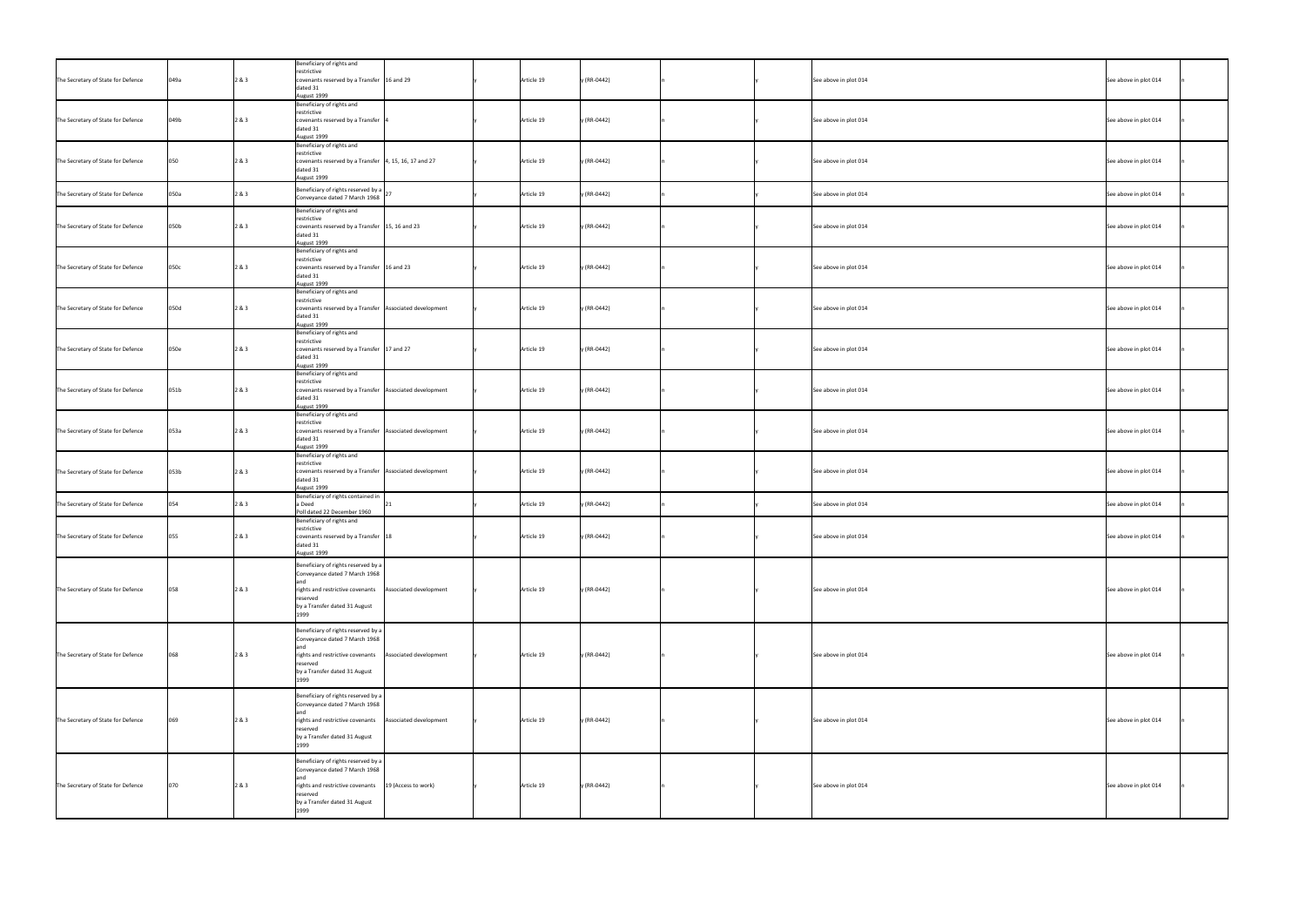|                                    |      |       | Beneficiary of rights and<br>restrictive                                          |                        |            |             |                       |                       |
|------------------------------------|------|-------|-----------------------------------------------------------------------------------|------------------------|------------|-------------|-----------------------|-----------------------|
| The Secretary of State for Defence | 049a | 2 & 3 | covenants reserved by a Transfer $\vert$ 16 and 29<br>dated 31<br>August 1999     |                        | Article 19 | y (RR-0442) | See above in plot 014 | See above in plot 014 |
|                                    |      |       | Beneficiary of rights and                                                         |                        |            |             |                       |                       |
| The Secretary of State for Defence | 049b | 2 & 3 | restrictive<br>covenants reserved by a Transfer                                   |                        | Article 19 | y (RR-0442) | See above in plot 014 | See above in plot 014 |
|                                    |      |       | dated 31                                                                          |                        |            |             |                       |                       |
|                                    |      |       | August 1999<br>Beneficiary of rights and                                          |                        |            |             |                       |                       |
|                                    |      |       | restrictive                                                                       |                        |            |             |                       |                       |
| The Secretary of State for Defence | 050  | 2 & 3 | covenants reserved by a Transfer $\vert 4, 15, 16, 17$ and 27<br>dated 31         |                        | Article 19 | y (RR-0442) | See above in plot 014 | See above in plot 014 |
|                                    |      |       | August 1999                                                                       |                        |            |             |                       |                       |
| The Secretary of State for Defence | 050a | 2 & 3 | Beneficiary of rights reserved by a $\big _{27}$<br>Conveyance dated 7 March 1968 |                        | Article 19 | y (RR-0442) | See above in plot 014 | See above in plot 014 |
|                                    |      |       | Beneficiary of rights and                                                         |                        |            |             |                       |                       |
|                                    |      |       | restrictive                                                                       |                        |            |             |                       |                       |
| The Secretary of State for Defence | 050b | 2 & 3 | covenants reserved by a Transfer $\vert$ 15, 16 and 23<br>dated 31                |                        | Article 19 | y (RR-0442) | See above in plot 014 | See above in plot 014 |
|                                    |      |       | August 1999                                                                       |                        |            |             |                       |                       |
|                                    |      |       | Beneficiary of rights and<br>restrictive                                          |                        |            |             |                       |                       |
| The Secretary of State for Defence | 050c | 2 & 3 | covenants reserved by a Transfer $\vert$ 16 and 23                                |                        | Article 19 | y (RR-0442) | See above in plot 014 | See above in plot 014 |
|                                    |      |       | dated 31<br>August 1999                                                           |                        |            |             |                       |                       |
|                                    |      |       | Beneficiary of rights and<br>restrictive                                          |                        |            |             |                       |                       |
| The Secretary of State for Defence | 050d | 2 & 3 | covenants reserved by a Transfer Associated development                           |                        | Article 19 | y (RR-0442) | See above in plot 014 | See above in plot 014 |
|                                    |      |       | dated 31<br>August 1999                                                           |                        |            |             |                       |                       |
|                                    |      |       | Beneficiary of rights and                                                         |                        |            |             |                       |                       |
| The Secretary of State for Defence | 050e | 2 & 3 | restrictive<br>covenants reserved by a Transfer $\vert$ 17 and 27                 |                        | Article 19 | y (RR-0442) | See above in plot 014 | See above in plot 014 |
|                                    |      |       | dated 31                                                                          |                        |            |             |                       |                       |
|                                    |      |       | August 1999<br>Beneficiary of rights and                                          |                        |            |             |                       |                       |
| The Secretary of State for Defence | 051b | 2 & 3 | restrictive<br>covenants reserved by a Transfer Associated development            |                        | Article 19 | y (RR-0442) | See above in plot 014 | See above in plot 014 |
|                                    |      |       | dated 31                                                                          |                        |            |             |                       |                       |
|                                    |      |       | August 1999<br>Beneficiary of rights and                                          |                        |            |             |                       |                       |
|                                    |      |       | restrictive                                                                       |                        |            |             |                       |                       |
| The Secretary of State for Defence | 053a | 2 & 3 | covenants reserved by a Transfer   Associated development<br>dated 31             |                        | Article 19 | y (RR-0442) | See above in plot 014 | See above in plot 014 |
|                                    |      |       | August 1999<br>Beneficiary of rights and                                          |                        |            |             |                       |                       |
|                                    |      |       | restrictive                                                                       |                        |            |             |                       |                       |
| The Secretary of State for Defence | 053b | 2 & 3 | covenants reserved by a Transfer Associated development<br>dated 31               |                        | Article 19 | y (RR-0442) | See above in plot 014 | See above in plot 014 |
|                                    |      |       | August 1999<br>Beneficiary of rights contained in                                 |                        |            |             |                       |                       |
| The Secretary of State for Defence | 054  | 2 & 3 | a Deed                                                                            |                        | Article 19 | y (RR-0442) | See above in plot 014 | See above in plot 014 |
|                                    |      |       | Poll dated 22 December 1960<br>Beneficiary of rights and                          |                        |            |             |                       |                       |
|                                    |      |       | restrictive                                                                       |                        |            |             |                       |                       |
| The Secretary of State for Defence | 055  | 2 & 3 | covenants reserved by a Transfer  18<br>dated 31                                  |                        | Article 19 | y (RR-0442) | See above in plot 014 | See above in plot 014 |
|                                    |      |       | August 1999                                                                       |                        |            |             |                       |                       |
|                                    |      |       | Beneficiary of rights reserved by a<br>Conveyance dated 7 March 1968              |                        |            |             |                       |                       |
|                                    |      |       |                                                                                   |                        |            |             |                       |                       |
| The Secretary of State for Defence | 058  | 2 & 3 | rights and restrictive covenants<br>reserved                                      | Associated development | Article 19 | y (RR-0442) | See above in plot 014 | See above in plot 014 |
|                                    |      |       | by a Transfer dated 31 August<br>1999                                             |                        |            |             |                       |                       |
|                                    |      |       |                                                                                   |                        |            |             |                       |                       |
|                                    |      |       | Beneficiary of rights reserved by a<br>Conveyance dated 7 March 1968              |                        |            |             |                       |                       |
| The Secretary of State for Defence | 068  | 2 & 3 | rights and restrictive covenants                                                  | Associated development | Article 19 | y (RR-0442) | See above in plot 014 | See above in plot 014 |
|                                    |      |       | reserved                                                                          |                        |            |             |                       |                       |
|                                    |      |       | by a Transfer dated 31 August<br>1999                                             |                        |            |             |                       |                       |
|                                    |      |       | Beneficiary of rights reserved by a                                               |                        |            |             |                       |                       |
|                                    |      |       | Conveyance dated 7 March 1968                                                     |                        |            |             |                       |                       |
| The Secretary of State for Defence | 069  | 2 & 3 | rights and restrictive covenants                                                  | Associated development | Article 19 | y (RR-0442) | See above in plot 014 | See above in plot 014 |
|                                    |      |       | reserved                                                                          |                        |            |             |                       |                       |
|                                    |      |       | by a Transfer dated 31 August                                                     |                        |            |             |                       |                       |
|                                    |      |       | Beneficiary of rights reserved by a                                               |                        |            |             |                       |                       |
|                                    |      |       | Conveyance dated 7 March 1968                                                     |                        |            |             |                       |                       |
| The Secretary of State for Defence | 070  | 2 & 3 | rights and restrictive covenants                                                  | 19 (Access to work)    | Article 19 | y (RR-0442) | See above in plot 014 | See above in plot 014 |
|                                    |      |       | reserved<br>by a Transfer dated 31 August                                         |                        |            |             |                       |                       |
|                                    |      |       | 1999                                                                              |                        |            |             |                       |                       |
|                                    |      |       |                                                                                   |                        |            |             |                       |                       |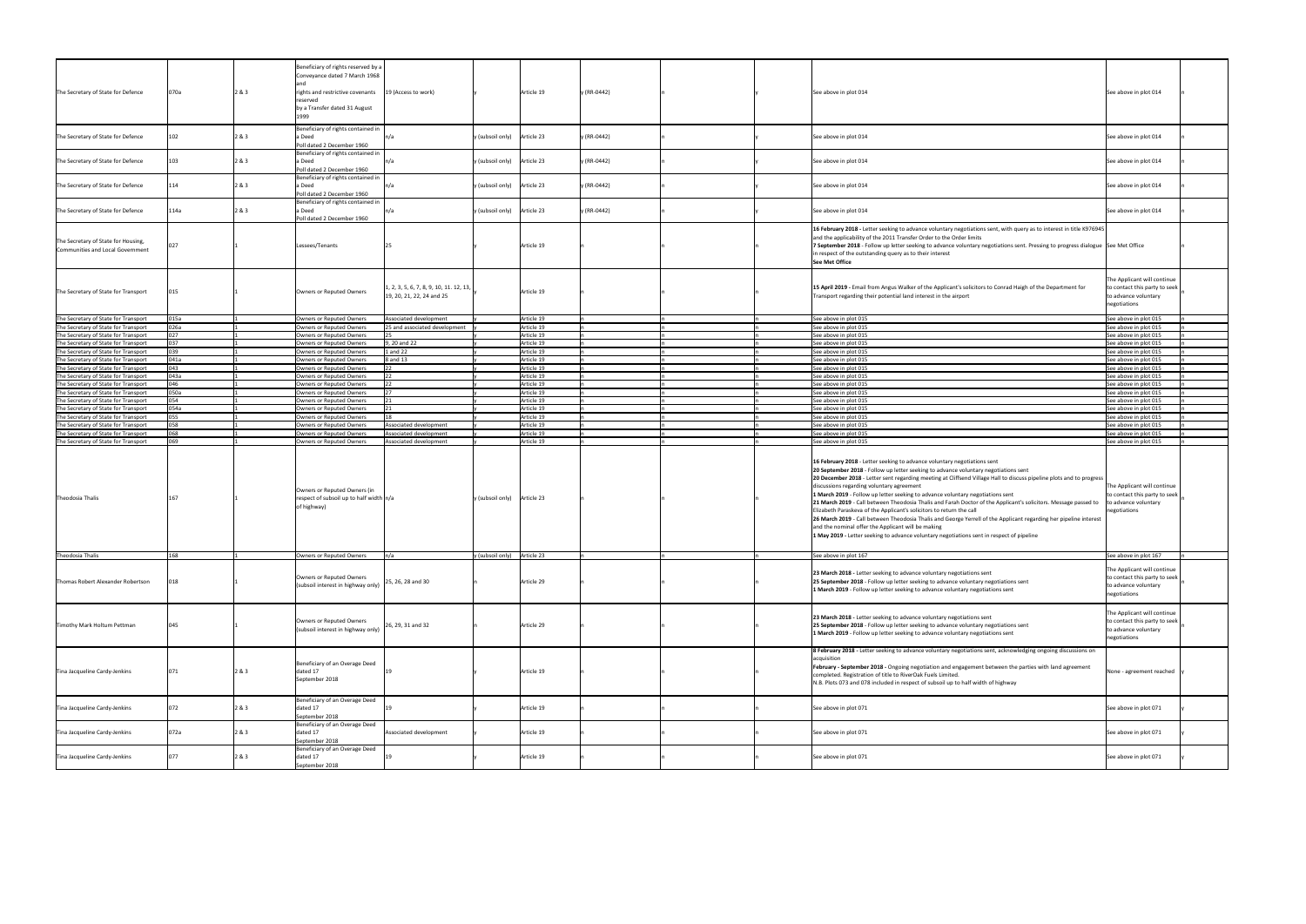|                                                                              |              |       | Beneficiary of rights reserved by a<br>Conveyance dated 7 March 1968                                   |                                                                                      |                             |                          |             |  |                                                                                                                                                                                                                                                                                                                                                                                                                                                                                                                                                                                                                                                                                                                                                                                                                                                                                           |                                                                                                      |
|------------------------------------------------------------------------------|--------------|-------|--------------------------------------------------------------------------------------------------------|--------------------------------------------------------------------------------------|-----------------------------|--------------------------|-------------|--|-------------------------------------------------------------------------------------------------------------------------------------------------------------------------------------------------------------------------------------------------------------------------------------------------------------------------------------------------------------------------------------------------------------------------------------------------------------------------------------------------------------------------------------------------------------------------------------------------------------------------------------------------------------------------------------------------------------------------------------------------------------------------------------------------------------------------------------------------------------------------------------------|------------------------------------------------------------------------------------------------------|
|                                                                              |              |       |                                                                                                        |                                                                                      |                             |                          |             |  |                                                                                                                                                                                                                                                                                                                                                                                                                                                                                                                                                                                                                                                                                                                                                                                                                                                                                           |                                                                                                      |
| The Secretary of State for Defence                                           | 070a         | 2 & 3 | rights and restrictive covenants<br>reserved                                                           | 19 (Access to work)                                                                  |                             | Article 19               | y (RR-0442) |  | See above in plot 014                                                                                                                                                                                                                                                                                                                                                                                                                                                                                                                                                                                                                                                                                                                                                                                                                                                                     | See above in plot 014                                                                                |
|                                                                              |              |       | by a Transfer dated 31 August                                                                          |                                                                                      |                             |                          |             |  |                                                                                                                                                                                                                                                                                                                                                                                                                                                                                                                                                                                                                                                                                                                                                                                                                                                                                           |                                                                                                      |
|                                                                              |              |       | 1999                                                                                                   |                                                                                      |                             |                          |             |  |                                                                                                                                                                                                                                                                                                                                                                                                                                                                                                                                                                                                                                                                                                                                                                                                                                                                                           |                                                                                                      |
|                                                                              |              |       | Beneficiary of rights contained in                                                                     |                                                                                      |                             |                          |             |  |                                                                                                                                                                                                                                                                                                                                                                                                                                                                                                                                                                                                                                                                                                                                                                                                                                                                                           |                                                                                                      |
| The Secretary of State for Defence                                           | 102          | 2 & 3 | a Deed<br>Poll dated 2 December 1960                                                                   | n/a                                                                                  | y (subsoil only) Article 23 |                          | y (RR-0442) |  | See above in plot 014                                                                                                                                                                                                                                                                                                                                                                                                                                                                                                                                                                                                                                                                                                                                                                                                                                                                     | See above in plot 014                                                                                |
|                                                                              |              |       | Beneficiary of rights contained in                                                                     |                                                                                      |                             |                          |             |  |                                                                                                                                                                                                                                                                                                                                                                                                                                                                                                                                                                                                                                                                                                                                                                                                                                                                                           |                                                                                                      |
| The Secretary of State for Defence                                           |              | 2 & 3 | a Deed<br>Poll dated 2 December 1960                                                                   | In/a                                                                                 | y (subsoil only) Article 23 |                          | y (RR-0442) |  | See above in plot 014                                                                                                                                                                                                                                                                                                                                                                                                                                                                                                                                                                                                                                                                                                                                                                                                                                                                     | See above in plot 014                                                                                |
|                                                                              |              |       | Beneficiary of rights contained in                                                                     |                                                                                      |                             |                          |             |  |                                                                                                                                                                                                                                                                                                                                                                                                                                                                                                                                                                                                                                                                                                                                                                                                                                                                                           |                                                                                                      |
| The Secretary of State for Defence                                           | 114          | 2 & 3 | a Deed                                                                                                 | n/a                                                                                  | y (subsoil only) Article 23 |                          | y (RR-0442) |  | See above in plot 014                                                                                                                                                                                                                                                                                                                                                                                                                                                                                                                                                                                                                                                                                                                                                                                                                                                                     | See above in plot 014                                                                                |
|                                                                              |              |       | Poll dated 2 December 1960<br>Beneficiary of rights contained in                                       |                                                                                      |                             |                          |             |  |                                                                                                                                                                                                                                                                                                                                                                                                                                                                                                                                                                                                                                                                                                                                                                                                                                                                                           |                                                                                                      |
| The Secretary of State for Defence                                           | 114a         | 2 & 3 | a Deed                                                                                                 | In/a                                                                                 | y (subsoil only) Article 23 |                          | y (RR-0442) |  | See above in plot 014                                                                                                                                                                                                                                                                                                                                                                                                                                                                                                                                                                                                                                                                                                                                                                                                                                                                     | See above in plot 014                                                                                |
|                                                                              |              |       | Poll dated 2 December 1960                                                                             |                                                                                      |                             |                          |             |  |                                                                                                                                                                                                                                                                                                                                                                                                                                                                                                                                                                                                                                                                                                                                                                                                                                                                                           |                                                                                                      |
|                                                                              |              |       |                                                                                                        |                                                                                      |                             |                          |             |  | 16 February 2018 - Letter seeking to advance voluntary negotiations sent, with query as to interest in title K976945<br>and the applicability of the 2011 Transfer Order to the Order limits                                                                                                                                                                                                                                                                                                                                                                                                                                                                                                                                                                                                                                                                                              |                                                                                                      |
| The Secretary of State for Housing,<br>Communities and Local Government      | 027          |       | Lessees/Tenants                                                                                        |                                                                                      |                             | Article 19               |             |  | 7 September 2018 - Follow up letter seeking to advance voluntary negotiations sent. Pressing to progress dialogue See Met Office                                                                                                                                                                                                                                                                                                                                                                                                                                                                                                                                                                                                                                                                                                                                                          |                                                                                                      |
|                                                                              |              |       |                                                                                                        |                                                                                      |                             |                          |             |  | in respect of the outstanding query as to their interest<br>See Met Office                                                                                                                                                                                                                                                                                                                                                                                                                                                                                                                                                                                                                                                                                                                                                                                                                |                                                                                                      |
|                                                                              |              |       |                                                                                                        |                                                                                      |                             |                          |             |  |                                                                                                                                                                                                                                                                                                                                                                                                                                                                                                                                                                                                                                                                                                                                                                                                                                                                                           |                                                                                                      |
|                                                                              |              |       |                                                                                                        |                                                                                      |                             |                          |             |  |                                                                                                                                                                                                                                                                                                                                                                                                                                                                                                                                                                                                                                                                                                                                                                                                                                                                                           | The Applicant will continue                                                                          |
| The Secretary of State for Transport                                         |              |       | Owners or Reputed Owners                                                                               | $\left[1, 2, 3, 5, 6, 7, 8, 9, 10, 11, 12, 13, \right]$<br>19, 20, 21, 22, 24 and 25 |                             | Article 19               |             |  | 15 April 2019 - Email from Angus Walker of the Applicant's solicitors to Conrad Haigh of the Department for<br>Transport regarding their potential land interest in the airport                                                                                                                                                                                                                                                                                                                                                                                                                                                                                                                                                                                                                                                                                                           | to contact this party to seek<br>to advance voluntary                                                |
|                                                                              |              |       |                                                                                                        |                                                                                      |                             |                          |             |  |                                                                                                                                                                                                                                                                                                                                                                                                                                                                                                                                                                                                                                                                                                                                                                                                                                                                                           | negotiations                                                                                         |
|                                                                              |              |       |                                                                                                        |                                                                                      |                             |                          |             |  |                                                                                                                                                                                                                                                                                                                                                                                                                                                                                                                                                                                                                                                                                                                                                                                                                                                                                           |                                                                                                      |
| The Secretary of State for Transport<br>The Secretary of State for Transport | 015a<br>026a |       | Owners or Reputed Owners<br>Owners or Reputed Owners                                                   | Associated development<br>25 and associated development                              |                             | Article 19<br>Article 19 |             |  | See above in plot 015<br>See above in plot 015                                                                                                                                                                                                                                                                                                                                                                                                                                                                                                                                                                                                                                                                                                                                                                                                                                            | See above in plot 015<br>See above in plot 015                                                       |
| The Secretary of State for Transport                                         | በን7          |       | Owners or Reputed Owners                                                                               |                                                                                      |                             | Article 19               |             |  | See above in plot 015                                                                                                                                                                                                                                                                                                                                                                                                                                                                                                                                                                                                                                                                                                                                                                                                                                                                     | See above in plot 015                                                                                |
| The Secretary of State for Transport                                         | กว7          |       | Owners or Reputed Owners                                                                               | , 20 and 22                                                                          |                             | Article 19               |             |  | See above in plot 015                                                                                                                                                                                                                                                                                                                                                                                                                                                                                                                                                                                                                                                                                                                                                                                                                                                                     | See above in plot 015                                                                                |
| The Secretary of State for Transport<br>The Secretary of State for Transport | 041a         |       | Owners or Reputed Owners<br>Owners or Reputed Owners                                                   | 1 and 22<br>8 and 13                                                                 |                             | Article 19<br>Article 19 |             |  | See above in plot 015<br>See above in plot 015                                                                                                                                                                                                                                                                                                                                                                                                                                                                                                                                                                                                                                                                                                                                                                                                                                            | See above in plot 015<br>See above in plot 015                                                       |
| The Secretary of State for Transport                                         | 043          |       | Owners or Reputed Owners                                                                               |                                                                                      |                             | Article 19               |             |  | See above in plot 015                                                                                                                                                                                                                                                                                                                                                                                                                                                                                                                                                                                                                                                                                                                                                                                                                                                                     | See above in plot 015                                                                                |
| The Secretary of State for Transport                                         | 043a         |       | Owners or Reputed Owners                                                                               |                                                                                      |                             | Article 19               |             |  | See above in plot 015                                                                                                                                                                                                                                                                                                                                                                                                                                                                                                                                                                                                                                                                                                                                                                                                                                                                     | See above in plot 015                                                                                |
| The Secretary of State for Transport                                         |              |       | Owners or Reputed Owners                                                                               |                                                                                      |                             | Article 19               |             |  | See above in plot 015                                                                                                                                                                                                                                                                                                                                                                                                                                                                                                                                                                                                                                                                                                                                                                                                                                                                     | See above in plot 015                                                                                |
| The Secretary of State for Transport<br>The Secretary of State for Transport | 050a<br>054  |       | Owners or Reputed Owners<br>Owners or Reputed Owners                                                   |                                                                                      |                             | Article 19<br>Article 19 |             |  | See above in plot 015<br>See above in plot 015                                                                                                                                                                                                                                                                                                                                                                                                                                                                                                                                                                                                                                                                                                                                                                                                                                            | See above in plot 015<br>See above in plot 015                                                       |
| The Secretary of State for Transport                                         | 054a         |       | Owners or Reputed Owners                                                                               |                                                                                      |                             | Article 19               |             |  | See above in plot 015                                                                                                                                                                                                                                                                                                                                                                                                                                                                                                                                                                                                                                                                                                                                                                                                                                                                     | See above in plot 015                                                                                |
| The Secretary of State for Transport                                         | <b>N55</b>   |       | Owners or Reputed Owners                                                                               |                                                                                      |                             | Article 19               |             |  | See above in plot 015                                                                                                                                                                                                                                                                                                                                                                                                                                                                                                                                                                                                                                                                                                                                                                                                                                                                     | See above in plot 015                                                                                |
| The Secretary of State for Transport                                         | 058          |       | Owners or Reputed Owners                                                                               | Associated development                                                               |                             | Article 19               |             |  | See above in plot 015                                                                                                                                                                                                                                                                                                                                                                                                                                                                                                                                                                                                                                                                                                                                                                                                                                                                     | See above in plot 015                                                                                |
| The Secretary of State for Transport<br>The Secretary of State for Transport | 890<br>nra   |       | Owners or Reputed Owners<br>Owners or Reputed Owners                                                   | Associated development<br>Associated development                                     |                             | Article 19<br>Article 19 |             |  | See above in plot 015<br>See above in plot 015                                                                                                                                                                                                                                                                                                                                                                                                                                                                                                                                                                                                                                                                                                                                                                                                                                            | See above in plot 015<br>See above in plot 015                                                       |
| Theodosia Thalis                                                             |              |       | Owners or Reputed Owners (in<br>respect of subsoil up to half width $n/a$<br>of highway)               |                                                                                      | y (subsoil only) Article 23 |                          |             |  | 16 February 2018 - Letter seeking to advance voluntary negotiations sent<br>20 September 2018 - Follow up letter seeking to advance voluntary negotiations sent<br>20 December 2018 - Letter sent regarding meeting at Cliffsend Village Hall to discuss pipeline plots and to progress<br>discussions regarding voluntary agreement<br>1 March 2019 - Follow up letter seeking to advance voluntary negotiations sent<br>21 March 2019 - Call between Theodosia Thalis and Farah Doctor of the Applicant's solicitors. Message passed to<br>Elizabeth Paraskeva of the Applicant's solicitors to return the call<br>26 March 2019 - Call between Theodosia Thalis and George Yerrell of the Applicant regarding her pipeline interest<br>and the nominal offer the Applicant will be making<br>1 May 2019 - Letter seeking to advance voluntary negotiations sent in respect of pipeline | The Applicant will continue<br>to contact this party to seek<br>o advance voluntary<br>negotiations  |
| Theodosia Thalis                                                             | 168          |       | Owners or Reputed Owners                                                                               | n/a                                                                                  | y (subsoil only) Article 23 |                          |             |  | See above in plot 167                                                                                                                                                                                                                                                                                                                                                                                                                                                                                                                                                                                                                                                                                                                                                                                                                                                                     | See above in plot 167                                                                                |
|                                                                              |              |       |                                                                                                        |                                                                                      |                             |                          |             |  |                                                                                                                                                                                                                                                                                                                                                                                                                                                                                                                                                                                                                                                                                                                                                                                                                                                                                           | The Applicant will continue                                                                          |
| Thomas Robert Alexander Robertson                                            |              |       | Owners or Reputed Owners                                                                               | 25, 26, 28 and 30                                                                    |                             | Article 29               |             |  | 23 March 2018 - Letter seeking to advance voluntary negotiations sent<br>25 September 2018 - Follow up letter seeking to advance voluntary negotiations sent                                                                                                                                                                                                                                                                                                                                                                                                                                                                                                                                                                                                                                                                                                                              | to contact this party to seek                                                                        |
|                                                                              |              |       | (subsoil interest in highway only)                                                                     |                                                                                      |                             |                          |             |  | 1 March 2019 - Follow up letter seeking to advance voluntary negotiations sent                                                                                                                                                                                                                                                                                                                                                                                                                                                                                                                                                                                                                                                                                                                                                                                                            | to advance voluntary                                                                                 |
|                                                                              |              |       |                                                                                                        |                                                                                      |                             |                          |             |  |                                                                                                                                                                                                                                                                                                                                                                                                                                                                                                                                                                                                                                                                                                                                                                                                                                                                                           | negotiations                                                                                         |
| Timothy Mark Holtum Pettman                                                  | 045          |       | Owners or Reputed Owners<br>(subsoil interest in highway only) $\Big 26, 29, 31 \text{ and } 32 \Big $ |                                                                                      |                             | Article 29               |             |  | 23 March 2018 - Letter seeking to advance voluntary negotiations sent<br>25 September 2018 - Follow up letter seeking to advance voluntary negotiations sent<br>1 March 2019 - Follow up letter seeking to advance voluntary negotiations sent                                                                                                                                                                                                                                                                                                                                                                                                                                                                                                                                                                                                                                            | The Applicant will continue<br>to contact this party to seek<br>to advance voluntary<br>negotiations |
|                                                                              |              |       |                                                                                                        |                                                                                      |                             |                          |             |  |                                                                                                                                                                                                                                                                                                                                                                                                                                                                                                                                                                                                                                                                                                                                                                                                                                                                                           |                                                                                                      |
|                                                                              |              |       |                                                                                                        |                                                                                      |                             |                          |             |  | 8 February 2018 - Letter seeking to advance voluntary negotiations sent, acknowledging ongoing discussions on<br>acquisition                                                                                                                                                                                                                                                                                                                                                                                                                                                                                                                                                                                                                                                                                                                                                              |                                                                                                      |
|                                                                              |              |       |                                                                                                        |                                                                                      |                             |                          |             |  |                                                                                                                                                                                                                                                                                                                                                                                                                                                                                                                                                                                                                                                                                                                                                                                                                                                                                           |                                                                                                      |
|                                                                              |              |       | Beneficiary of an Overage Deed                                                                         |                                                                                      |                             |                          |             |  | February - September 2018 - Ongoing negotiation and engagement between the parties with land agreement                                                                                                                                                                                                                                                                                                                                                                                                                                                                                                                                                                                                                                                                                                                                                                                    |                                                                                                      |
| Tina Jacqueline Cardy-Jenkins                                                |              | 2 & 3 | dated 17                                                                                               |                                                                                      |                             | Article 19               |             |  | completed. Registration of title to RiverOak Fuels Limited.                                                                                                                                                                                                                                                                                                                                                                                                                                                                                                                                                                                                                                                                                                                                                                                                                               | None - agreement reached                                                                             |
|                                                                              |              |       | September 2018                                                                                         |                                                                                      |                             |                          |             |  | N.B. Plots 073 and 078 included in respect of subsoil up to half width of highway                                                                                                                                                                                                                                                                                                                                                                                                                                                                                                                                                                                                                                                                                                                                                                                                         |                                                                                                      |
|                                                                              |              |       |                                                                                                        |                                                                                      |                             |                          |             |  |                                                                                                                                                                                                                                                                                                                                                                                                                                                                                                                                                                                                                                                                                                                                                                                                                                                                                           |                                                                                                      |
| Tina Jacqueline Cardy-Jenkins                                                |              | 2 & 3 | Beneficiary of an Overage Deed<br>dated 17                                                             |                                                                                      |                             | Article 19               |             |  | See above in plot 071                                                                                                                                                                                                                                                                                                                                                                                                                                                                                                                                                                                                                                                                                                                                                                                                                                                                     | See above in plot 071                                                                                |
|                                                                              |              |       | September 2018                                                                                         |                                                                                      |                             |                          |             |  |                                                                                                                                                                                                                                                                                                                                                                                                                                                                                                                                                                                                                                                                                                                                                                                                                                                                                           |                                                                                                      |
|                                                                              | 072a         | 2 & 3 | Beneficiary of an Overage Deed<br>dated 17                                                             | Associated development                                                               |                             | Article 19               |             |  |                                                                                                                                                                                                                                                                                                                                                                                                                                                                                                                                                                                                                                                                                                                                                                                                                                                                                           |                                                                                                      |
| Tina Jacqueline Cardy-Jenkins                                                |              |       | September 2018                                                                                         |                                                                                      |                             |                          |             |  | See above in plot 071                                                                                                                                                                                                                                                                                                                                                                                                                                                                                                                                                                                                                                                                                                                                                                                                                                                                     | See above in plot 071                                                                                |
|                                                                              |              |       | Beneficiary of an Overage Deed                                                                         |                                                                                      |                             |                          |             |  |                                                                                                                                                                                                                                                                                                                                                                                                                                                                                                                                                                                                                                                                                                                                                                                                                                                                                           |                                                                                                      |
| Tina Jacqueline Cardy-Jenkins                                                |              | 2&3   | dated 17<br>September 2018                                                                             |                                                                                      |                             | Article 19               |             |  | See above in plot 071                                                                                                                                                                                                                                                                                                                                                                                                                                                                                                                                                                                                                                                                                                                                                                                                                                                                     | See above in plot 071                                                                                |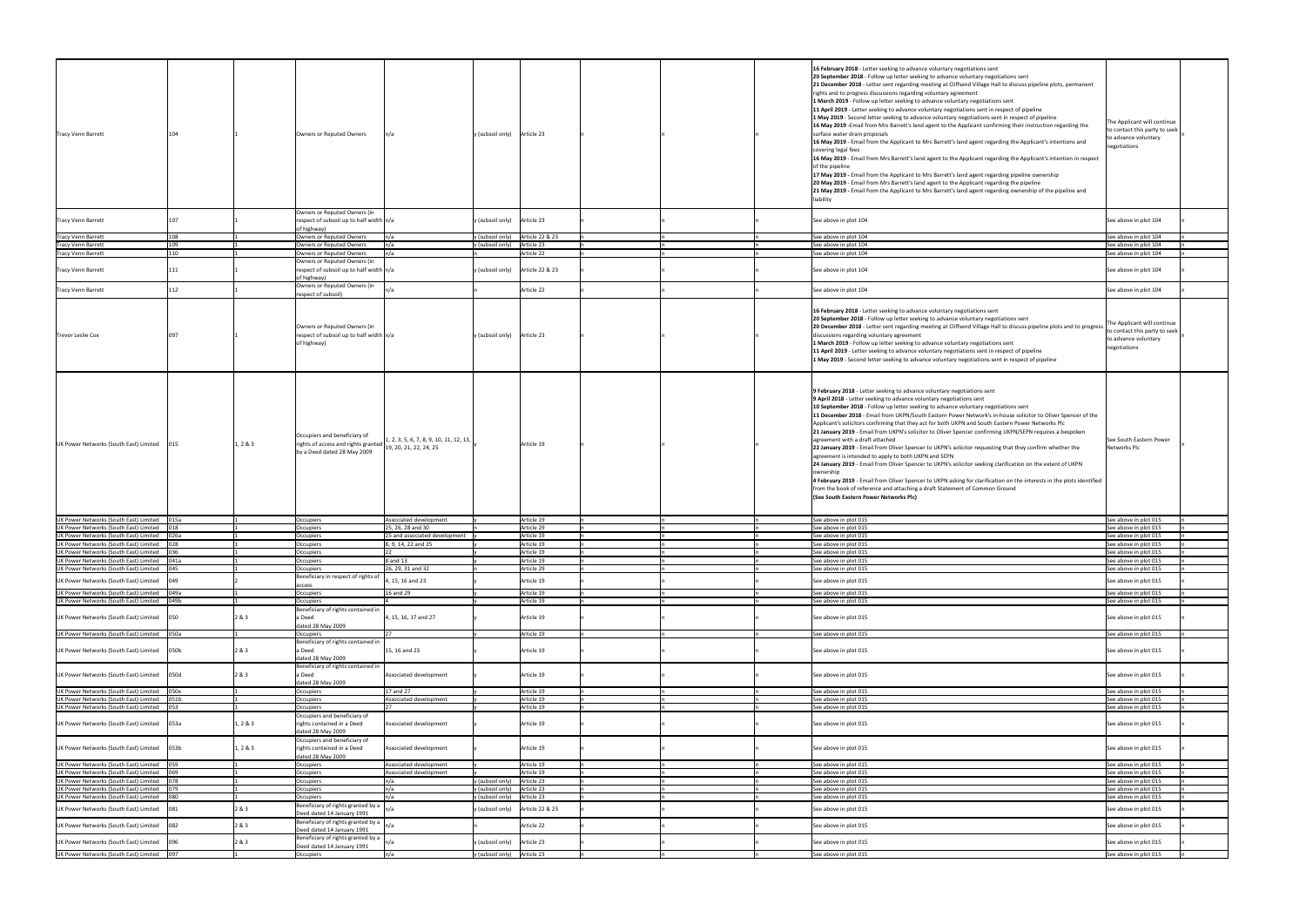| <b>Tracy Venn Barrett</b>              |             |          | Owners or Reputed Owners                                                                           | n/a                                                                 | $y$ (subsoil only) Article 23           |  | of the pipeline<br>liability | 16 February 2018 - Letter seeking to advance voluntary negotiations sent<br>20 September 2018 - Follow up letter seeking to advance voluntary negotiations sent<br>21 December 2018 - Letter sent regarding meeting at Cliffsend Village Hall to discuss pipeline plots, permanent<br>rights and to progress discussions regarding voluntary agreement<br>1 March 2019 - Follow up letter seeking to advance voluntary negotiations sent<br>11 April 2019 - Letter seeking to advance voluntary negotiations sent in respect of pipeline<br>1 May 2019 - Second letter seeking to advance voluntary negotiations sent in respect of pipeline<br>16 May 2019 - Email from Mrs Barrett's land agent to the Applicant confirming their instruction regarding the<br>surface water drain proposals<br>16 May 2019 - Email from the Applicant to Mrs Barrett's land agent regarding the Applicant's intentions and<br>covering legal fees<br>16 May 2019 - Email from Mrs Barrett's land agent to the Applicant regarding the Applicant's intention in respect<br>17 May 2019 - Email from the Applicant to Mrs Barrett's land agent regarding pipeline ownership<br>20 May 2019 - Email from Mrs Barrett's land agent to the Applicant regarding the pipeline<br>21 May 2019 - Email from the Applicant to Mrs Barrett's land agent regarding ownership of the pipeline and | The Applicant will continue<br>to contact this party to seek<br>to advance voluntary<br>negotiations |
|----------------------------------------|-------------|----------|----------------------------------------------------------------------------------------------------|---------------------------------------------------------------------|-----------------------------------------|--|------------------------------|-------------------------------------------------------------------------------------------------------------------------------------------------------------------------------------------------------------------------------------------------------------------------------------------------------------------------------------------------------------------------------------------------------------------------------------------------------------------------------------------------------------------------------------------------------------------------------------------------------------------------------------------------------------------------------------------------------------------------------------------------------------------------------------------------------------------------------------------------------------------------------------------------------------------------------------------------------------------------------------------------------------------------------------------------------------------------------------------------------------------------------------------------------------------------------------------------------------------------------------------------------------------------------------------------------------------------------------------------------------------------|------------------------------------------------------------------------------------------------------|
| <b>Tracy Venn Barrett</b>              |             |          | Owners or Reputed Owners (in<br>respect of subsoil up to half width $n/a$<br>of highway)           |                                                                     | y (subsoil only) Article 23             |  |                              | See above in plot 104                                                                                                                                                                                                                                                                                                                                                                                                                                                                                                                                                                                                                                                                                                                                                                                                                                                                                                                                                                                                                                                                                                                                                                                                                                                                                                                                                   | See above in plot 104                                                                                |
| <b>Tracy Venn Barrett</b>              | 108         |          | Owners or Reputed Owners                                                                           | n/a                                                                 | y (subsoil only) $\int$ Article 22 & 23 |  |                              | See above in plot 104                                                                                                                                                                                                                                                                                                                                                                                                                                                                                                                                                                                                                                                                                                                                                                                                                                                                                                                                                                                                                                                                                                                                                                                                                                                                                                                                                   | See above in plot 104                                                                                |
| <b>Tracy Venn Barrett</b>              | 1 N ۹       |          | Owners or Reputed Owners                                                                           | n/a                                                                 | Article 23<br>y (subsoil only)          |  |                              | See above in plot 104                                                                                                                                                                                                                                                                                                                                                                                                                                                                                                                                                                                                                                                                                                                                                                                                                                                                                                                                                                                                                                                                                                                                                                                                                                                                                                                                                   | See above in plot 104                                                                                |
| <b>Tracy Venn Barrett</b>              | 110         |          | Owners or Reputed Owners                                                                           | n/a                                                                 | Article 22                              |  |                              | See above in plot 104                                                                                                                                                                                                                                                                                                                                                                                                                                                                                                                                                                                                                                                                                                                                                                                                                                                                                                                                                                                                                                                                                                                                                                                                                                                                                                                                                   | See above in plot 104                                                                                |
| <b>Tracy Venn Barrett</b>              |             |          | Owners or Reputed Owners (in<br>respect of subsoil up to half width $n/a$<br>of highway)           |                                                                     | y (subsoil only) Article 22 & 23        |  |                              | See above in plot 104                                                                                                                                                                                                                                                                                                                                                                                                                                                                                                                                                                                                                                                                                                                                                                                                                                                                                                                                                                                                                                                                                                                                                                                                                                                                                                                                                   | See above in plot 104                                                                                |
| <b>Tracy Venn Barrett</b>              |             |          | Owners or Reputed Owners (in<br>respect of subsoil)                                                |                                                                     | Article 22                              |  |                              | See above in plot 104                                                                                                                                                                                                                                                                                                                                                                                                                                                                                                                                                                                                                                                                                                                                                                                                                                                                                                                                                                                                                                                                                                                                                                                                                                                                                                                                                   | See above in plot 104                                                                                |
| <b>Trevor Leslie Cox</b>               |             |          | Owners or Reputed Owners (in<br>respect of subsoil up to half width $n/a$<br>of highway)           |                                                                     | y (subsoil only) Article 23             |  |                              | 16 February 2018 - Letter seeking to advance voluntary negotiations sent<br>20 September 2018 - Follow up letter seeking to advance voluntary negotiations sent<br>20 December 2018 - Letter sent regarding meeting at Cliffsend Village Hall to discuss pipeline plots and to progress<br>discussions regarding voluntary agreement<br>1 March 2019 - Follow up letter seeking to advance voluntary negotiations sent<br>11 April 2019 - Letter seeking to advance voluntary negotiations sent in respect of pipeline<br>1 May 2019 - Second letter seeking to advance voluntary negotiations sent in respect of pipeline                                                                                                                                                                                                                                                                                                                                                                                                                                                                                                                                                                                                                                                                                                                                              | The Applicant will continue<br>to contact this party to seek<br>to advance voluntary<br>negotiations |
| UK Power Networks (South East) Limited |             | 1, 2 & 3 | Occupiers and beneficiary of<br>rights of access and rights granted<br>by a Deed dated 28 May 2009 | 1, 2, 3, 5, 6, 7, 8, 9, 10, 11, 12, 13,  <br>19, 20, 21, 22, 24, 25 | Article 19                              |  | ownership                    | 9 February 2018 - Letter seeking to advance voluntary negotiations sent<br>9 April 2018 - Letter seeking to advance voluntary negotiations sent<br>10 September 2018 - Follow up letter seeking to advance voluntary negotiations sent<br>11 December 2018 - Email from UKPN/South Eastern Power Network's in-house solicitor to Oliver Spencer of the<br>Applicant's solicitors confirming that they act for both UKPN and South Eastern Power Networks Plc<br>21 January 2019 - Email from UKPN's solicitor to Oliver Spencer confirming UKPN/SEPN requires a bespoken<br>agreement with a draft attached<br>22 January 2019 - Email from Oliver Spencer to UKPN's solicitor requesting that they confirm whether the<br>agreement is intended to apply to both UKPN and SEPN<br>24 January 2019 - Email from Oliver Spencer to UKPN's solicitor seeking clarification on the extent of UKPN<br>4 February 2019 - Email from Oliver Spencer to UKPN asking for clarification on the interests in the plots identified<br>from the book of reference and attaching a draft Statement of Common Ground<br>(See South Eastern Power Networks Plc)                                                                                                                                                                                                                        | See South Eastern Power<br>Networks Plc                                                              |
| UK Power Networks (South East) Limited | 015a        |          | Occupiers                                                                                          | Associated development                                              | Article 19                              |  |                              | See above in plot 015                                                                                                                                                                                                                                                                                                                                                                                                                                                                                                                                                                                                                                                                                                                                                                                                                                                                                                                                                                                                                                                                                                                                                                                                                                                                                                                                                   | See above in plot 015                                                                                |
| UK Power Networks (South East) Limited |             |          | Occupiers                                                                                          | 25, 26, 28 and 30                                                   | Article 29                              |  |                              | See above in plot 015                                                                                                                                                                                                                                                                                                                                                                                                                                                                                                                                                                                                                                                                                                                                                                                                                                                                                                                                                                                                                                                                                                                                                                                                                                                                                                                                                   | See above in plot 015                                                                                |
| UK Power Networks (South East) Limited |             |          | Occupiers                                                                                          | 25 and associated development                                       | Article 19                              |  |                              | See above in plot 015                                                                                                                                                                                                                                                                                                                                                                                                                                                                                                                                                                                                                                                                                                                                                                                                                                                                                                                                                                                                                                                                                                                                                                                                                                                                                                                                                   | See above in plot 015                                                                                |
| UK Power Networks (South East) Limited |             |          | Occupiers                                                                                          | 8, 9, 14, 22 and 25                                                 | Article 19                              |  |                              | See above in plot 015                                                                                                                                                                                                                                                                                                                                                                                                                                                                                                                                                                                                                                                                                                                                                                                                                                                                                                                                                                                                                                                                                                                                                                                                                                                                                                                                                   | See above in plot 015                                                                                |
| UK Power Networks (South East) Limited |             |          | Occupiers                                                                                          |                                                                     | Article 19                              |  |                              | See above in plot 015                                                                                                                                                                                                                                                                                                                                                                                                                                                                                                                                                                                                                                                                                                                                                                                                                                                                                                                                                                                                                                                                                                                                                                                                                                                                                                                                                   | See above in plot 015                                                                                |
| UK Power Networks (South East) Limited | 041a        |          | Occupiers                                                                                          | 8 and 13                                                            | Article 19                              |  |                              | See above in plot 015                                                                                                                                                                                                                                                                                                                                                                                                                                                                                                                                                                                                                                                                                                                                                                                                                                                                                                                                                                                                                                                                                                                                                                                                                                                                                                                                                   | See above in plot 015                                                                                |
| UK Power Networks (South East) Limited |             |          | Occupiers                                                                                          | 26, 29, 31 and 32                                                   | Article 29                              |  |                              | See above in plot 015                                                                                                                                                                                                                                                                                                                                                                                                                                                                                                                                                                                                                                                                                                                                                                                                                                                                                                                                                                                                                                                                                                                                                                                                                                                                                                                                                   | See above in plot 015                                                                                |
|                                        |             |          | Beneficiary in respect of rights of                                                                |                                                                     |                                         |  |                              |                                                                                                                                                                                                                                                                                                                                                                                                                                                                                                                                                                                                                                                                                                                                                                                                                                                                                                                                                                                                                                                                                                                                                                                                                                                                                                                                                                         |                                                                                                      |
| UK Power Networks (South East) Limited |             |          | access                                                                                             | 4, 15, 16 and 23                                                    | Article 19                              |  |                              | See above in plot 015                                                                                                                                                                                                                                                                                                                                                                                                                                                                                                                                                                                                                                                                                                                                                                                                                                                                                                                                                                                                                                                                                                                                                                                                                                                                                                                                                   | See above in plot 015                                                                                |
| UK Power Networks (South East) Limited | 049a        |          | Occupiers                                                                                          | 16 and 29                                                           | Article 19                              |  |                              | See above in plot 015                                                                                                                                                                                                                                                                                                                                                                                                                                                                                                                                                                                                                                                                                                                                                                                                                                                                                                                                                                                                                                                                                                                                                                                                                                                                                                                                                   | See above in plot 015                                                                                |
| UK Power Networks (South East) Limited | 049b        |          | Occupiers                                                                                          |                                                                     | Article 19                              |  |                              | See above in plot 015                                                                                                                                                                                                                                                                                                                                                                                                                                                                                                                                                                                                                                                                                                                                                                                                                                                                                                                                                                                                                                                                                                                                                                                                                                                                                                                                                   | See above in plot 015                                                                                |
|                                        |             |          | Beneficiary of rights contained in                                                                 |                                                                     |                                         |  |                              |                                                                                                                                                                                                                                                                                                                                                                                                                                                                                                                                                                                                                                                                                                                                                                                                                                                                                                                                                                                                                                                                                                                                                                                                                                                                                                                                                                         |                                                                                                      |
| UK Power Networks (South East) Limited | 1050        | 2 & 3    | a Deed<br>dated 28 May 2009                                                                        | 4, 15, 16, 17 and 27                                                | Article 19                              |  |                              | See above in plot 015                                                                                                                                                                                                                                                                                                                                                                                                                                                                                                                                                                                                                                                                                                                                                                                                                                                                                                                                                                                                                                                                                                                                                                                                                                                                                                                                                   | See above in plot 015                                                                                |
| UK Power Networks (South East) Limited | <b>050a</b> |          | <b>Occupiers</b>                                                                                   |                                                                     | Article 19                              |  |                              | See above in plot 015                                                                                                                                                                                                                                                                                                                                                                                                                                                                                                                                                                                                                                                                                                                                                                                                                                                                                                                                                                                                                                                                                                                                                                                                                                                                                                                                                   | See above in plot 015                                                                                |
| UK Power Networks (South East) Limited | 050b        | 2 & 3    | Beneficiary of rights contained in<br>a Deed<br>dated 28 May 2009                                  | 15, 16 and 23                                                       | Article 19                              |  |                              | See above in plot 015                                                                                                                                                                                                                                                                                                                                                                                                                                                                                                                                                                                                                                                                                                                                                                                                                                                                                                                                                                                                                                                                                                                                                                                                                                                                                                                                                   | See above in plot 015                                                                                |
| UK Power Networks (South East) Limited | 050d        | 2 & 3    | Beneficiary of rights contained in<br>a Deed<br>dated 28 May 2009                                  | Associated development                                              | Article 19                              |  |                              | See above in plot 015                                                                                                                                                                                                                                                                                                                                                                                                                                                                                                                                                                                                                                                                                                                                                                                                                                                                                                                                                                                                                                                                                                                                                                                                                                                                                                                                                   | See above in plot 015                                                                                |
| UK Power Networks (South East) Limited | 050e        |          | Occupiers                                                                                          | 17 and 27                                                           | Article 19                              |  |                              | See above in plot 015                                                                                                                                                                                                                                                                                                                                                                                                                                                                                                                                                                                                                                                                                                                                                                                                                                                                                                                                                                                                                                                                                                                                                                                                                                                                                                                                                   | See above in plot 015                                                                                |
| UK Power Networks (South East) Limited | 051b        |          | Occupiers                                                                                          | Associated development                                              | Article 19                              |  |                              | See above in plot 015                                                                                                                                                                                                                                                                                                                                                                                                                                                                                                                                                                                                                                                                                                                                                                                                                                                                                                                                                                                                                                                                                                                                                                                                                                                                                                                                                   | See above in plot 015                                                                                |
| UK Power Networks (South East) Limited |             |          | <b>Occupiers</b>                                                                                   |                                                                     | Article 19                              |  |                              | See above in plot 015                                                                                                                                                                                                                                                                                                                                                                                                                                                                                                                                                                                                                                                                                                                                                                                                                                                                                                                                                                                                                                                                                                                                                                                                                                                                                                                                                   | See above in plot 015                                                                                |
| UK Power Networks (South East) Limited | 053a        | 1, 2 & 3 | Occupiers and beneficiary of<br>rights contained in a Deed                                         | Associated development                                              | Article 19                              |  |                              | See above in plot 015                                                                                                                                                                                                                                                                                                                                                                                                                                                                                                                                                                                                                                                                                                                                                                                                                                                                                                                                                                                                                                                                                                                                                                                                                                                                                                                                                   | See above in plot 015                                                                                |
| UK Power Networks (South East) Limited | 053b        | 1, 2 & 3 | dated 28 May 2009<br>Occupiers and beneficiary of<br>rights contained in a Deed                    | Associated development                                              | Article 19                              |  |                              | See above in plot 015                                                                                                                                                                                                                                                                                                                                                                                                                                                                                                                                                                                                                                                                                                                                                                                                                                                                                                                                                                                                                                                                                                                                                                                                                                                                                                                                                   | See above in plot 015                                                                                |
| UK Power Networks (South East) Limited |             |          | dated 28 May 2009<br>Occupiers                                                                     | Associated development                                              | Article 19                              |  |                              | See above in plot 015                                                                                                                                                                                                                                                                                                                                                                                                                                                                                                                                                                                                                                                                                                                                                                                                                                                                                                                                                                                                                                                                                                                                                                                                                                                                                                                                                   | See above in plot 015                                                                                |
| UK Power Networks (South East) Limited | 069         |          | Occupiers                                                                                          | Associated development                                              | Article 19                              |  |                              | See above in plot 015                                                                                                                                                                                                                                                                                                                                                                                                                                                                                                                                                                                                                                                                                                                                                                                                                                                                                                                                                                                                                                                                                                                                                                                                                                                                                                                                                   | See above in plot 015                                                                                |
| UK Power Networks (South East) Limited |             |          | <b>Occupiers</b>                                                                                   |                                                                     | y (subsoil only)<br>Article 23          |  |                              | See above in plot 015                                                                                                                                                                                                                                                                                                                                                                                                                                                                                                                                                                                                                                                                                                                                                                                                                                                                                                                                                                                                                                                                                                                                                                                                                                                                                                                                                   | See above in plot 015                                                                                |
| UK Power Networks (South East) Limited |             |          | Occupiers                                                                                          | n/a                                                                 | y (subsoil only) Article 23             |  |                              | See above in plot 015                                                                                                                                                                                                                                                                                                                                                                                                                                                                                                                                                                                                                                                                                                                                                                                                                                                                                                                                                                                                                                                                                                                                                                                                                                                                                                                                                   | See above in plot 015                                                                                |
| UK Power Networks (South East) Limited |             |          | Occupiers                                                                                          | n/a                                                                 | y (subsoil only)<br>Article 23          |  |                              | See above in plot 015                                                                                                                                                                                                                                                                                                                                                                                                                                                                                                                                                                                                                                                                                                                                                                                                                                                                                                                                                                                                                                                                                                                                                                                                                                                                                                                                                   | See above in plot 015                                                                                |
| UK Power Networks (South East) Limited |             | 2 & 3    | Beneficiary of rights granted by a $\bigg n/a$<br>Deed dated 14 January 1991                       |                                                                     | y (subsoil only)   Article 22 & 23      |  |                              | See above in plot 015                                                                                                                                                                                                                                                                                                                                                                                                                                                                                                                                                                                                                                                                                                                                                                                                                                                                                                                                                                                                                                                                                                                                                                                                                                                                                                                                                   | See above in plot 015                                                                                |
| UK Power Networks (South East) Limited | 082         | 2 & 3    | Beneficiary of rights granted by a $\vert$<br>Deed dated 14 January 1991                           |                                                                     | Article 22                              |  |                              | See above in plot 015                                                                                                                                                                                                                                                                                                                                                                                                                                                                                                                                                                                                                                                                                                                                                                                                                                                                                                                                                                                                                                                                                                                                                                                                                                                                                                                                                   | See above in plot 015                                                                                |
| UK Power Networks (South East) Limited | 1096        | 2 & 3    | Beneficiary of rights granted by a<br>Deed dated 14 January 1991                                   |                                                                     | y (subsoil only) Article 23             |  |                              | See above in plot 015                                                                                                                                                                                                                                                                                                                                                                                                                                                                                                                                                                                                                                                                                                                                                                                                                                                                                                                                                                                                                                                                                                                                                                                                                                                                                                                                                   | See above in plot 015                                                                                |
| UK Power Networks (South East) Limited | 097         |          | Occupiers                                                                                          | n/a                                                                 | y (subsoil only) Article 23             |  |                              | See above in plot 015                                                                                                                                                                                                                                                                                                                                                                                                                                                                                                                                                                                                                                                                                                                                                                                                                                                                                                                                                                                                                                                                                                                                                                                                                                                                                                                                                   | See above in plot 015                                                                                |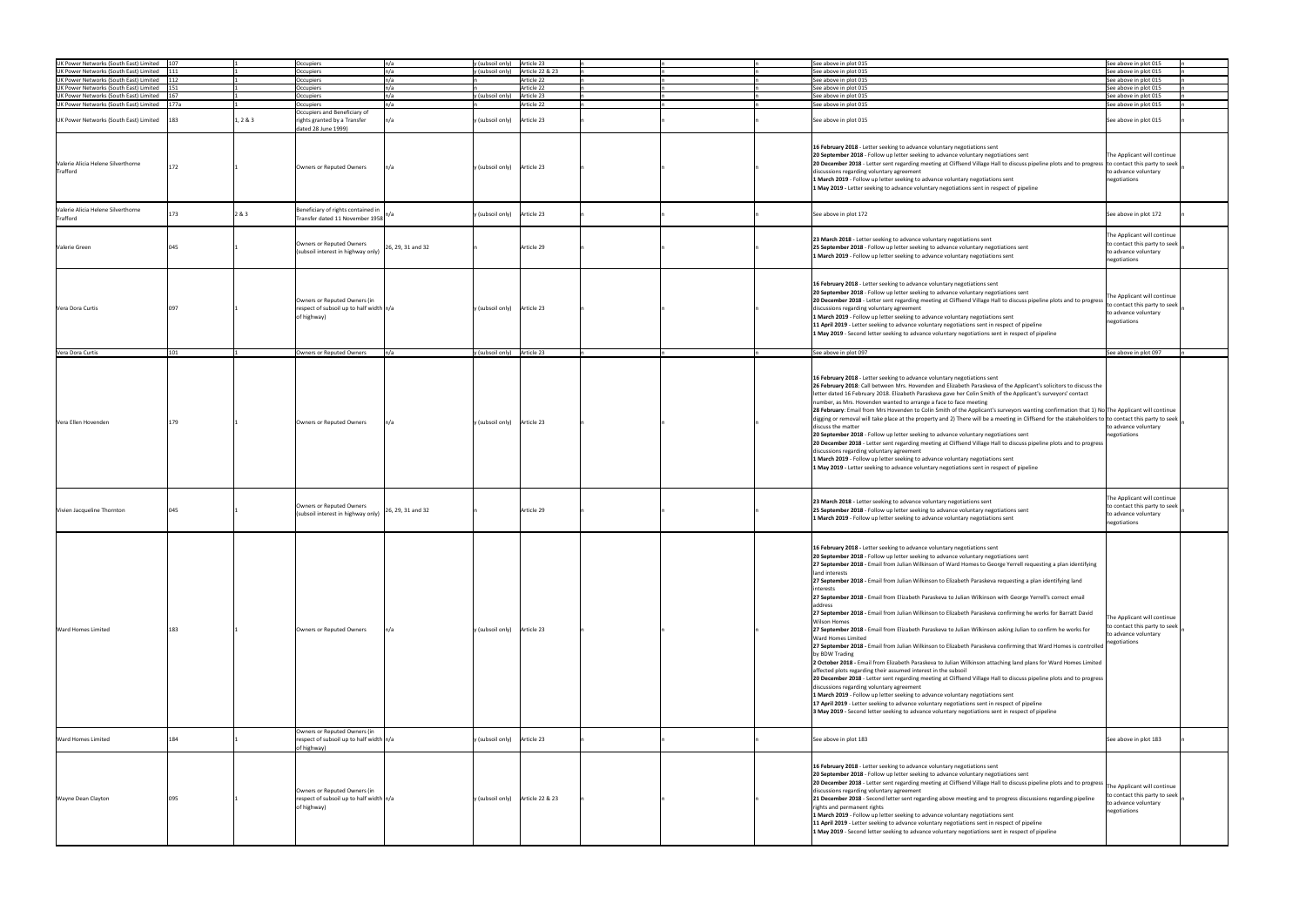| UK Power Networks (South East) Limited | 1107 |          | Occupiers                                 |
|----------------------------------------|------|----------|-------------------------------------------|
| UK Power Networks (South East) Limited |      |          | Occupiers                                 |
| UK Power Networks (South East) Limited |      |          | Occupiers                                 |
|                                        |      |          |                                           |
| UK Power Networks (South East) Limited |      |          | Occupiers                                 |
| UK Power Networks (South East) Limited |      |          | Occupiers                                 |
|                                        |      |          |                                           |
| UK Power Networks (South East) Limited | 177a |          | Occupiers                                 |
|                                        |      |          | Occupiers and Beneficiary of              |
|                                        |      |          |                                           |
| UK Power Networks (South East) Limited |      | 1, 2 & 3 | rights granted by a Transfer              |
|                                        |      |          | dated 28 June 1999)                       |
|                                        |      |          |                                           |
|                                        |      |          |                                           |
|                                        |      |          |                                           |
|                                        |      |          |                                           |
|                                        |      |          |                                           |
| Valerie Alicia Helene Silverthorne     |      |          |                                           |
|                                        |      |          | Owners or Reputed Owners                  |
| Trafford                               |      |          |                                           |
|                                        |      |          |                                           |
|                                        |      |          |                                           |
|                                        |      |          |                                           |
|                                        |      |          |                                           |
|                                        |      |          |                                           |
| Valerie Alicia Helene Silverthorne     |      |          | Beneficiary of rights contained in        |
|                                        |      | 2 & 3    |                                           |
| Trafford                               |      |          | Transfer dated 11 November 1958           |
|                                        |      |          |                                           |
|                                        |      |          |                                           |
|                                        |      |          |                                           |
|                                        |      |          | Owners or Reputed Owners                  |
| Valerie Green                          |      |          | (subsoil interest in highway only)        |
|                                        |      |          |                                           |
|                                        |      |          |                                           |
|                                        |      |          |                                           |
|                                        |      |          |                                           |
|                                        |      |          |                                           |
|                                        |      |          |                                           |
|                                        |      |          |                                           |
|                                        |      |          |                                           |
|                                        |      |          |                                           |
|                                        |      |          | Owners or Reputed Owners (in              |
| Vera Dora Curtis                       |      |          | respect of subsoil up to half width $n/a$ |
|                                        |      |          |                                           |
|                                        |      |          | of highway)                               |
|                                        |      |          |                                           |
|                                        |      |          |                                           |
|                                        |      |          |                                           |
|                                        |      |          |                                           |
|                                        |      |          |                                           |
| Vera Dora Curtis                       |      |          | Owners or Reputed Owners                  |
|                                        |      |          |                                           |
|                                        |      |          |                                           |
|                                        |      |          |                                           |
|                                        |      |          |                                           |
|                                        |      |          |                                           |
|                                        |      |          |                                           |
|                                        |      |          |                                           |
|                                        |      |          |                                           |
|                                        |      |          |                                           |
|                                        |      |          |                                           |
|                                        |      |          |                                           |
|                                        |      |          |                                           |
| Vera Ellen Hovenden                    |      |          | Owners or Reputed Owners                  |
|                                        |      |          |                                           |
|                                        |      |          |                                           |
|                                        |      |          |                                           |
|                                        |      |          |                                           |
|                                        |      |          |                                           |
|                                        |      |          |                                           |
|                                        |      |          |                                           |
|                                        |      |          |                                           |
|                                        |      |          |                                           |
|                                        |      |          |                                           |
|                                        |      |          |                                           |
|                                        |      |          |                                           |
|                                        |      |          |                                           |
|                                        |      |          |                                           |
|                                        |      |          |                                           |
|                                        |      |          |                                           |
|                                        |      |          | Owners or Reputed Owners                  |
|                                        |      |          | (subsoil interest in highway only)        |
| Vivien Jacqueline Thornton             |      |          |                                           |
|                                        |      |          |                                           |
|                                        |      |          |                                           |
|                                        |      |          |                                           |
|                                        |      |          |                                           |
|                                        |      |          |                                           |
|                                        |      |          |                                           |
|                                        |      |          |                                           |
|                                        |      |          |                                           |
|                                        |      |          |                                           |
|                                        |      |          |                                           |
|                                        |      |          |                                           |
|                                        |      |          |                                           |
|                                        |      |          |                                           |
|                                        |      |          |                                           |
|                                        |      |          |                                           |
|                                        |      |          |                                           |
|                                        |      |          |                                           |
|                                        |      |          |                                           |
|                                        |      |          |                                           |
| <b>Ward Homes Limited</b>              | 183  |          | Owners or Reputed Owners                  |
|                                        |      |          |                                           |
|                                        |      |          |                                           |
|                                        |      |          |                                           |
|                                        |      |          |                                           |
|                                        |      |          |                                           |
|                                        |      |          |                                           |
|                                        |      |          |                                           |
|                                        |      |          |                                           |
|                                        |      |          |                                           |
|                                        |      |          |                                           |
|                                        |      |          |                                           |
|                                        |      |          |                                           |
|                                        |      |          |                                           |
|                                        |      |          |                                           |
|                                        |      |          |                                           |
|                                        |      |          |                                           |
|                                        |      |          |                                           |
|                                        |      |          |                                           |
|                                        |      |          | Owners or Reputed Owners (in              |
|                                        |      |          | respect of subsoil up to half width $n/a$ |
|                                        |      |          |                                           |
|                                        |      |          | of highway)                               |
|                                        |      |          |                                           |
|                                        |      |          |                                           |
|                                        |      |          |                                           |
|                                        |      |          |                                           |
|                                        |      |          |                                           |
|                                        |      |          |                                           |
|                                        |      |          | Owners or Reputed Owners (in              |
|                                        |      |          |                                           |
|                                        | 095  |          | respect of subsoil up to half width $n/a$ |
|                                        |      |          | of highway)                               |
| <b>Ward Homes Limited</b>              |      |          |                                           |
| <b>Wayne Dean Clayton</b>              |      |          |                                           |
|                                        |      |          |                                           |
|                                        |      |          |                                           |
|                                        |      |          |                                           |
|                                        |      |          |                                           |